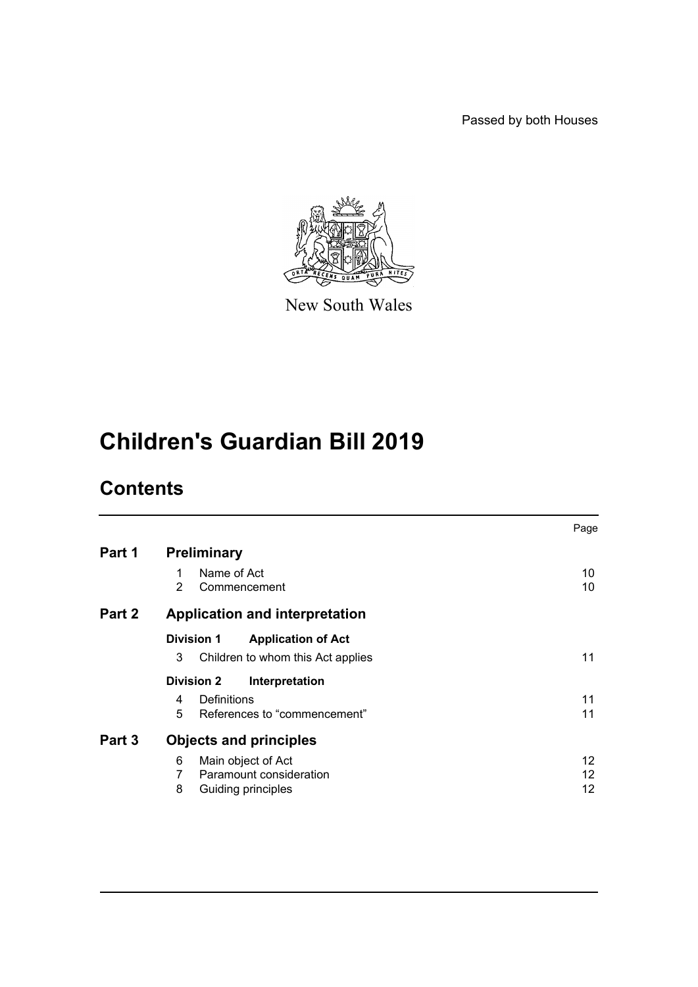Passed by both Houses



New South Wales

# **Children's Guardian Bill 2019**

# **Contents**

|        |                                                                                          | Page           |
|--------|------------------------------------------------------------------------------------------|----------------|
| Part 1 | <b>Preliminary</b>                                                                       |                |
|        | Name of Act<br>1<br>2<br>Commencement                                                    | 10<br>10       |
| Part 2 | <b>Application and interpretation</b>                                                    |                |
|        | <b>Division 1</b><br><b>Application of Act</b><br>3<br>Children to whom this Act applies | 11             |
|        | <b>Division 2</b><br>Interpretation                                                      |                |
|        | Definitions<br>4<br>5<br>References to "commencement"                                    | 11<br>11       |
| Part 3 | <b>Objects and principles</b>                                                            |                |
|        | Main object of Act<br>6<br>Paramount consideration<br>7<br>8<br>Guiding principles       | 12<br>12<br>12 |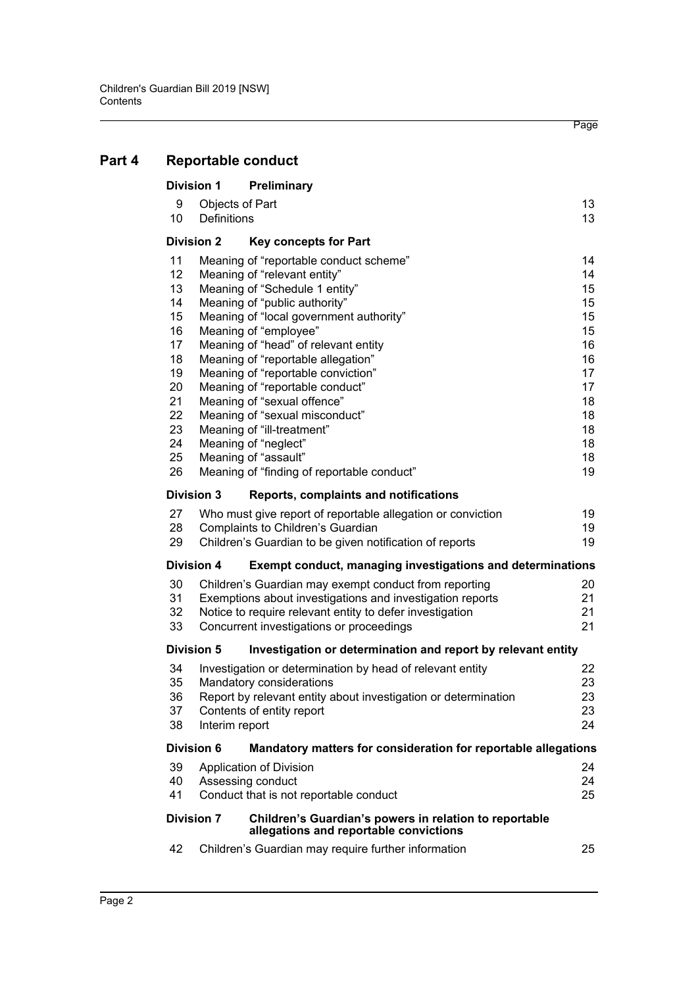|    | <b>Division 1</b>    | Preliminary                                                                                      |    |
|----|----------------------|--------------------------------------------------------------------------------------------------|----|
|    | 9                    | Objects of Part                                                                                  | 13 |
|    | 10<br>Definitions    |                                                                                                  | 13 |
|    | <b>Division 2</b>    | <b>Key concepts for Part</b>                                                                     |    |
| 11 |                      | Meaning of "reportable conduct scheme"                                                           | 14 |
|    | 12                   | Meaning of "relevant entity"                                                                     | 14 |
|    | 13                   | Meaning of "Schedule 1 entity"                                                                   | 15 |
|    | 14                   | Meaning of "public authority"                                                                    | 15 |
|    | 15                   | Meaning of "local government authority"                                                          | 15 |
|    | 16                   | Meaning of "employee"                                                                            | 15 |
|    | 17                   | Meaning of "head" of relevant entity                                                             | 16 |
|    | 18                   | Meaning of "reportable allegation"                                                               | 16 |
|    | 19                   | Meaning of "reportable conviction"                                                               | 17 |
|    | 20                   | Meaning of "reportable conduct"                                                                  | 17 |
| 21 |                      | Meaning of "sexual offence"                                                                      | 18 |
|    | 22                   | Meaning of "sexual misconduct"                                                                   | 18 |
|    | 23                   | Meaning of "ill-treatment"                                                                       | 18 |
|    | 24                   | Meaning of "neglect"                                                                             | 18 |
|    | 25                   | Meaning of "assault"                                                                             | 18 |
|    | 26                   | Meaning of "finding of reportable conduct"                                                       | 19 |
|    | <b>Division 3</b>    | Reports, complaints and notifications                                                            |    |
|    | 27                   | Who must give report of reportable allegation or conviction                                      | 19 |
|    | 28                   | Complaints to Children's Guardian                                                                | 19 |
|    | 29                   | Children's Guardian to be given notification of reports                                          | 19 |
|    | <b>Division 4</b>    | <b>Exempt conduct, managing investigations and determinations</b>                                |    |
|    | 30                   | Children's Guardian may exempt conduct from reporting                                            | 20 |
|    | 31                   | Exemptions about investigations and investigation reports                                        | 21 |
|    | 32                   | Notice to require relevant entity to defer investigation                                         | 21 |
|    | 33                   | Concurrent investigations or proceedings                                                         | 21 |
|    | <b>Division 5</b>    | Investigation or determination and report by relevant entity                                     |    |
|    | 34                   | Investigation or determination by head of relevant entity                                        | 22 |
|    | 35                   | Mandatory considerations                                                                         | 23 |
|    | 36                   | Report by relevant entity about investigation or determination                                   | 23 |
|    | 37                   | Contents of entity report                                                                        | 23 |
|    | 38<br>Interim report |                                                                                                  | 24 |
|    | <b>Division 6</b>    | Mandatory matters for consideration for reportable allegations                                   |    |
|    | 39                   | Application of Division                                                                          | 24 |
|    | 40                   | Assessing conduct                                                                                | 24 |
| 41 |                      | Conduct that is not reportable conduct                                                           | 25 |
|    | <b>Division 7</b>    | Children's Guardian's powers in relation to reportable<br>allegations and reportable convictions |    |
|    | 42                   | Children's Guardian may require further information                                              | 25 |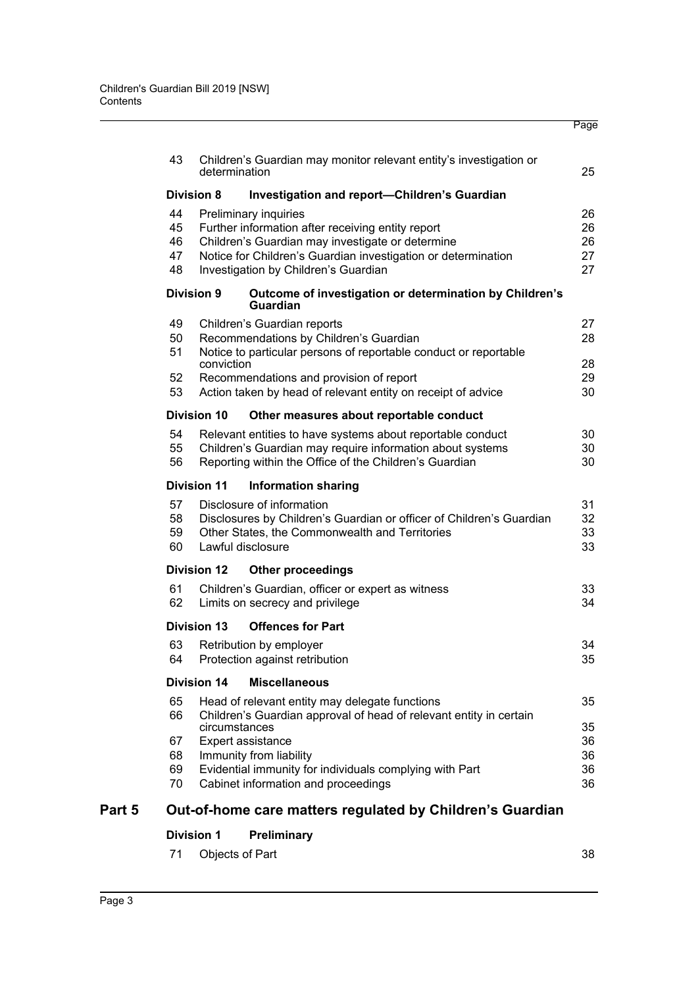|        |          |                               |                                                                                                | Page     |  |  |  |
|--------|----------|-------------------------------|------------------------------------------------------------------------------------------------|----------|--|--|--|
|        | 43       |                               | Children's Guardian may monitor relevant entity's investigation or                             |          |  |  |  |
|        |          | determination                 |                                                                                                | 25       |  |  |  |
|        |          | <b>Division 8</b>             | <b>Investigation and report-Children's Guardian</b>                                            |          |  |  |  |
|        | 44       |                               | Preliminary inquiries                                                                          | 26       |  |  |  |
|        | 45       |                               | Further information after receiving entity report                                              | 26       |  |  |  |
|        | 46       |                               | Children's Guardian may investigate or determine                                               | 26       |  |  |  |
|        | 47       |                               | Notice for Children's Guardian investigation or determination                                  | 27       |  |  |  |
|        | 48       |                               | Investigation by Children's Guardian                                                           | 27       |  |  |  |
|        |          | <b>Division 9</b>             | Outcome of investigation or determination by Children's<br><b>Guardian</b>                     |          |  |  |  |
|        | 49       |                               | Children's Guardian reports                                                                    | 27       |  |  |  |
|        | 50       |                               | Recommendations by Children's Guardian                                                         | 28       |  |  |  |
|        | 51       |                               | Notice to particular persons of reportable conduct or reportable                               |          |  |  |  |
|        |          | conviction                    |                                                                                                | 28       |  |  |  |
|        | 52       |                               | Recommendations and provision of report                                                        | 29       |  |  |  |
|        | 53       |                               | Action taken by head of relevant entity on receipt of advice                                   | 30       |  |  |  |
|        |          | <b>Division 10</b>            | Other measures about reportable conduct                                                        |          |  |  |  |
|        | 54       |                               | Relevant entities to have systems about reportable conduct                                     | 30       |  |  |  |
|        | 55       |                               | Children's Guardian may require information about systems                                      | 30       |  |  |  |
|        | 56       |                               | Reporting within the Office of the Children's Guardian                                         | 30       |  |  |  |
|        |          | <b>Division 11</b>            | <b>Information sharing</b>                                                                     |          |  |  |  |
|        | 57       |                               | Disclosure of information                                                                      | 31       |  |  |  |
|        | 58       |                               | Disclosures by Children's Guardian or officer of Children's Guardian                           | 32       |  |  |  |
|        | 59       |                               | Other States, the Commonwealth and Territories                                                 | 33       |  |  |  |
|        | 60       |                               | Lawful disclosure                                                                              | 33       |  |  |  |
|        |          | <b>Division 12</b>            | <b>Other proceedings</b>                                                                       |          |  |  |  |
|        | 61       |                               | Children's Guardian, officer or expert as witness                                              | 33       |  |  |  |
|        | 62       |                               | Limits on secrecy and privilege                                                                | 34       |  |  |  |
|        |          | Division 13                   | <b>Offences for Part</b>                                                                       |          |  |  |  |
|        | 63       |                               | Retribution by employer                                                                        | 34       |  |  |  |
|        | 64       |                               | Protection against retribution                                                                 | 35       |  |  |  |
|        |          | <b>Division 14</b>            | <b>Miscellaneous</b>                                                                           |          |  |  |  |
|        | 65       |                               | Head of relevant entity may delegate functions                                                 | 35       |  |  |  |
|        | 66       |                               | Children's Guardian approval of head of relevant entity in certain                             |          |  |  |  |
|        |          | circumstances                 |                                                                                                | 35       |  |  |  |
|        | 67       | Expert assistance<br>36       |                                                                                                |          |  |  |  |
|        | 68       | Immunity from liability<br>36 |                                                                                                |          |  |  |  |
|        | 69<br>70 |                               | Evidential immunity for individuals complying with Part<br>Cabinet information and proceedings | 36<br>36 |  |  |  |
|        |          |                               |                                                                                                |          |  |  |  |
| Part 5 |          |                               | Out-of-home care matters regulated by Children's Guardian                                      |          |  |  |  |

## **[Division 1 Preliminary](#page-37-1)**

| 71 Objects of Part |  | 38 |
|--------------------|--|----|
|                    |  |    |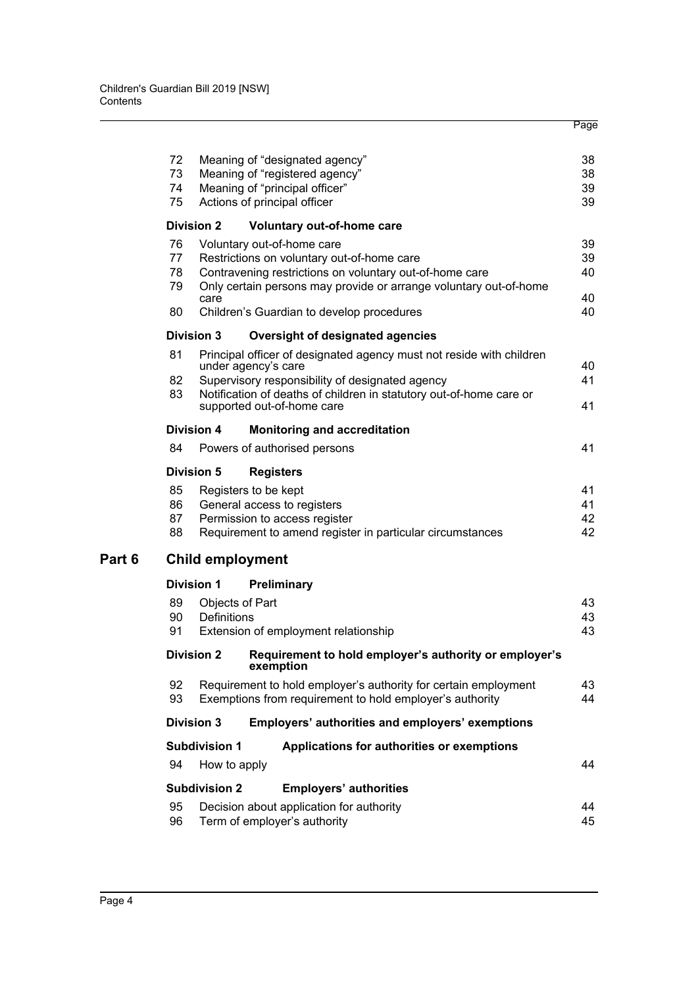|        | 72                      |                                | Meaning of "designated agency"                                                              | 38 |  |  |  |
|--------|-------------------------|--------------------------------|---------------------------------------------------------------------------------------------|----|--|--|--|
|        | 73                      |                                | Meaning of "registered agency"                                                              | 38 |  |  |  |
|        | 74                      | Meaning of "principal officer" |                                                                                             |    |  |  |  |
|        | 75                      |                                | Actions of principal officer                                                                | 39 |  |  |  |
|        |                         | <b>Division 2</b>              | Voluntary out-of-home care                                                                  |    |  |  |  |
|        | 76                      |                                | Voluntary out-of-home care                                                                  | 39 |  |  |  |
|        | 77                      |                                | Restrictions on voluntary out-of-home care                                                  | 39 |  |  |  |
|        | 78                      |                                | Contravening restrictions on voluntary out-of-home care                                     | 40 |  |  |  |
|        | 79                      |                                | Only certain persons may provide or arrange voluntary out-of-home                           |    |  |  |  |
|        |                         | care                           |                                                                                             | 40 |  |  |  |
|        | 80                      |                                | Children's Guardian to develop procedures                                                   | 40 |  |  |  |
|        |                         | <b>Division 3</b>              | Oversight of designated agencies                                                            |    |  |  |  |
|        | 81                      |                                | Principal officer of designated agency must not reside with children<br>under agency's care | 40 |  |  |  |
|        | 82                      |                                | Supervisory responsibility of designated agency                                             | 41 |  |  |  |
|        | 83                      |                                | Notification of deaths of children in statutory out-of-home care or                         |    |  |  |  |
|        |                         |                                | supported out-of-home care                                                                  | 41 |  |  |  |
|        |                         | <b>Division 4</b>              | <b>Monitoring and accreditation</b>                                                         |    |  |  |  |
|        | 84                      |                                | Powers of authorised persons                                                                | 41 |  |  |  |
|        |                         | <b>Division 5</b>              | <b>Registers</b>                                                                            |    |  |  |  |
|        | 85                      |                                | Registers to be kept                                                                        | 41 |  |  |  |
|        | 86                      |                                | General access to registers                                                                 | 41 |  |  |  |
|        | 87                      |                                | Permission to access register                                                               | 42 |  |  |  |
|        | 88                      |                                | Requirement to amend register in particular circumstances                                   | 42 |  |  |  |
| Part 6 | <b>Child employment</b> |                                |                                                                                             |    |  |  |  |
|        |                         | <b>Division 1</b>              | <b>Preliminary</b>                                                                          |    |  |  |  |
|        | 89                      |                                |                                                                                             | 43 |  |  |  |
|        | 90                      | Objects of Part<br>Definitions |                                                                                             | 43 |  |  |  |
|        | 91                      |                                | Extension of employment relationship                                                        | 43 |  |  |  |
|        |                         |                                |                                                                                             |    |  |  |  |
|        |                         | <b>Division 2</b>              | Requirement to hold employer's authority or employer's<br>exemption                         |    |  |  |  |
|        | 92                      |                                | Requirement to hold employer's authority for certain employment                             | 43 |  |  |  |
|        | 93                      |                                | Exemptions from requirement to hold employer's authority                                    | 44 |  |  |  |
|        |                         | <b>Division 3</b>              | Employers' authorities and employers' exemptions                                            |    |  |  |  |
|        |                         | <b>Subdivision 1</b>           | Applications for authorities or exemptions                                                  |    |  |  |  |
|        | 94                      | How to apply                   |                                                                                             | 44 |  |  |  |
|        |                         | <b>Subdivision 2</b>           | <b>Employers' authorities</b>                                                               |    |  |  |  |
|        | 95                      |                                | Decision about application for authority                                                    | 44 |  |  |  |
|        | 96                      |                                | Term of employer's authority                                                                | 45 |  |  |  |
|        |                         |                                |                                                                                             |    |  |  |  |

Page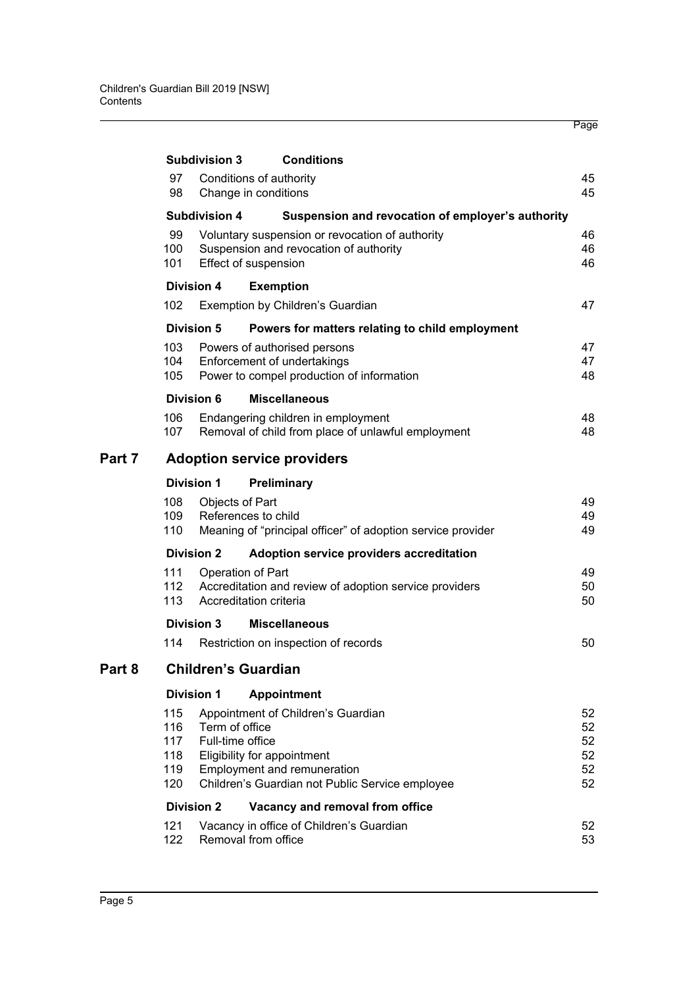|        |                                        | <b>Subdivision 3</b>               | <b>Conditions</b>                                                                                                                                   |                                  |  |  |
|--------|----------------------------------------|------------------------------------|-----------------------------------------------------------------------------------------------------------------------------------------------------|----------------------------------|--|--|
|        | 97<br>98                               |                                    | Conditions of authority<br>Change in conditions                                                                                                     | 45<br>45                         |  |  |
|        |                                        | <b>Subdivision 4</b>               | Suspension and revocation of employer's authority                                                                                                   |                                  |  |  |
|        | 99<br>100<br>101                       |                                    | Voluntary suspension or revocation of authority<br>Suspension and revocation of authority<br>Effect of suspension                                   | 46<br>46<br>46                   |  |  |
|        | <b>Division 4</b>                      |                                    | <b>Exemption</b>                                                                                                                                    |                                  |  |  |
|        | 102                                    |                                    | Exemption by Children's Guardian                                                                                                                    | 47                               |  |  |
|        | <b>Division 5</b>                      |                                    | Powers for matters relating to child employment                                                                                                     |                                  |  |  |
|        | 103<br>104<br>105                      |                                    | Powers of authorised persons<br>Enforcement of undertakings<br>Power to compel production of information                                            | 47<br>47<br>48                   |  |  |
|        | Division 6                             |                                    | <b>Miscellaneous</b>                                                                                                                                |                                  |  |  |
|        | 106<br>107                             |                                    | Endangering children in employment<br>Removal of child from place of unlawful employment                                                            | 48<br>48                         |  |  |
| Part 7 | <b>Adoption service providers</b>      |                                    |                                                                                                                                                     |                                  |  |  |
|        | <b>Division 1</b>                      |                                    | Preliminary                                                                                                                                         |                                  |  |  |
|        | 108<br>109<br>110                      | Objects of Part                    | References to child<br>Meaning of "principal officer" of adoption service provider                                                                  | 49<br>49<br>49                   |  |  |
|        | <b>Division 2</b>                      |                                    | Adoption service providers accreditation                                                                                                            |                                  |  |  |
|        | 111<br>112<br>113                      |                                    | Operation of Part<br>Accreditation and review of adoption service providers<br>Accreditation criteria                                               | 49<br>50<br>50                   |  |  |
|        | <b>Division 3</b>                      |                                    | <b>Miscellaneous</b>                                                                                                                                |                                  |  |  |
|        | 114                                    |                                    | Restriction on inspection of records                                                                                                                | 50                               |  |  |
| Part 8 |                                        |                                    | <b>Children's Guardian</b>                                                                                                                          |                                  |  |  |
|        | <b>Division 1</b>                      |                                    | <b>Appointment</b>                                                                                                                                  |                                  |  |  |
|        | 115<br>116<br>117<br>118<br>119<br>120 | Term of office<br>Full-time office | Appointment of Children's Guardian<br>Eligibility for appointment<br>Employment and remuneration<br>Children's Guardian not Public Service employee | 52<br>52<br>52<br>52<br>52<br>52 |  |  |
|        | <b>Division 2</b>                      |                                    | Vacancy and removal from office                                                                                                                     |                                  |  |  |
|        | 121<br>122                             |                                    | Vacancy in office of Children's Guardian<br>Removal from office                                                                                     | 52<br>53                         |  |  |

Page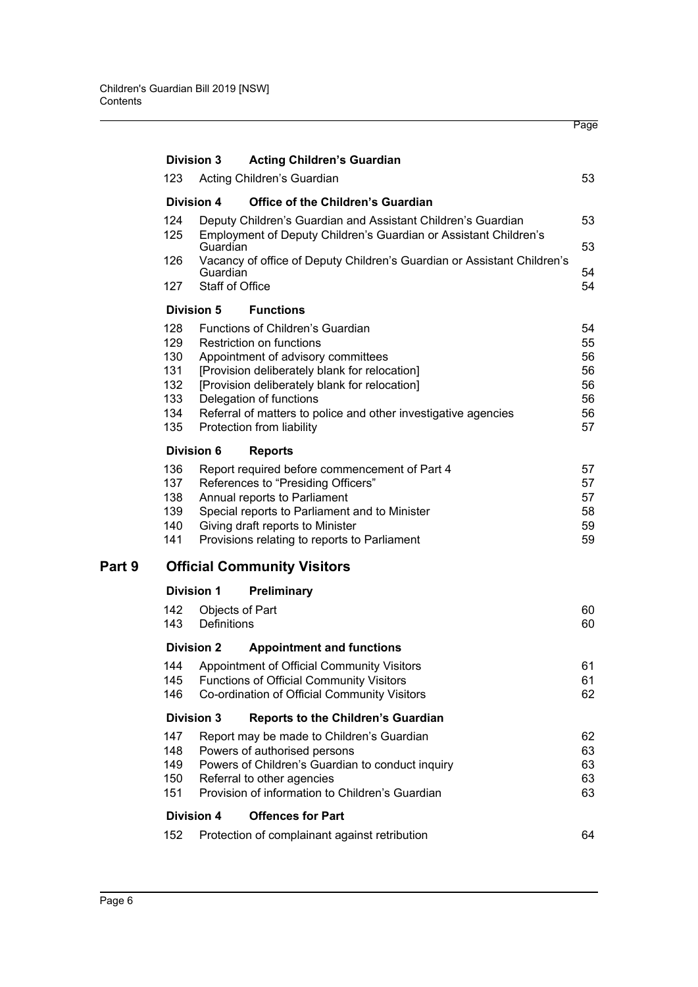|            | <b>Division 3</b>                                                                         | <b>Acting Children's Guardian</b>                                                |          |  |
|------------|-------------------------------------------------------------------------------------------|----------------------------------------------------------------------------------|----------|--|
| 123.       |                                                                                           | Acting Children's Guardian                                                       | 53       |  |
|            | Division 4                                                                                | Office of the Children's Guardian                                                |          |  |
| 124        |                                                                                           | Deputy Children's Guardian and Assistant Children's Guardian                     | 53       |  |
| 125        | Guardian                                                                                  | Employment of Deputy Children's Guardian or Assistant Children's                 | 53       |  |
| 126        |                                                                                           | Vacancy of office of Deputy Children's Guardian or Assistant Children's          |          |  |
| 127 -      | Guardian<br><b>Staff of Office</b>                                                        |                                                                                  | 54<br>54 |  |
|            | <b>Division 5</b>                                                                         | <b>Functions</b>                                                                 |          |  |
| 128        |                                                                                           | Functions of Children's Guardian                                                 | 54       |  |
| 129        |                                                                                           | Restriction on functions                                                         | 55       |  |
| 130        |                                                                                           | Appointment of advisory committees                                               | 56       |  |
| 131        |                                                                                           | [Provision deliberately blank for relocation]                                    | 56       |  |
| 132        |                                                                                           | [Provision deliberately blank for relocation]                                    | 56       |  |
| 133        |                                                                                           | Delegation of functions                                                          | 56       |  |
| 134<br>135 |                                                                                           | Referral of matters to police and other investigative agencies                   | 56       |  |
|            |                                                                                           | Protection from liability                                                        | 57       |  |
|            | <b>Division 6</b>                                                                         | <b>Reports</b>                                                                   |          |  |
| 136        |                                                                                           | Report required before commencement of Part 4                                    | 57       |  |
| 137        |                                                                                           | References to "Presiding Officers"                                               | 57       |  |
| 138<br>139 | Annual reports to Parliament<br>57<br>Special reports to Parliament and to Minister<br>58 |                                                                                  |          |  |
| 140        |                                                                                           | Giving draft reports to Minister                                                 | 59       |  |
| 141        |                                                                                           | Provisions relating to reports to Parliament                                     | 59       |  |
|            |                                                                                           | <b>Official Community Visitors</b>                                               |          |  |
|            |                                                                                           |                                                                                  |          |  |
|            | <b>Division 1</b>                                                                         | <b>Preliminary</b>                                                               |          |  |
| 142<br>143 | Definitions                                                                               | Objects of Part                                                                  | 60<br>60 |  |
|            |                                                                                           |                                                                                  |          |  |
|            | <b>Division 2</b>                                                                         | <b>Appointment and functions</b>                                                 |          |  |
| 144        |                                                                                           | Appointment of Official Community Visitors                                       | 61       |  |
| 145<br>146 |                                                                                           | <b>Functions of Official Community Visitors</b>                                  | 61<br>62 |  |
|            |                                                                                           | Co-ordination of Official Community Visitors                                     |          |  |
|            | <b>Division 3</b>                                                                         | Reports to the Children's Guardian                                               |          |  |
| 147        |                                                                                           | Report may be made to Children's Guardian                                        | 62       |  |
| 148<br>149 |                                                                                           | Powers of authorised persons<br>Powers of Children's Guardian to conduct inquiry | 63<br>63 |  |
| 150        |                                                                                           | Referral to other agencies                                                       | 63       |  |
| 151        |                                                                                           | Provision of information to Children's Guardian                                  | 63       |  |
|            | <b>Division 4</b>                                                                         | <b>Offences for Part</b>                                                         |          |  |
| 152        |                                                                                           | Protection of complainant against retribution                                    | 64       |  |
|            |                                                                                           |                                                                                  |          |  |

Page

Part 9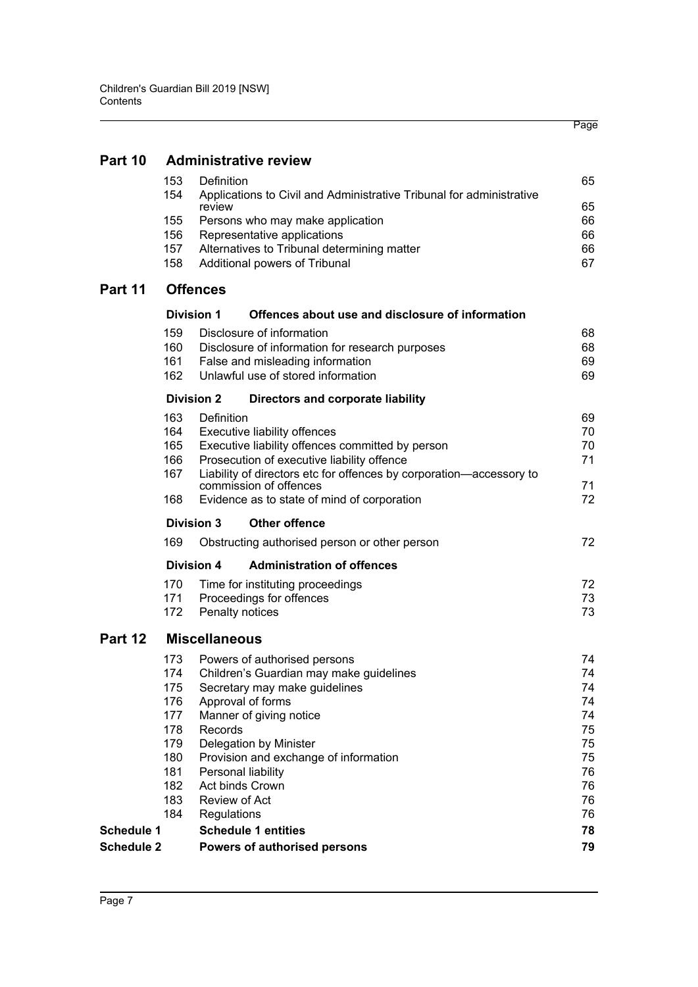|                   |                              |                                                                        |                                                                      | Page     |  |  |
|-------------------|------------------------------|------------------------------------------------------------------------|----------------------------------------------------------------------|----------|--|--|
|                   |                              |                                                                        |                                                                      |          |  |  |
| Part 10           | <b>Administrative review</b> |                                                                        |                                                                      |          |  |  |
|                   | 153<br>154                   | Definition<br>review                                                   | Applications to Civil and Administrative Tribunal for administrative | 65<br>65 |  |  |
|                   | 155                          | Persons who may make application                                       |                                                                      | 66       |  |  |
|                   | 156                          | Representative applications                                            |                                                                      | 66       |  |  |
|                   | 157<br>158                   | Additional powers of Tribunal                                          | Alternatives to Tribunal determining matter                          | 66<br>67 |  |  |
| Part 11           |                              | <b>Offences</b>                                                        |                                                                      |          |  |  |
|                   |                              | <b>Division 1</b>                                                      | Offences about use and disclosure of information                     |          |  |  |
|                   | 159                          | Disclosure of information                                              |                                                                      | 68       |  |  |
|                   | 160                          |                                                                        | Disclosure of information for research purposes                      | 68       |  |  |
|                   | 161<br>162                   | False and misleading information<br>Unlawful use of stored information |                                                                      | 69<br>69 |  |  |
|                   |                              |                                                                        |                                                                      |          |  |  |
|                   | 163                          | <b>Division 2</b><br>Definition                                        | Directors and corporate liability                                    | 69       |  |  |
|                   | 164                          | Executive liability offences                                           |                                                                      | 70       |  |  |
|                   | 165                          |                                                                        | Executive liability offences committed by person                     | 70       |  |  |
|                   | 166                          | Prosecution of executive liability offence                             |                                                                      | 71       |  |  |
|                   | 167                          |                                                                        | Liability of directors etc for offences by corporation-accessory to  |          |  |  |
|                   | 168                          | commission of offences                                                 | Evidence as to state of mind of corporation                          | 71<br>72 |  |  |
|                   |                              | <b>Other offence</b><br><b>Division 3</b>                              |                                                                      |          |  |  |
|                   | 169                          |                                                                        | Obstructing authorised person or other person                        | 72       |  |  |
|                   |                              | <b>Division 4</b>                                                      | <b>Administration of offences</b>                                    |          |  |  |
|                   | 170                          | Time for instituting proceedings                                       |                                                                      | 72       |  |  |
|                   | 171                          | Proceedings for offences                                               |                                                                      | 73       |  |  |
|                   | 172                          | Penalty notices                                                        |                                                                      | 73       |  |  |
| Part 12           |                              | <b>Miscellaneous</b>                                                   |                                                                      |          |  |  |
|                   | 173                          | Powers of authorised persons                                           |                                                                      | 74       |  |  |
|                   | 174                          |                                                                        | Children's Guardian may make guidelines                              | 74       |  |  |
|                   | 175                          | Secretary may make guidelines                                          |                                                                      | 74       |  |  |
|                   | 176<br>177                   | Approval of forms<br>Manner of giving notice                           |                                                                      | 74<br>74 |  |  |
|                   | 178                          | Records                                                                |                                                                      | 75       |  |  |
|                   | 179                          | Delegation by Minister                                                 |                                                                      | 75       |  |  |
|                   | 180                          | Provision and exchange of information                                  |                                                                      | 75       |  |  |
|                   | 181                          | Personal liability                                                     |                                                                      | 76       |  |  |
|                   | 182                          | Act binds Crown                                                        |                                                                      | 76       |  |  |
|                   | 183<br>184                   | Review of Act<br>Regulations                                           |                                                                      | 76<br>76 |  |  |
| Schedule 1        |                              | <b>Schedule 1 entities</b>                                             |                                                                      | 78       |  |  |
| <b>Schedule 2</b> |                              | Powers of authorised persons                                           |                                                                      | 79       |  |  |
|                   |                              |                                                                        |                                                                      |          |  |  |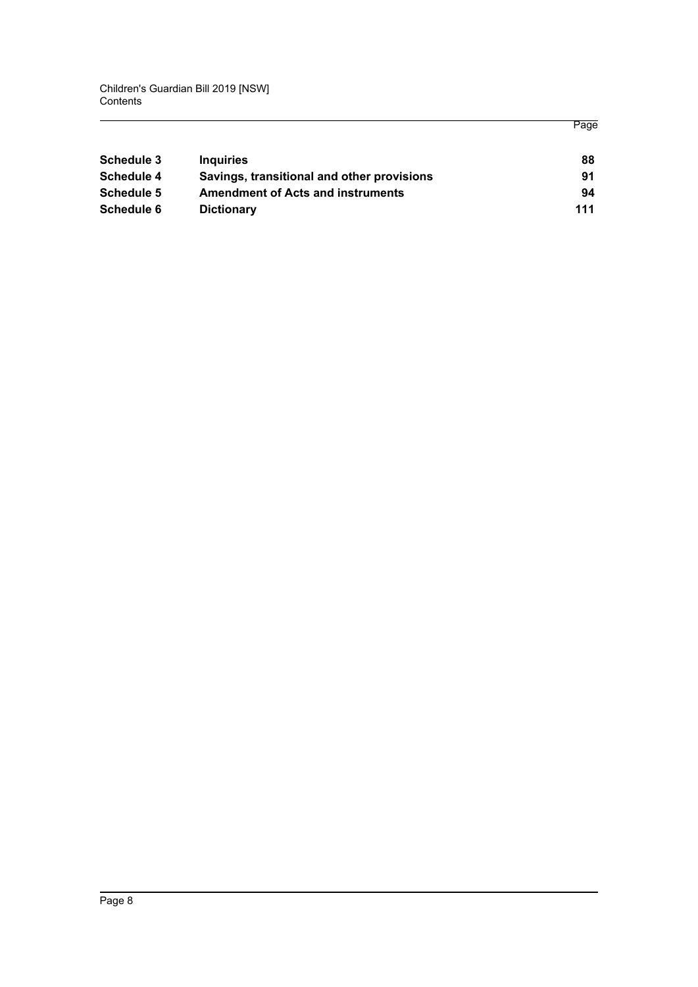Children's Guardian Bill 2019 [NSW] Contents

| Schedule 3 | <b>Inquiries</b>                           | 88  |
|------------|--------------------------------------------|-----|
| Schedule 4 | Savings, transitional and other provisions | 91  |
| Schedule 5 | <b>Amendment of Acts and instruments</b>   | 94  |
| Schedule 6 | <b>Dictionary</b>                          | 111 |

Page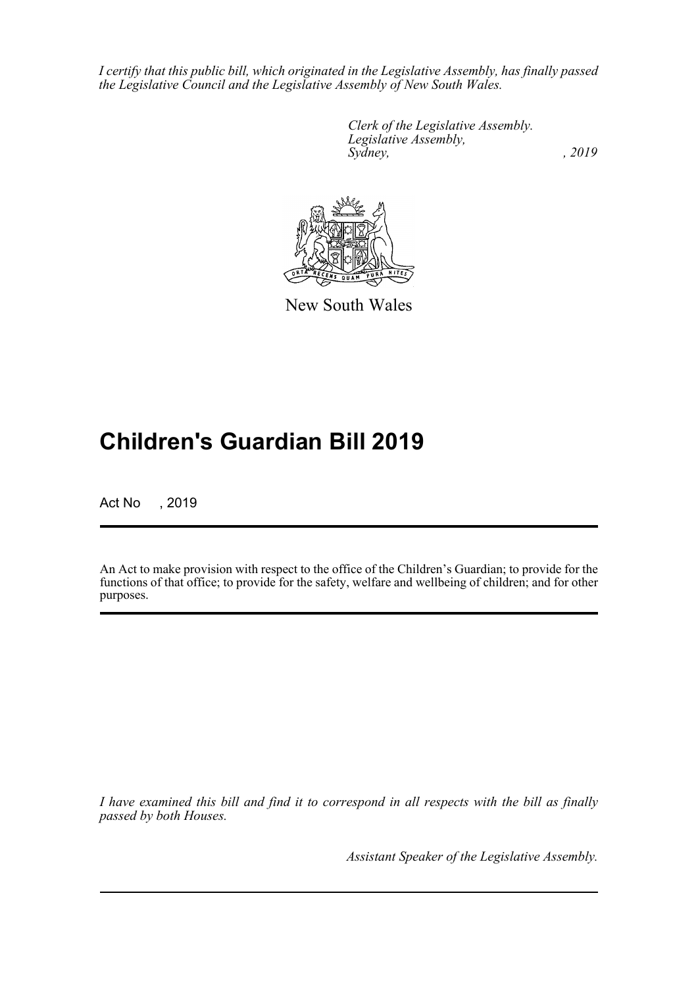*I certify that this public bill, which originated in the Legislative Assembly, has finally passed the Legislative Council and the Legislative Assembly of New South Wales.*

> *Clerk of the Legislative Assembly. Legislative Assembly, Sydney,* , 2019



New South Wales

# **Children's Guardian Bill 2019**

Act No , 2019

An Act to make provision with respect to the office of the Children's Guardian; to provide for the functions of that office; to provide for the safety, welfare and wellbeing of children; and for other purposes.

*I have examined this bill and find it to correspond in all respects with the bill as finally passed by both Houses.*

*Assistant Speaker of the Legislative Assembly.*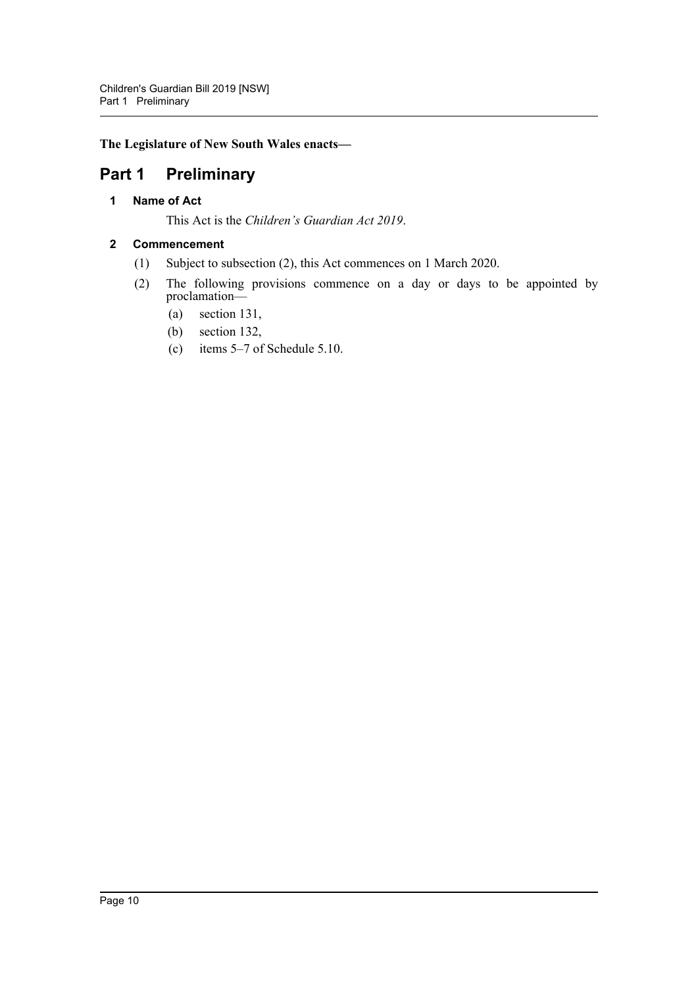## **The Legislature of New South Wales enacts—**

## <span id="page-9-1"></span><span id="page-9-0"></span>**Part 1 Preliminary**

## **1 Name of Act**

This Act is the *Children's Guardian Act 2019*.

## <span id="page-9-2"></span>**2 Commencement**

- (1) Subject to subsection (2), this Act commences on 1 March 2020.
- (2) The following provisions commence on a day or days to be appointed by proclamation—
	- (a) section 131,
	- (b) section 132,
	- (c) items 5–7 of Schedule 5.10.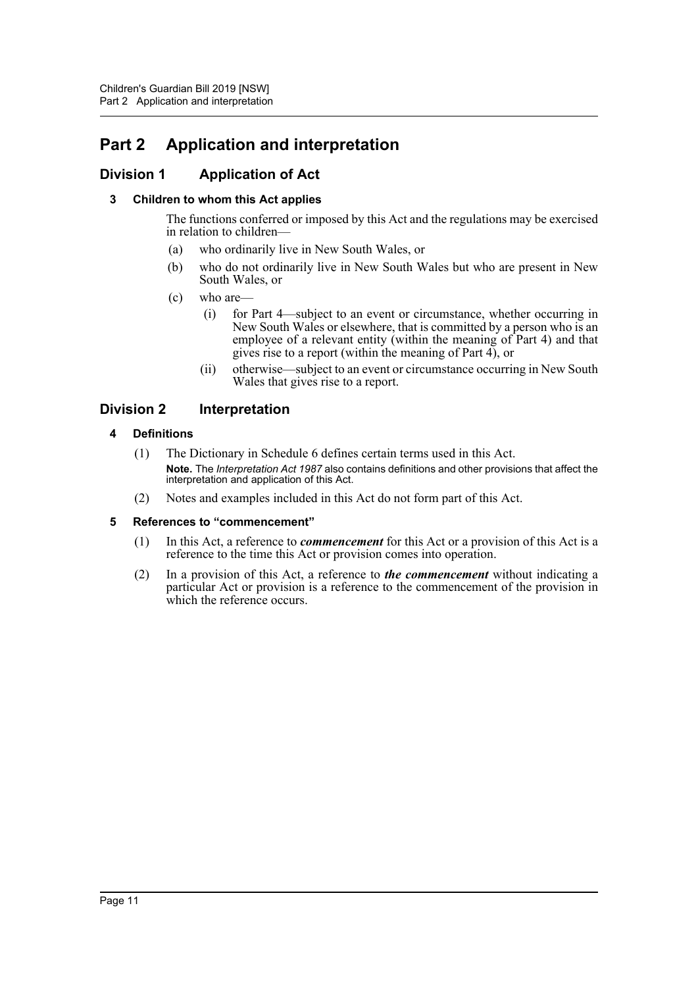# <span id="page-10-0"></span>**Part 2 Application and interpretation**

## <span id="page-10-2"></span><span id="page-10-1"></span>**Division 1 Application of Act**

### **3 Children to whom this Act applies**

The functions conferred or imposed by this Act and the regulations may be exercised in relation to children—

- (a) who ordinarily live in New South Wales, or
- (b) who do not ordinarily live in New South Wales but who are present in New South Wales, or
- (c) who are—
	- (i) for Part 4—subject to an event or circumstance, whether occurring in New South Wales or elsewhere, that is committed by a person who is an employee of a relevant entity (within the meaning of Part 4) and that gives rise to a report (within the meaning of Part 4), or
	- (ii) otherwise—subject to an event or circumstance occurring in New South Wales that gives rise to a report.

## <span id="page-10-4"></span><span id="page-10-3"></span>**Division 2 Interpretation**

#### **4 Definitions**

- (1) The Dictionary in Schedule 6 defines certain terms used in this Act. **Note.** The *Interpretation Act 1987* also contains definitions and other provisions that affect the interpretation and application of this Act.
- (2) Notes and examples included in this Act do not form part of this Act.

#### <span id="page-10-5"></span>**5 References to "commencement"**

- (1) In this Act, a reference to *commencement* for this Act or a provision of this Act is a reference to the time this Act or provision comes into operation.
- (2) In a provision of this Act, a reference to *the commencement* without indicating a particular Act or provision is a reference to the commencement of the provision in which the reference occurs.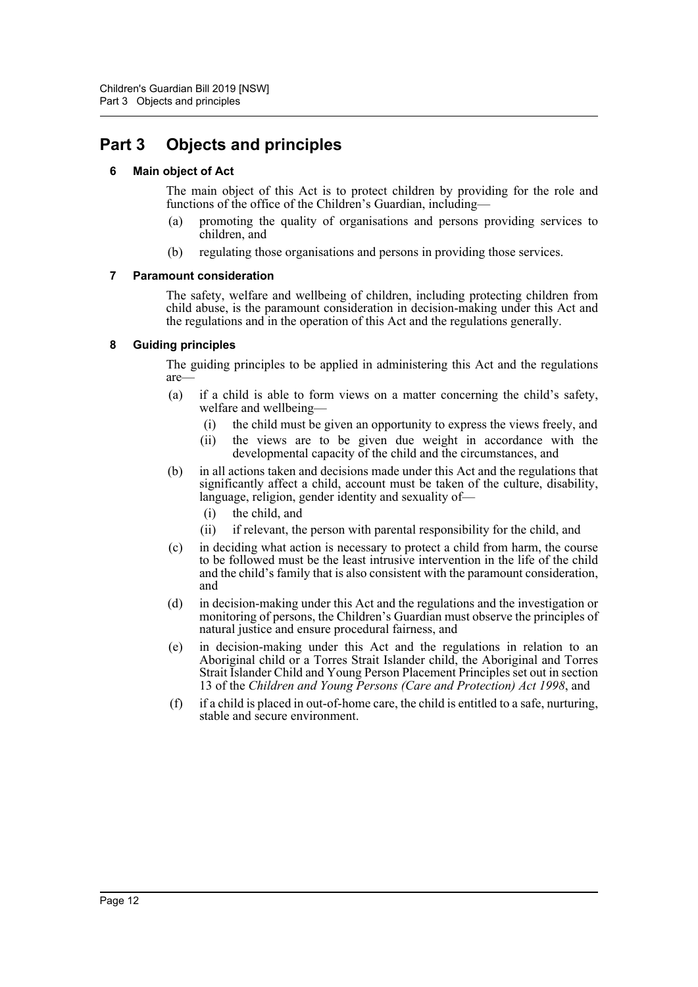## <span id="page-11-1"></span><span id="page-11-0"></span>**Part 3 Objects and principles**

#### **6 Main object of Act**

The main object of this Act is to protect children by providing for the role and functions of the office of the Children's Guardian, including—

- (a) promoting the quality of organisations and persons providing services to children, and
- (b) regulating those organisations and persons in providing those services.

#### <span id="page-11-2"></span>**7 Paramount consideration**

The safety, welfare and wellbeing of children, including protecting children from child abuse, is the paramount consideration in decision-making under this Act and the regulations and in the operation of this Act and the regulations generally.

#### <span id="page-11-3"></span>**8 Guiding principles**

The guiding principles to be applied in administering this Act and the regulations are—

- (a) if a child is able to form views on a matter concerning the child's safety, welfare and wellbeing—
	- (i) the child must be given an opportunity to express the views freely, and
	- (ii) the views are to be given due weight in accordance with the developmental capacity of the child and the circumstances, and
- (b) in all actions taken and decisions made under this Act and the regulations that significantly affect a child, account must be taken of the culture, disability, language, religion, gender identity and sexuality of—
	- (i) the child, and
	- (ii) if relevant, the person with parental responsibility for the child, and
- (c) in deciding what action is necessary to protect a child from harm, the course to be followed must be the least intrusive intervention in the life of the child and the child's family that is also consistent with the paramount consideration, and
- (d) in decision-making under this Act and the regulations and the investigation or monitoring of persons, the Children's Guardian must observe the principles of natural justice and ensure procedural fairness, and
- (e) in decision-making under this Act and the regulations in relation to an Aboriginal child or a Torres Strait Islander child, the Aboriginal and Torres Strait Islander Child and Young Person Placement Principles set out in section 13 of the *Children and Young Persons (Care and Protection) Act 1998*, and
- (f) if a child is placed in out-of-home care, the child is entitled to a safe, nurturing, stable and secure environment.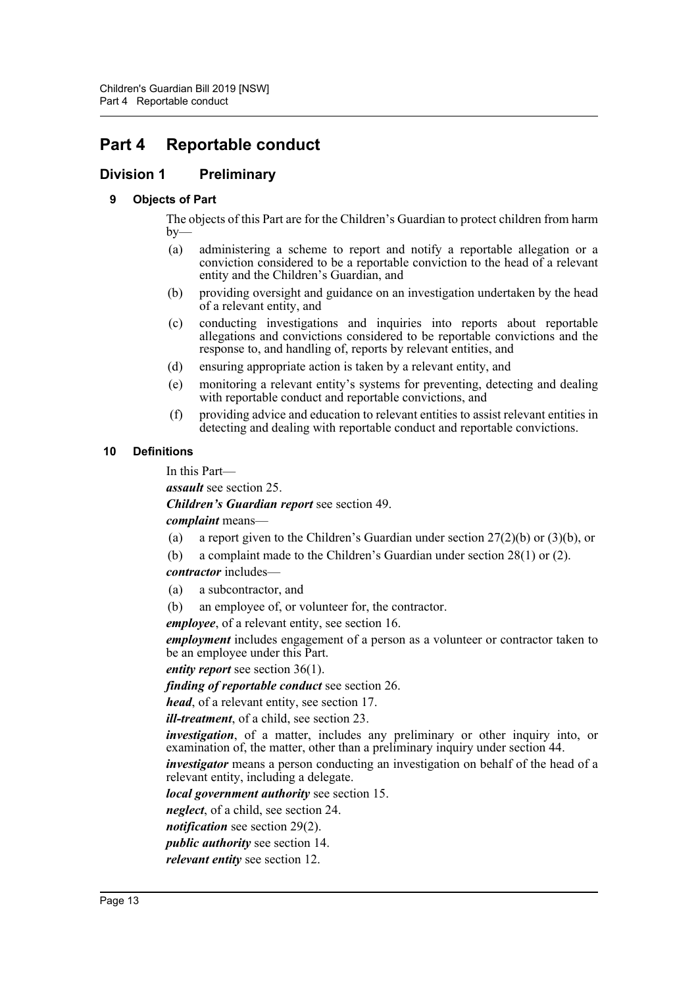# <span id="page-12-0"></span>**Part 4 Reportable conduct**

## <span id="page-12-2"></span><span id="page-12-1"></span>**Division 1 Preliminary**

#### **9 Objects of Part**

The objects of this Part are for the Children's Guardian to protect children from harm  $by-$ 

- (a) administering a scheme to report and notify a reportable allegation or a conviction considered to be a reportable conviction to the head of a relevant entity and the Children's Guardian, and
- (b) providing oversight and guidance on an investigation undertaken by the head of a relevant entity, and
- (c) conducting investigations and inquiries into reports about reportable allegations and convictions considered to be reportable convictions and the response to, and handling of, reports by relevant entities, and
- (d) ensuring appropriate action is taken by a relevant entity, and
- (e) monitoring a relevant entity's systems for preventing, detecting and dealing with reportable conduct and reportable convictions, and
- (f) providing advice and education to relevant entities to assist relevant entities in detecting and dealing with reportable conduct and reportable convictions.

#### <span id="page-12-3"></span>**10 Definitions**

In this Part—

*assault* see section 25.

*Children's Guardian report* see section 49.

*complaint* means—

- (a) a report given to the Children's Guardian under section 27(2)(b) or (3)(b), or
- (b) a complaint made to the Children's Guardian under section 28(1) or (2).

*contractor* includes—

- (a) a subcontractor, and
- (b) an employee of, or volunteer for, the contractor.

*employee*, of a relevant entity, see section 16.

*employment* includes engagement of a person as a volunteer or contractor taken to be an employee under this Part.

*entity report* see section 36(1).

*finding of reportable conduct* see section 26.

*head*, of a relevant entity, see section 17.

*ill-treatment*, of a child, see section 23.

*investigation*, of a matter, includes any preliminary or other inquiry into, or examination of, the matter, other than a preliminary inquiry under section 44.

*investigator* means a person conducting an investigation on behalf of the head of a relevant entity, including a delegate.

*local government authority* see section 15.

*neglect*, of a child, see section 24.

*notification* see section 29(2).

*public authority* see section 14.

*relevant entity* see section 12.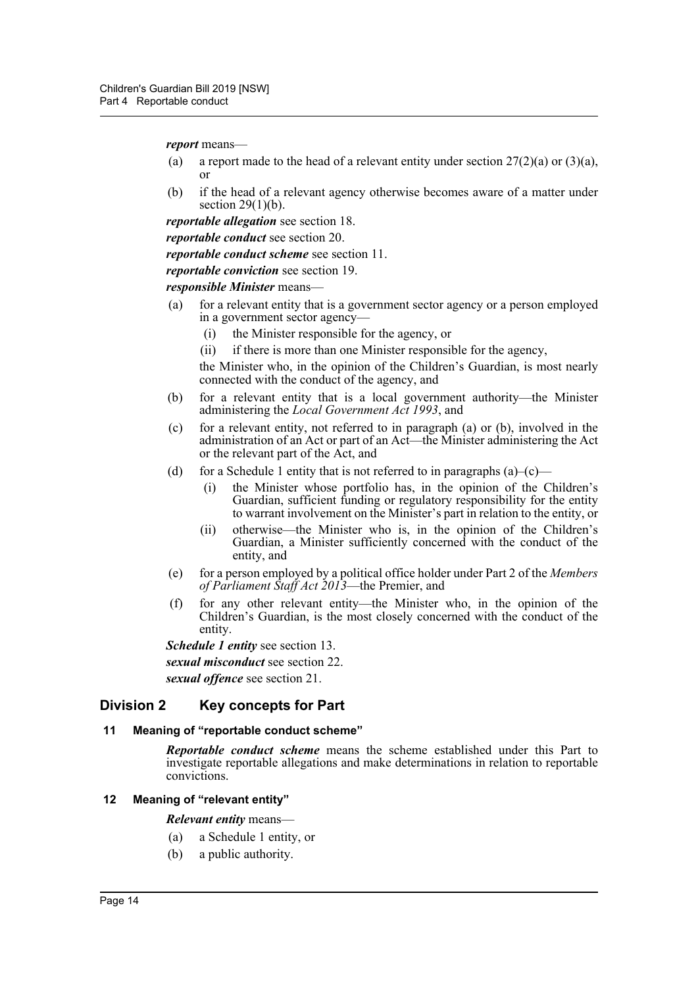*report* means—

- (a) a report made to the head of a relevant entity under section  $27(2)(a)$  or  $(3)(a)$ , or
- (b) if the head of a relevant agency otherwise becomes aware of a matter under section  $29(1)(b)$ .

*reportable allegation* see section 18.

*reportable conduct* see section 20.

*reportable conduct scheme* see section 11.

*reportable conviction* see section 19.

*responsible Minister* means—

- (a) for a relevant entity that is a government sector agency or a person employed in a government sector agency—
	- (i) the Minister responsible for the agency, or
	- (ii) if there is more than one Minister responsible for the agency,
	- the Minister who, in the opinion of the Children's Guardian, is most nearly connected with the conduct of the agency, and
- (b) for a relevant entity that is a local government authority—the Minister administering the *Local Government Act 1993*, and
- (c) for a relevant entity, not referred to in paragraph (a) or (b), involved in the administration of an Act or part of an Act—the Minister administering the Act or the relevant part of the Act, and
- (d) for a Schedule 1 entity that is not referred to in paragraphs  $(a)$ – $(c)$ 
	- (i) the Minister whose portfolio has, in the opinion of the Children's Guardian, sufficient funding or regulatory responsibility for the entity to warrant involvement on the Minister's part in relation to the entity, or
	- (ii) otherwise—the Minister who is, in the opinion of the Children's Guardian, a Minister sufficiently concerned with the conduct of the entity, and
- (e) for a person employed by a political office holder under Part 2 of the *Members of Parliament Staff Act 2013*—the Premier, and
- (f) for any other relevant entity—the Minister who, in the opinion of the Children's Guardian, is the most closely concerned with the conduct of the entity.

*Schedule 1 entity* see section 13.

*sexual misconduct* see section 22.

*sexual offence* see section 21.

#### <span id="page-13-0"></span>**Division 2 Key concepts for Part**

#### <span id="page-13-1"></span>**11 Meaning of "reportable conduct scheme"**

*Reportable conduct scheme* means the scheme established under this Part to investigate reportable allegations and make determinations in relation to reportable convictions.

#### <span id="page-13-2"></span>**12 Meaning of "relevant entity"**

#### *Relevant entity* means—

- (a) a Schedule 1 entity, or
- (b) a public authority.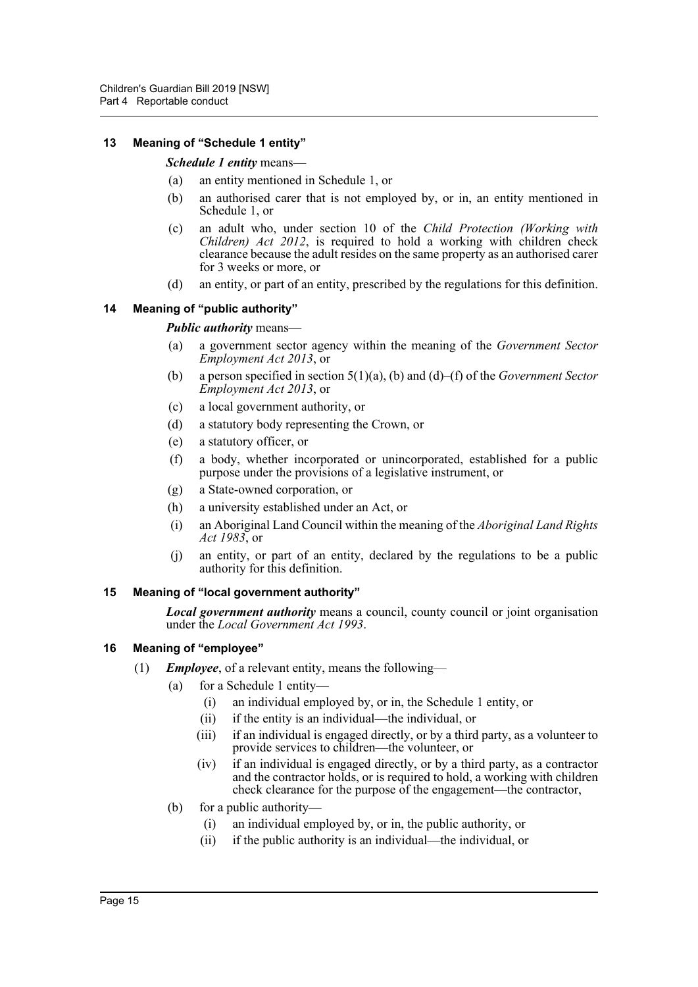#### <span id="page-14-0"></span>**13 Meaning of "Schedule 1 entity"**

#### *Schedule 1 entity* means—

- (a) an entity mentioned in Schedule 1, or
- (b) an authorised carer that is not employed by, or in, an entity mentioned in Schedule 1, or
- (c) an adult who, under section 10 of the *Child Protection (Working with Children) Act 2012*, is required to hold a working with children check clearance because the adult resides on the same property as an authorised carer for 3 weeks or more, or
- (d) an entity, or part of an entity, prescribed by the regulations for this definition.

#### <span id="page-14-1"></span>**14 Meaning of "public authority"**

#### *Public authority* means—

- (a) a government sector agency within the meaning of the *Government Sector Employment Act 2013*, or
- (b) a person specified in section 5(1)(a), (b) and (d)–(f) of the *Government Sector Employment Act 2013*, or
- (c) a local government authority, or
- (d) a statutory body representing the Crown, or
- (e) a statutory officer, or
- (f) a body, whether incorporated or unincorporated, established for a public purpose under the provisions of a legislative instrument, or
- (g) a State-owned corporation, or
- (h) a university established under an Act, or
- (i) an Aboriginal Land Council within the meaning of the *Aboriginal Land Rights Act 1983*, or
- (j) an entity, or part of an entity, declared by the regulations to be a public authority for this definition.

#### <span id="page-14-2"></span>**15 Meaning of "local government authority"**

*Local government authority* means a council, county council or joint organisation under the *Local Government Act 1993*.

#### <span id="page-14-3"></span>**16 Meaning of "employee"**

- (1) *Employee*, of a relevant entity, means the following—
	- (a) for a Schedule 1 entity—
		- (i) an individual employed by, or in, the Schedule 1 entity, or
		- (ii) if the entity is an individual—the individual, or
		- (iii) if an individual is engaged directly, or by a third party, as a volunteer to provide services to children—the volunteer, or
		- (iv) if an individual is engaged directly, or by a third party, as a contractor and the contractor holds, or is required to hold, a working with children check clearance for the purpose of the engagement—the contractor,
	- (b) for a public authority—
		- (i) an individual employed by, or in, the public authority, or
		- (ii) if the public authority is an individual—the individual, or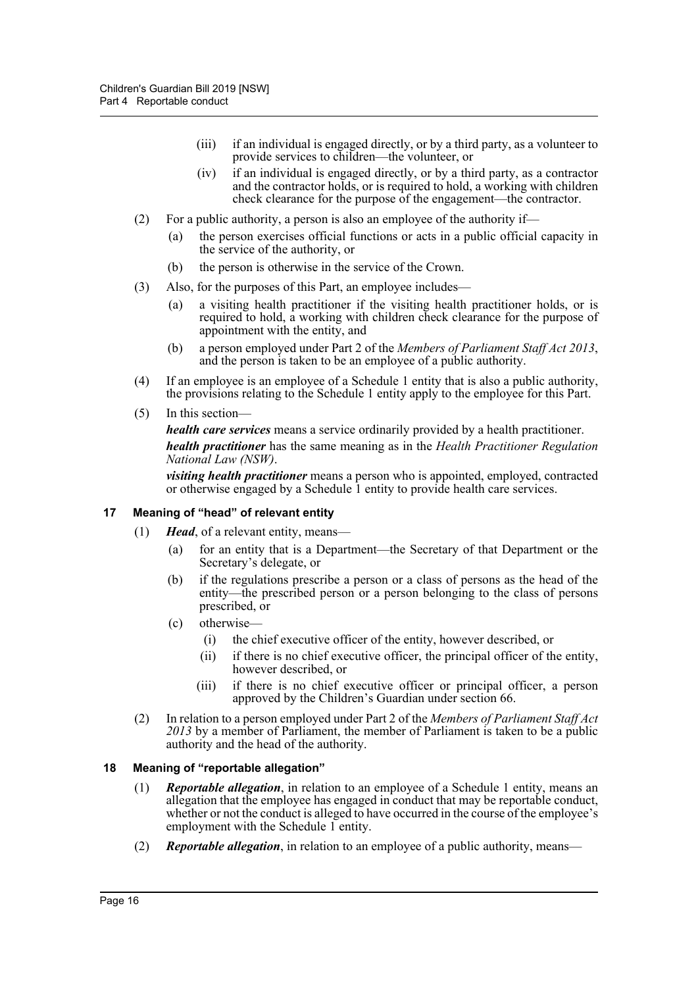- (iii) if an individual is engaged directly, or by a third party, as a volunteer to provide services to children—the volunteer, or
- (iv) if an individual is engaged directly, or by a third party, as a contractor and the contractor holds, or is required to hold, a working with children check clearance for the purpose of the engagement—the contractor.
- (2) For a public authority, a person is also an employee of the authority if—
	- (a) the person exercises official functions or acts in a public official capacity in the service of the authority, or
	- (b) the person is otherwise in the service of the Crown.
- (3) Also, for the purposes of this Part, an employee includes—
	- (a) a visiting health practitioner if the visiting health practitioner holds, or is required to hold, a working with children check clearance for the purpose of appointment with the entity, and
	- (b) a person employed under Part 2 of the *Members of Parliament Staff Act 2013*, and the person is taken to be an employee of a public authority.
- (4) If an employee is an employee of a Schedule 1 entity that is also a public authority, the provisions relating to the Schedule 1 entity apply to the employee for this Part.
- (5) In this section—

*health care services* means a service ordinarily provided by a health practitioner. *health practitioner* has the same meaning as in the *Health Practitioner Regulation National Law (NSW)*.

*visiting health practitioner* means a person who is appointed, employed, contracted or otherwise engaged by a Schedule 1 entity to provide health care services.

#### <span id="page-15-0"></span>**17 Meaning of "head" of relevant entity**

- (1) *Head*, of a relevant entity, means—
	- (a) for an entity that is a Department—the Secretary of that Department or the Secretary's delegate, or
	- (b) if the regulations prescribe a person or a class of persons as the head of the entity—the prescribed person or a person belonging to the class of persons prescribed, or
	- (c) otherwise—
		- (i) the chief executive officer of the entity, however described, or
		- (ii) if there is no chief executive officer, the principal officer of the entity, however described, or
		- (iii) if there is no chief executive officer or principal officer, a person approved by the Children's Guardian under section 66.
- (2) In relation to a person employed under Part 2 of the *Members of Parliament Staff Act 2013* by a member of Parliament, the member of Parliament is taken to be a public authority and the head of the authority.

#### <span id="page-15-1"></span>**18 Meaning of "reportable allegation"**

- (1) *Reportable allegation*, in relation to an employee of a Schedule 1 entity, means an allegation that the employee has engaged in conduct that may be reportable conduct, whether or not the conduct is alleged to have occurred in the course of the employee's employment with the Schedule 1 entity.
- (2) *Reportable allegation*, in relation to an employee of a public authority, means—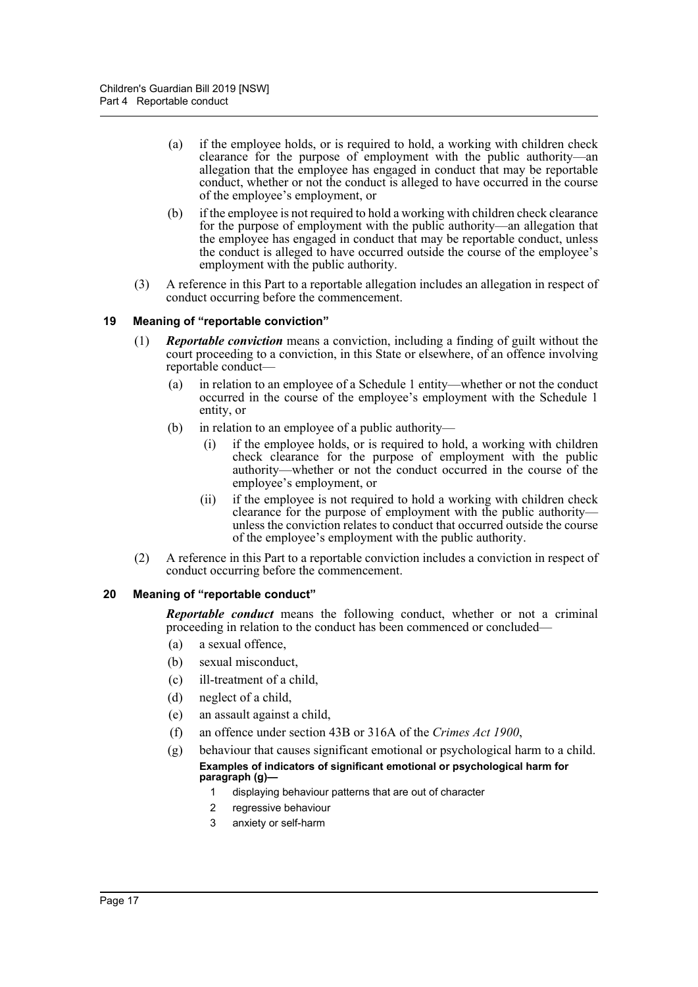- (a) if the employee holds, or is required to hold, a working with children check clearance for the purpose of employment with the public authority—an allegation that the employee has engaged in conduct that may be reportable conduct, whether or not the conduct is alleged to have occurred in the course of the employee's employment, or
- (b) if the employee is not required to hold a working with children check clearance for the purpose of employment with the public authority—an allegation that the employee has engaged in conduct that may be reportable conduct, unless the conduct is alleged to have occurred outside the course of the employee's employment with the public authority.
- (3) A reference in this Part to a reportable allegation includes an allegation in respect of conduct occurring before the commencement.

#### <span id="page-16-0"></span>**19 Meaning of "reportable conviction"**

- (1) *Reportable conviction* means a conviction, including a finding of guilt without the court proceeding to a conviction, in this State or elsewhere, of an offence involving reportable conduct—
	- (a) in relation to an employee of a Schedule 1 entity—whether or not the conduct occurred in the course of the employee's employment with the Schedule 1 entity, or
	- (b) in relation to an employee of a public authority—
		- (i) if the employee holds, or is required to hold, a working with children check clearance for the purpose of employment with the public authority—whether or not the conduct occurred in the course of the employee's employment, or
		- (ii) if the employee is not required to hold a working with children check clearance for the purpose of employment with the public authority unless the conviction relates to conduct that occurred outside the course of the employee's employment with the public authority.
- (2) A reference in this Part to a reportable conviction includes a conviction in respect of conduct occurring before the commencement.

#### <span id="page-16-1"></span>**20 Meaning of "reportable conduct"**

*Reportable conduct* means the following conduct, whether or not a criminal proceeding in relation to the conduct has been commenced or concluded—

- (a) a sexual offence,
- (b) sexual misconduct,
- (c) ill-treatment of a child,
- (d) neglect of a child,
- (e) an assault against a child,
- (f) an offence under section 43B or 316A of the *Crimes Act 1900*,
- (g) behaviour that causes significant emotional or psychological harm to a child. **Examples of indicators of significant emotional or psychological harm for paragraph (g)—**
	- 1 displaying behaviour patterns that are out of character
	- 2 regressive behaviour
	- 3 anxiety or self-harm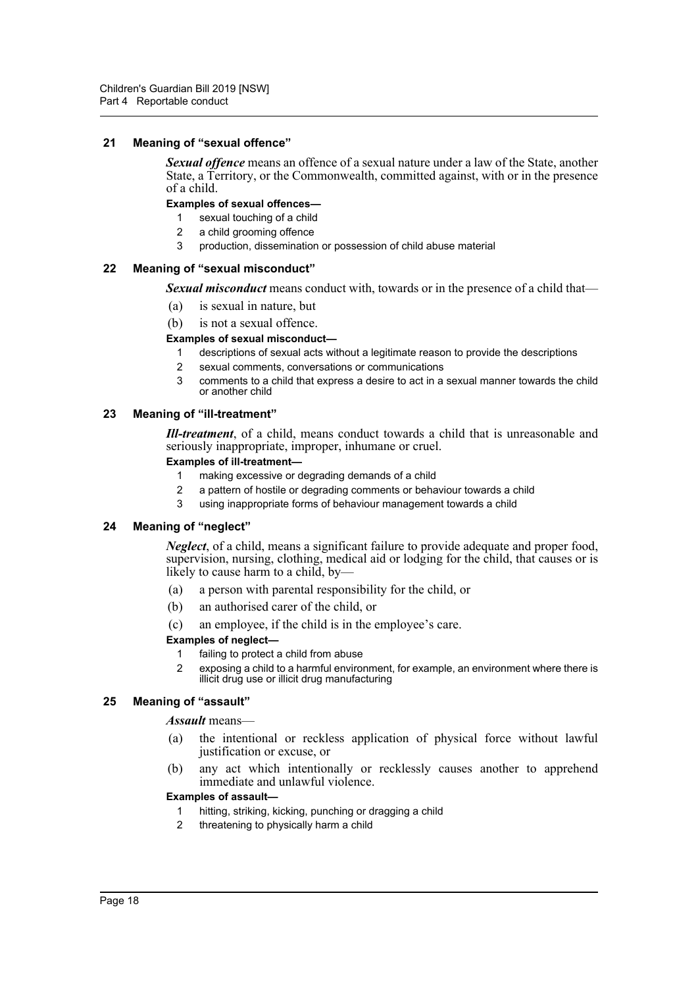#### <span id="page-17-0"></span>**21 Meaning of "sexual offence"**

*Sexual offence* means an offence of a sexual nature under a law of the State, another State, a Territory, or the Commonwealth, committed against, with or in the presence of a child.

#### **Examples of sexual offences—**

- 1 sexual touching of a child
- 2 a child grooming offence
- 3 production, dissemination or possession of child abuse material

#### <span id="page-17-1"></span>**22 Meaning of "sexual misconduct"**

*Sexual misconduct* means conduct with, towards or in the presence of a child that—

- (a) is sexual in nature, but
- (b) is not a sexual offence.

#### **Examples of sexual misconduct—**

- 1 descriptions of sexual acts without a legitimate reason to provide the descriptions
- 2 sexual comments, conversations or communications
- 3 comments to a child that express a desire to act in a sexual manner towards the child or another child

#### <span id="page-17-2"></span>**23 Meaning of "ill-treatment"**

*Ill-treatment*, of a child, means conduct towards a child that is unreasonable and seriously inappropriate, improper, inhumane or cruel.

#### **Examples of ill-treatment—**

- 1 making excessive or degrading demands of a child
- 2 a pattern of hostile or degrading comments or behaviour towards a child
- 3 using inappropriate forms of behaviour management towards a child

#### <span id="page-17-3"></span>**24 Meaning of "neglect"**

*Neglect*, of a child, means a significant failure to provide adequate and proper food, supervision, nursing, clothing, medical aid or lodging for the child, that causes or is likely to cause harm to a child, by-

- (a) a person with parental responsibility for the child, or
- (b) an authorised carer of the child, or
- (c) an employee, if the child is in the employee's care.

#### **Examples of neglect—**

- 1 failing to protect a child from abuse
- 2 exposing a child to a harmful environment, for example, an environment where there is illicit drug use or illicit drug manufacturing

#### <span id="page-17-4"></span>**25 Meaning of "assault"**

#### *Assault* means—

- (a) the intentional or reckless application of physical force without lawful justification or excuse, or
- (b) any act which intentionally or recklessly causes another to apprehend immediate and unlawful violence.

#### **Examples of assault—**

- 1 hitting, striking, kicking, punching or dragging a child
- 2 threatening to physically harm a child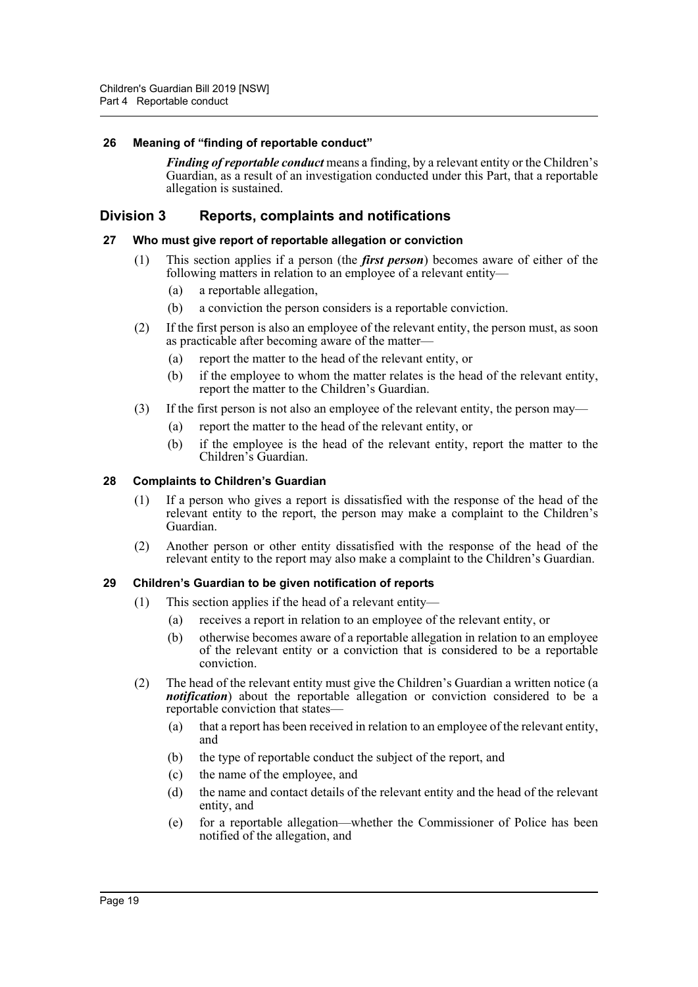#### <span id="page-18-0"></span>**26 Meaning of "finding of reportable conduct"**

*Finding of reportable conduct* means a finding, by a relevant entity or the Children's Guardian, as a result of an investigation conducted under this Part, that a reportable allegation is sustained.

## <span id="page-18-1"></span>**Division 3 Reports, complaints and notifications**

#### <span id="page-18-2"></span>**27 Who must give report of reportable allegation or conviction**

- (1) This section applies if a person (the *first person*) becomes aware of either of the following matters in relation to an employee of a relevant entity—
	- (a) a reportable allegation,
	- (b) a conviction the person considers is a reportable conviction.
- (2) If the first person is also an employee of the relevant entity, the person must, as soon as practicable after becoming aware of the matter—
	- (a) report the matter to the head of the relevant entity, or
	- (b) if the employee to whom the matter relates is the head of the relevant entity, report the matter to the Children's Guardian.
- (3) If the first person is not also an employee of the relevant entity, the person may—
	- (a) report the matter to the head of the relevant entity, or
	- (b) if the employee is the head of the relevant entity, report the matter to the Children's Guardian.

#### <span id="page-18-3"></span>**28 Complaints to Children's Guardian**

- (1) If a person who gives a report is dissatisfied with the response of the head of the relevant entity to the report, the person may make a complaint to the Children's Guardian.
- (2) Another person or other entity dissatisfied with the response of the head of the relevant entity to the report may also make a complaint to the Children's Guardian.

#### <span id="page-18-4"></span>**29 Children's Guardian to be given notification of reports**

- (1) This section applies if the head of a relevant entity—
	- (a) receives a report in relation to an employee of the relevant entity, or
	- (b) otherwise becomes aware of a reportable allegation in relation to an employee of the relevant entity or a conviction that is considered to be a reportable conviction.
- (2) The head of the relevant entity must give the Children's Guardian a written notice (a *notification*) about the reportable allegation or conviction considered to be a reportable conviction that states—
	- (a) that a report has been received in relation to an employee of the relevant entity, and
	- (b) the type of reportable conduct the subject of the report, and
	- (c) the name of the employee, and
	- (d) the name and contact details of the relevant entity and the head of the relevant entity, and
	- (e) for a reportable allegation—whether the Commissioner of Police has been notified of the allegation, and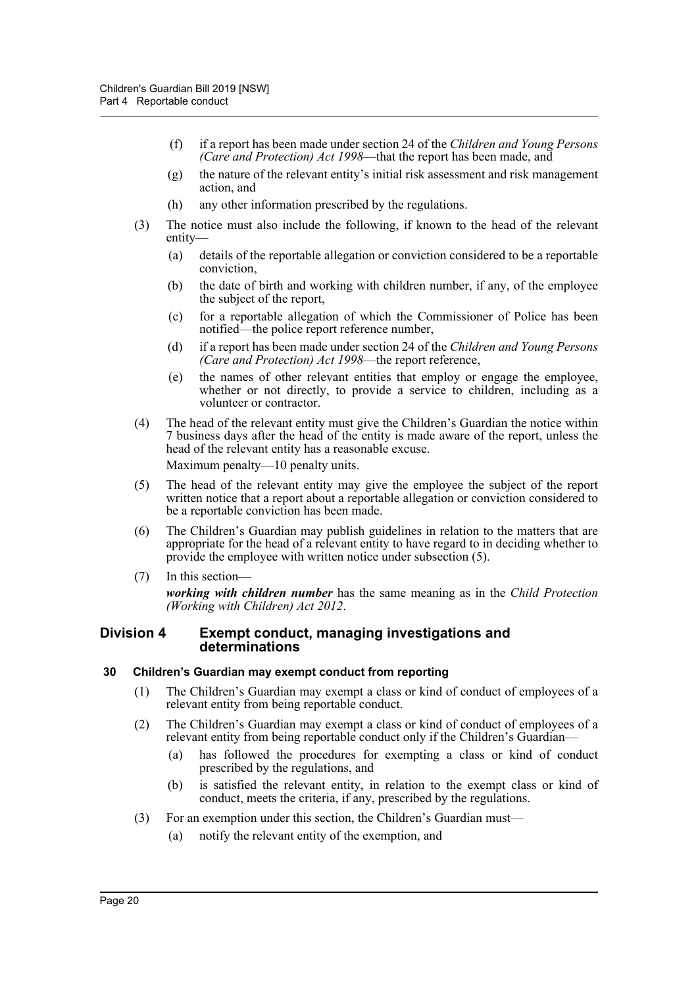- (f) if a report has been made under section 24 of the *Children and Young Persons (Care and Protection) Act 1998*—that the report has been made, and
- (g) the nature of the relevant entity's initial risk assessment and risk management action, and
- (h) any other information prescribed by the regulations.
- (3) The notice must also include the following, if known to the head of the relevant entity—
	- (a) details of the reportable allegation or conviction considered to be a reportable conviction,
	- (b) the date of birth and working with children number, if any, of the employee the subject of the report,
	- (c) for a reportable allegation of which the Commissioner of Police has been notified—the police report reference number,
	- (d) if a report has been made under section 24 of the *Children and Young Persons (Care and Protection) Act 1998*—the report reference,
	- (e) the names of other relevant entities that employ or engage the employee, whether or not directly, to provide a service to children, including as a volunteer or contractor.
- (4) The head of the relevant entity must give the Children's Guardian the notice within 7 business days after the head of the entity is made aware of the report, unless the head of the relevant entity has a reasonable excuse.

Maximum penalty—10 penalty units.

- (5) The head of the relevant entity may give the employee the subject of the report written notice that a report about a reportable allegation or conviction considered to be a reportable conviction has been made.
- (6) The Children's Guardian may publish guidelines in relation to the matters that are appropriate for the head of a relevant entity to have regard to in deciding whether to provide the employee with written notice under subsection (5).
- (7) In this section—

*working with children number* has the same meaning as in the *Child Protection (Working with Children) Act 2012*.

#### <span id="page-19-0"></span>**Division 4 Exempt conduct, managing investigations and determinations**

#### <span id="page-19-1"></span>**30 Children's Guardian may exempt conduct from reporting**

- (1) The Children's Guardian may exempt a class or kind of conduct of employees of a relevant entity from being reportable conduct.
- (2) The Children's Guardian may exempt a class or kind of conduct of employees of a relevant entity from being reportable conduct only if the Children's Guardian—
	- (a) has followed the procedures for exempting a class or kind of conduct prescribed by the regulations, and
	- (b) is satisfied the relevant entity, in relation to the exempt class or kind of conduct, meets the criteria, if any, prescribed by the regulations.
- (3) For an exemption under this section, the Children's Guardian must—
	- (a) notify the relevant entity of the exemption, and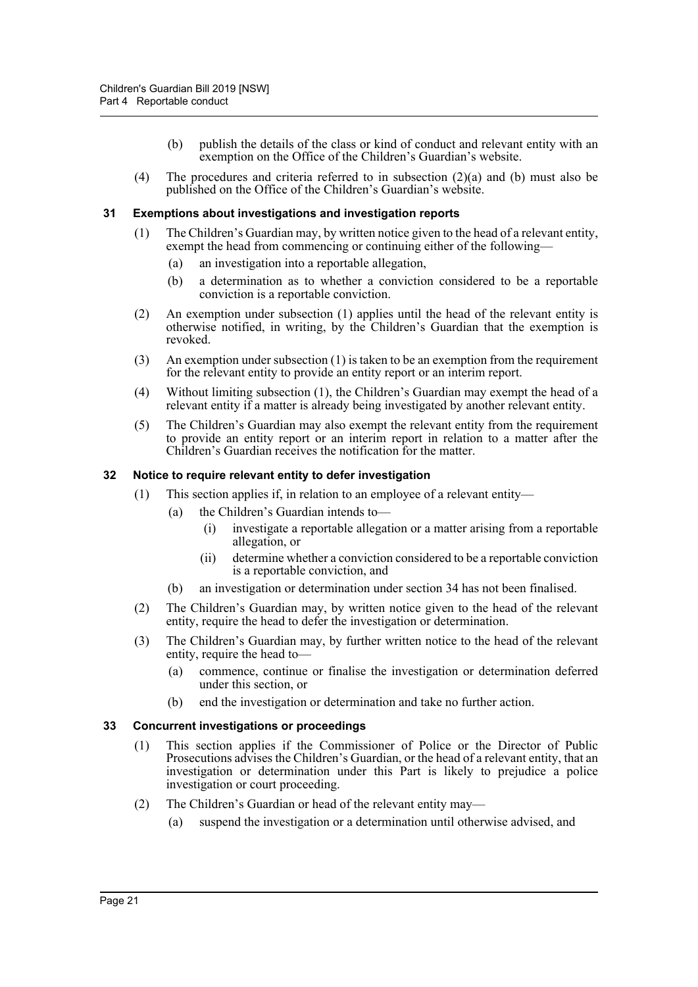- (b) publish the details of the class or kind of conduct and relevant entity with an exemption on the Office of the Children's Guardian's website.
- (4) The procedures and criteria referred to in subsection (2)(a) and (b) must also be published on the Office of the Children's Guardian's website.

#### <span id="page-20-0"></span>**31 Exemptions about investigations and investigation reports**

- (1) The Children's Guardian may, by written notice given to the head of a relevant entity, exempt the head from commencing or continuing either of the following—
	- (a) an investigation into a reportable allegation,
	- (b) a determination as to whether a conviction considered to be a reportable conviction is a reportable conviction.
- (2) An exemption under subsection (1) applies until the head of the relevant entity is otherwise notified, in writing, by the Children's Guardian that the exemption is revoked.
- (3) An exemption under subsection (1) is taken to be an exemption from the requirement for the relevant entity to provide an entity report or an interim report.
- (4) Without limiting subsection (1), the Children's Guardian may exempt the head of a relevant entity if a matter is already being investigated by another relevant entity.
- (5) The Children's Guardian may also exempt the relevant entity from the requirement to provide an entity report or an interim report in relation to a matter after the Children's Guardian receives the notification for the matter.

#### <span id="page-20-1"></span>**32 Notice to require relevant entity to defer investigation**

- (1) This section applies if, in relation to an employee of a relevant entity—
	- (a) the Children's Guardian intends to—
		- (i) investigate a reportable allegation or a matter arising from a reportable allegation, or
		- (ii) determine whether a conviction considered to be a reportable conviction is a reportable conviction, and
	- (b) an investigation or determination under section 34 has not been finalised.
- (2) The Children's Guardian may, by written notice given to the head of the relevant entity, require the head to defer the investigation or determination.
- (3) The Children's Guardian may, by further written notice to the head of the relevant entity, require the head to—
	- (a) commence, continue or finalise the investigation or determination deferred under this section, or
	- (b) end the investigation or determination and take no further action.

#### <span id="page-20-2"></span>**33 Concurrent investigations or proceedings**

- (1) This section applies if the Commissioner of Police or the Director of Public Prosecutions advises the Children's Guardian, or the head of a relevant entity, that an investigation or determination under this Part is likely to prejudice a police investigation or court proceeding.
- (2) The Children's Guardian or head of the relevant entity may—
	- (a) suspend the investigation or a determination until otherwise advised, and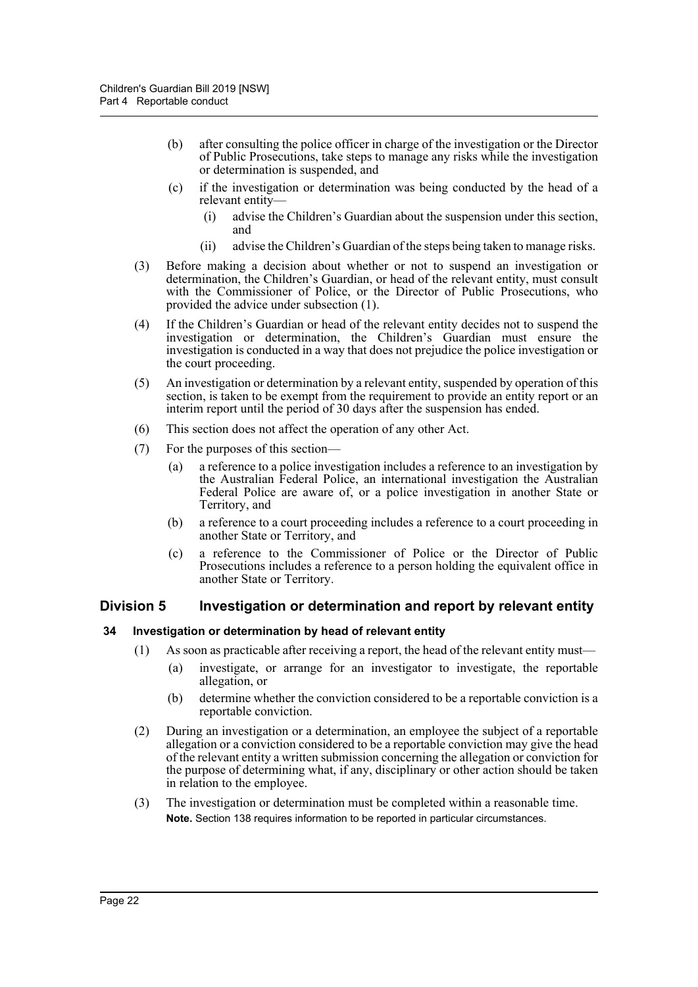- (b) after consulting the police officer in charge of the investigation or the Director of Public Prosecutions, take steps to manage any risks while the investigation or determination is suspended, and
- (c) if the investigation or determination was being conducted by the head of a relevant entity—
	- (i) advise the Children's Guardian about the suspension under this section, and
	- (ii) advise the Children's Guardian of the steps being taken to manage risks.
- (3) Before making a decision about whether or not to suspend an investigation or determination, the Children's Guardian, or head of the relevant entity, must consult with the Commissioner of Police, or the Director of Public Prosecutions, who provided the advice under subsection (1).
- (4) If the Children's Guardian or head of the relevant entity decides not to suspend the investigation or determination, the Children's Guardian must ensure the investigation is conducted in a way that does not prejudice the police investigation or the court proceeding.
- (5) An investigation or determination by a relevant entity, suspended by operation of this section, is taken to be exempt from the requirement to provide an entity report or an interim report until the period of 30 days after the suspension has ended.
- (6) This section does not affect the operation of any other Act.
- (7) For the purposes of this section—
	- (a) a reference to a police investigation includes a reference to an investigation by the Australian Federal Police, an international investigation the Australian Federal Police are aware of, or a police investigation in another State or Territory, and
	- (b) a reference to a court proceeding includes a reference to a court proceeding in another State or Territory, and
	- (c) a reference to the Commissioner of Police or the Director of Public Prosecutions includes a reference to a person holding the equivalent office in another State or Territory.

#### <span id="page-21-0"></span>**Division 5 Investigation or determination and report by relevant entity**

#### <span id="page-21-1"></span>**34 Investigation or determination by head of relevant entity**

- (1) As soon as practicable after receiving a report, the head of the relevant entity must—
	- (a) investigate, or arrange for an investigator to investigate, the reportable allegation, or
	- (b) determine whether the conviction considered to be a reportable conviction is a reportable conviction.
- (2) During an investigation or a determination, an employee the subject of a reportable allegation or a conviction considered to be a reportable conviction may give the head of the relevant entity a written submission concerning the allegation or conviction for the purpose of determining what, if any, disciplinary or other action should be taken in relation to the employee.
- (3) The investigation or determination must be completed within a reasonable time. **Note.** Section 138 requires information to be reported in particular circumstances.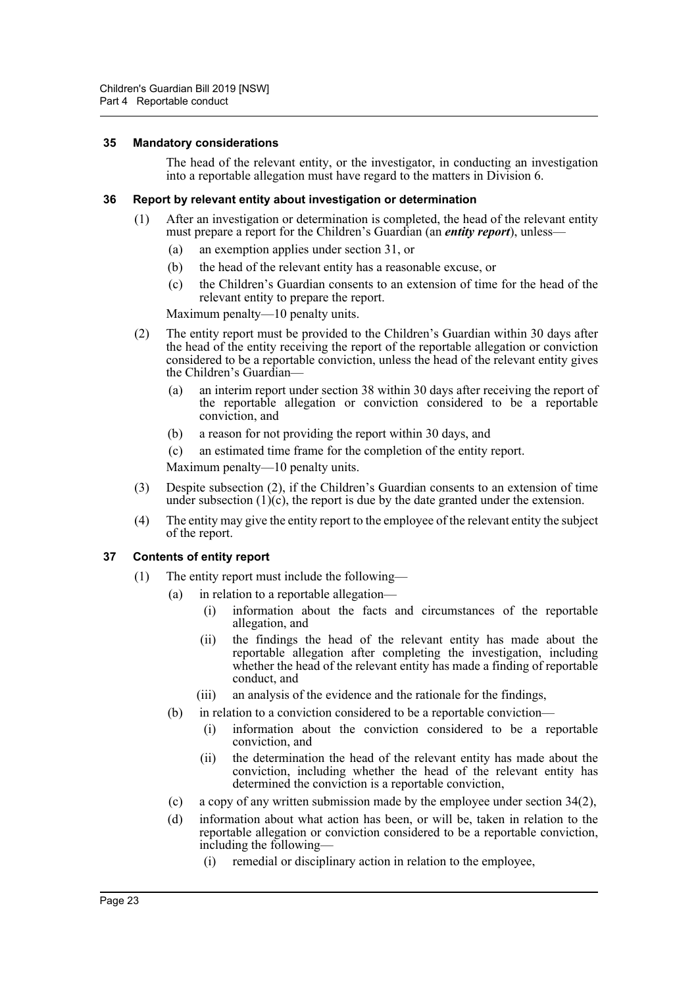#### <span id="page-22-0"></span>**35 Mandatory considerations**

The head of the relevant entity, or the investigator, in conducting an investigation into a reportable allegation must have regard to the matters in Division 6.

#### <span id="page-22-1"></span>**36 Report by relevant entity about investigation or determination**

- (1) After an investigation or determination is completed, the head of the relevant entity must prepare a report for the Children's Guardian (an *entity report*), unless—
	- (a) an exemption applies under section 31, or
	- (b) the head of the relevant entity has a reasonable excuse, or
	- (c) the Children's Guardian consents to an extension of time for the head of the relevant entity to prepare the report.

Maximum penalty—10 penalty units.

- (2) The entity report must be provided to the Children's Guardian within 30 days after the head of the entity receiving the report of the reportable allegation or conviction considered to be a reportable conviction, unless the head of the relevant entity gives the Children's Guardian—
	- (a) an interim report under section 38 within 30 days after receiving the report of the reportable allegation or conviction considered to be a reportable conviction, and
	- (b) a reason for not providing the report within 30 days, and
	- (c) an estimated time frame for the completion of the entity report.

Maximum penalty—10 penalty units.

- (3) Despite subsection (2), if the Children's Guardian consents to an extension of time under subsection  $(1)(c)$ , the report is due by the date granted under the extension.
- (4) The entity may give the entity report to the employee of the relevant entity the subject of the report.

#### <span id="page-22-2"></span>**37 Contents of entity report**

- (1) The entity report must include the following—
	- (a) in relation to a reportable allegation—
		- (i) information about the facts and circumstances of the reportable allegation, and
		- (ii) the findings the head of the relevant entity has made about the reportable allegation after completing the investigation, including whether the head of the relevant entity has made a finding of reportable conduct, and
		- (iii) an analysis of the evidence and the rationale for the findings,
	- (b) in relation to a conviction considered to be a reportable conviction—
		- (i) information about the conviction considered to be a reportable conviction, and
		- (ii) the determination the head of the relevant entity has made about the conviction, including whether the head of the relevant entity has determined the conviction is a reportable conviction,
	- (c) a copy of any written submission made by the employee under section 34(2),
	- (d) information about what action has been, or will be, taken in relation to the reportable allegation or conviction considered to be a reportable conviction, including the following—
		- (i) remedial or disciplinary action in relation to the employee,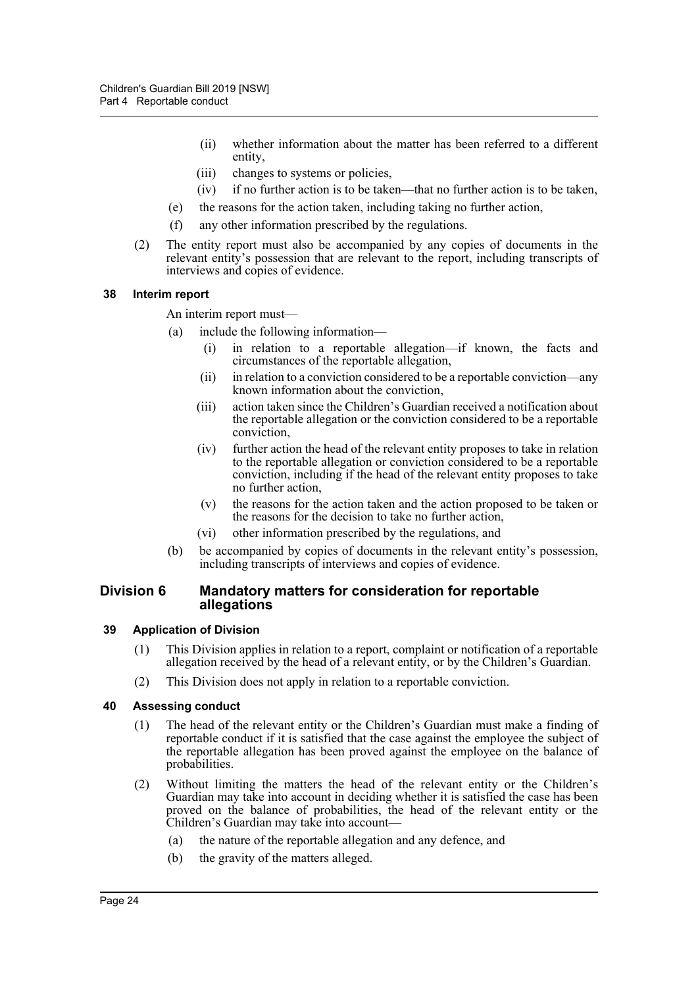- (ii) whether information about the matter has been referred to a different entity,
- (iii) changes to systems or policies,
- (iv) if no further action is to be taken—that no further action is to be taken,
- (e) the reasons for the action taken, including taking no further action,
- (f) any other information prescribed by the regulations.
- (2) The entity report must also be accompanied by any copies of documents in the relevant entity's possession that are relevant to the report, including transcripts of interviews and copies of evidence.

#### <span id="page-23-0"></span>**38 Interim report**

An interim report must—

- (a) include the following information—
	- (i) in relation to a reportable allegation—if known, the facts and circumstances of the reportable allegation,
	- (ii) in relation to a conviction considered to be a reportable conviction—any known information about the conviction,
	- (iii) action taken since the Children's Guardian received a notification about the reportable allegation or the conviction considered to be a reportable conviction,
	- (iv) further action the head of the relevant entity proposes to take in relation to the reportable allegation or conviction considered to be a reportable conviction, including if the head of the relevant entity proposes to take no further action,
	- (v) the reasons for the action taken and the action proposed to be taken or the reasons for the decision to take no further action,
	- (vi) other information prescribed by the regulations, and
- (b) be accompanied by copies of documents in the relevant entity's possession, including transcripts of interviews and copies of evidence.

#### <span id="page-23-1"></span>**Division 6 Mandatory matters for consideration for reportable allegations**

#### <span id="page-23-2"></span>**39 Application of Division**

- (1) This Division applies in relation to a report, complaint or notification of a reportable allegation received by the head of a relevant entity, or by the Children's Guardian.
- (2) This Division does not apply in relation to a reportable conviction.

#### <span id="page-23-3"></span>**40 Assessing conduct**

- (1) The head of the relevant entity or the Children's Guardian must make a finding of reportable conduct if it is satisfied that the case against the employee the subject of the reportable allegation has been proved against the employee on the balance of probabilities.
- (2) Without limiting the matters the head of the relevant entity or the Children's Guardian may take into account in deciding whether it is satisfied the case has been proved on the balance of probabilities, the head of the relevant entity or the Children's Guardian may take into account—
	- (a) the nature of the reportable allegation and any defence, and
	- (b) the gravity of the matters alleged.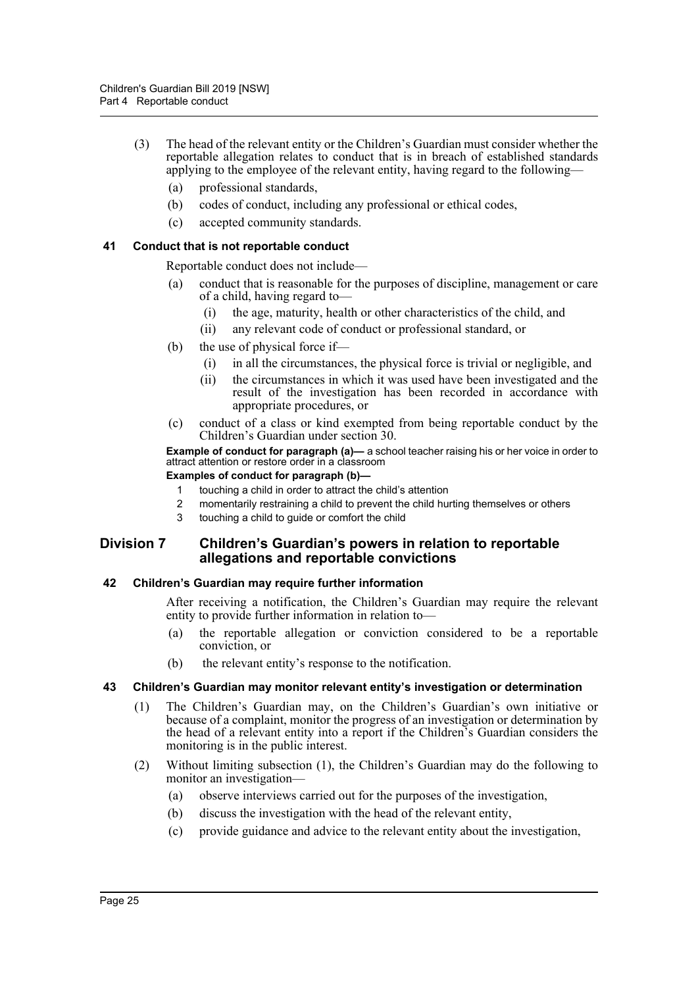- (3) The head of the relevant entity or the Children's Guardian must consider whether the reportable allegation relates to conduct that is in breach of established standards applying to the employee of the relevant entity, having regard to the following—
	- (a) professional standards,
	- (b) codes of conduct, including any professional or ethical codes,
	- (c) accepted community standards.

#### <span id="page-24-0"></span>**41 Conduct that is not reportable conduct**

Reportable conduct does not include—

- (a) conduct that is reasonable for the purposes of discipline, management or care of a child, having regard to—
	- (i) the age, maturity, health or other characteristics of the child, and
	- (ii) any relevant code of conduct or professional standard, or
- (b) the use of physical force if—
	- (i) in all the circumstances, the physical force is trivial or negligible, and
	- (ii) the circumstances in which it was used have been investigated and the result of the investigation has been recorded in accordance with appropriate procedures, or
- (c) conduct of a class or kind exempted from being reportable conduct by the Children's Guardian under section 30.

**Example of conduct for paragraph (a)—** a school teacher raising his or her voice in order to attract attention or restore order in a classroom

#### **Examples of conduct for paragraph (b)—**

- 1 touching a child in order to attract the child's attention
- 2 momentarily restraining a child to prevent the child hurting themselves or others
- 3 touching a child to guide or comfort the child

#### <span id="page-24-1"></span>**Division 7 Children's Guardian's powers in relation to reportable allegations and reportable convictions**

#### <span id="page-24-2"></span>**42 Children's Guardian may require further information**

After receiving a notification, the Children's Guardian may require the relevant entity to provide further information in relation to—

- (a) the reportable allegation or conviction considered to be a reportable conviction, or
- (b) the relevant entity's response to the notification.

## <span id="page-24-3"></span>**43 Children's Guardian may monitor relevant entity's investigation or determination**

- (1) The Children's Guardian may, on the Children's Guardian's own initiative or because of a complaint, monitor the progress of an investigation or determination by the head of a relevant entity into a report if the Children's Guardian considers the monitoring is in the public interest.
- (2) Without limiting subsection (1), the Children's Guardian may do the following to monitor an investigation—
	- (a) observe interviews carried out for the purposes of the investigation,
	- (b) discuss the investigation with the head of the relevant entity,
	- (c) provide guidance and advice to the relevant entity about the investigation,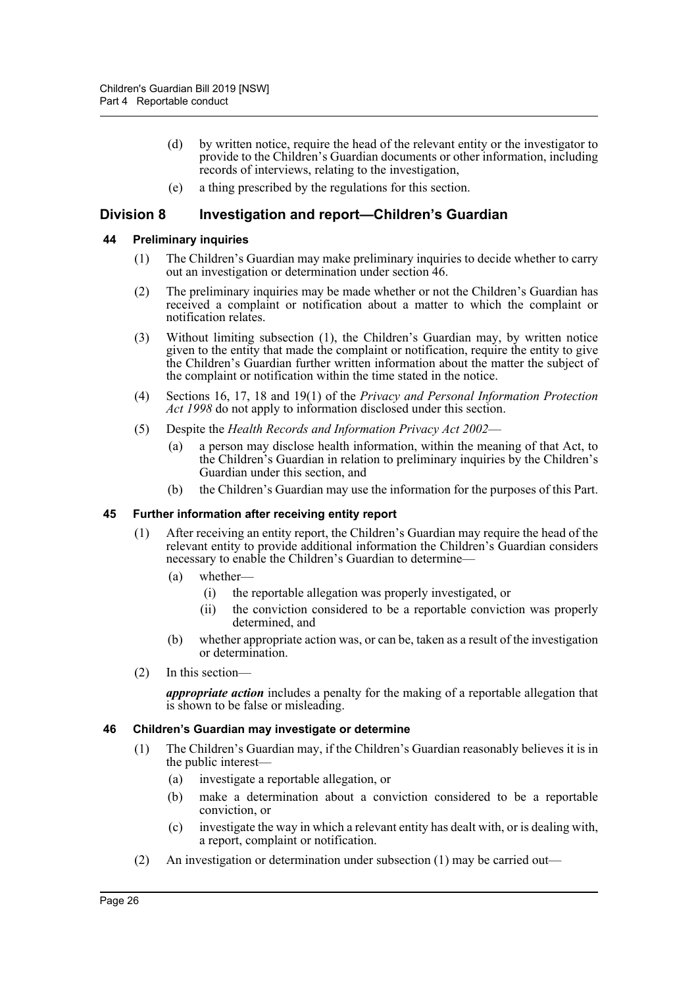- (d) by written notice, require the head of the relevant entity or the investigator to provide to the Children's Guardian documents or other information, including records of interviews, relating to the investigation,
- (e) a thing prescribed by the regulations for this section.

## <span id="page-25-0"></span>**Division 8 Investigation and report—Children's Guardian**

#### <span id="page-25-1"></span>**44 Preliminary inquiries**

- (1) The Children's Guardian may make preliminary inquiries to decide whether to carry out an investigation or determination under section 46.
- (2) The preliminary inquiries may be made whether or not the Children's Guardian has received a complaint or notification about a matter to which the complaint or notification relates.
- (3) Without limiting subsection (1), the Children's Guardian may, by written notice given to the entity that made the complaint or notification, require the entity to give the Children's Guardian further written information about the matter the subject of the complaint or notification within the time stated in the notice.
- (4) Sections 16, 17, 18 and 19(1) of the *Privacy and Personal Information Protection Act 1998* do not apply to information disclosed under this section.
- (5) Despite the *Health Records and Information Privacy Act 2002*
	- (a) a person may disclose health information, within the meaning of that Act, to the Children's Guardian in relation to preliminary inquiries by the Children's Guardian under this section, and
	- (b) the Children's Guardian may use the information for the purposes of this Part.

#### <span id="page-25-2"></span>**45 Further information after receiving entity report**

- (1) After receiving an entity report, the Children's Guardian may require the head of the relevant entity to provide additional information the Children's Guardian considers necessary to enable the Children's Guardian to determine—
	- (a) whether—
		- (i) the reportable allegation was properly investigated, or
		- (ii) the conviction considered to be a reportable conviction was properly determined, and
	- (b) whether appropriate action was, or can be, taken as a result of the investigation or determination.
- (2) In this section—

*appropriate action* includes a penalty for the making of a reportable allegation that is shown to be false or misleading.

#### <span id="page-25-3"></span>**46 Children's Guardian may investigate or determine**

- (1) The Children's Guardian may, if the Children's Guardian reasonably believes it is in the public interest—
	- (a) investigate a reportable allegation, or
	- (b) make a determination about a conviction considered to be a reportable conviction, or
	- (c) investigate the way in which a relevant entity has dealt with, or is dealing with, a report, complaint or notification.
- (2) An investigation or determination under subsection (1) may be carried out—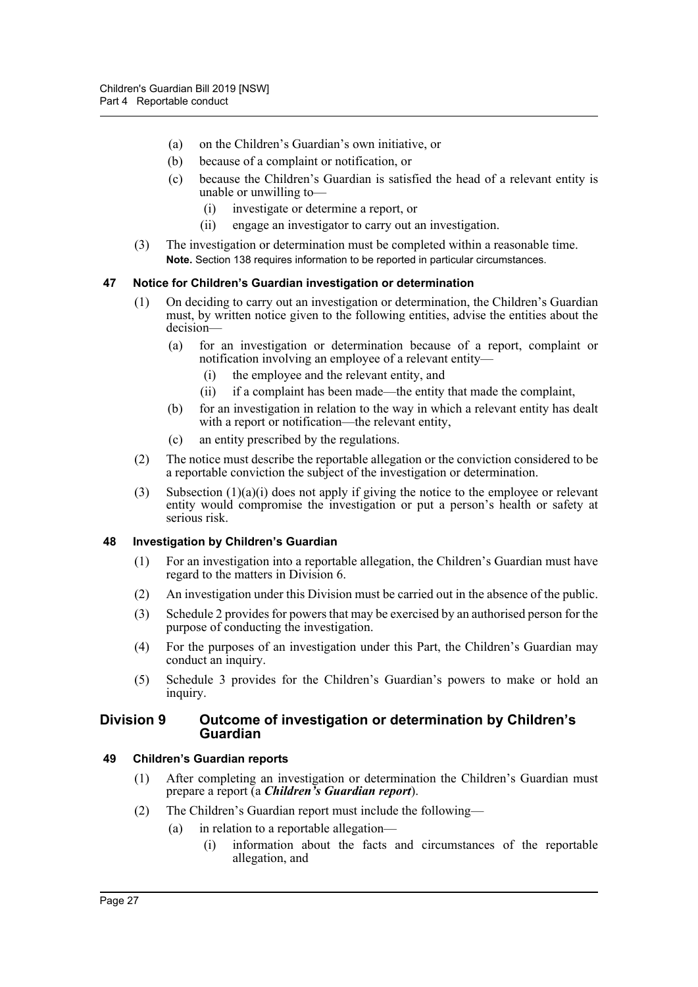- (a) on the Children's Guardian's own initiative, or
- (b) because of a complaint or notification, or
- (c) because the Children's Guardian is satisfied the head of a relevant entity is unable or unwilling to—
	- (i) investigate or determine a report, or
	- (ii) engage an investigator to carry out an investigation.
- (3) The investigation or determination must be completed within a reasonable time. **Note.** Section 138 requires information to be reported in particular circumstances.

#### <span id="page-26-0"></span>**47 Notice for Children's Guardian investigation or determination**

- (1) On deciding to carry out an investigation or determination, the Children's Guardian must, by written notice given to the following entities, advise the entities about the decision—
	- (a) for an investigation or determination because of a report, complaint or notification involving an employee of a relevant entity—
		- (i) the employee and the relevant entity, and
		- (ii) if a complaint has been made—the entity that made the complaint,
	- (b) for an investigation in relation to the way in which a relevant entity has dealt with a report or notification—the relevant entity,
	- (c) an entity prescribed by the regulations.
- (2) The notice must describe the reportable allegation or the conviction considered to be a reportable conviction the subject of the investigation or determination.
- (3) Subsection  $(1)(a)(i)$  does not apply if giving the notice to the employee or relevant entity would compromise the investigation or put a person's health or safety at serious risk.

#### <span id="page-26-1"></span>**48 Investigation by Children's Guardian**

- (1) For an investigation into a reportable allegation, the Children's Guardian must have regard to the matters in Division 6.
- (2) An investigation under this Division must be carried out in the absence of the public.
- (3) Schedule 2 provides for powers that may be exercised by an authorised person for the purpose of conducting the investigation.
- (4) For the purposes of an investigation under this Part, the Children's Guardian may conduct an inquiry.
- (5) Schedule 3 provides for the Children's Guardian's powers to make or hold an inquiry.

#### <span id="page-26-2"></span>**Division 9 Outcome of investigation or determination by Children's Guardian**

#### <span id="page-26-3"></span>**49 Children's Guardian reports**

- (1) After completing an investigation or determination the Children's Guardian must prepare a report (a *Children's Guardian report*).
- (2) The Children's Guardian report must include the following—
	- (a) in relation to a reportable allegation—
		- (i) information about the facts and circumstances of the reportable allegation, and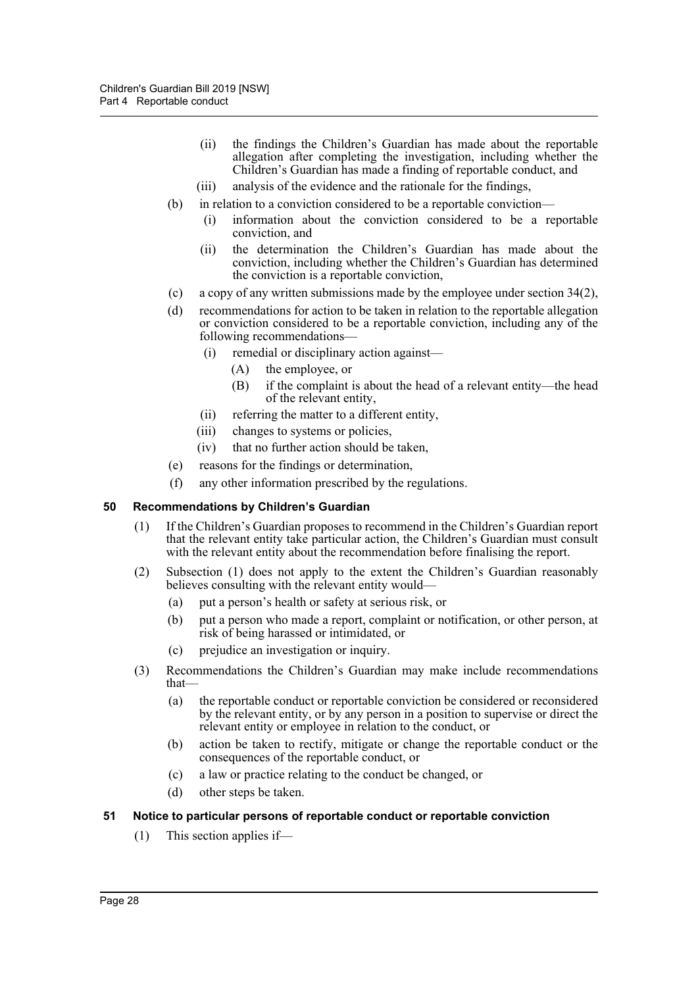- (ii) the findings the Children's Guardian has made about the reportable allegation after completing the investigation, including whether the Children's Guardian has made a finding of reportable conduct, and
- (iii) analysis of the evidence and the rationale for the findings,
- (b) in relation to a conviction considered to be a reportable conviction—
	- (i) information about the conviction considered to be a reportable conviction, and
	- (ii) the determination the Children's Guardian has made about the conviction, including whether the Children's Guardian has determined the conviction is a reportable conviction,
- (c) a copy of any written submissions made by the employee under section 34(2),
- (d) recommendations for action to be taken in relation to the reportable allegation or conviction considered to be a reportable conviction, including any of the following recommendations—
	- (i) remedial or disciplinary action against—
		- (A) the employee, or
		- (B) if the complaint is about the head of a relevant entity—the head of the relevant entity,
	- (ii) referring the matter to a different entity,
	- (iii) changes to systems or policies,
	- (iv) that no further action should be taken,
- (e) reasons for the findings or determination,
- (f) any other information prescribed by the regulations.

#### <span id="page-27-0"></span>**50 Recommendations by Children's Guardian**

- (1) If the Children's Guardian proposes to recommend in the Children's Guardian report that the relevant entity take particular action, the Children's Guardian must consult with the relevant entity about the recommendation before finalising the report.
- (2) Subsection (1) does not apply to the extent the Children's Guardian reasonably believes consulting with the relevant entity would—
	- (a) put a person's health or safety at serious risk, or
	- (b) put a person who made a report, complaint or notification, or other person, at risk of being harassed or intimidated, or
	- (c) prejudice an investigation or inquiry.
- (3) Recommendations the Children's Guardian may make include recommendations that—
	- (a) the reportable conduct or reportable conviction be considered or reconsidered by the relevant entity, or by any person in a position to supervise or direct the relevant entity or employee in relation to the conduct, or
	- (b) action be taken to rectify, mitigate or change the reportable conduct or the consequences of the reportable conduct, or
	- (c) a law or practice relating to the conduct be changed, or
	- (d) other steps be taken.

#### <span id="page-27-1"></span>**51 Notice to particular persons of reportable conduct or reportable conviction**

(1) This section applies if—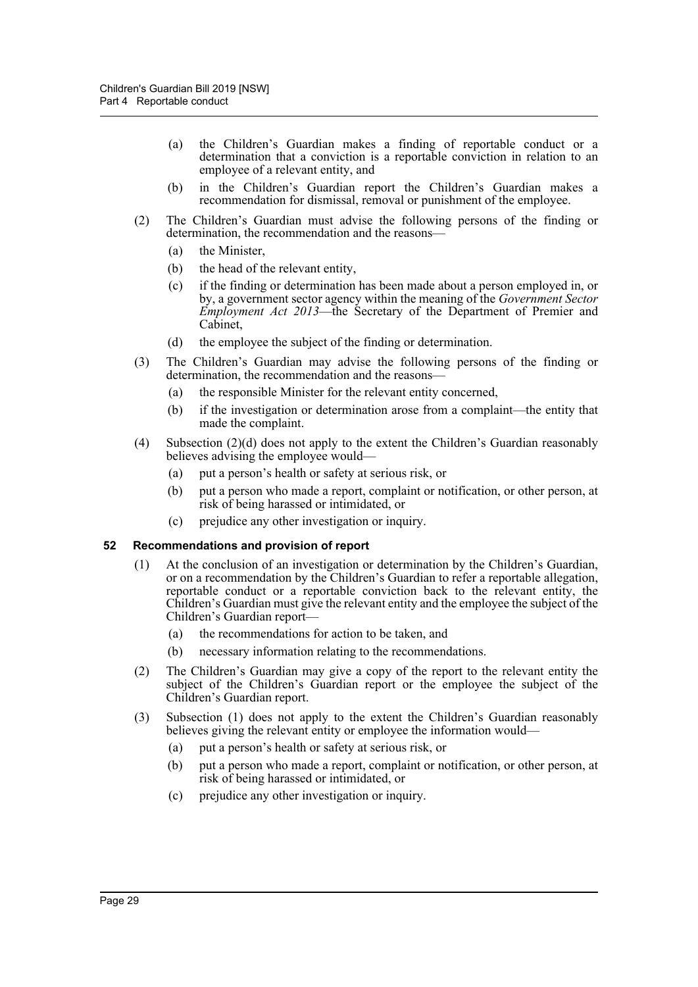- (a) the Children's Guardian makes a finding of reportable conduct or a determination that a conviction is a reportable conviction in relation to an employee of a relevant entity, and
- (b) in the Children's Guardian report the Children's Guardian makes a recommendation for dismissal, removal or punishment of the employee.
- (2) The Children's Guardian must advise the following persons of the finding or determination, the recommendation and the reasons—
	- (a) the Minister,
	- (b) the head of the relevant entity,
	- (c) if the finding or determination has been made about a person employed in, or by, a government sector agency within the meaning of the *Government Sector Employment Act 2013*—the Secretary of the Department of Premier and Cabinet,
	- (d) the employee the subject of the finding or determination.
- (3) The Children's Guardian may advise the following persons of the finding or determination, the recommendation and the reasons—
	- (a) the responsible Minister for the relevant entity concerned,
	- (b) if the investigation or determination arose from a complaint—the entity that made the complaint.
- (4) Subsection (2)(d) does not apply to the extent the Children's Guardian reasonably believes advising the employee would—
	- (a) put a person's health or safety at serious risk, or
	- (b) put a person who made a report, complaint or notification, or other person, at risk of being harassed or intimidated, or
	- (c) prejudice any other investigation or inquiry.

#### <span id="page-28-0"></span>**52 Recommendations and provision of report**

- (1) At the conclusion of an investigation or determination by the Children's Guardian, or on a recommendation by the Children's Guardian to refer a reportable allegation, reportable conduct or a reportable conviction back to the relevant entity, the Children's Guardian must give the relevant entity and the employee the subject of the Children's Guardian report—
	- (a) the recommendations for action to be taken, and
	- (b) necessary information relating to the recommendations.
- (2) The Children's Guardian may give a copy of the report to the relevant entity the subject of the Children's Guardian report or the employee the subject of the Children's Guardian report.
- (3) Subsection (1) does not apply to the extent the Children's Guardian reasonably believes giving the relevant entity or employee the information would—
	- (a) put a person's health or safety at serious risk, or
	- (b) put a person who made a report, complaint or notification, or other person, at risk of being harassed or intimidated, or
	- (c) prejudice any other investigation or inquiry.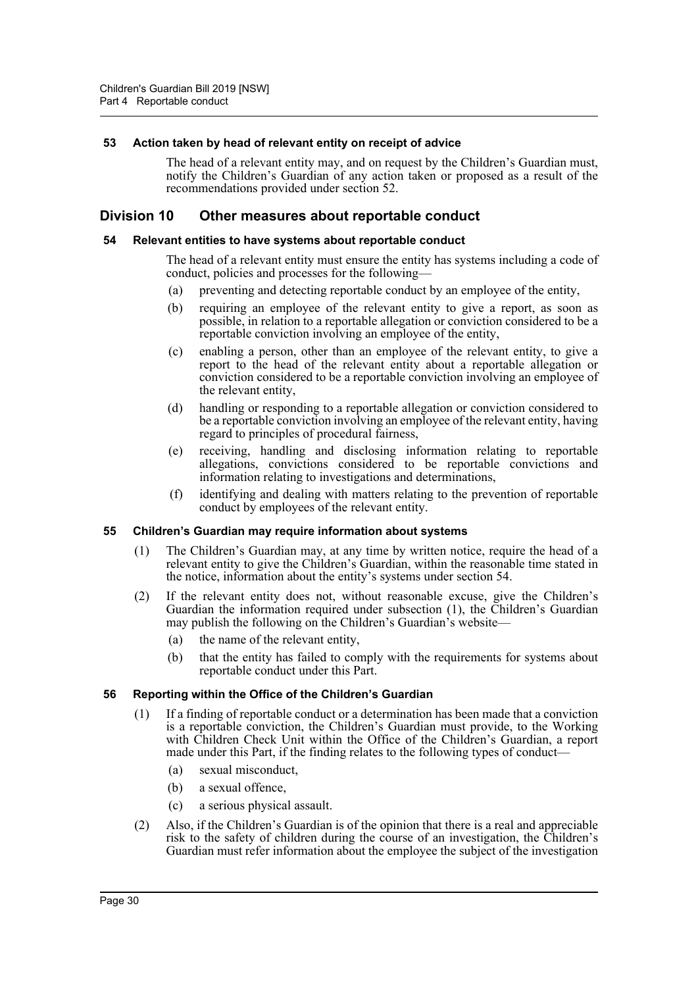#### <span id="page-29-0"></span>**53 Action taken by head of relevant entity on receipt of advice**

The head of a relevant entity may, and on request by the Children's Guardian must, notify the Children's Guardian of any action taken or proposed as a result of the recommendations provided under section 52.

#### <span id="page-29-1"></span>**Division 10 Other measures about reportable conduct**

#### <span id="page-29-2"></span>**54 Relevant entities to have systems about reportable conduct**

The head of a relevant entity must ensure the entity has systems including a code of conduct, policies and processes for the following—

- (a) preventing and detecting reportable conduct by an employee of the entity,
- (b) requiring an employee of the relevant entity to give a report, as soon as possible, in relation to a reportable allegation or conviction considered to be a reportable conviction involving an employee of the entity,
- (c) enabling a person, other than an employee of the relevant entity, to give a report to the head of the relevant entity about a reportable allegation or conviction considered to be a reportable conviction involving an employee of the relevant entity,
- (d) handling or responding to a reportable allegation or conviction considered to be a reportable conviction involving an employee of the relevant entity, having regard to principles of procedural fairness,
- (e) receiving, handling and disclosing information relating to reportable allegations, convictions considered to be reportable convictions and information relating to investigations and determinations,
- (f) identifying and dealing with matters relating to the prevention of reportable conduct by employees of the relevant entity.

#### <span id="page-29-3"></span>**55 Children's Guardian may require information about systems**

- (1) The Children's Guardian may, at any time by written notice, require the head of a relevant entity to give the Children's Guardian, within the reasonable time stated in the notice, information about the entity's systems under section 54.
- (2) If the relevant entity does not, without reasonable excuse, give the Children's Guardian the information required under subsection (1), the Children's Guardian may publish the following on the Children's Guardian's website—
	- (a) the name of the relevant entity,
	- (b) that the entity has failed to comply with the requirements for systems about reportable conduct under this Part.

#### <span id="page-29-4"></span>**56 Reporting within the Office of the Children's Guardian**

- (1) If a finding of reportable conduct or a determination has been made that a conviction is a reportable conviction, the Children's Guardian must provide, to the Working with Children Check Unit within the Office of the Children's Guardian, a report made under this Part, if the finding relates to the following types of conduct—
	- (a) sexual misconduct,
	- (b) a sexual offence,
	- (c) a serious physical assault.
- (2) Also, if the Children's Guardian is of the opinion that there is a real and appreciable risk to the safety of children during the course of an investigation, the Children's Guardian must refer information about the employee the subject of the investigation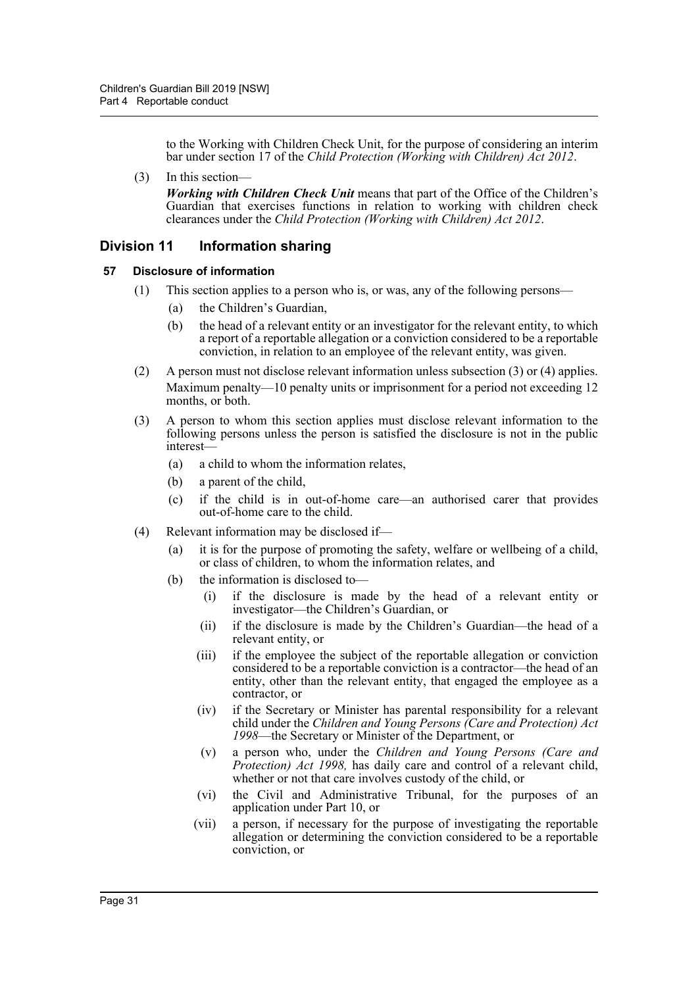to the Working with Children Check Unit, for the purpose of considering an interim bar under section 17 of the *Child Protection (Working with Children) Act 2012*.

(3) In this section—

*Working with Children Check Unit* means that part of the Office of the Children's Guardian that exercises functions in relation to working with children check clearances under the *Child Protection (Working with Children) Act 2012*.

## <span id="page-30-0"></span>**Division 11 Information sharing**

#### <span id="page-30-1"></span>**57 Disclosure of information**

- (1) This section applies to a person who is, or was, any of the following persons—
	- (a) the Children's Guardian,
	- (b) the head of a relevant entity or an investigator for the relevant entity, to which a report of a reportable allegation or a conviction considered to be a reportable conviction, in relation to an employee of the relevant entity, was given.
- (2) A person must not disclose relevant information unless subsection (3) or (4) applies. Maximum penalty—10 penalty units or imprisonment for a period not exceeding 12 months, or both.
- (3) A person to whom this section applies must disclose relevant information to the following persons unless the person is satisfied the disclosure is not in the public interest—
	- (a) a child to whom the information relates,
	- (b) a parent of the child,
	- (c) if the child is in out-of-home care—an authorised carer that provides out-of-home care to the child.
- (4) Relevant information may be disclosed if—
	- (a) it is for the purpose of promoting the safety, welfare or wellbeing of a child, or class of children, to whom the information relates, and
	- (b) the information is disclosed to—
		- (i) if the disclosure is made by the head of a relevant entity or investigator—the Children's Guardian, or
		- (ii) if the disclosure is made by the Children's Guardian—the head of a relevant entity, or
		- (iii) if the employee the subject of the reportable allegation or conviction considered to be a reportable conviction is a contractor—the head of an entity, other than the relevant entity, that engaged the employee as a contractor, or
		- (iv) if the Secretary or Minister has parental responsibility for a relevant child under the *Children and Young Persons (Care and Protection) Act 1998*—the Secretary or Minister of the Department, or
		- (v) a person who, under the *Children and Young Persons (Care and Protection) Act 1998,* has daily care and control of a relevant child, whether or not that care involves custody of the child, or
		- (vi) the Civil and Administrative Tribunal, for the purposes of an application under Part 10, or
		- (vii) a person, if necessary for the purpose of investigating the reportable allegation or determining the conviction considered to be a reportable conviction, or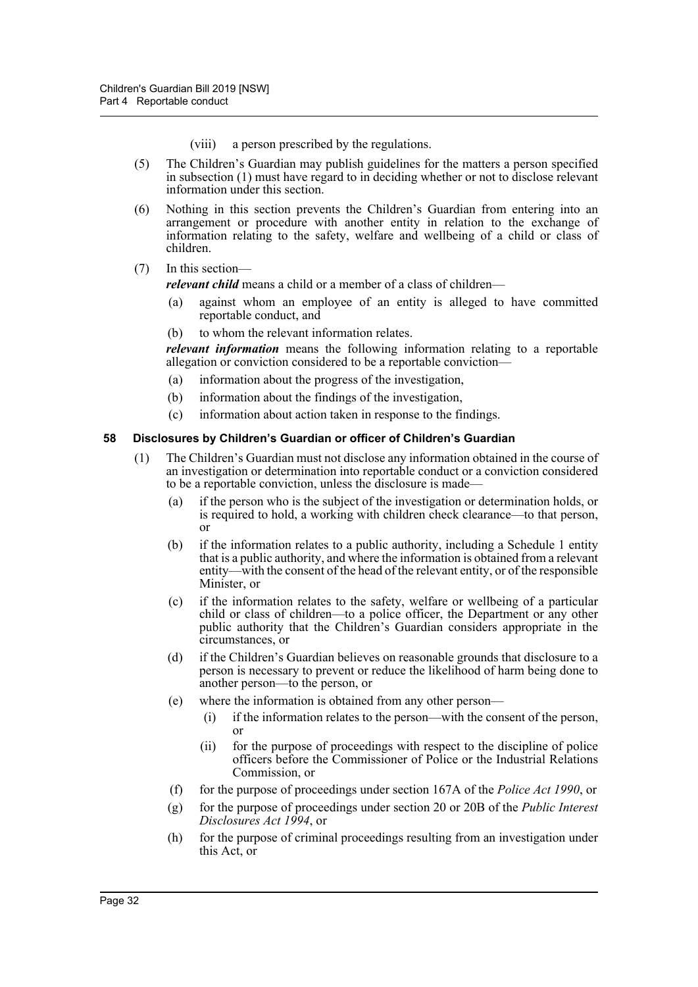(viii) a person prescribed by the regulations.

- (5) The Children's Guardian may publish guidelines for the matters a person specified in subsection (1) must have regard to in deciding whether or not to disclose relevant information under this section.
- (6) Nothing in this section prevents the Children's Guardian from entering into an arrangement or procedure with another entity in relation to the exchange of information relating to the safety, welfare and wellbeing of a child or class of children.

#### (7) In this section—

*relevant child* means a child or a member of a class of children—

- (a) against whom an employee of an entity is alleged to have committed reportable conduct, and
- (b) to whom the relevant information relates.

*relevant information* means the following information relating to a reportable allegation or conviction considered to be a reportable conviction—

- (a) information about the progress of the investigation,
- (b) information about the findings of the investigation,
- (c) information about action taken in response to the findings.

#### <span id="page-31-0"></span>**58 Disclosures by Children's Guardian or officer of Children's Guardian**

- (1) The Children's Guardian must not disclose any information obtained in the course of an investigation or determination into reportable conduct or a conviction considered to be a reportable conviction, unless the disclosure is made—
	- (a) if the person who is the subject of the investigation or determination holds, or is required to hold, a working with children check clearance—to that person, or
	- (b) if the information relates to a public authority, including a Schedule 1 entity that is a public authority, and where the information is obtained from a relevant entity—with the consent of the head of the relevant entity, or of the responsible Minister, or
	- (c) if the information relates to the safety, welfare or wellbeing of a particular child or class of children—to a police officer, the Department or any other public authority that the Children's Guardian considers appropriate in the circumstances, or
	- (d) if the Children's Guardian believes on reasonable grounds that disclosure to a person is necessary to prevent or reduce the likelihood of harm being done to another person—to the person, or
	- (e) where the information is obtained from any other person—
		- (i) if the information relates to the person—with the consent of the person, or
		- (ii) for the purpose of proceedings with respect to the discipline of police officers before the Commissioner of Police or the Industrial Relations Commission, or
	- (f) for the purpose of proceedings under section 167A of the *Police Act 1990*, or
	- (g) for the purpose of proceedings under section 20 or 20B of the *Public Interest Disclosures Act 1994*, or
	- (h) for the purpose of criminal proceedings resulting from an investigation under this Act, or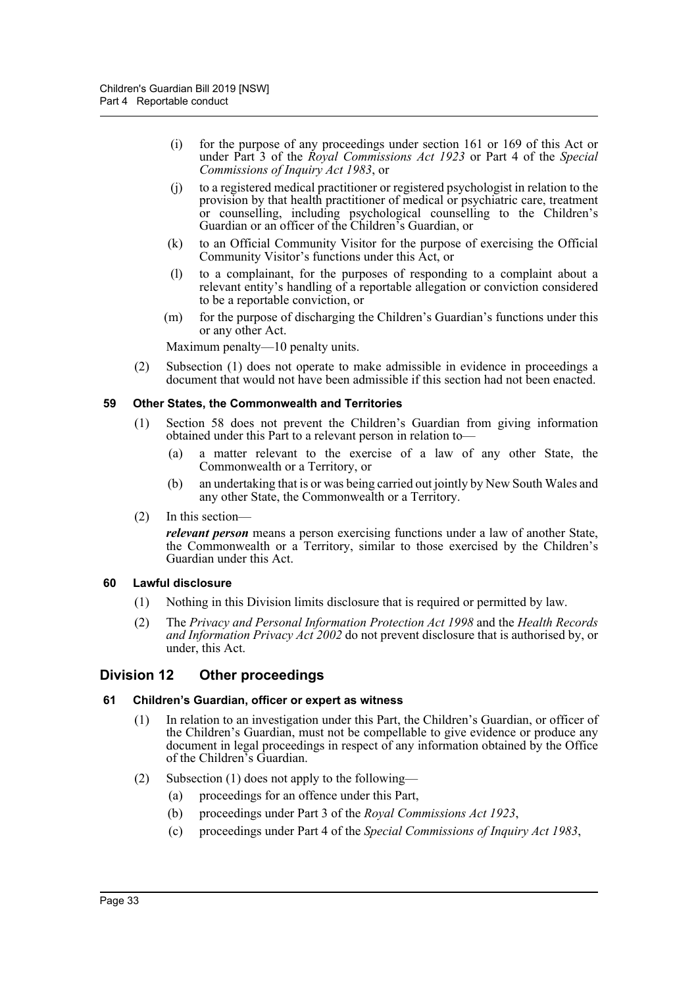- (i) for the purpose of any proceedings under section 161 or 169 of this Act or under Part 3 of the *Royal Commissions Act 1923* or Part 4 of the *Special Commissions of Inquiry Act 1983*, or
- (j) to a registered medical practitioner or registered psychologist in relation to the provision by that health practitioner of medical or psychiatric care, treatment or counselling, including psychological counselling to the Children's Guardian or an officer of the Children's Guardian, or
- (k) to an Official Community Visitor for the purpose of exercising the Official Community Visitor's functions under this Act, or
- (l) to a complainant, for the purposes of responding to a complaint about a relevant entity's handling of a reportable allegation or conviction considered to be a reportable conviction, or
- (m) for the purpose of discharging the Children's Guardian's functions under this or any other Act.

Maximum penalty—10 penalty units.

(2) Subsection (1) does not operate to make admissible in evidence in proceedings a document that would not have been admissible if this section had not been enacted.

#### <span id="page-32-0"></span>**59 Other States, the Commonwealth and Territories**

- (1) Section 58 does not prevent the Children's Guardian from giving information obtained under this Part to a relevant person in relation to—
	- (a) a matter relevant to the exercise of a law of any other State, the Commonwealth or a Territory, or
	- (b) an undertaking that is or was being carried out jointly by New South Wales and any other State, the Commonwealth or a Territory.
- (2) In this section—

*relevant person* means a person exercising functions under a law of another State, the Commonwealth or a Territory, similar to those exercised by the Children's Guardian under this Act.

#### <span id="page-32-1"></span>**60 Lawful disclosure**

- (1) Nothing in this Division limits disclosure that is required or permitted by law.
- (2) The *Privacy and Personal Information Protection Act 1998* and the *Health Records and Information Privacy Act 2002* do not prevent disclosure that is authorised by, or under, this Act.

#### <span id="page-32-2"></span>**Division 12 Other proceedings**

#### <span id="page-32-3"></span>**61 Children's Guardian, officer or expert as witness**

- (1) In relation to an investigation under this Part, the Children's Guardian, or officer of the Children's Guardian, must not be compellable to give evidence or produce any document in legal proceedings in respect of any information obtained by the Office of the Children's Guardian.
- (2) Subsection (1) does not apply to the following—
	- (a) proceedings for an offence under this Part,
	- (b) proceedings under Part 3 of the *Royal Commissions Act 1923*,
	- (c) proceedings under Part 4 of the *Special Commissions of Inquiry Act 1983*,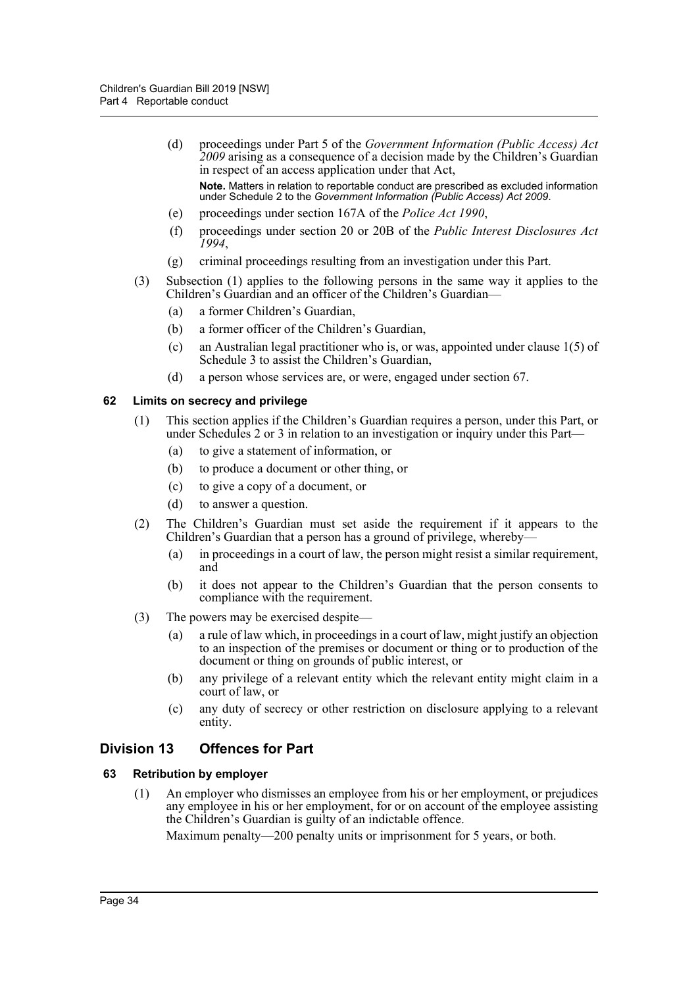- (d) proceedings under Part 5 of the *Government Information (Public Access) Act 2009* arising as a consequence of a decision made by the Children's Guardian in respect of an access application under that Act, **Note.** Matters in relation to reportable conduct are prescribed as excluded information under Schedule 2 to the *Government Information (Public Access) Act 2009*.
- (e) proceedings under section 167A of the *Police Act 1990*,
- (f) proceedings under section 20 or 20B of the *Public Interest Disclosures Act 1994*,
- (g) criminal proceedings resulting from an investigation under this Part.
- (3) Subsection (1) applies to the following persons in the same way it applies to the Children's Guardian and an officer of the Children's Guardian—
	- (a) a former Children's Guardian,
	- (b) a former officer of the Children's Guardian,
	- (c) an Australian legal practitioner who is, or was, appointed under clause 1(5) of Schedule 3 to assist the Children's Guardian,
	- (d) a person whose services are, or were, engaged under section 67.

#### <span id="page-33-0"></span>**62 Limits on secrecy and privilege**

- (1) This section applies if the Children's Guardian requires a person, under this Part, or under Schedules 2 or 3 in relation to an investigation or inquiry under this Part—
	- (a) to give a statement of information, or
	- (b) to produce a document or other thing, or
	- (c) to give a copy of a document, or
	- (d) to answer a question.
- (2) The Children's Guardian must set aside the requirement if it appears to the Children's Guardian that a person has a ground of privilege, whereby-
	- (a) in proceedings in a court of law, the person might resist a similar requirement, and
	- (b) it does not appear to the Children's Guardian that the person consents to compliance with the requirement.
- (3) The powers may be exercised despite—
	- (a) a rule of law which, in proceedings in a court of law, might justify an objection to an inspection of the premises or document or thing or to production of the document or thing on grounds of public interest, or
	- (b) any privilege of a relevant entity which the relevant entity might claim in a court of law, or
	- (c) any duty of secrecy or other restriction on disclosure applying to a relevant entity.

## <span id="page-33-1"></span>**Division 13 Offences for Part**

#### <span id="page-33-2"></span>**63 Retribution by employer**

(1) An employer who dismisses an employee from his or her employment, or prejudices any employee in his or her employment, for or on account of the employee assisting the Children's Guardian is guilty of an indictable offence.

Maximum penalty—200 penalty units or imprisonment for 5 years, or both.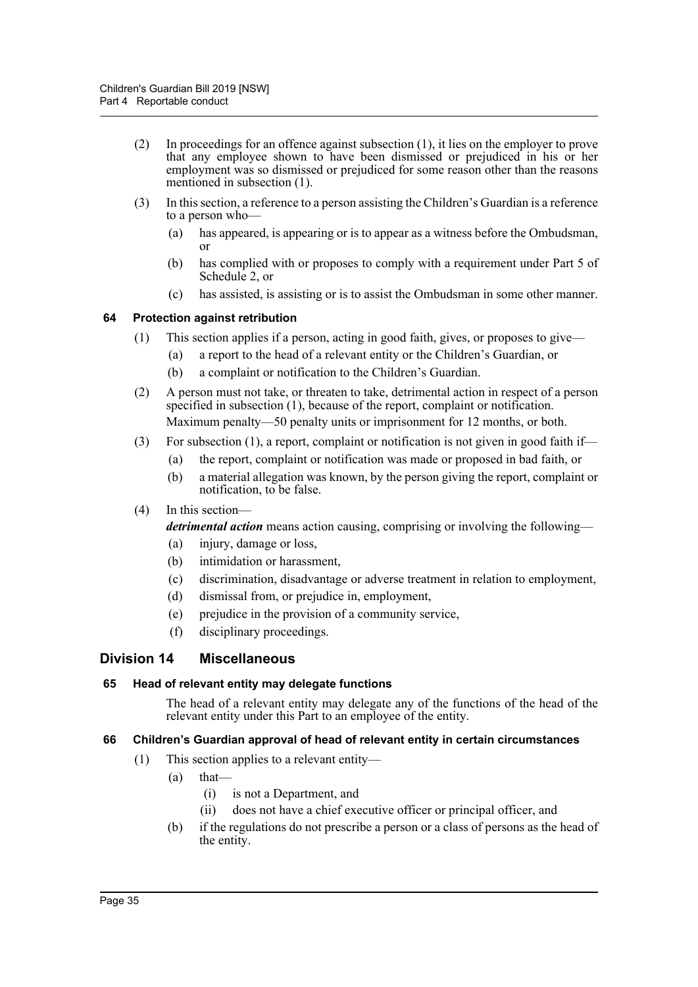- (2) In proceedings for an offence against subsection (1), it lies on the employer to prove that any employee shown to have been dismissed or prejudiced in his or her employment was so dismissed or prejudiced for some reason other than the reasons mentioned in subsection (1).
- (3) In this section, a reference to a person assisting the Children's Guardian is a reference to a person who—
	- (a) has appeared, is appearing or is to appear as a witness before the Ombudsman, or
	- (b) has complied with or proposes to comply with a requirement under Part 5 of Schedule 2, or
	- (c) has assisted, is assisting or is to assist the Ombudsman in some other manner.

#### <span id="page-34-0"></span>**64 Protection against retribution**

- (1) This section applies if a person, acting in good faith, gives, or proposes to give—
	- (a) a report to the head of a relevant entity or the Children's Guardian, or
	- (b) a complaint or notification to the Children's Guardian.
- (2) A person must not take, or threaten to take, detrimental action in respect of a person specified in subsection (1), because of the report, complaint or notification. Maximum penalty—50 penalty units or imprisonment for 12 months, or both.
- (3) For subsection (1), a report, complaint or notification is not given in good faith if—
	- (a) the report, complaint or notification was made or proposed in bad faith, or
	- (b) a material allegation was known, by the person giving the report, complaint or notification, to be false.
- (4) In this section—

*detrimental action* means action causing, comprising or involving the following—

- (a) injury, damage or loss,
- (b) intimidation or harassment,
- (c) discrimination, disadvantage or adverse treatment in relation to employment,
- (d) dismissal from, or prejudice in, employment,
- (e) prejudice in the provision of a community service,
- (f) disciplinary proceedings.

#### <span id="page-34-1"></span>**Division 14 Miscellaneous**

#### <span id="page-34-2"></span>**65 Head of relevant entity may delegate functions**

The head of a relevant entity may delegate any of the functions of the head of the relevant entity under this Part to an employee of the entity.

#### <span id="page-34-3"></span>**66 Children's Guardian approval of head of relevant entity in certain circumstances**

- (1) This section applies to a relevant entity—
	- (a) that—
		- (i) is not a Department, and
		- (ii) does not have a chief executive officer or principal officer, and
	- (b) if the regulations do not prescribe a person or a class of persons as the head of the entity.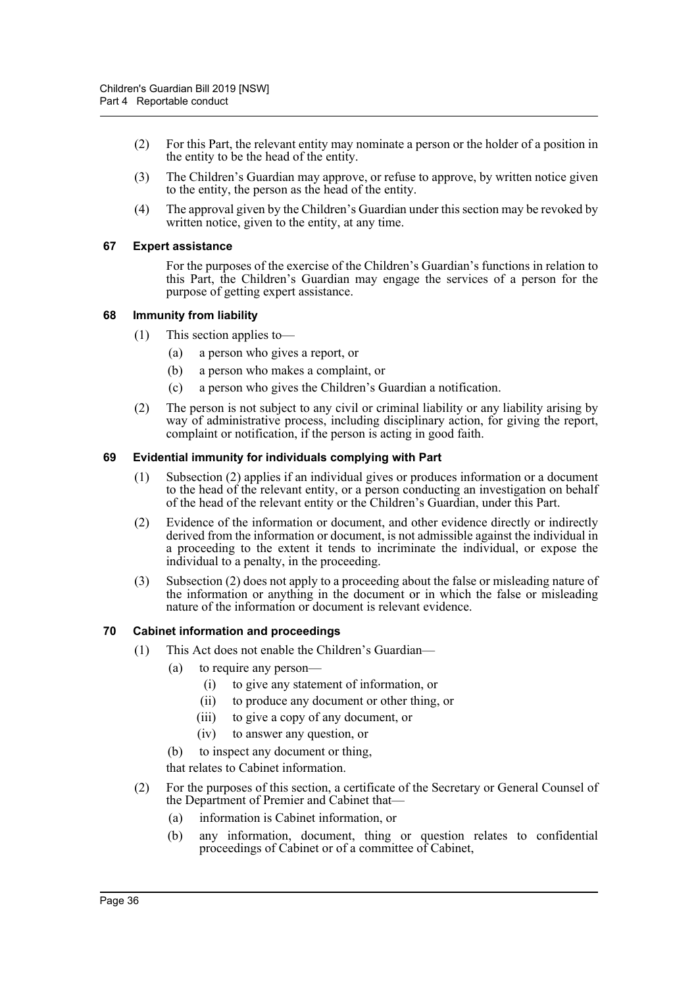- (2) For this Part, the relevant entity may nominate a person or the holder of a position in the entity to be the head of the entity.
- (3) The Children's Guardian may approve, or refuse to approve, by written notice given to the entity, the person as the head of the entity.
- (4) The approval given by the Children's Guardian under this section may be revoked by written notice, given to the entity, at any time.

#### <span id="page-35-0"></span>**67 Expert assistance**

For the purposes of the exercise of the Children's Guardian's functions in relation to this Part, the Children's Guardian may engage the services of a person for the purpose of getting expert assistance.

#### <span id="page-35-1"></span>**68 Immunity from liability**

- (1) This section applies to—
	- (a) a person who gives a report, or
	- (b) a person who makes a complaint, or
	- (c) a person who gives the Children's Guardian a notification.
- (2) The person is not subject to any civil or criminal liability or any liability arising by way of administrative process, including disciplinary action, for giving the report, complaint or notification, if the person is acting in good faith.

#### <span id="page-35-2"></span>**69 Evidential immunity for individuals complying with Part**

- (1) Subsection (2) applies if an individual gives or produces information or a document to the head of the relevant entity, or a person conducting an investigation on behalf of the head of the relevant entity or the Children's Guardian, under this Part.
- (2) Evidence of the information or document, and other evidence directly or indirectly derived from the information or document, is not admissible against the individual in a proceeding to the extent it tends to incriminate the individual, or expose the individual to a penalty, in the proceeding.
- (3) Subsection (2) does not apply to a proceeding about the false or misleading nature of the information or anything in the document or in which the false or misleading nature of the information or document is relevant evidence.

#### <span id="page-35-3"></span>**70 Cabinet information and proceedings**

- (1) This Act does not enable the Children's Guardian—
	- (a) to require any person—
		- (i) to give any statement of information, or
		- (ii) to produce any document or other thing, or
		- (iii) to give a copy of any document, or
		- (iv) to answer any question, or
	- (b) to inspect any document or thing,

that relates to Cabinet information.

- (2) For the purposes of this section, a certificate of the Secretary or General Counsel of the Department of Premier and Cabinet that—
	- (a) information is Cabinet information, or
	- (b) any information, document, thing or question relates to confidential proceedings of Cabinet or of a committee of Cabinet,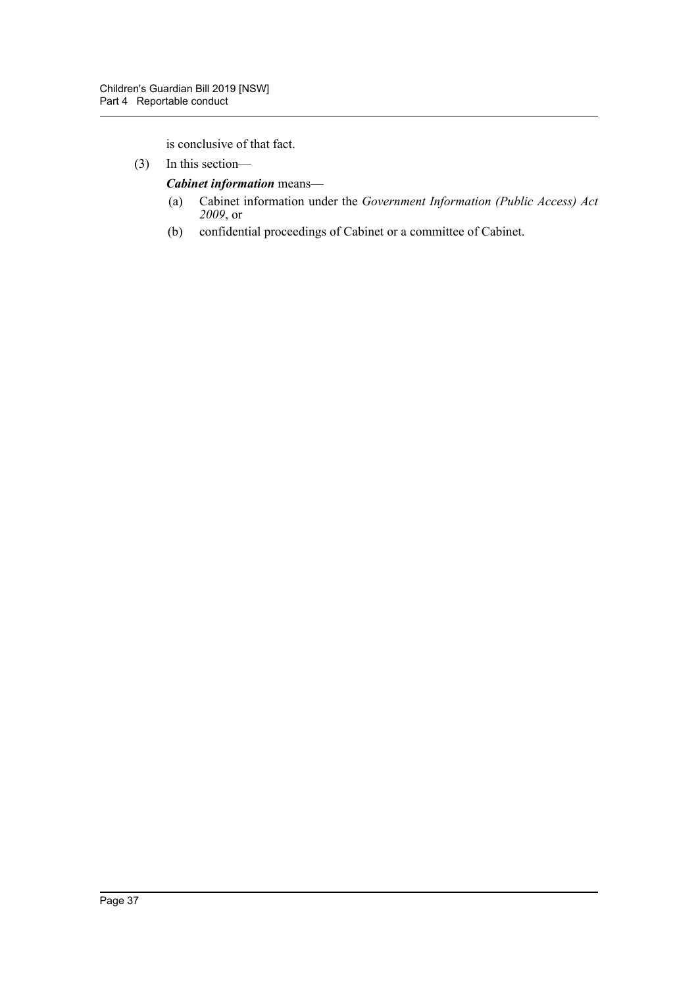is conclusive of that fact.

(3) In this section—

*Cabinet information* means—

- (a) Cabinet information under the *Government Information (Public Access) Act 2009*, or
- (b) confidential proceedings of Cabinet or a committee of Cabinet.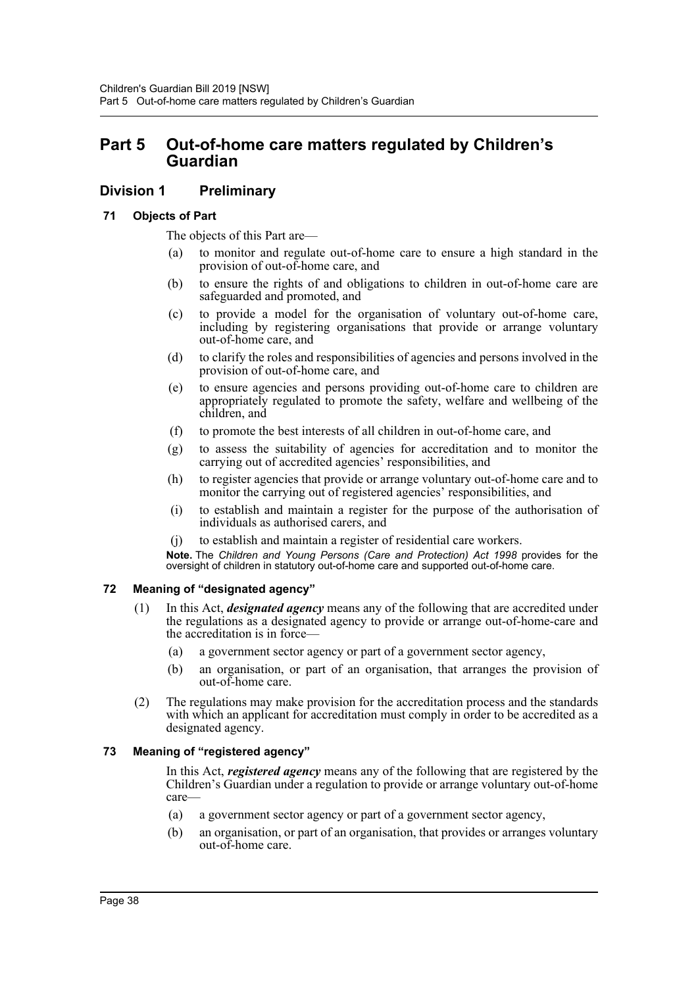# **Part 5 Out-of-home care matters regulated by Children's Guardian**

# **Division 1 Preliminary**

#### **71 Objects of Part**

The objects of this Part are—

- (a) to monitor and regulate out-of-home care to ensure a high standard in the provision of out-of-home care, and
- (b) to ensure the rights of and obligations to children in out-of-home care are safeguarded and promoted, and
- (c) to provide a model for the organisation of voluntary out-of-home care, including by registering organisations that provide or arrange voluntary out-of-home care, and
- (d) to clarify the roles and responsibilities of agencies and persons involved in the provision of out-of-home care, and
- (e) to ensure agencies and persons providing out-of-home care to children are appropriately regulated to promote the safety, welfare and wellbeing of the children, and
- (f) to promote the best interests of all children in out-of-home care, and
- (g) to assess the suitability of agencies for accreditation and to monitor the carrying out of accredited agencies' responsibilities, and
- (h) to register agencies that provide or arrange voluntary out-of-home care and to monitor the carrying out of registered agencies' responsibilities, and
- (i) to establish and maintain a register for the purpose of the authorisation of individuals as authorised carers, and
- (j) to establish and maintain a register of residential care workers.

**Note.** The *Children and Young Persons (Care and Protection) Act 1998* provides for the oversight of children in statutory out-of-home care and supported out-of-home care.

### **72 Meaning of "designated agency"**

- (1) In this Act, *designated agency* means any of the following that are accredited under the regulations as a designated agency to provide or arrange out-of-home-care and the accreditation is in force—
	- (a) a government sector agency or part of a government sector agency,
	- (b) an organisation, or part of an organisation, that arranges the provision of out-of-home care.
- (2) The regulations may make provision for the accreditation process and the standards with which an applicant for accreditation must comply in order to be accredited as a designated agency.

### **73 Meaning of "registered agency"**

In this Act, *registered agency* means any of the following that are registered by the Children's Guardian under a regulation to provide or arrange voluntary out-of-home care—

- (a) a government sector agency or part of a government sector agency,
- (b) an organisation, or part of an organisation, that provides or arranges voluntary out-of-home care.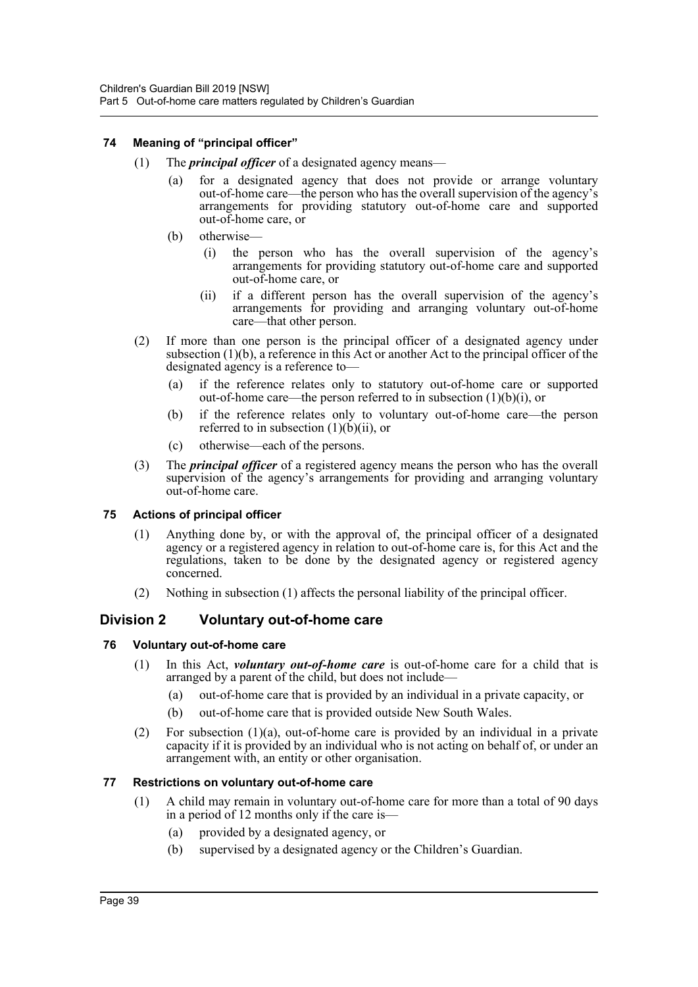#### **74 Meaning of "principal officer"**

- (1) The *principal officer* of a designated agency means—
	- (a) for a designated agency that does not provide or arrange voluntary out-of-home care—the person who has the overall supervision of the agency's arrangements for providing statutory out-of-home care and supported out-of-home care, or
	- (b) otherwise—
		- (i) the person who has the overall supervision of the agency's arrangements for providing statutory out-of-home care and supported out-of-home care, or
		- (ii) if a different person has the overall supervision of the agency's arrangements for providing and arranging voluntary out-of-home care—that other person.
- (2) If more than one person is the principal officer of a designated agency under subsection  $(1)(b)$ , a reference in this Act or another Act to the principal officer of the designated agency is a reference to—
	- (a) if the reference relates only to statutory out-of-home care or supported out-of-home care—the person referred to in subsection  $(1)(b)(i)$ , or
	- (b) if the reference relates only to voluntary out-of-home care—the person referred to in subsection  $(1)(b)(ii)$ , or
	- (c) otherwise—each of the persons.
- (3) The *principal officer* of a registered agency means the person who has the overall supervision of the agency's arrangements for providing and arranging voluntary out-of-home care.

#### **75 Actions of principal officer**

- (1) Anything done by, or with the approval of, the principal officer of a designated agency or a registered agency in relation to out-of-home care is, for this Act and the regulations, taken to be done by the designated agency or registered agency concerned.
- (2) Nothing in subsection (1) affects the personal liability of the principal officer.

# **Division 2 Voluntary out-of-home care**

#### **76 Voluntary out-of-home care**

- (1) In this Act, *voluntary out-of-home care* is out-of-home care for a child that is arranged by a parent of the child, but does not include—
	- (a) out-of-home care that is provided by an individual in a private capacity, or
	- (b) out-of-home care that is provided outside New South Wales.
- (2) For subsection (1)(a), out-of-home care is provided by an individual in a private capacity if it is provided by an individual who is not acting on behalf of, or under an arrangement with, an entity or other organisation.

### **77 Restrictions on voluntary out-of-home care**

- (1) A child may remain in voluntary out-of-home care for more than a total of 90 days in a period of 12 months only if the care is—
	- (a) provided by a designated agency, or
	- (b) supervised by a designated agency or the Children's Guardian.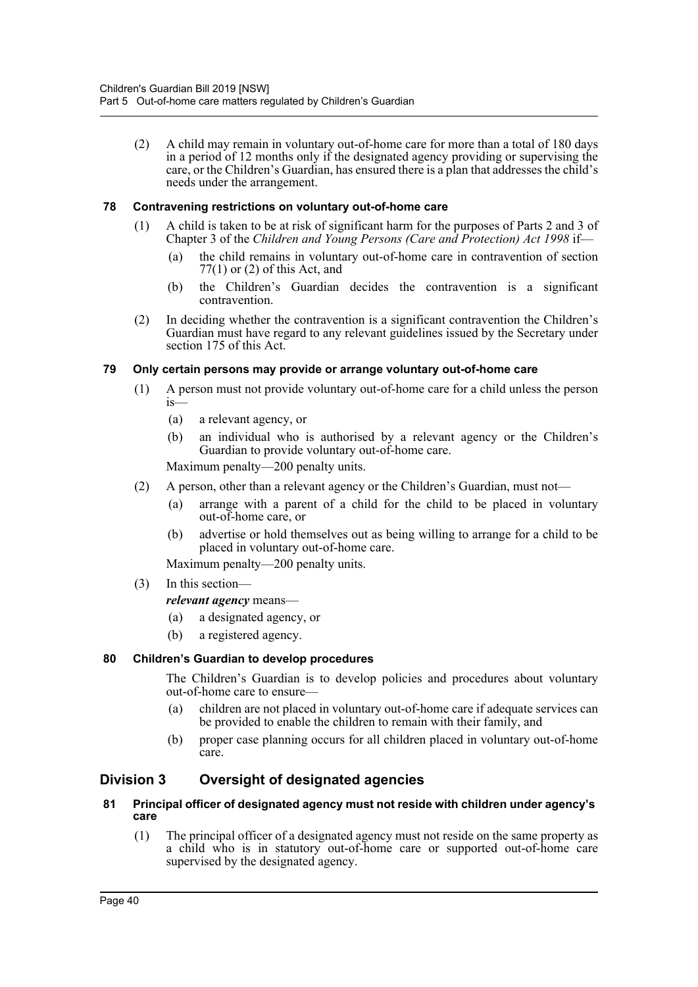(2) A child may remain in voluntary out-of-home care for more than a total of 180 days in a period of 12 months only if the designated agency providing or supervising the care, or the Children's Guardian, has ensured there is a plan that addresses the child's needs under the arrangement.

#### **78 Contravening restrictions on voluntary out-of-home care**

- (1) A child is taken to be at risk of significant harm for the purposes of Parts 2 and 3 of Chapter 3 of the *Children and Young Persons (Care and Protection) Act 1998* if—
	- (a) the child remains in voluntary out-of-home care in contravention of section 77(1) or (2) of this Act, and
	- (b) the Children's Guardian decides the contravention is a significant contravention.
- (2) In deciding whether the contravention is a significant contravention the Children's Guardian must have regard to any relevant guidelines issued by the Secretary under section 175 of this Act.

#### **79 Only certain persons may provide or arrange voluntary out-of-home care**

- (1) A person must not provide voluntary out-of-home care for a child unless the person  $i<sub>s</sub>$ 
	- (a) a relevant agency, or
	- (b) an individual who is authorised by a relevant agency or the Children's Guardian to provide voluntary out-of-home care.

Maximum penalty—200 penalty units.

- (2) A person, other than a relevant agency or the Children's Guardian, must not—
	- (a) arrange with a parent of a child for the child to be placed in voluntary out-of-home care, or
	- (b) advertise or hold themselves out as being willing to arrange for a child to be placed in voluntary out-of-home care.

Maximum penalty—200 penalty units.

(3) In this section—

#### *relevant agency* means—

- (a) a designated agency, or
- (b) a registered agency.

### **80 Children's Guardian to develop procedures**

The Children's Guardian is to develop policies and procedures about voluntary out-of-home care to ensure—

- (a) children are not placed in voluntary out-of-home care if adequate services can be provided to enable the children to remain with their family, and
- (b) proper case planning occurs for all children placed in voluntary out-of-home care.

# **Division 3 Oversight of designated agencies**

#### **81 Principal officer of designated agency must not reside with children under agency's care**

(1) The principal officer of a designated agency must not reside on the same property as a child who is in statutory out-of-home care or supported out-of-home care supervised by the designated agency.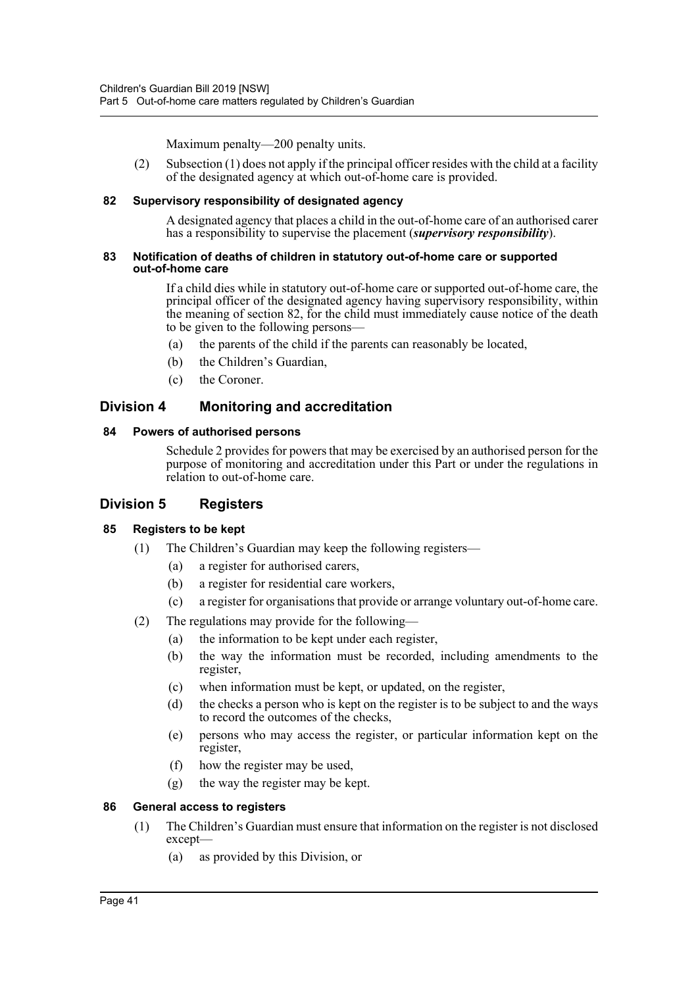Maximum penalty—200 penalty units.

(2) Subsection (1) does not apply if the principal officer resides with the child at a facility of the designated agency at which out-of-home care is provided.

#### **82 Supervisory responsibility of designated agency**

A designated agency that places a child in the out-of-home care of an authorised carer has a responsibility to supervise the placement (*supervisory responsibility*).

#### **83 Notification of deaths of children in statutory out-of-home care or supported out-of-home care**

If a child dies while in statutory out-of-home care or supported out-of-home care, the principal officer of the designated agency having supervisory responsibility, within the meaning of section 82, for the child must immediately cause notice of the death to be given to the following persons—

- (a) the parents of the child if the parents can reasonably be located,
- (b) the Children's Guardian,
- (c) the Coroner.

# **Division 4 Monitoring and accreditation**

#### **84 Powers of authorised persons**

Schedule 2 provides for powers that may be exercised by an authorised person for the purpose of monitoring and accreditation under this Part or under the regulations in relation to out-of-home care.

### **Division 5 Registers**

### **85 Registers to be kept**

- (1) The Children's Guardian may keep the following registers—
	- (a) a register for authorised carers,
	- (b) a register for residential care workers,
	- (c) a register for organisations that provide or arrange voluntary out-of-home care.
- (2) The regulations may provide for the following—
	- (a) the information to be kept under each register,
	- (b) the way the information must be recorded, including amendments to the register,
	- (c) when information must be kept, or updated, on the register,
	- (d) the checks a person who is kept on the register is to be subject to and the ways to record the outcomes of the checks,
	- (e) persons who may access the register, or particular information kept on the register,
	- (f) how the register may be used,
	- (g) the way the register may be kept.

#### **86 General access to registers**

- (1) The Children's Guardian must ensure that information on the register is not disclosed except—
	- (a) as provided by this Division, or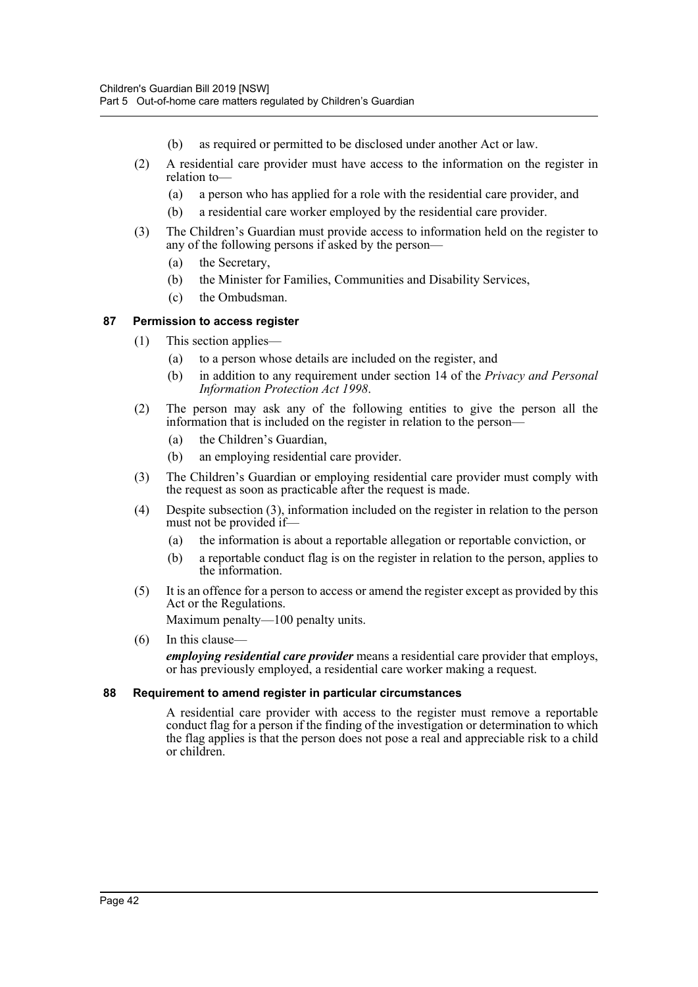- (b) as required or permitted to be disclosed under another Act or law.
- (2) A residential care provider must have access to the information on the register in relation to—
	- (a) a person who has applied for a role with the residential care provider, and
	- (b) a residential care worker employed by the residential care provider.
- (3) The Children's Guardian must provide access to information held on the register to any of the following persons if asked by the person—
	- (a) the Secretary,
	- (b) the Minister for Families, Communities and Disability Services,
	- (c) the Ombudsman.

#### **87 Permission to access register**

- (1) This section applies—
	- (a) to a person whose details are included on the register, and
	- (b) in addition to any requirement under section 14 of the *Privacy and Personal Information Protection Act 1998*.
- (2) The person may ask any of the following entities to give the person all the information that is included on the register in relation to the person—
	- (a) the Children's Guardian,
	- (b) an employing residential care provider.
- (3) The Children's Guardian or employing residential care provider must comply with the request as soon as practicable after the request is made.
- (4) Despite subsection (3), information included on the register in relation to the person must not be provided if—
	- (a) the information is about a reportable allegation or reportable conviction, or
	- (b) a reportable conduct flag is on the register in relation to the person, applies to the information.
- (5) It is an offence for a person to access or amend the register except as provided by this Act or the Regulations. Maximum penalty—100 penalty units.
- (6) In this clause—

*employing residential care provider* means a residential care provider that employs, or has previously employed, a residential care worker making a request.

#### **88 Requirement to amend register in particular circumstances**

A residential care provider with access to the register must remove a reportable conduct flag for a person if the finding of the investigation or determination to which the flag applies is that the person does not pose a real and appreciable risk to a child or children.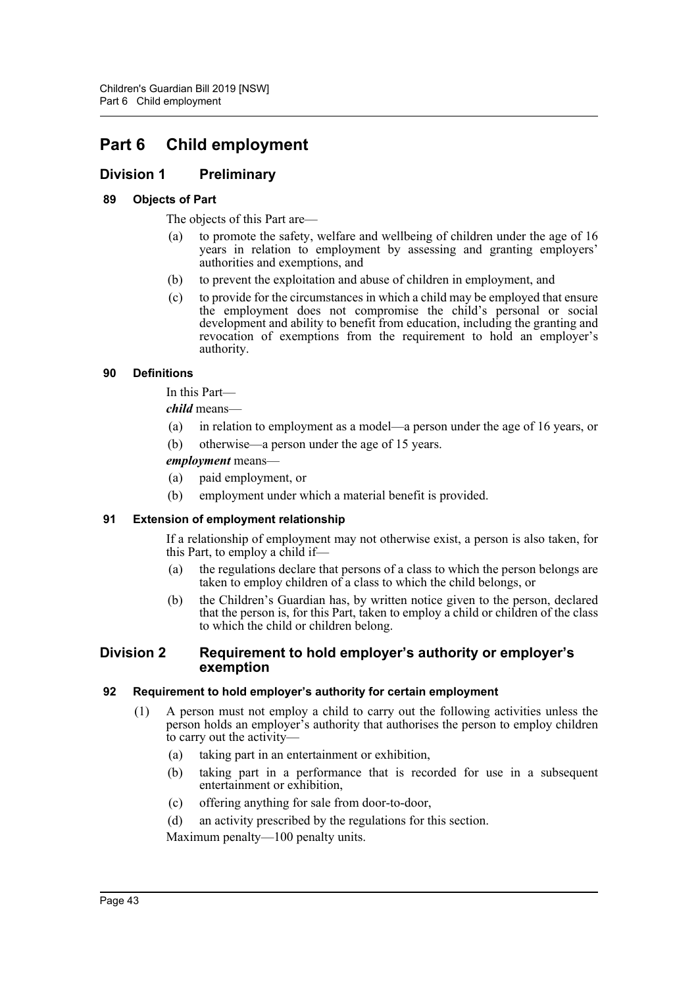# **Part 6 Child employment**

# **Division 1 Preliminary**

### **89 Objects of Part**

The objects of this Part are—

- (a) to promote the safety, welfare and wellbeing of children under the age of 16 years in relation to employment by assessing and granting employers' authorities and exemptions, and
- (b) to prevent the exploitation and abuse of children in employment, and
- (c) to provide for the circumstances in which a child may be employed that ensure the employment does not compromise the child's personal or social development and ability to benefit from education, including the granting and revocation of exemptions from the requirement to hold an employer's authority.

#### **90 Definitions**

In this Part—

*child* means—

- (a) in relation to employment as a model—a person under the age of 16 years, or
- (b) otherwise—a person under the age of 15 years.

#### *employment* means—

- (a) paid employment, or
- (b) employment under which a material benefit is provided.

### **91 Extension of employment relationship**

If a relationship of employment may not otherwise exist, a person is also taken, for this Part, to employ a child if—

- (a) the regulations declare that persons of a class to which the person belongs are taken to employ children of a class to which the child belongs, or
- (b) the Children's Guardian has, by written notice given to the person, declared that the person is, for this Part, taken to employ a child or children of the class to which the child or children belong.

#### **Division 2 Requirement to hold employer's authority or employer's exemption**

#### **92 Requirement to hold employer's authority for certain employment**

- (1) A person must not employ a child to carry out the following activities unless the person holds an employer's authority that authorises the person to employ children to carry out the activity—
	- (a) taking part in an entertainment or exhibition,
	- (b) taking part in a performance that is recorded for use in a subsequent entertainment or exhibition,
	- (c) offering anything for sale from door-to-door,
	- (d) an activity prescribed by the regulations for this section.

Maximum penalty—100 penalty units.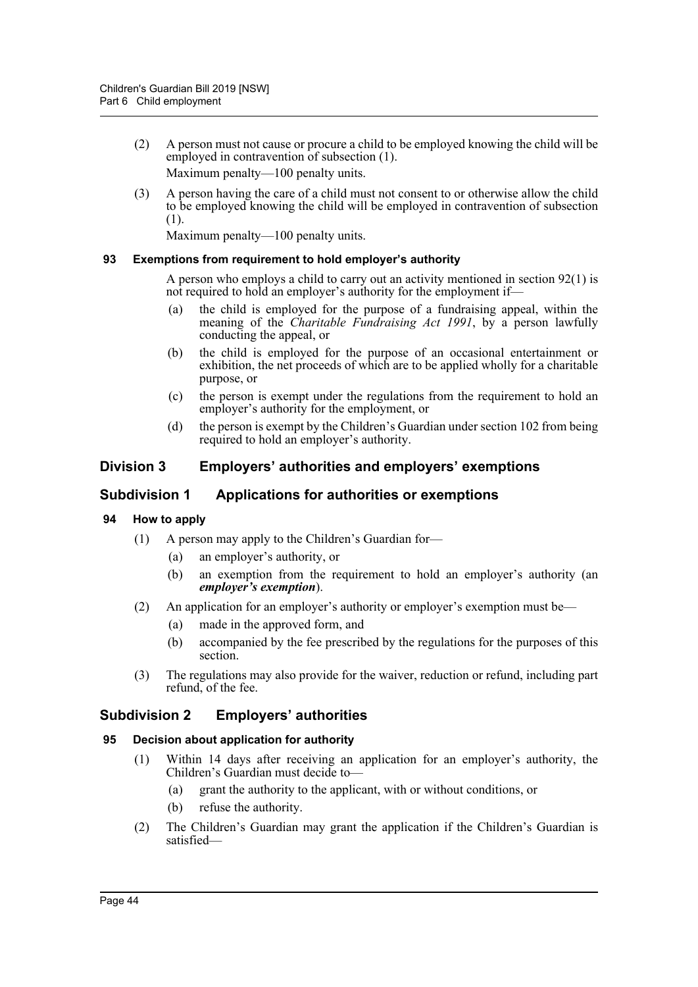- (2) A person must not cause or procure a child to be employed knowing the child will be employed in contravention of subsection (1). Maximum penalty—100 penalty units.
- (3) A person having the care of a child must not consent to or otherwise allow the child to be employed knowing the child will be employed in contravention of subsection (1).

Maximum penalty—100 penalty units.

#### **93 Exemptions from requirement to hold employer's authority**

A person who employs a child to carry out an activity mentioned in section 92(1) is not required to hold an employer's authority for the employment if—

- (a) the child is employed for the purpose of a fundraising appeal, within the meaning of the *Charitable Fundraising Act 1991*, by a person lawfully conducting the appeal, or
- (b) the child is employed for the purpose of an occasional entertainment or exhibition, the net proceeds of which are to be applied wholly for a charitable purpose, or
- (c) the person is exempt under the regulations from the requirement to hold an employer's authority for the employment, or
- (d) the person is exempt by the Children's Guardian under section 102 from being required to hold an employer's authority.

# **Division 3 Employers' authorities and employers' exemptions**

### **Subdivision 1 Applications for authorities or exemptions**

- **94 How to apply**
	- (1) A person may apply to the Children's Guardian for—
		- (a) an employer's authority, or
		- (b) an exemption from the requirement to hold an employer's authority (an *employer's exemption*).
	- (2) An application for an employer's authority or employer's exemption must be—
		- (a) made in the approved form, and
		- (b) accompanied by the fee prescribed by the regulations for the purposes of this section.
	- (3) The regulations may also provide for the waiver, reduction or refund, including part refund, of the fee.

# **Subdivision 2 Employers' authorities**

#### **95 Decision about application for authority**

- (1) Within 14 days after receiving an application for an employer's authority, the Children's Guardian must decide to—
	- (a) grant the authority to the applicant, with or without conditions, or
	- (b) refuse the authority.
- (2) The Children's Guardian may grant the application if the Children's Guardian is satisfied—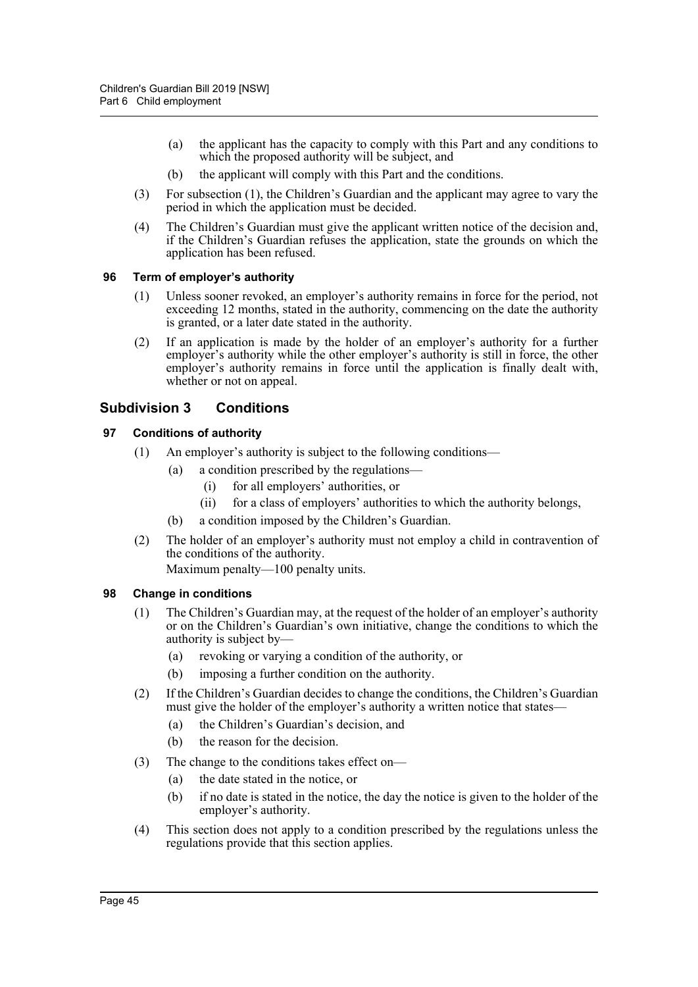- (a) the applicant has the capacity to comply with this Part and any conditions to which the proposed authority will be subject, and
- (b) the applicant will comply with this Part and the conditions.
- (3) For subsection (1), the Children's Guardian and the applicant may agree to vary the period in which the application must be decided.
- (4) The Children's Guardian must give the applicant written notice of the decision and, if the Children's Guardian refuses the application, state the grounds on which the application has been refused.

#### **96 Term of employer's authority**

- (1) Unless sooner revoked, an employer's authority remains in force for the period, not exceeding 12 months, stated in the authority, commencing on the date the authority is granted, or a later date stated in the authority.
- (2) If an application is made by the holder of an employer's authority for a further employer's authority while the other employer's authority is still in force, the other employer's authority remains in force until the application is finally dealt with. whether or not on appeal.

# **Subdivision 3 Conditions**

### **97 Conditions of authority**

- (1) An employer's authority is subject to the following conditions—
	- (a) a condition prescribed by the regulations—
		- (i) for all employers' authorities, or
		- (ii) for a class of employers' authorities to which the authority belongs,
	- (b) a condition imposed by the Children's Guardian.
- (2) The holder of an employer's authority must not employ a child in contravention of the conditions of the authority.

Maximum penalty—100 penalty units.

### **98 Change in conditions**

- (1) The Children's Guardian may, at the request of the holder of an employer's authority or on the Children's Guardian's own initiative, change the conditions to which the authority is subject by—
	- (a) revoking or varying a condition of the authority, or
	- (b) imposing a further condition on the authority.
- (2) If the Children's Guardian decides to change the conditions, the Children's Guardian must give the holder of the employer's authority a written notice that states—
	- (a) the Children's Guardian's decision, and
	- (b) the reason for the decision.
- (3) The change to the conditions takes effect on—
	- (a) the date stated in the notice, or
	- (b) if no date is stated in the notice, the day the notice is given to the holder of the employer's authority.
- (4) This section does not apply to a condition prescribed by the regulations unless the regulations provide that this section applies.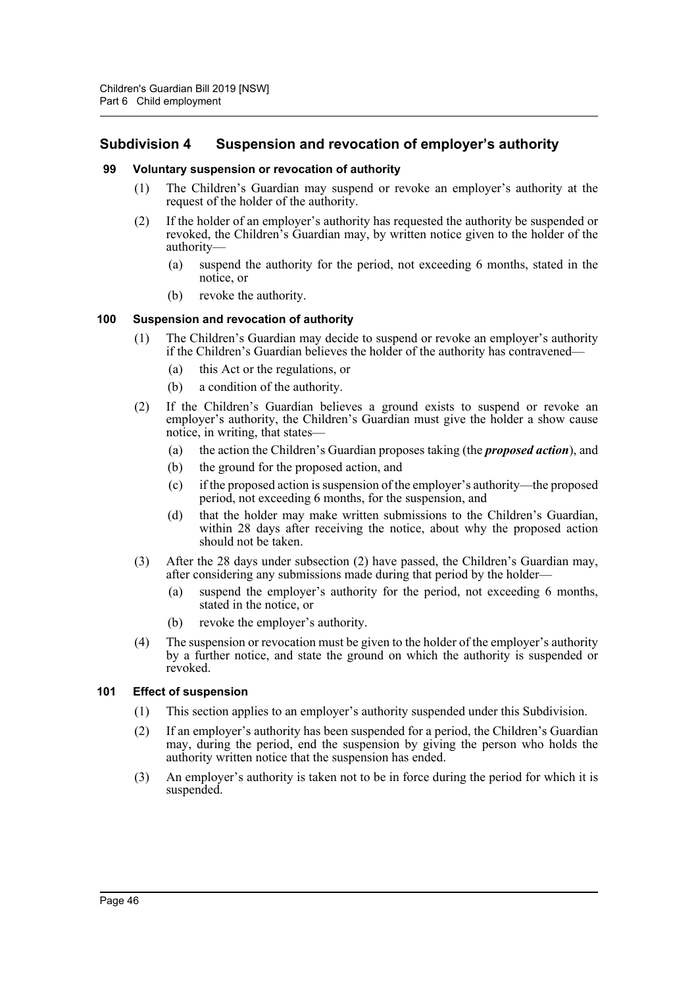# **Subdivision 4 Suspension and revocation of employer's authority**

#### **99 Voluntary suspension or revocation of authority**

- (1) The Children's Guardian may suspend or revoke an employer's authority at the request of the holder of the authority.
- (2) If the holder of an employer's authority has requested the authority be suspended or revoked, the Children's Guardian may, by written notice given to the holder of the authority—
	- (a) suspend the authority for the period, not exceeding 6 months, stated in the notice, or
	- (b) revoke the authority.

#### **100 Suspension and revocation of authority**

- (1) The Children's Guardian may decide to suspend or revoke an employer's authority if the Children's Guardian believes the holder of the authority has contravened—
	- (a) this Act or the regulations, or
	- (b) a condition of the authority.
- (2) If the Children's Guardian believes a ground exists to suspend or revoke an employer's authority, the Children's Guardian must give the holder a show cause notice, in writing, that states—
	- (a) the action the Children's Guardian proposes taking (the *proposed action*), and
	- (b) the ground for the proposed action, and
	- (c) if the proposed action is suspension of the employer's authority—the proposed period, not exceeding 6 months, for the suspension, and
	- (d) that the holder may make written submissions to the Children's Guardian, within 28 days after receiving the notice, about why the proposed action should not be taken.
- (3) After the 28 days under subsection (2) have passed, the Children's Guardian may, after considering any submissions made during that period by the holder—
	- (a) suspend the employer's authority for the period, not exceeding 6 months, stated in the notice, or
	- (b) revoke the employer's authority.
- (4) The suspension or revocation must be given to the holder of the employer's authority by a further notice, and state the ground on which the authority is suspended or revoked.

#### **101 Effect of suspension**

- (1) This section applies to an employer's authority suspended under this Subdivision.
- (2) If an employer's authority has been suspended for a period, the Children's Guardian may, during the period, end the suspension by giving the person who holds the authority written notice that the suspension has ended.
- (3) An employer's authority is taken not to be in force during the period for which it is suspended.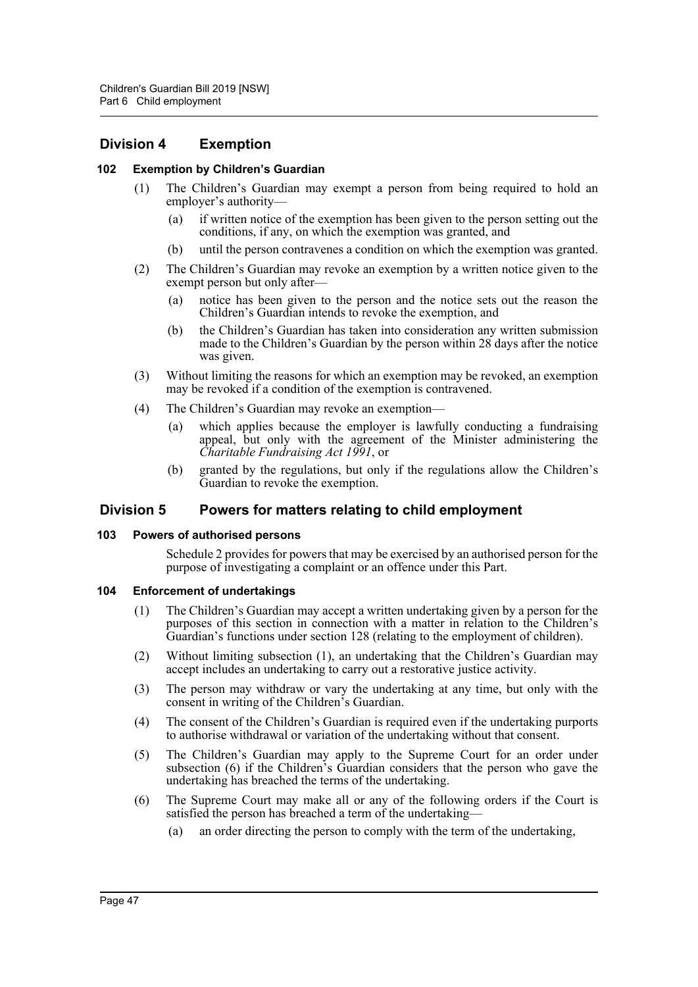# **Division 4 Exemption**

#### **102 Exemption by Children's Guardian**

- (1) The Children's Guardian may exempt a person from being required to hold an employer's authority—
	- (a) if written notice of the exemption has been given to the person setting out the conditions, if any, on which the exemption was granted, and
	- (b) until the person contravenes a condition on which the exemption was granted.
- (2) The Children's Guardian may revoke an exemption by a written notice given to the exempt person but only after—
	- (a) notice has been given to the person and the notice sets out the reason the Children's Guardian intends to revoke the exemption, and
	- (b) the Children's Guardian has taken into consideration any written submission made to the Children's Guardian by the person within  $28$  days after the notice was given.
- (3) Without limiting the reasons for which an exemption may be revoked, an exemption may be revoked if a condition of the exemption is contravened.
- (4) The Children's Guardian may revoke an exemption—
	- (a) which applies because the employer is lawfully conducting a fundraising appeal, but only with the agreement of the Minister administering the *Charitable Fundraising Act 1991*, or
	- (b) granted by the regulations, but only if the regulations allow the Children's Guardian to revoke the exemption.

### **Division 5 Powers for matters relating to child employment**

#### **103 Powers of authorised persons**

Schedule 2 provides for powers that may be exercised by an authorised person for the purpose of investigating a complaint or an offence under this Part.

#### **104 Enforcement of undertakings**

- (1) The Children's Guardian may accept a written undertaking given by a person for the purposes of this section in connection with a matter in relation to the Children's Guardian's functions under section 128 (relating to the employment of children).
- (2) Without limiting subsection (1), an undertaking that the Children's Guardian may accept includes an undertaking to carry out a restorative justice activity.
- (3) The person may withdraw or vary the undertaking at any time, but only with the consent in writing of the Children's Guardian.
- (4) The consent of the Children's Guardian is required even if the undertaking purports to authorise withdrawal or variation of the undertaking without that consent.
- (5) The Children's Guardian may apply to the Supreme Court for an order under subsection (6) if the Children's Guardian considers that the person who gave the undertaking has breached the terms of the undertaking.
- (6) The Supreme Court may make all or any of the following orders if the Court is satisfied the person has breached a term of the undertaking—
	- (a) an order directing the person to comply with the term of the undertaking,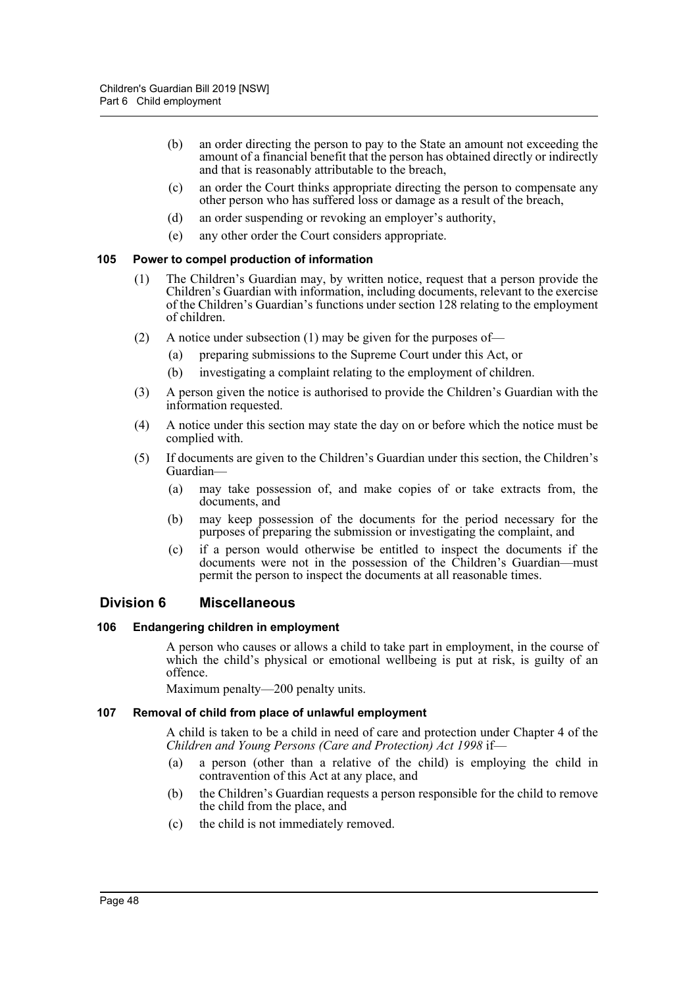- (b) an order directing the person to pay to the State an amount not exceeding the amount of a financial benefit that the person has obtained directly or indirectly and that is reasonably attributable to the breach,
- (c) an order the Court thinks appropriate directing the person to compensate any other person who has suffered loss or damage as a result of the breach,
- (d) an order suspending or revoking an employer's authority,
- (e) any other order the Court considers appropriate.

#### **105 Power to compel production of information**

- (1) The Children's Guardian may, by written notice, request that a person provide the Children's Guardian with information, including documents, relevant to the exercise of the Children's Guardian's functions under section 128 relating to the employment of children.
- (2) A notice under subsection (1) may be given for the purposes of—
	- (a) preparing submissions to the Supreme Court under this Act, or
	- (b) investigating a complaint relating to the employment of children.
- (3) A person given the notice is authorised to provide the Children's Guardian with the information requested.
- (4) A notice under this section may state the day on or before which the notice must be complied with.
- (5) If documents are given to the Children's Guardian under this section, the Children's Guardian—
	- (a) may take possession of, and make copies of or take extracts from, the documents, and
	- (b) may keep possession of the documents for the period necessary for the purposes of preparing the submission or investigating the complaint, and
	- (c) if a person would otherwise be entitled to inspect the documents if the documents were not in the possession of the Children's Guardian—must permit the person to inspect the documents at all reasonable times.

### **Division 6 Miscellaneous**

#### **106 Endangering children in employment**

A person who causes or allows a child to take part in employment, in the course of which the child's physical or emotional wellbeing is put at risk, is guilty of an offence.

Maximum penalty—200 penalty units.

#### **107 Removal of child from place of unlawful employment**

A child is taken to be a child in need of care and protection under Chapter 4 of the *Children and Young Persons (Care and Protection) Act 1998* if—

- (a) a person (other than a relative of the child) is employing the child in contravention of this Act at any place, and
- (b) the Children's Guardian requests a person responsible for the child to remove the child from the place, and
- (c) the child is not immediately removed.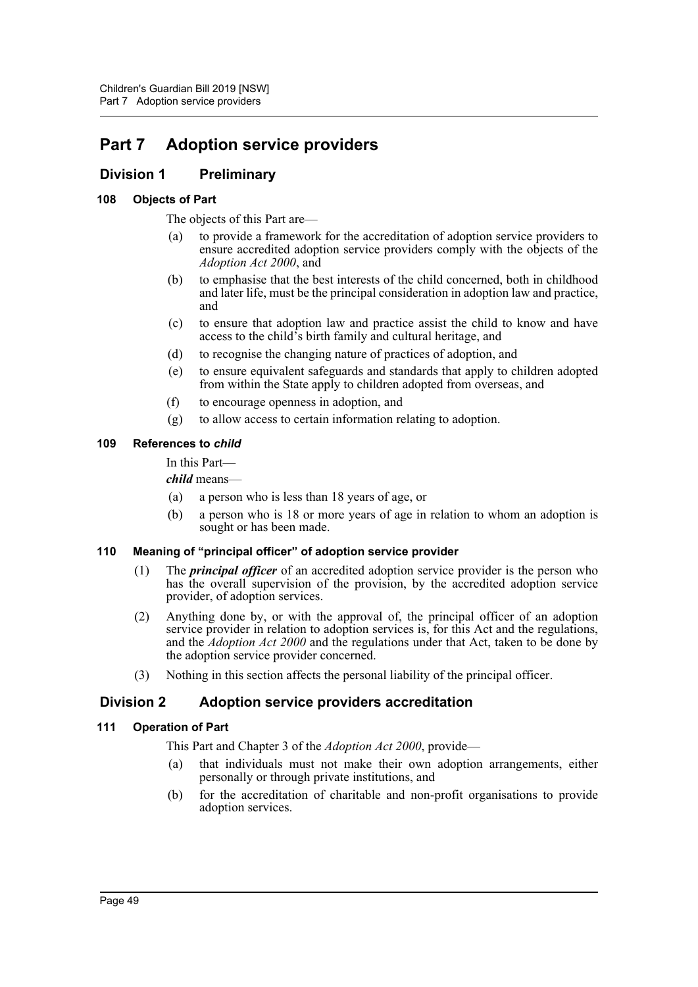# **Part 7 Adoption service providers**

# **Division 1 Preliminary**

### **108 Objects of Part**

The objects of this Part are—

- (a) to provide a framework for the accreditation of adoption service providers to ensure accredited adoption service providers comply with the objects of the *Adoption Act 2000*, and
- (b) to emphasise that the best interests of the child concerned, both in childhood and later life, must be the principal consideration in adoption law and practice, and
- (c) to ensure that adoption law and practice assist the child to know and have access to the child's birth family and cultural heritage, and
- (d) to recognise the changing nature of practices of adoption, and
- (e) to ensure equivalent safeguards and standards that apply to children adopted from within the State apply to children adopted from overseas, and
- (f) to encourage openness in adoption, and
- (g) to allow access to certain information relating to adoption.

#### **109 References to** *child*

In this Part—

*child* means—

- (a) a person who is less than 18 years of age, or
- (b) a person who is 18 or more years of age in relation to whom an adoption is sought or has been made.

### **110 Meaning of "principal officer" of adoption service provider**

- (1) The *principal officer* of an accredited adoption service provider is the person who has the overall supervision of the provision, by the accredited adoption service provider, of adoption services.
- (2) Anything done by, or with the approval of, the principal officer of an adoption service provider in relation to adoption services is, for this Act and the regulations, and the *Adoption Act 2000* and the regulations under that Act, taken to be done by the adoption service provider concerned.
- (3) Nothing in this section affects the personal liability of the principal officer.

# **Division 2 Adoption service providers accreditation**

#### **111 Operation of Part**

This Part and Chapter 3 of the *Adoption Act 2000*, provide—

- (a) that individuals must not make their own adoption arrangements, either personally or through private institutions, and
- (b) for the accreditation of charitable and non-profit organisations to provide adoption services.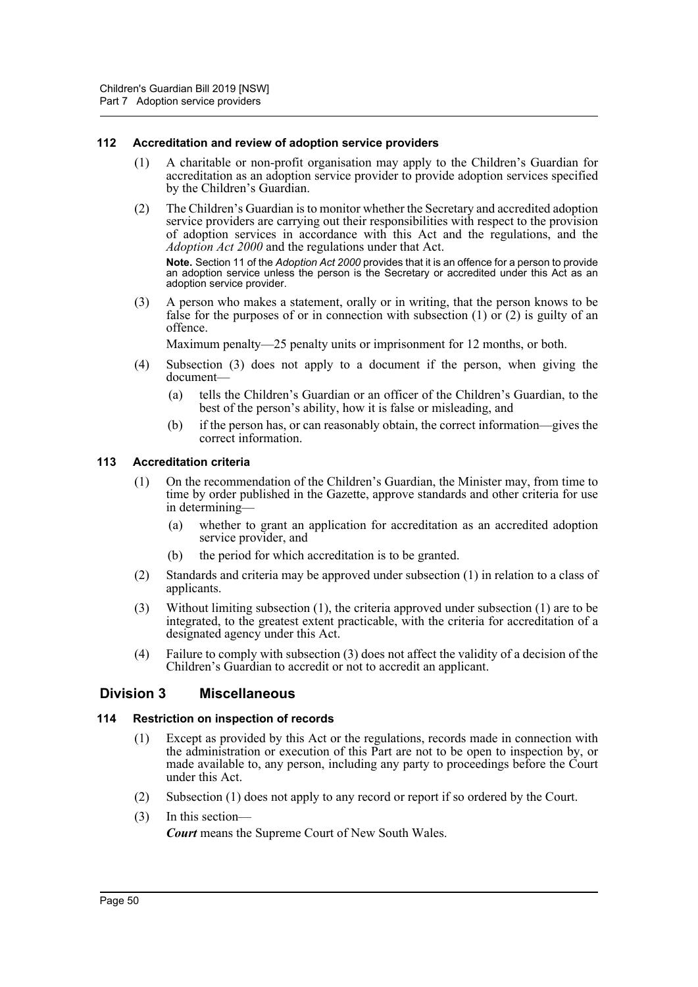#### **112 Accreditation and review of adoption service providers**

- (1) A charitable or non-profit organisation may apply to the Children's Guardian for accreditation as an adoption service provider to provide adoption services specified by the Children's Guardian.
- (2) The Children's Guardian is to monitor whether the Secretary and accredited adoption service providers are carrying out their responsibilities with respect to the provision of adoption services in accordance with this Act and the regulations, and the *Adoption Act 2000* and the regulations under that Act.

**Note.** Section 11 of the *Adoption Act 2000* provides that it is an offence for a person to provide an adoption service unless the person is the Secretary or accredited under this Act as an adoption service provider.

(3) A person who makes a statement, orally or in writing, that the person knows to be false for the purposes of or in connection with subsection  $(1)$  or  $(2)$  is guilty of an offence.

Maximum penalty—25 penalty units or imprisonment for 12 months, or both.

- (4) Subsection (3) does not apply to a document if the person, when giving the document—
	- (a) tells the Children's Guardian or an officer of the Children's Guardian, to the best of the person's ability, how it is false or misleading, and
	- (b) if the person has, or can reasonably obtain, the correct information—gives the correct information.

#### **113 Accreditation criteria**

- (1) On the recommendation of the Children's Guardian, the Minister may, from time to time by order published in the Gazette, approve standards and other criteria for use in determining—
	- (a) whether to grant an application for accreditation as an accredited adoption service provider, and
	- (b) the period for which accreditation is to be granted.
- (2) Standards and criteria may be approved under subsection (1) in relation to a class of applicants.
- (3) Without limiting subsection (1), the criteria approved under subsection (1) are to be integrated, to the greatest extent practicable, with the criteria for accreditation of a designated agency under this Act.
- (4) Failure to comply with subsection (3) does not affect the validity of a decision of the Children's Guardian to accredit or not to accredit an applicant.

### **Division 3 Miscellaneous**

#### **114 Restriction on inspection of records**

- (1) Except as provided by this Act or the regulations, records made in connection with the administration or execution of this Part are not to be open to inspection by, or made available to, any person, including any party to proceedings before the Court under this Act.
- (2) Subsection (1) does not apply to any record or report if so ordered by the Court.
- (3) In this section—

*Court* means the Supreme Court of New South Wales.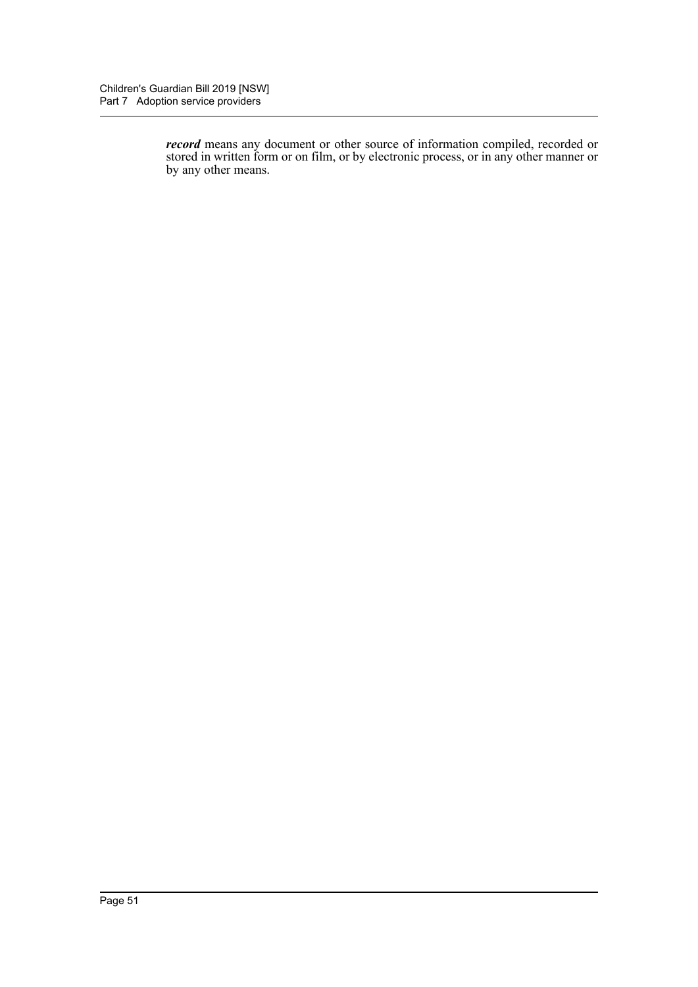*record* means any document or other source of information compiled, recorded or stored in written form or on film, or by electronic process, or in any other manner or by any other means.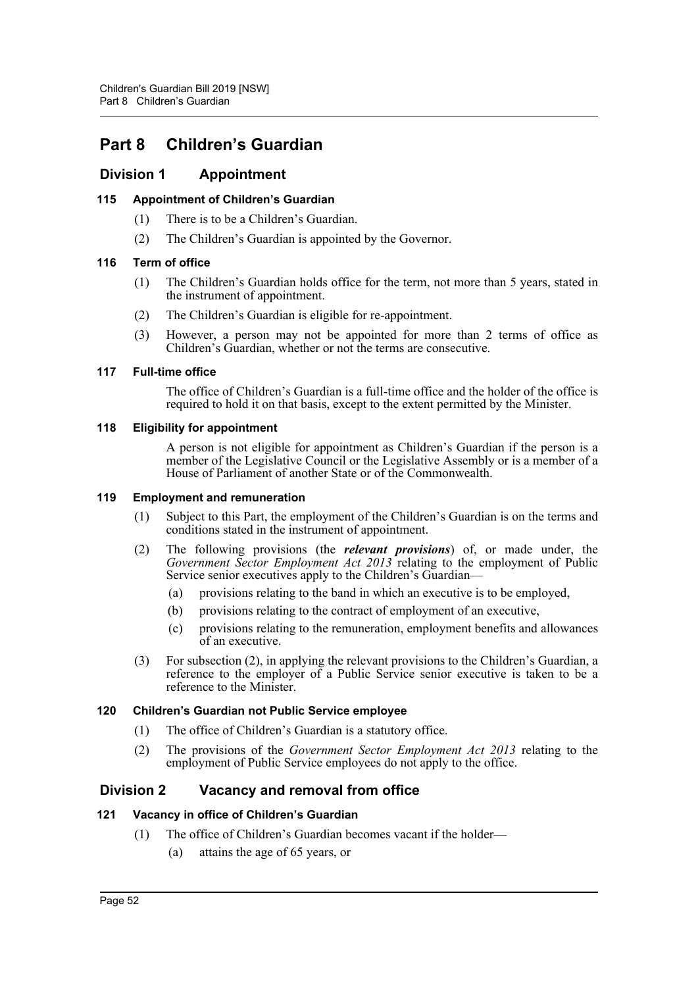# **Part 8 Children's Guardian**

# **Division 1 Appointment**

### **115 Appointment of Children's Guardian**

- (1) There is to be a Children's Guardian.
- (2) The Children's Guardian is appointed by the Governor.

### **116 Term of office**

- (1) The Children's Guardian holds office for the term, not more than 5 years, stated in the instrument of appointment.
- (2) The Children's Guardian is eligible for re-appointment.
- (3) However, a person may not be appointed for more than 2 terms of office as Children's Guardian, whether or not the terms are consecutive.

#### **117 Full-time office**

The office of Children's Guardian is a full-time office and the holder of the office is required to hold it on that basis, except to the extent permitted by the Minister.

#### **118 Eligibility for appointment**

A person is not eligible for appointment as Children's Guardian if the person is a member of the Legislative Council or the Legislative Assembly or is a member of a House of Parliament of another State or of the Commonwealth.

#### **119 Employment and remuneration**

- (1) Subject to this Part, the employment of the Children's Guardian is on the terms and conditions stated in the instrument of appointment.
- (2) The following provisions (the *relevant provisions*) of, or made under, the *Government Sector Employment Act 2013* relating to the employment of Public Service senior executives apply to the Children's Guardian-
	- (a) provisions relating to the band in which an executive is to be employed,
	- (b) provisions relating to the contract of employment of an executive,
	- (c) provisions relating to the remuneration, employment benefits and allowances of an executive.
- (3) For subsection (2), in applying the relevant provisions to the Children's Guardian, a reference to the employer of a Public Service senior executive is taken to be a reference to the Minister.

### **120 Children's Guardian not Public Service employee**

- (1) The office of Children's Guardian is a statutory office.
- (2) The provisions of the *Government Sector Employment Act 2013* relating to the employment of Public Service employees do not apply to the office.

# **Division 2 Vacancy and removal from office**

### **121 Vacancy in office of Children's Guardian**

- (1) The office of Children's Guardian becomes vacant if the holder—
	- (a) attains the age of 65 years, or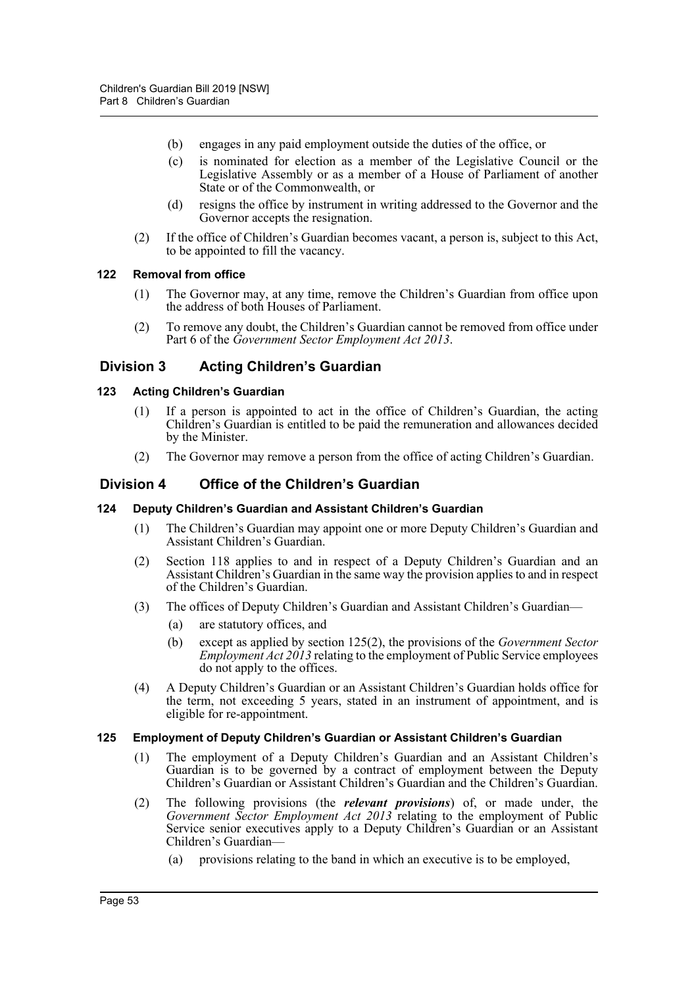- (b) engages in any paid employment outside the duties of the office, or
- (c) is nominated for election as a member of the Legislative Council or the Legislative Assembly or as a member of a House of Parliament of another State or of the Commonwealth, or
- (d) resigns the office by instrument in writing addressed to the Governor and the Governor accepts the resignation.
- (2) If the office of Children's Guardian becomes vacant, a person is, subject to this Act, to be appointed to fill the vacancy.

#### **122 Removal from office**

- (1) The Governor may, at any time, remove the Children's Guardian from office upon the address of both Houses of Parliament.
- (2) To remove any doubt, the Children's Guardian cannot be removed from office under Part 6 of the *Government Sector Employment Act 2013*.

# **Division 3 Acting Children's Guardian**

#### **123 Acting Children's Guardian**

- (1) If a person is appointed to act in the office of Children's Guardian, the acting Children's Guardian is entitled to be paid the remuneration and allowances decided by the Minister.
- (2) The Governor may remove a person from the office of acting Children's Guardian.

### **Division 4 Office of the Children's Guardian**

#### **124 Deputy Children's Guardian and Assistant Children's Guardian**

- (1) The Children's Guardian may appoint one or more Deputy Children's Guardian and Assistant Children's Guardian.
- (2) Section 118 applies to and in respect of a Deputy Children's Guardian and an Assistant Children's Guardian in the same way the provision applies to and in respect of the Children's Guardian.
- (3) The offices of Deputy Children's Guardian and Assistant Children's Guardian—
	- (a) are statutory offices, and
	- (b) except as applied by section 125(2), the provisions of the *Government Sector Employment Act 2013* relating to the employment of Public Service employees do not apply to the offices.
- (4) A Deputy Children's Guardian or an Assistant Children's Guardian holds office for the term, not exceeding 5 years, stated in an instrument of appointment, and is eligible for re-appointment.

#### **125 Employment of Deputy Children's Guardian or Assistant Children's Guardian**

- (1) The employment of a Deputy Children's Guardian and an Assistant Children's Guardian is to be governed by a contract of employment between the Deputy Children's Guardian or Assistant Children's Guardian and the Children's Guardian.
- (2) The following provisions (the *relevant provisions*) of, or made under, the *Government Sector Employment Act 2013* relating to the employment of Public Service senior executives apply to a Deputy Children's Guardian or an Assistant Children's Guardian—
	- (a) provisions relating to the band in which an executive is to be employed,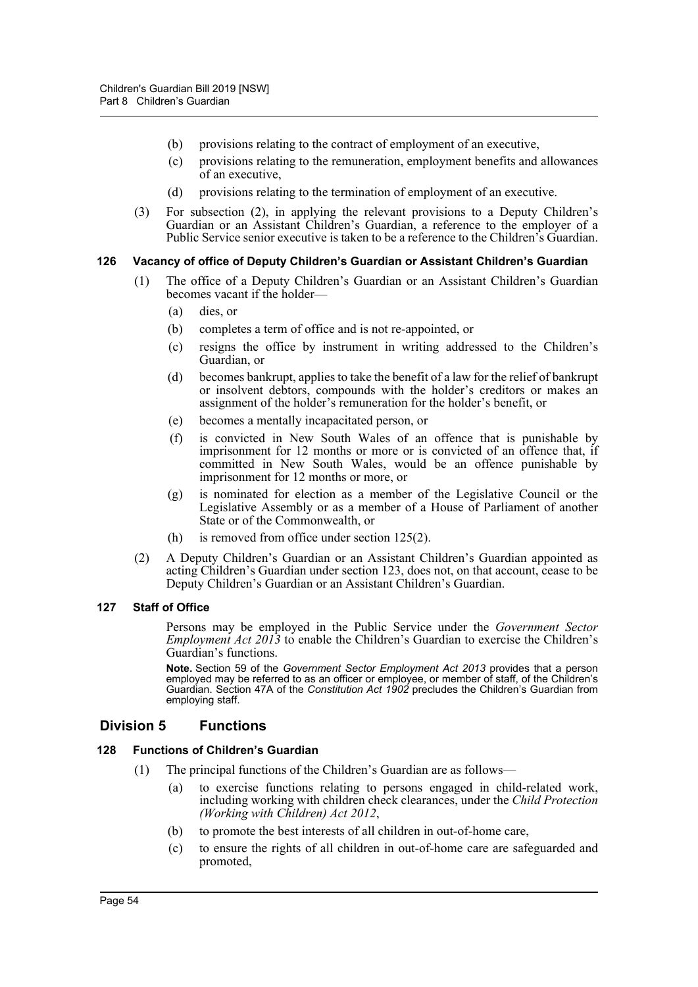- (b) provisions relating to the contract of employment of an executive,
- (c) provisions relating to the remuneration, employment benefits and allowances of an executive,
- (d) provisions relating to the termination of employment of an executive.
- (3) For subsection (2), in applying the relevant provisions to a Deputy Children's Guardian or an Assistant Children's Guardian, a reference to the employer of a Public Service senior executive is taken to be a reference to the Children's Guardian.

#### **126 Vacancy of office of Deputy Children's Guardian or Assistant Children's Guardian**

- (1) The office of a Deputy Children's Guardian or an Assistant Children's Guardian becomes vacant if the holder—
	- (a) dies, or
	- (b) completes a term of office and is not re-appointed, or
	- (c) resigns the office by instrument in writing addressed to the Children's Guardian, or
	- (d) becomes bankrupt, applies to take the benefit of a law for the relief of bankrupt or insolvent debtors, compounds with the holder's creditors or makes an assignment of the holder's remuneration for the holder's benefit, or
	- (e) becomes a mentally incapacitated person, or
	- (f) is convicted in New South Wales of an offence that is punishable by imprisonment for 12 months or more or is convicted of an offence that, if committed in New South Wales, would be an offence punishable by imprisonment for 12 months or more, or
	- (g) is nominated for election as a member of the Legislative Council or the Legislative Assembly or as a member of a House of Parliament of another State or of the Commonwealth, or
	- (h) is removed from office under section 125(2).
- (2) A Deputy Children's Guardian or an Assistant Children's Guardian appointed as acting Children's Guardian under section 123, does not, on that account, cease to be Deputy Children's Guardian or an Assistant Children's Guardian.

#### **127 Staff of Office**

Persons may be employed in the Public Service under the *Government Sector Employment Act 2013* to enable the Children's Guardian to exercise the Children's Guardian's functions.

**Note.** Section 59 of the *Government Sector Employment Act 2013* provides that a person employed may be referred to as an officer or employee, or member of staff, of the Children's Guardian. Section 47A of the *Constitution Act 1902* precludes the Children's Guardian from employing staff.

### **Division 5 Functions**

#### **128 Functions of Children's Guardian**

- (1) The principal functions of the Children's Guardian are as follows—
	- (a) to exercise functions relating to persons engaged in child-related work, including working with children check clearances, under the *Child Protection (Working with Children) Act 2012*,
	- (b) to promote the best interests of all children in out-of-home care,
	- (c) to ensure the rights of all children in out-of-home care are safeguarded and promoted,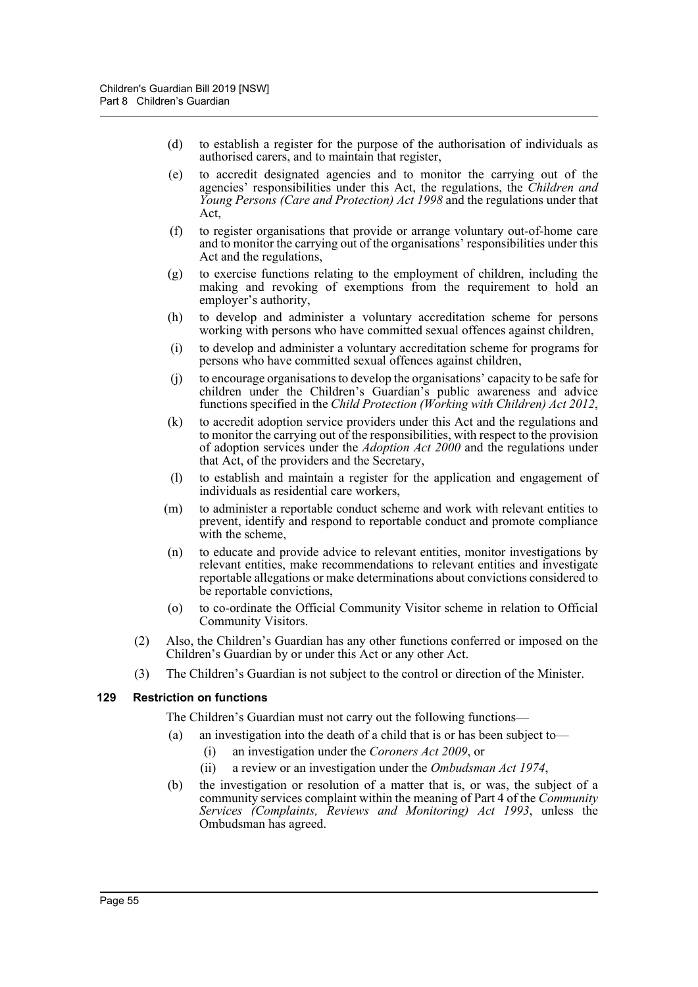- (d) to establish a register for the purpose of the authorisation of individuals as authorised carers, and to maintain that register,
- (e) to accredit designated agencies and to monitor the carrying out of the agencies' responsibilities under this Act, the regulations, the *Children and Young Persons (Care and Protection) Act 1998* and the regulations under that Act,
- (f) to register organisations that provide or arrange voluntary out-of-home care and to monitor the carrying out of the organisations' responsibilities under this Act and the regulations,
- (g) to exercise functions relating to the employment of children, including the making and revoking of exemptions from the requirement to hold an employer's authority,
- (h) to develop and administer a voluntary accreditation scheme for persons working with persons who have committed sexual offences against children,
- (i) to develop and administer a voluntary accreditation scheme for programs for persons who have committed sexual offences against children,
- (j) to encourage organisations to develop the organisations' capacity to be safe for children under the Children's Guardian's public awareness and advice functions specified in the *Child Protection (Working with Children) Act 2012*,
- (k) to accredit adoption service providers under this Act and the regulations and to monitor the carrying out of the responsibilities, with respect to the provision of adoption services under the *Adoption Act 2000* and the regulations under that Act, of the providers and the Secretary,
- (l) to establish and maintain a register for the application and engagement of individuals as residential care workers,
- (m) to administer a reportable conduct scheme and work with relevant entities to prevent, identify and respond to reportable conduct and promote compliance with the scheme,
- (n) to educate and provide advice to relevant entities, monitor investigations by relevant entities, make recommendations to relevant entities and investigate reportable allegations or make determinations about convictions considered to be reportable convictions,
- (o) to co-ordinate the Official Community Visitor scheme in relation to Official Community Visitors.
- (2) Also, the Children's Guardian has any other functions conferred or imposed on the Children's Guardian by or under this Act or any other Act.
- (3) The Children's Guardian is not subject to the control or direction of the Minister.

### **129 Restriction on functions**

The Children's Guardian must not carry out the following functions—

- (a) an investigation into the death of a child that is or has been subject to—
	- (i) an investigation under the *Coroners Act 2009*, or
	- (ii) a review or an investigation under the *Ombudsman Act 1974*,
- (b) the investigation or resolution of a matter that is, or was, the subject of a community services complaint within the meaning of Part 4 of the *Community Services (Complaints, Reviews and Monitoring) Act 1993*, unless the Ombudsman has agreed.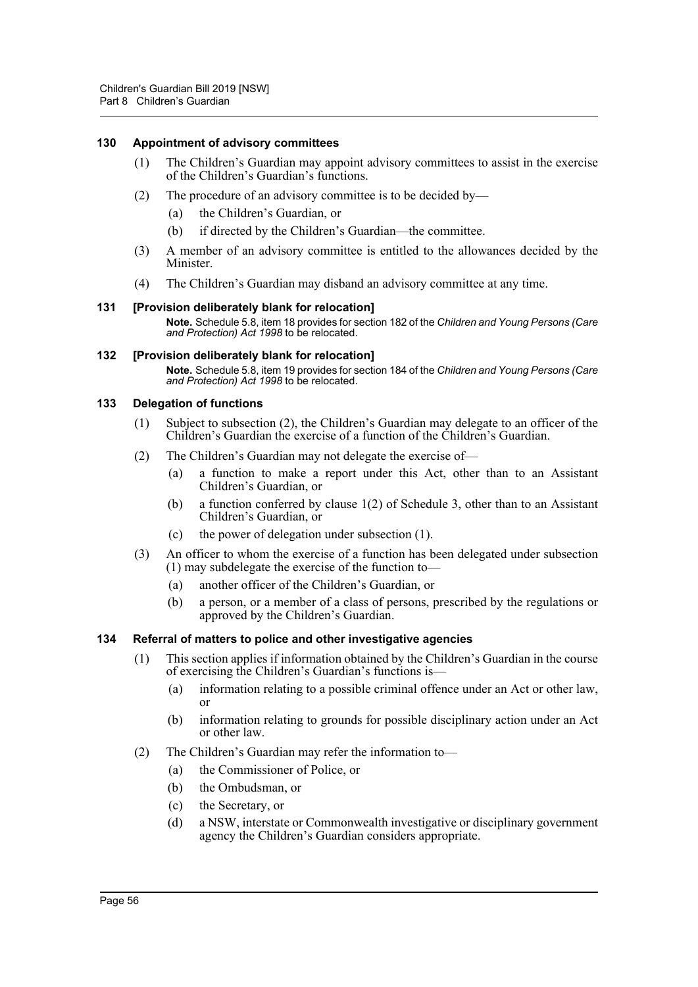#### **130 Appointment of advisory committees**

- (1) The Children's Guardian may appoint advisory committees to assist in the exercise of the Children's Guardian's functions.
- (2) The procedure of an advisory committee is to be decided by—
	- (a) the Children's Guardian, or
	- (b) if directed by the Children's Guardian—the committee.
- (3) A member of an advisory committee is entitled to the allowances decided by the Minister.
- (4) The Children's Guardian may disband an advisory committee at any time.

#### **131 [Provision deliberately blank for relocation]**

**Note.** Schedule 5.8, item 18 provides for section 182 of the *Children and Young Persons (Care and Protection) Act 1998* to be relocated.

#### **132 [Provision deliberately blank for relocation]**

**Note.** Schedule 5.8, item 19 provides for section 184 of the *Children and Young Persons (Care and Protection) Act 1998* to be relocated.

#### **133 Delegation of functions**

- (1) Subject to subsection (2), the Children's Guardian may delegate to an officer of the Children's Guardian the exercise of a function of the Children's Guardian.
- (2) The Children's Guardian may not delegate the exercise of—
	- (a) a function to make a report under this Act, other than to an Assistant Children's Guardian, or
	- (b) a function conferred by clause 1(2) of Schedule 3, other than to an Assistant Children's Guardian, or
	- (c) the power of delegation under subsection (1).
- (3) An officer to whom the exercise of a function has been delegated under subsection (1) may subdelegate the exercise of the function to—
	- (a) another officer of the Children's Guardian, or
	- (b) a person, or a member of a class of persons, prescribed by the regulations or approved by the Children's Guardian.

#### **134 Referral of matters to police and other investigative agencies**

- (1) This section applies if information obtained by the Children's Guardian in the course of exercising the Children's Guardian's functions is—
	- (a) information relating to a possible criminal offence under an Act or other law, or
	- (b) information relating to grounds for possible disciplinary action under an Act or other law.
- (2) The Children's Guardian may refer the information to—
	- (a) the Commissioner of Police, or
	- (b) the Ombudsman, or
	- (c) the Secretary, or
	- (d) a NSW, interstate or Commonwealth investigative or disciplinary government agency the Children's Guardian considers appropriate.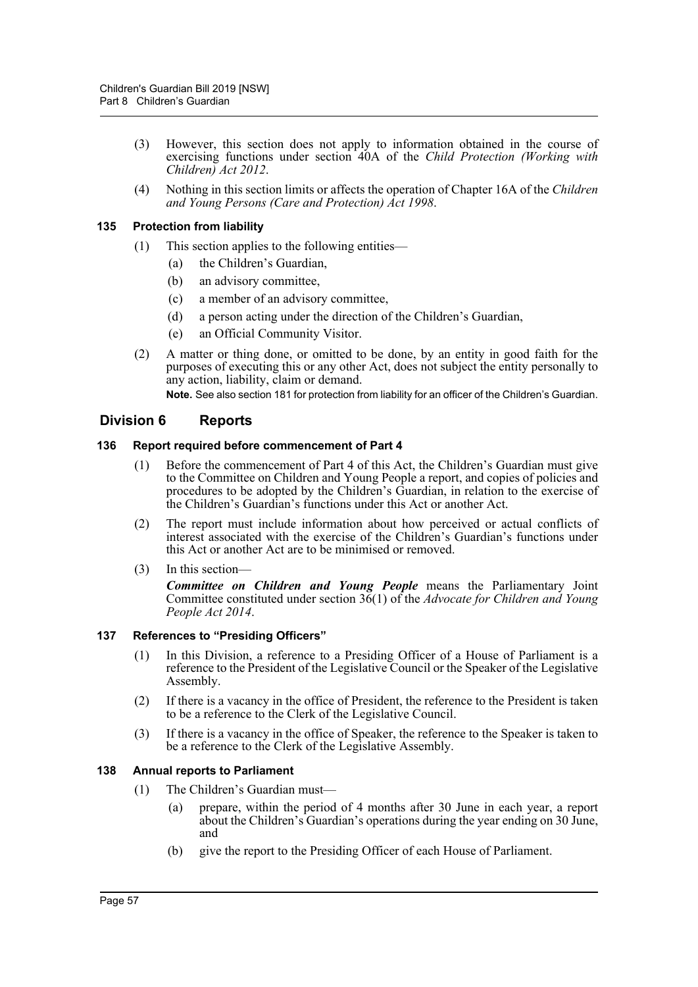- (3) However, this section does not apply to information obtained in the course of exercising functions under section 40A of the *Child Protection (Working with Children) Act 2012*.
- (4) Nothing in this section limits or affects the operation of Chapter 16A of the *Children and Young Persons (Care and Protection) Act 1998*.

#### **135 Protection from liability**

- (1) This section applies to the following entities—
	- (a) the Children's Guardian,
	- (b) an advisory committee,
	- (c) a member of an advisory committee,
	- (d) a person acting under the direction of the Children's Guardian,
	- (e) an Official Community Visitor.
- (2) A matter or thing done, or omitted to be done, by an entity in good faith for the purposes of executing this or any other Act, does not subject the entity personally to any action, liability, claim or demand.

**Note.** See also section 181 for protection from liability for an officer of the Children's Guardian.

# **Division 6 Reports**

#### **136 Report required before commencement of Part 4**

- (1) Before the commencement of Part 4 of this Act, the Children's Guardian must give to the Committee on Children and Young People a report, and copies of policies and procedures to be adopted by the Children's Guardian, in relation to the exercise of the Children's Guardian's functions under this Act or another Act.
- (2) The report must include information about how perceived or actual conflicts of interest associated with the exercise of the Children's Guardian's functions under this Act or another Act are to be minimised or removed.
- (3) In this section— *Committee on Children and Young People* means the Parliamentary Joint Committee constituted under section 36(1) of the *Advocate for Children and Young People Act 2014*.

### **137 References to "Presiding Officers"**

- (1) In this Division, a reference to a Presiding Officer of a House of Parliament is a reference to the President of the Legislative Council or the Speaker of the Legislative Assembly.
- (2) If there is a vacancy in the office of President, the reference to the President is taken to be a reference to the Clerk of the Legislative Council.
- (3) If there is a vacancy in the office of Speaker, the reference to the Speaker is taken to be a reference to the Clerk of the Legislative Assembly.

#### **138 Annual reports to Parliament**

- (1) The Children's Guardian must—
	- (a) prepare, within the period of 4 months after 30 June in each year, a report about the Children's Guardian's operations during the year ending on 30 June, and
	- (b) give the report to the Presiding Officer of each House of Parliament.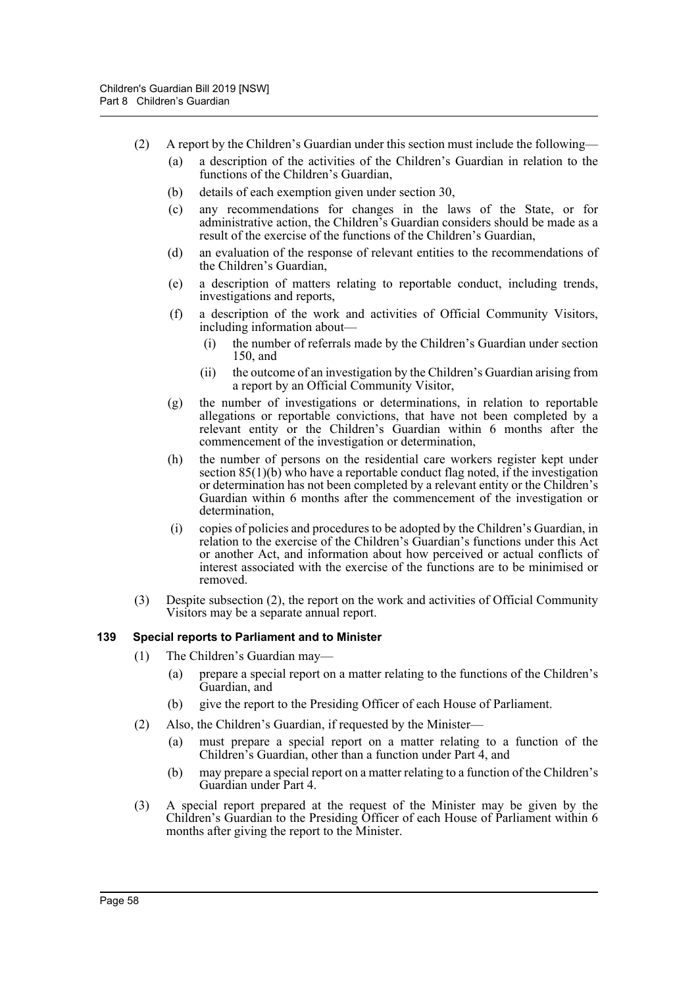- (2) A report by the Children's Guardian under this section must include the following—
	- (a) a description of the activities of the Children's Guardian in relation to the functions of the Children's Guardian,
	- (b) details of each exemption given under section 30,
	- (c) any recommendations for changes in the laws of the State, or for administrative action, the Children's Guardian considers should be made as a result of the exercise of the functions of the Children's Guardian,
	- (d) an evaluation of the response of relevant entities to the recommendations of the Children's Guardian,
	- (e) a description of matters relating to reportable conduct, including trends, investigations and reports,
	- (f) a description of the work and activities of Official Community Visitors, including information about—
		- (i) the number of referrals made by the Children's Guardian under section 150, and
		- (ii) the outcome of an investigation by the Children's Guardian arising from a report by an Official Community Visitor,
	- (g) the number of investigations or determinations, in relation to reportable allegations or reportable convictions, that have not been completed by a relevant entity or the Children's Guardian within 6 months after the commencement of the investigation or determination,
	- (h) the number of persons on the residential care workers register kept under section  $85(1)(b)$  who have a reportable conduct flag noted, if the investigation or determination has not been completed by a relevant entity or the Children's Guardian within 6 months after the commencement of the investigation or determination,
	- (i) copies of policies and procedures to be adopted by the Children's Guardian, in relation to the exercise of the Children's Guardian's functions under this Act or another Act, and information about how perceived or actual conflicts of interest associated with the exercise of the functions are to be minimised or removed.
- (3) Despite subsection (2), the report on the work and activities of Official Community Visitors may be a separate annual report.

#### **139 Special reports to Parliament and to Minister**

- (1) The Children's Guardian may—
	- (a) prepare a special report on a matter relating to the functions of the Children's Guardian, and
	- (b) give the report to the Presiding Officer of each House of Parliament.
- (2) Also, the Children's Guardian, if requested by the Minister—
	- (a) must prepare a special report on a matter relating to a function of the Children's Guardian, other than a function under Part 4, and
	- (b) may prepare a special report on a matter relating to a function of the Children's Guardian under Part 4.
- (3) A special report prepared at the request of the Minister may be given by the Children's Guardian to the Presiding Officer of each House of Parliament within 6 months after giving the report to the Minister.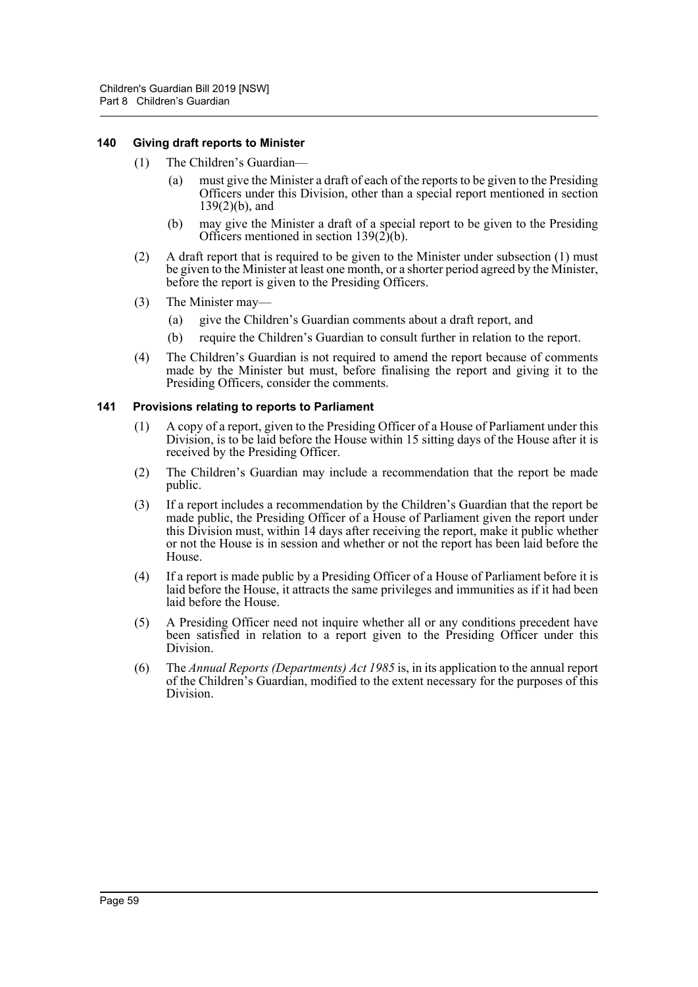#### **140 Giving draft reports to Minister**

- (1) The Children's Guardian—
	- (a) must give the Minister a draft of each of the reports to be given to the Presiding Officers under this Division, other than a special report mentioned in section 139(2)(b), and
	- (b) may give the Minister a draft of a special report to be given to the Presiding Officers mentioned in section  $139(2)(b)$ .
- (2) A draft report that is required to be given to the Minister under subsection (1) must be given to the Minister at least one month, or a shorter period agreed by the Minister, before the report is given to the Presiding Officers.
- (3) The Minister may—
	- (a) give the Children's Guardian comments about a draft report, and
	- (b) require the Children's Guardian to consult further in relation to the report.
- (4) The Children's Guardian is not required to amend the report because of comments made by the Minister but must, before finalising the report and giving it to the Presiding Officers, consider the comments.

#### **141 Provisions relating to reports to Parliament**

- (1) A copy of a report, given to the Presiding Officer of a House of Parliament under this Division, is to be laid before the House within 15 sitting days of the House after it is received by the Presiding Officer.
- (2) The Children's Guardian may include a recommendation that the report be made public.
- (3) If a report includes a recommendation by the Children's Guardian that the report be made public, the Presiding Officer of a House of Parliament given the report under this Division must, within 14 days after receiving the report, make it public whether or not the House is in session and whether or not the report has been laid before the House.
- (4) If a report is made public by a Presiding Officer of a House of Parliament before it is laid before the House, it attracts the same privileges and immunities as if it had been laid before the House.
- (5) A Presiding Officer need not inquire whether all or any conditions precedent have been satisfied in relation to a report given to the Presiding Officer under this Division.
- (6) The *Annual Reports (Departments) Act 1985* is, in its application to the annual report of the Children's Guardian, modified to the extent necessary for the purposes of this Division.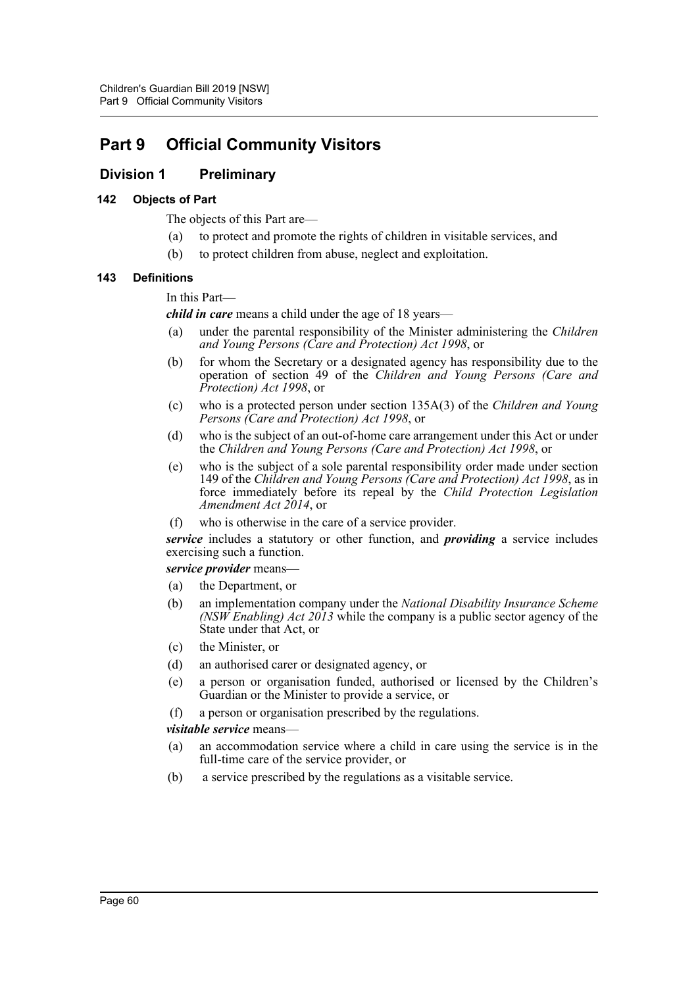# **Part 9 Official Community Visitors**

# **Division 1 Preliminary**

#### **142 Objects of Part**

The objects of this Part are—

- (a) to protect and promote the rights of children in visitable services, and
- (b) to protect children from abuse, neglect and exploitation.

#### **143 Definitions**

In this Part—

*child in care* means a child under the age of 18 years—

- (a) under the parental responsibility of the Minister administering the *Children and Young Persons (Care and Protection) Act 1998*, or
- (b) for whom the Secretary or a designated agency has responsibility due to the operation of section 49 of the *Children and Young Persons (Care and Protection) Act 1998*, or
- (c) who is a protected person under section 135A(3) of the *Children and Young Persons (Care and Protection) Act 1998*, or
- (d) who is the subject of an out-of-home care arrangement under this Act or under the *Children and Young Persons (Care and Protection) Act 1998*, or
- (e) who is the subject of a sole parental responsibility order made under section 149 of the *Children and Young Persons (Care and Protection) Act 1998*, as in force immediately before its repeal by the *Child Protection Legislation Amendment Act 2014*, or
- (f) who is otherwise in the care of a service provider.

*service* includes a statutory or other function, and *providing* a service includes exercising such a function.

*service provider* means—

- (a) the Department, or
- (b) an implementation company under the *National Disability Insurance Scheme (NSW Enabling) Act 2013* while the company is a public sector agency of the State under that Act, or
- (c) the Minister, or
- (d) an authorised carer or designated agency, or
- (e) a person or organisation funded, authorised or licensed by the Children's Guardian or the Minister to provide a service, or
- (f) a person or organisation prescribed by the regulations.

*visitable service* means—

- (a) an accommodation service where a child in care using the service is in the full-time care of the service provider, or
- (b) a service prescribed by the regulations as a visitable service.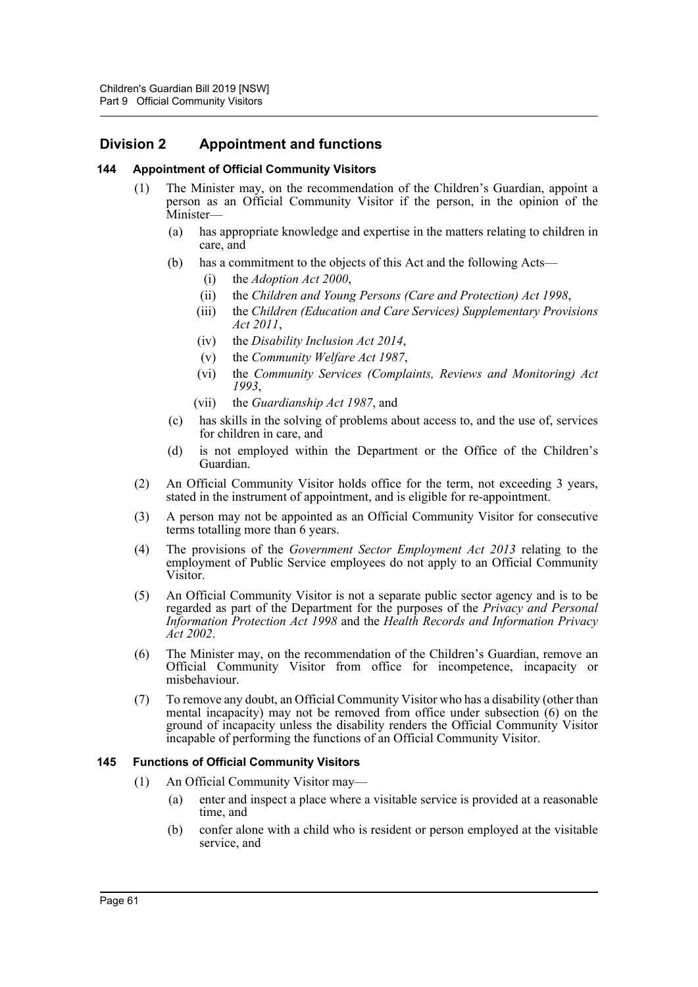# **Division 2 Appointment and functions**

#### **144 Appointment of Official Community Visitors**

- (1) The Minister may, on the recommendation of the Children's Guardian, appoint a person as an Official Community Visitor if the person, in the opinion of the Minister—
	- (a) has appropriate knowledge and expertise in the matters relating to children in care, and
	- (b) has a commitment to the objects of this Act and the following Acts—
		- (i) the *Adoption Act 2000*,
		- (ii) the *Children and Young Persons (Care and Protection) Act 1998*,
		- (iii) the *Children (Education and Care Services) Supplementary Provisions Act 2011*,
		- (iv) the *Disability Inclusion Act 2014*,
		- (v) the *Community Welfare Act 1987*,
		- (vi) the *Community Services (Complaints, Reviews and Monitoring) Act 1993*,
		- (vii) the *Guardianship Act 1987*, and
	- (c) has skills in the solving of problems about access to, and the use of, services for children in care, and
	- (d) is not employed within the Department or the Office of the Children's Guardian.
- (2) An Official Community Visitor holds office for the term, not exceeding 3 years, stated in the instrument of appointment, and is eligible for re-appointment.
- (3) A person may not be appointed as an Official Community Visitor for consecutive terms totalling more than 6 years.
- (4) The provisions of the *Government Sector Employment Act 2013* relating to the employment of Public Service employees do not apply to an Official Community Visitor.
- (5) An Official Community Visitor is not a separate public sector agency and is to be regarded as part of the Department for the purposes of the *Privacy and Personal Information Protection Act 1998* and the *Health Records and Information Privacy Act 2002*.
- (6) The Minister may, on the recommendation of the Children's Guardian, remove an Official Community Visitor from office for incompetence, incapacity or misbehaviour.
- (7) To remove any doubt, an Official Community Visitor who has a disability (other than mental incapacity) may not be removed from office under subsection (6) on the ground of incapacity unless the disability renders the Official Community Visitor incapable of performing the functions of an Official Community Visitor.

#### **145 Functions of Official Community Visitors**

- (1) An Official Community Visitor may—
	- (a) enter and inspect a place where a visitable service is provided at a reasonable time, and
	- (b) confer alone with a child who is resident or person employed at the visitable service, and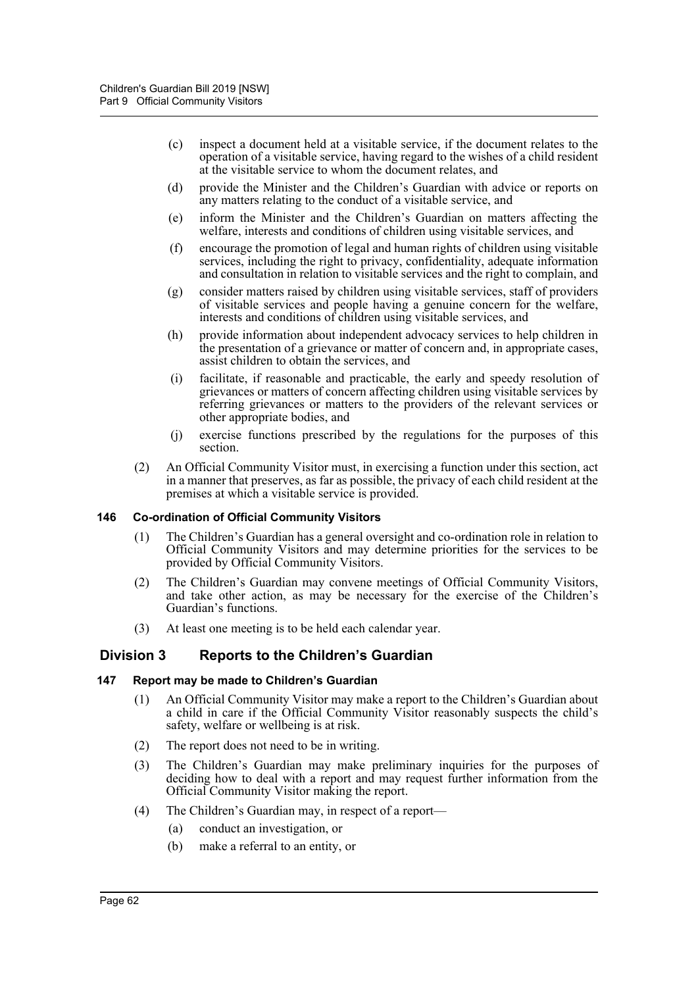- (c) inspect a document held at a visitable service, if the document relates to the operation of a visitable service, having regard to the wishes of a child resident at the visitable service to whom the document relates, and
- (d) provide the Minister and the Children's Guardian with advice or reports on any matters relating to the conduct of a visitable service, and
- (e) inform the Minister and the Children's Guardian on matters affecting the welfare, interests and conditions of children using visitable services, and
- (f) encourage the promotion of legal and human rights of children using visitable services, including the right to privacy, confidentiality, adequate information and consultation in relation to visitable services and the right to complain, and
- (g) consider matters raised by children using visitable services, staff of providers of visitable services and people having a genuine concern for the welfare, interests and conditions of children using visitable services, and
- (h) provide information about independent advocacy services to help children in the presentation of a grievance or matter of concern and, in appropriate cases, assist children to obtain the services, and
- (i) facilitate, if reasonable and practicable, the early and speedy resolution of grievances or matters of concern affecting children using visitable services by referring grievances or matters to the providers of the relevant services or other appropriate bodies, and
- (j) exercise functions prescribed by the regulations for the purposes of this section.
- (2) An Official Community Visitor must, in exercising a function under this section, act in a manner that preserves, as far as possible, the privacy of each child resident at the premises at which a visitable service is provided.

#### **146 Co-ordination of Official Community Visitors**

- (1) The Children's Guardian has a general oversight and co-ordination role in relation to Official Community Visitors and may determine priorities for the services to be provided by Official Community Visitors.
- (2) The Children's Guardian may convene meetings of Official Community Visitors, and take other action, as may be necessary for the exercise of the Children's Guardian's functions.
- (3) At least one meeting is to be held each calendar year.

# **Division 3 Reports to the Children's Guardian**

#### **147 Report may be made to Children's Guardian**

- (1) An Official Community Visitor may make a report to the Children's Guardian about a child in care if the Official Community Visitor reasonably suspects the child's safety, welfare or wellbeing is at risk.
- (2) The report does not need to be in writing.
- (3) The Children's Guardian may make preliminary inquiries for the purposes of deciding how to deal with a report and may request further information from the Official Community Visitor making the report.
- (4) The Children's Guardian may, in respect of a report—
	- (a) conduct an investigation, or
	- (b) make a referral to an entity, or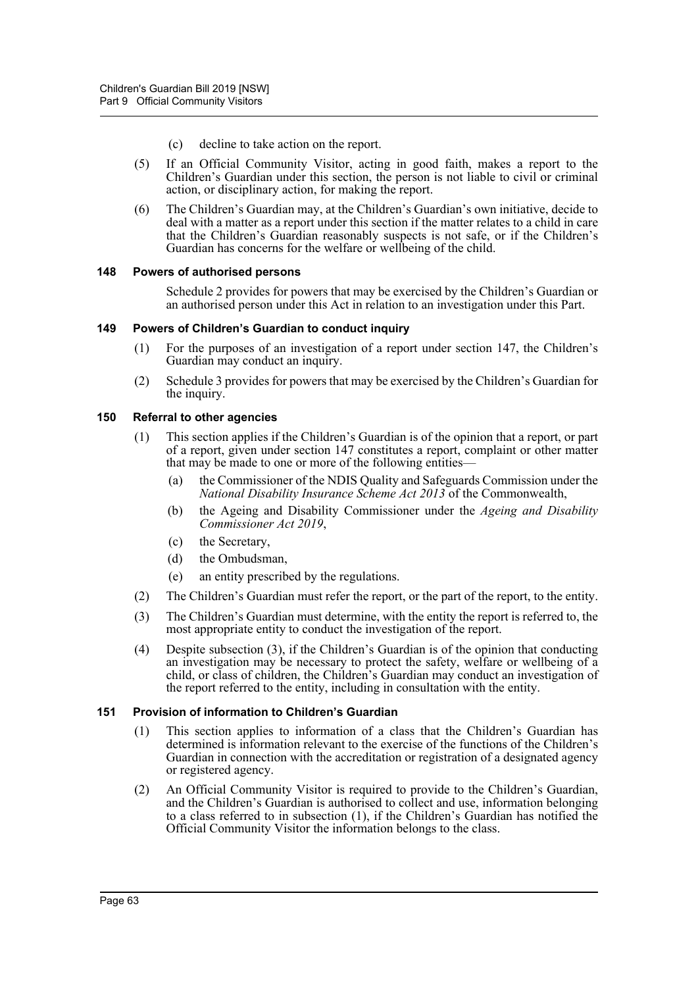- (c) decline to take action on the report.
- (5) If an Official Community Visitor, acting in good faith, makes a report to the Children's Guardian under this section, the person is not liable to civil or criminal action, or disciplinary action, for making the report.
- (6) The Children's Guardian may, at the Children's Guardian's own initiative, decide to deal with a matter as a report under this section if the matter relates to a child in care that the Children's Guardian reasonably suspects is not safe, or if the Children's Guardian has concerns for the welfare or wellbeing of the child.

#### **148 Powers of authorised persons**

Schedule 2 provides for powers that may be exercised by the Children's Guardian or an authorised person under this Act in relation to an investigation under this Part.

#### **149 Powers of Children's Guardian to conduct inquiry**

- (1) For the purposes of an investigation of a report under section 147, the Children's Guardian may conduct an inquiry.
- (2) Schedule 3 provides for powers that may be exercised by the Children's Guardian for the inquiry.

#### **150 Referral to other agencies**

- (1) This section applies if the Children's Guardian is of the opinion that a report, or part of a report, given under section 147 constitutes a report, complaint or other matter that may be made to one or more of the following entities—
	- (a) the Commissioner of the NDIS Quality and Safeguards Commission under the *National Disability Insurance Scheme Act 2013* of the Commonwealth,
	- (b) the Ageing and Disability Commissioner under the *Ageing and Disability Commissioner Act 2019*,
	- (c) the Secretary,
	- (d) the Ombudsman,
	- (e) an entity prescribed by the regulations.
- (2) The Children's Guardian must refer the report, or the part of the report, to the entity.
- (3) The Children's Guardian must determine, with the entity the report is referred to, the most appropriate entity to conduct the investigation of the report.
- (4) Despite subsection (3), if the Children's Guardian is of the opinion that conducting an investigation may be necessary to protect the safety, welfare or wellbeing of a child, or class of children, the Children's Guardian may conduct an investigation of the report referred to the entity, including in consultation with the entity.

#### **151 Provision of information to Children's Guardian**

- (1) This section applies to information of a class that the Children's Guardian has determined is information relevant to the exercise of the functions of the Children's Guardian in connection with the accreditation or registration of a designated agency or registered agency.
- (2) An Official Community Visitor is required to provide to the Children's Guardian, and the Children's Guardian is authorised to collect and use, information belonging to a class referred to in subsection (1), if the Children's Guardian has notified the Official Community Visitor the information belongs to the class.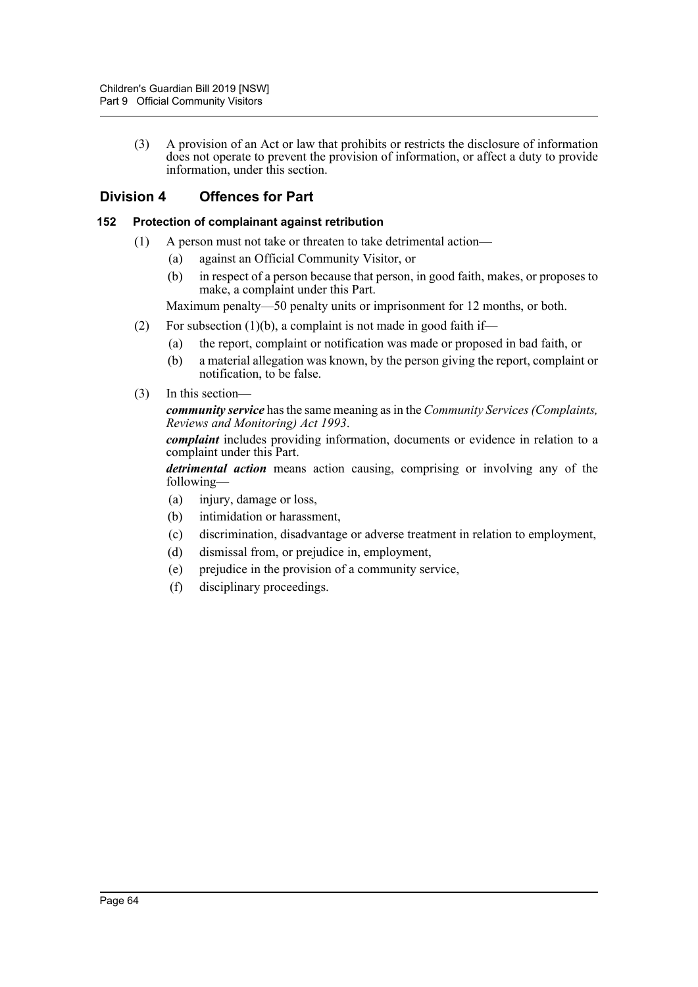(3) A provision of an Act or law that prohibits or restricts the disclosure of information does not operate to prevent the provision of information, or affect a duty to provide information, under this section.

# **Division 4 Offences for Part**

### **152 Protection of complainant against retribution**

- (1) A person must not take or threaten to take detrimental action—
	- (a) against an Official Community Visitor, or
	- (b) in respect of a person because that person, in good faith, makes, or proposes to make, a complaint under this Part.

Maximum penalty—50 penalty units or imprisonment for 12 months, or both.

- (2) For subsection  $(1)(b)$ , a complaint is not made in good faith if—
	- (a) the report, complaint or notification was made or proposed in bad faith, or
	- (b) a material allegation was known, by the person giving the report, complaint or notification, to be false.
- (3) In this section—

*community service* has the same meaning as in the *Community Services (Complaints, Reviews and Monitoring) Act 1993*.

*complaint* includes providing information, documents or evidence in relation to a complaint under this Part.

*detrimental action* means action causing, comprising or involving any of the following—

- (a) injury, damage or loss,
- (b) intimidation or harassment,
- (c) discrimination, disadvantage or adverse treatment in relation to employment,
- (d) dismissal from, or prejudice in, employment,
- (e) prejudice in the provision of a community service,
- (f) disciplinary proceedings.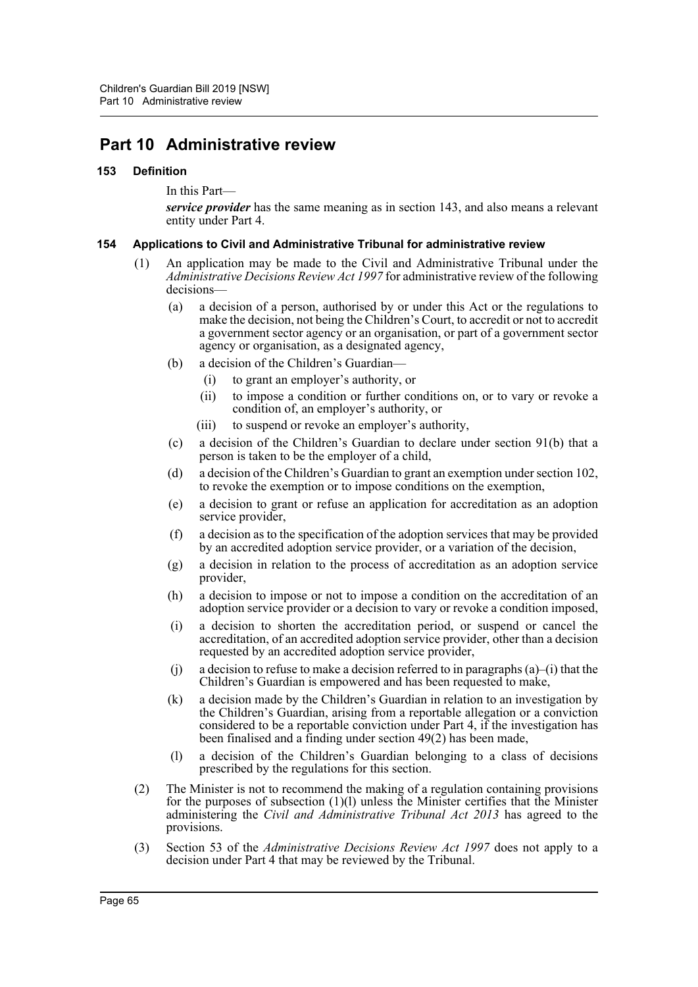# **Part 10 Administrative review**

#### **153 Definition**

In this Part—

*service provider* has the same meaning as in section 143, and also means a relevant entity under Part 4.

#### **154 Applications to Civil and Administrative Tribunal for administrative review**

- (1) An application may be made to the Civil and Administrative Tribunal under the *Administrative Decisions Review Act 1997* for administrative review of the following decisions
	- (a) a decision of a person, authorised by or under this Act or the regulations to make the decision, not being the Children's Court, to accredit or not to accredit a government sector agency or an organisation, or part of a government sector agency or organisation, as a designated agency,
	- (b) a decision of the Children's Guardian—
		- (i) to grant an employer's authority, or
		- (ii) to impose a condition or further conditions on, or to vary or revoke a condition of, an employer's authority, or
		- (iii) to suspend or revoke an employer's authority,
	- (c) a decision of the Children's Guardian to declare under section 91(b) that a person is taken to be the employer of a child,
	- (d) a decision of the Children's Guardian to grant an exemption under section 102, to revoke the exemption or to impose conditions on the exemption,
	- (e) a decision to grant or refuse an application for accreditation as an adoption service provider,
	- (f) a decision as to the specification of the adoption services that may be provided by an accredited adoption service provider, or a variation of the decision,
	- (g) a decision in relation to the process of accreditation as an adoption service provider,
	- (h) a decision to impose or not to impose a condition on the accreditation of an adoption service provider or a decision to vary or revoke a condition imposed,
	- (i) a decision to shorten the accreditation period, or suspend or cancel the accreditation, of an accredited adoption service provider, other than a decision requested by an accredited adoption service provider,
	- (i) a decision to refuse to make a decision referred to in paragraphs  $(a)$ –(i) that the Children's Guardian is empowered and has been requested to make,
	- (k) a decision made by the Children's Guardian in relation to an investigation by the Children's Guardian, arising from a reportable allegation or a conviction considered to be a reportable conviction under Part 4, if the investigation has been finalised and a finding under section 49(2) has been made,
	- (l) a decision of the Children's Guardian belonging to a class of decisions prescribed by the regulations for this section.
- (2) The Minister is not to recommend the making of a regulation containing provisions for the purposes of subsection  $(1)(l)$  unless the Minister certifies that the Minister administering the *Civil and Administrative Tribunal Act 2013* has agreed to the provisions.
- (3) Section 53 of the *Administrative Decisions Review Act 1997* does not apply to a decision under Part 4 that may be reviewed by the Tribunal.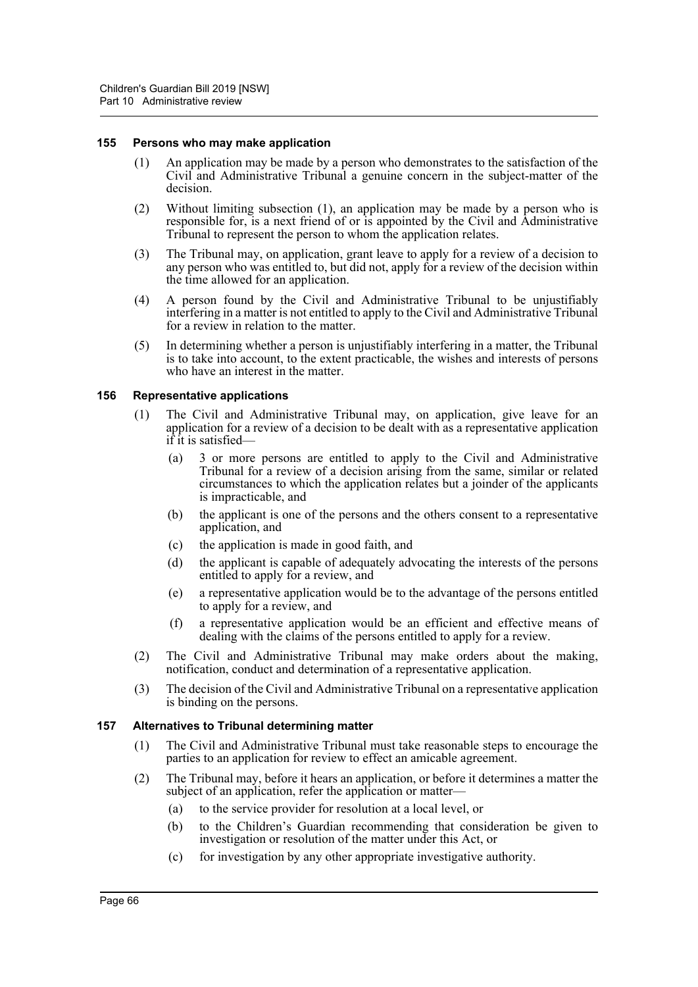#### **155 Persons who may make application**

- (1) An application may be made by a person who demonstrates to the satisfaction of the Civil and Administrative Tribunal a genuine concern in the subject-matter of the decision.
- (2) Without limiting subsection (1), an application may be made by a person who is responsible for, is a next friend of or is appointed by the Civil and Administrative Tribunal to represent the person to whom the application relates.
- (3) The Tribunal may, on application, grant leave to apply for a review of a decision to any person who was entitled to, but did not, apply for a review of the decision within the time allowed for an application.
- (4) A person found by the Civil and Administrative Tribunal to be unjustifiably interfering in a matter is not entitled to apply to the Civil and Administrative Tribunal for a review in relation to the matter.
- (5) In determining whether a person is unjustifiably interfering in a matter, the Tribunal is to take into account, to the extent practicable, the wishes and interests of persons who have an interest in the matter.

#### **156 Representative applications**

- (1) The Civil and Administrative Tribunal may, on application, give leave for an application for a review of a decision to be dealt with as a representative application if it is satisfied—
	- (a) 3 or more persons are entitled to apply to the Civil and Administrative Tribunal for a review of a decision arising from the same, similar or related circumstances to which the application relates but a joinder of the applicants is impracticable, and
	- (b) the applicant is one of the persons and the others consent to a representative application, and
	- (c) the application is made in good faith, and
	- (d) the applicant is capable of adequately advocating the interests of the persons entitled to apply for a review, and
	- (e) a representative application would be to the advantage of the persons entitled to apply for a review, and
	- (f) a representative application would be an efficient and effective means of dealing with the claims of the persons entitled to apply for a review.
- (2) The Civil and Administrative Tribunal may make orders about the making, notification, conduct and determination of a representative application.
- (3) The decision of the Civil and Administrative Tribunal on a representative application is binding on the persons.

#### **157 Alternatives to Tribunal determining matter**

- (1) The Civil and Administrative Tribunal must take reasonable steps to encourage the parties to an application for review to effect an amicable agreement.
- (2) The Tribunal may, before it hears an application, or before it determines a matter the subject of an application, refer the application or matter—
	- (a) to the service provider for resolution at a local level, or
	- (b) to the Children's Guardian recommending that consideration be given to investigation or resolution of the matter under this Act, or
	- (c) for investigation by any other appropriate investigative authority.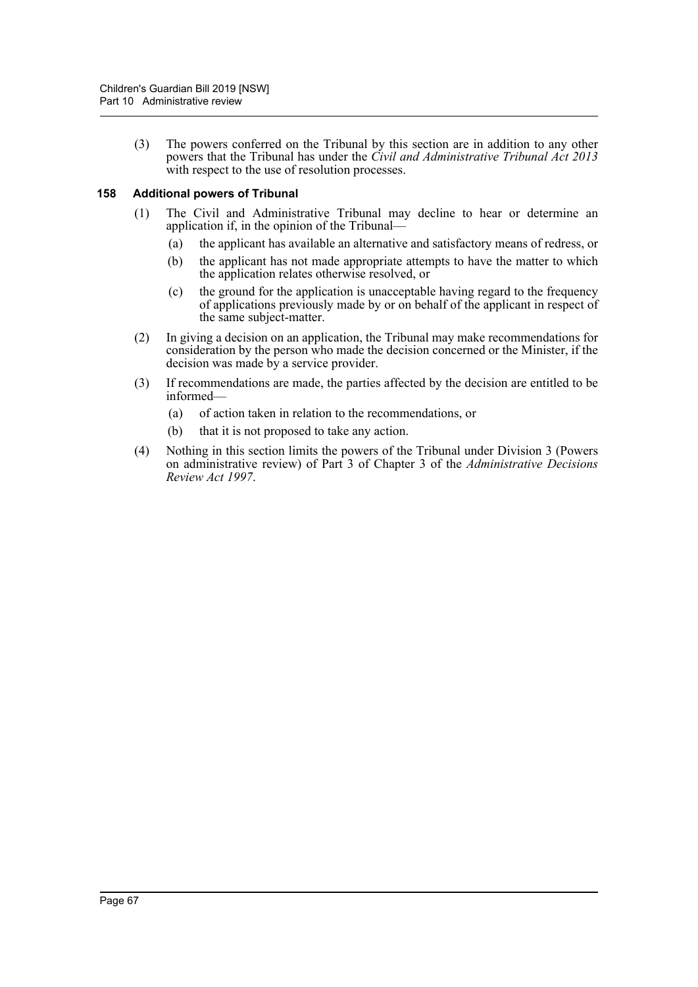(3) The powers conferred on the Tribunal by this section are in addition to any other powers that the Tribunal has under the *Civil and Administrative Tribunal Act 2013* with respect to the use of resolution processes.

#### **158 Additional powers of Tribunal**

- (1) The Civil and Administrative Tribunal may decline to hear or determine an application if, in the opinion of the Tribunal—
	- (a) the applicant has available an alternative and satisfactory means of redress, or
	- (b) the applicant has not made appropriate attempts to have the matter to which the application relates otherwise resolved, or
	- (c) the ground for the application is unacceptable having regard to the frequency of applications previously made by or on behalf of the applicant in respect of the same subject-matter.
- (2) In giving a decision on an application, the Tribunal may make recommendations for consideration by the person who made the decision concerned or the Minister, if the decision was made by a service provider.
- (3) If recommendations are made, the parties affected by the decision are entitled to be informed—
	- (a) of action taken in relation to the recommendations, or
	- (b) that it is not proposed to take any action.
- (4) Nothing in this section limits the powers of the Tribunal under Division 3 (Powers on administrative review) of Part 3 of Chapter 3 of the *Administrative Decisions Review Act 1997*.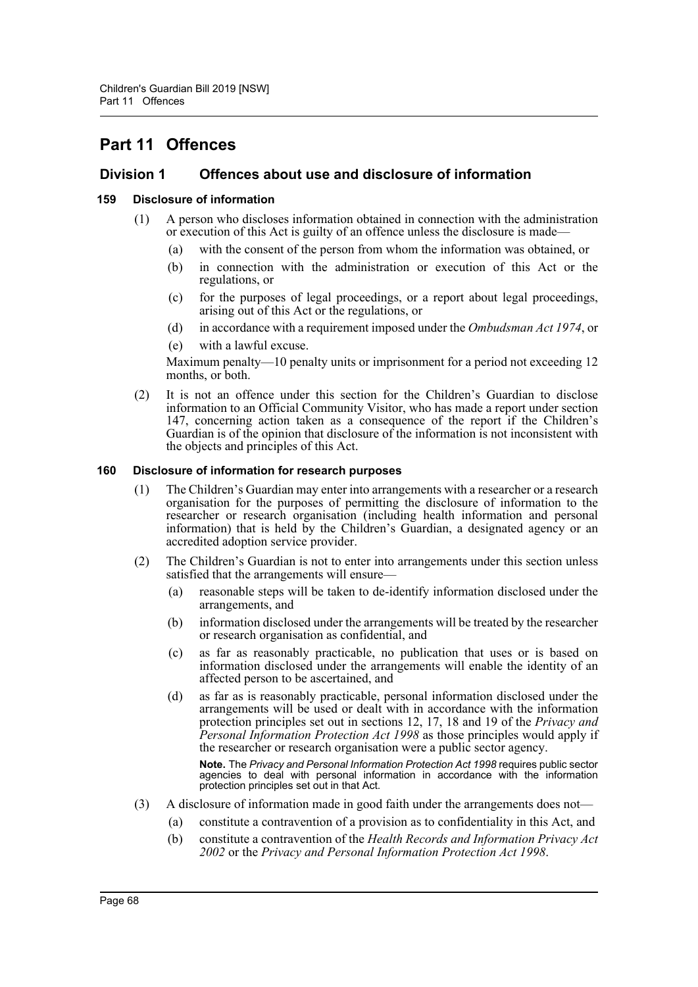# **Part 11 Offences**

### **Division 1 Offences about use and disclosure of information**

#### **159 Disclosure of information**

- (1) A person who discloses information obtained in connection with the administration or execution of this Act is guilty of an offence unless the disclosure is made—
	- (a) with the consent of the person from whom the information was obtained, or
	- (b) in connection with the administration or execution of this Act or the regulations, or
	- (c) for the purposes of legal proceedings, or a report about legal proceedings, arising out of this Act or the regulations, or
	- (d) in accordance with a requirement imposed under the *Ombudsman Act 1974*, or
	- (e) with a lawful excuse.

Maximum penalty—10 penalty units or imprisonment for a period not exceeding 12 months, or both.

(2) It is not an offence under this section for the Children's Guardian to disclose information to an Official Community Visitor, who has made a report under section 147, concerning action taken as a consequence of the report if the Children's Guardian is of the opinion that disclosure of the information is not inconsistent with the objects and principles of this Act.

#### **160 Disclosure of information for research purposes**

- (1) The Children's Guardian may enter into arrangements with a researcher or a research organisation for the purposes of permitting the disclosure of information to the researcher or research organisation (including health information and personal information) that is held by the Children's Guardian, a designated agency or an accredited adoption service provider.
- (2) The Children's Guardian is not to enter into arrangements under this section unless satisfied that the arrangements will ensure—
	- (a) reasonable steps will be taken to de-identify information disclosed under the arrangements, and
	- (b) information disclosed under the arrangements will be treated by the researcher or research organisation as confidential, and
	- (c) as far as reasonably practicable, no publication that uses or is based on information disclosed under the arrangements will enable the identity of an affected person to be ascertained, and
	- (d) as far as is reasonably practicable, personal information disclosed under the arrangements will be used or dealt with in accordance with the information protection principles set out in sections 12, 17, 18 and 19 of the *Privacy and Personal Information Protection Act 1998* as those principles would apply if the researcher or research organisation were a public sector agency.

**Note.** The *Privacy and Personal Information Protection Act 1998* requires public sector agencies to deal with personal information in accordance with the information protection principles set out in that Act.

- (3) A disclosure of information made in good faith under the arrangements does not—
	- (a) constitute a contravention of a provision as to confidentiality in this Act, and
	- (b) constitute a contravention of the *Health Records and Information Privacy Act 2002* or the *Privacy and Personal Information Protection Act 1998*.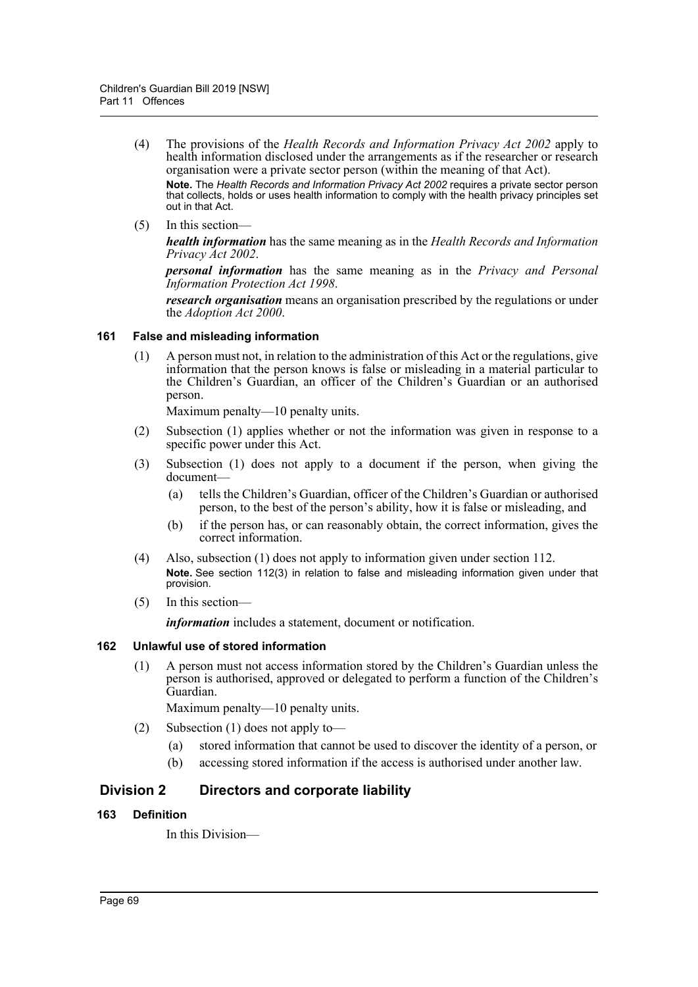(4) The provisions of the *Health Records and Information Privacy Act 2002* apply to health information disclosed under the arrangements as if the researcher or research organisation were a private sector person (within the meaning of that Act).

**Note.** The *Health Records and Information Privacy Act 2002* requires a private sector person that collects, holds or uses health information to comply with the health privacy principles set out in that Act.

(5) In this section—

*health information* has the same meaning as in the *Health Records and Information Privacy Act 2002*.

*personal information* has the same meaning as in the *Privacy and Personal Information Protection Act 1998*.

*research organisation* means an organisation prescribed by the regulations or under the *Adoption Act 2000*.

#### **161 False and misleading information**

(1) A person must not, in relation to the administration of this Act or the regulations, give information that the person knows is false or misleading in a material particular to the Children's Guardian, an officer of the Children's Guardian or an authorised person.

Maximum penalty—10 penalty units.

- (2) Subsection (1) applies whether or not the information was given in response to a specific power under this Act.
- (3) Subsection (1) does not apply to a document if the person, when giving the document—
	- (a) tells the Children's Guardian, officer of the Children's Guardian or authorised person, to the best of the person's ability, how it is false or misleading, and
	- (b) if the person has, or can reasonably obtain, the correct information, gives the correct information.
- (4) Also, subsection (1) does not apply to information given under section 112. **Note.** See section 112(3) in relation to false and misleading information given under that provision.
- (5) In this section—

*information* includes a statement, document or notification.

#### **162 Unlawful use of stored information**

(1) A person must not access information stored by the Children's Guardian unless the person is authorised, approved or delegated to perform a function of the Children's Guardian.

Maximum penalty—10 penalty units.

- (2) Subsection (1) does not apply to—
	- (a) stored information that cannot be used to discover the identity of a person, or
	- (b) accessing stored information if the access is authorised under another law.

### **Division 2 Directors and corporate liability**

#### **163 Definition**

In this Division—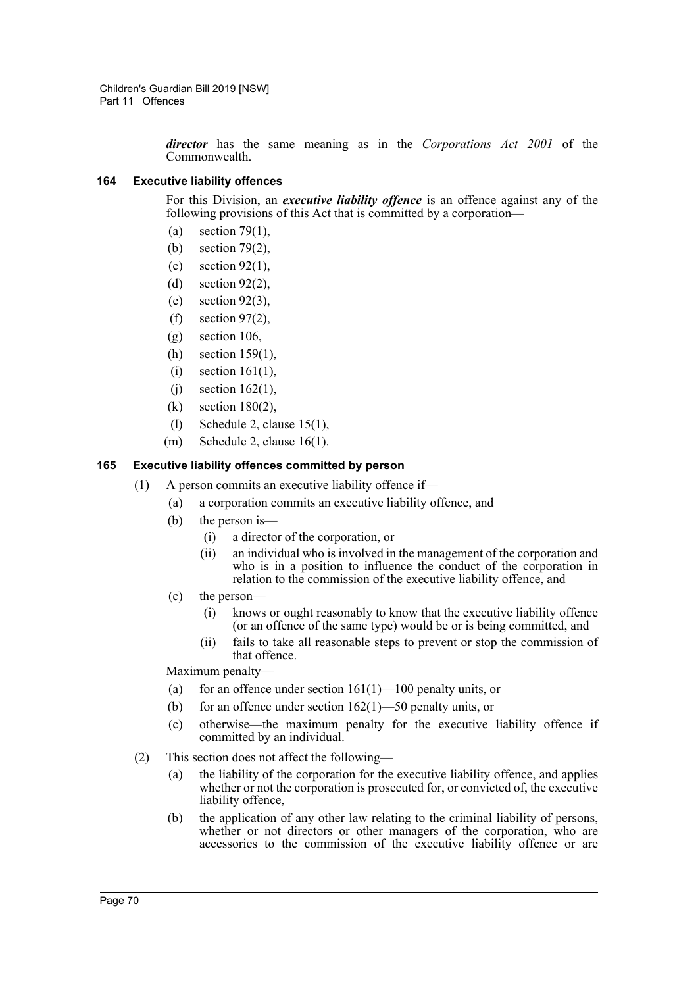*director* has the same meaning as in the *Corporations Act 2001* of the Commonwealth.

#### **164 Executive liability offences**

For this Division, an *executive liability offence* is an offence against any of the following provisions of this Act that is committed by a corporation—

- (a) section 79(1),
- (b) section 79(2),
- $(c)$  section 92(1).
- (d) section 92(2),
- (e) section 92(3),
- (f) section 97(2),
- (g) section 106,
- (h) section 159(1),
- (i) section 161(1),
- $(i)$  section 162(1),
- (k) section 180(2),
- (l) Schedule 2, clause 15(1),
- (m) Schedule 2, clause 16(1).

#### **165 Executive liability offences committed by person**

- (1) A person commits an executive liability offence if—
	- (a) a corporation commits an executive liability offence, and
	- (b) the person is—
		- (i) a director of the corporation, or
		- (ii) an individual who is involved in the management of the corporation and who is in a position to influence the conduct of the corporation in relation to the commission of the executive liability offence, and
	- (c) the person—
		- (i) knows or ought reasonably to know that the executive liability offence (or an offence of the same type) would be or is being committed, and
		- (ii) fails to take all reasonable steps to prevent or stop the commission of that offence.

Maximum penalty—

- (a) for an offence under section  $161(1)$ — $100$  penalty units, or
- (b) for an offence under section  $162(1)$ —50 penalty units, or
- (c) otherwise—the maximum penalty for the executive liability offence if committed by an individual.
- (2) This section does not affect the following—
	- (a) the liability of the corporation for the executive liability offence, and applies whether or not the corporation is prosecuted for, or convicted of, the executive liability offence,
	- (b) the application of any other law relating to the criminal liability of persons, whether or not directors or other managers of the corporation, who are accessories to the commission of the executive liability offence or are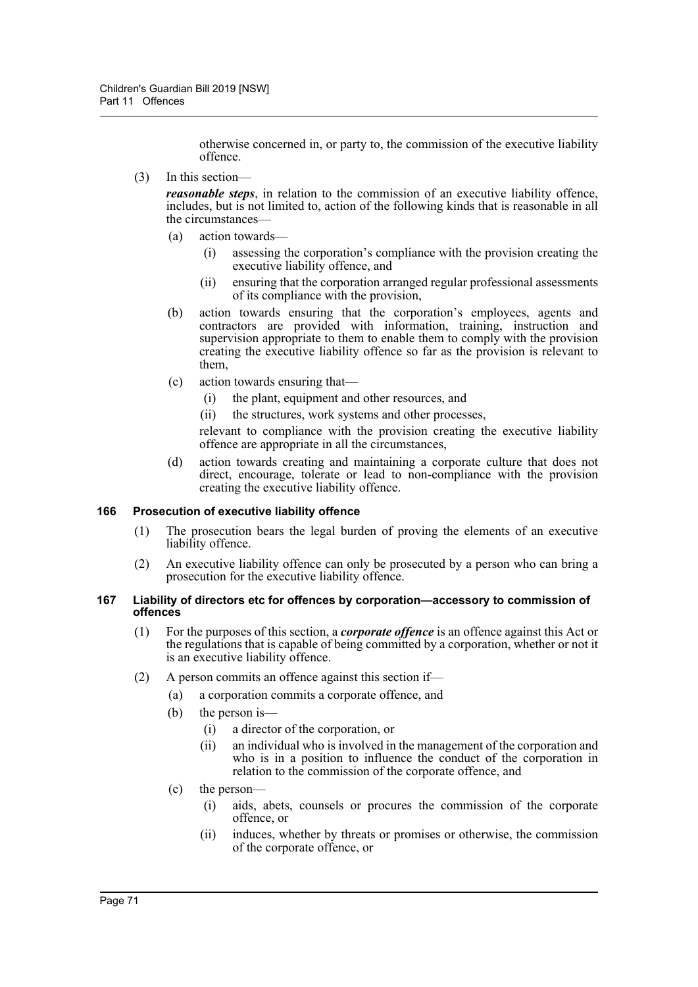otherwise concerned in, or party to, the commission of the executive liability offence.

(3) In this section—

*reasonable steps*, in relation to the commission of an executive liability offence, includes, but is not limited to, action of the following kinds that is reasonable in all the circumstances—

- (a) action towards—
	- (i) assessing the corporation's compliance with the provision creating the executive liability offence, and
	- (ii) ensuring that the corporation arranged regular professional assessments of its compliance with the provision,
- (b) action towards ensuring that the corporation's employees, agents and contractors are provided with information, training, instruction and supervision appropriate to them to enable them to comply with the provision creating the executive liability offence so far as the provision is relevant to them,
- (c) action towards ensuring that—
	- (i) the plant, equipment and other resources, and
	- (ii) the structures, work systems and other processes,

relevant to compliance with the provision creating the executive liability offence are appropriate in all the circumstances,

(d) action towards creating and maintaining a corporate culture that does not direct, encourage, tolerate or lead to non-compliance with the provision creating the executive liability offence.

#### **166 Prosecution of executive liability offence**

- (1) The prosecution bears the legal burden of proving the elements of an executive liability offence.
- (2) An executive liability offence can only be prosecuted by a person who can bring a prosecution for the executive liability offence.

#### **167 Liability of directors etc for offences by corporation—accessory to commission of offences**

- (1) For the purposes of this section, a *corporate offence* is an offence against this Act or the regulations that is capable of being committed by a corporation, whether or not it is an executive liability offence.
- (2) A person commits an offence against this section if—
	- (a) a corporation commits a corporate offence, and
		- (b) the person is—
			- (i) a director of the corporation, or
			- (ii) an individual who is involved in the management of the corporation and who is in a position to influence the conduct of the corporation in relation to the commission of the corporate offence, and
		- (c) the person—
			- (i) aids, abets, counsels or procures the commission of the corporate offence, or
			- (ii) induces, whether by threats or promises or otherwise, the commission of the corporate offence, or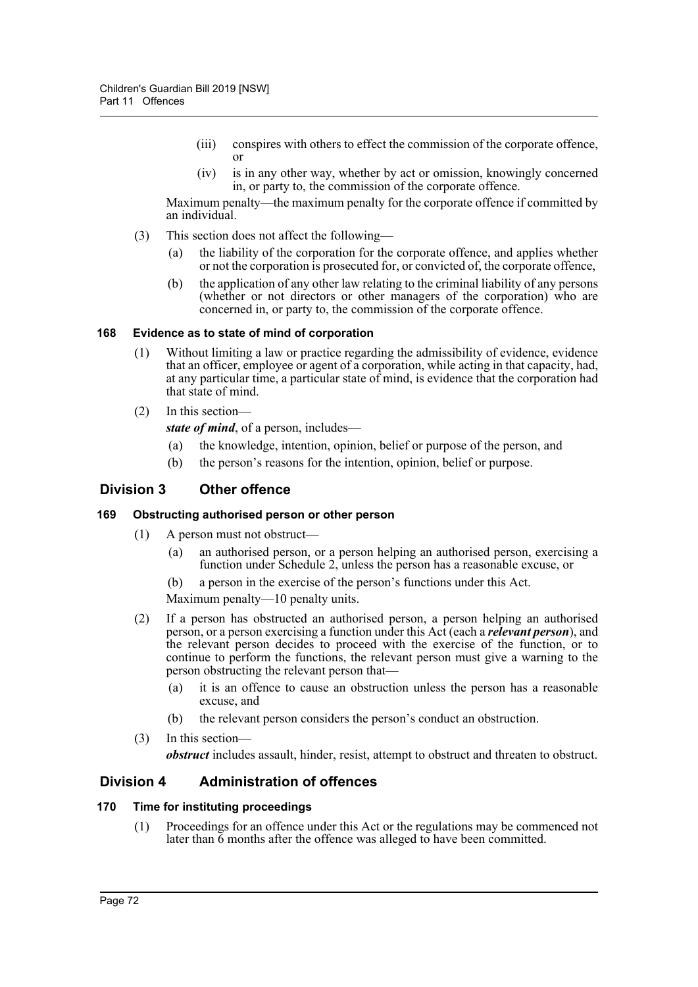- (iii) conspires with others to effect the commission of the corporate offence, or
- (iv) is in any other way, whether by act or omission, knowingly concerned in, or party to, the commission of the corporate offence.

Maximum penalty—the maximum penalty for the corporate offence if committed by an individual.

- (3) This section does not affect the following—
	- (a) the liability of the corporation for the corporate offence, and applies whether or not the corporation is prosecuted for, or convicted of, the corporate offence,
	- (b) the application of any other law relating to the criminal liability of any persons (whether or not directors or other managers of the corporation) who are concerned in, or party to, the commission of the corporate offence.

### **168 Evidence as to state of mind of corporation**

- (1) Without limiting a law or practice regarding the admissibility of evidence, evidence that an officer, employee or agent of a corporation, while acting in that capacity, had, at any particular time, a particular state of mind, is evidence that the corporation had that state of mind.
- (2) In this section
	- *state of mind*, of a person, includes—
	- (a) the knowledge, intention, opinion, belief or purpose of the person, and
	- (b) the person's reasons for the intention, opinion, belief or purpose.

# **Division 3 Other offence**

### **169 Obstructing authorised person or other person**

- (1) A person must not obstruct—
	- (a) an authorised person, or a person helping an authorised person, exercising a function under Schedule 2, unless the person has a reasonable excuse, or
	- (b) a person in the exercise of the person's functions under this Act.

Maximum penalty—10 penalty units.

- (2) If a person has obstructed an authorised person, a person helping an authorised person, or a person exercising a function under this Act (each a *relevant person*), and the relevant person decides to proceed with the exercise of the function, or to continue to perform the functions, the relevant person must give a warning to the person obstructing the relevant person that—
	- (a) it is an offence to cause an obstruction unless the person has a reasonable excuse, and
	- (b) the relevant person considers the person's conduct an obstruction.
- (3) In this section—

*obstruct* includes assault, hinder, resist, attempt to obstruct and threaten to obstruct.

# **Division 4 Administration of offences**

### **170 Time for instituting proceedings**

(1) Proceedings for an offence under this Act or the regulations may be commenced not later than  $\tilde{6}$  months after the offence was alleged to have been committed.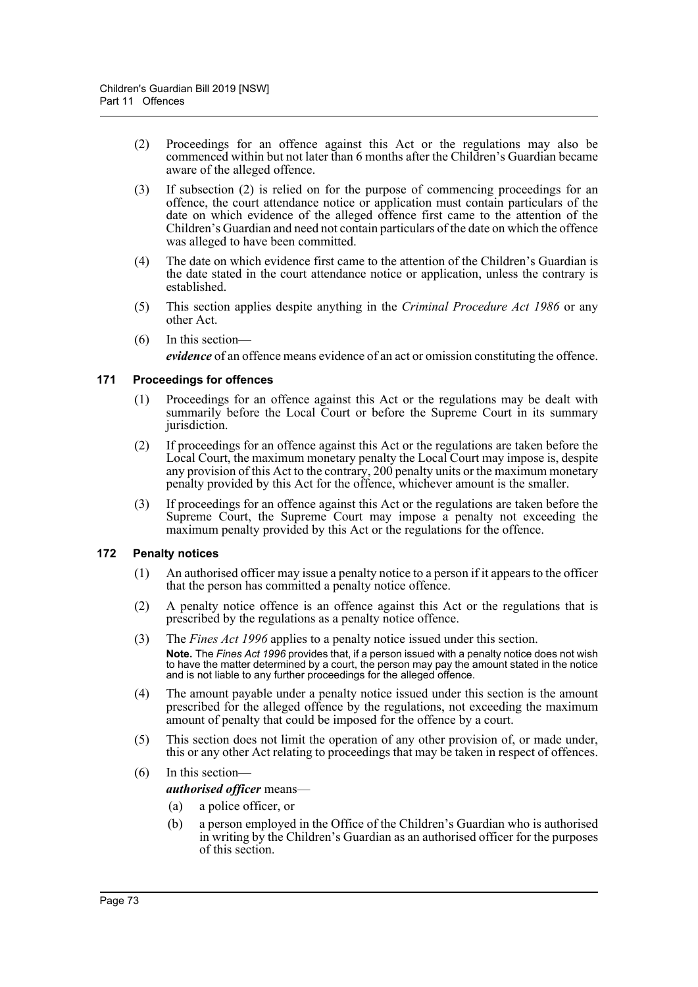- (2) Proceedings for an offence against this Act or the regulations may also be commenced within but not later than 6 months after the Children's Guardian became aware of the alleged offence.
- (3) If subsection (2) is relied on for the purpose of commencing proceedings for an offence, the court attendance notice or application must contain particulars of the date on which evidence of the alleged offence first came to the attention of the Children's Guardian and need not contain particulars of the date on which the offence was alleged to have been committed.
- (4) The date on which evidence first came to the attention of the Children's Guardian is the date stated in the court attendance notice or application, unless the contrary is established.
- (5) This section applies despite anything in the *Criminal Procedure Act 1986* or any other Act.
- (6) In this section—

*evidence* of an offence means evidence of an act or omission constituting the offence.

#### **171 Proceedings for offences**

- (1) Proceedings for an offence against this Act or the regulations may be dealt with summarily before the Local Court or before the Supreme Court in its summary jurisdiction.
- (2) If proceedings for an offence against this Act or the regulations are taken before the Local Court, the maximum monetary penalty the Local Court may impose is, despite any provision of this Act to the contrary, 200 penalty units or the maximum monetary penalty provided by this Act for the offence, whichever amount is the smaller.
- (3) If proceedings for an offence against this Act or the regulations are taken before the Supreme Court, the Supreme Court may impose a penalty not exceeding the maximum penalty provided by this Act or the regulations for the offence.

#### **172 Penalty notices**

- (1) An authorised officer may issue a penalty notice to a person if it appears to the officer that the person has committed a penalty notice offence.
- (2) A penalty notice offence is an offence against this Act or the regulations that is prescribed by the regulations as a penalty notice offence.
- (3) The *Fines Act 1996* applies to a penalty notice issued under this section. **Note.** The *Fines Act 1996* provides that, if a person issued with a penalty notice does not wish to have the matter determined by a court, the person may pay the amount stated in the notice and is not liable to any further proceedings for the alleged offence.
- (4) The amount payable under a penalty notice issued under this section is the amount prescribed for the alleged offence by the regulations, not exceeding the maximum amount of penalty that could be imposed for the offence by a court.
- (5) This section does not limit the operation of any other provision of, or made under, this or any other Act relating to proceedings that may be taken in respect of offences.

#### (6) In this section—

#### *authorised officer* means—

- (a) a police officer, or
- (b) a person employed in the Office of the Children's Guardian who is authorised in writing by the Children's Guardian as an authorised officer for the purposes of this section.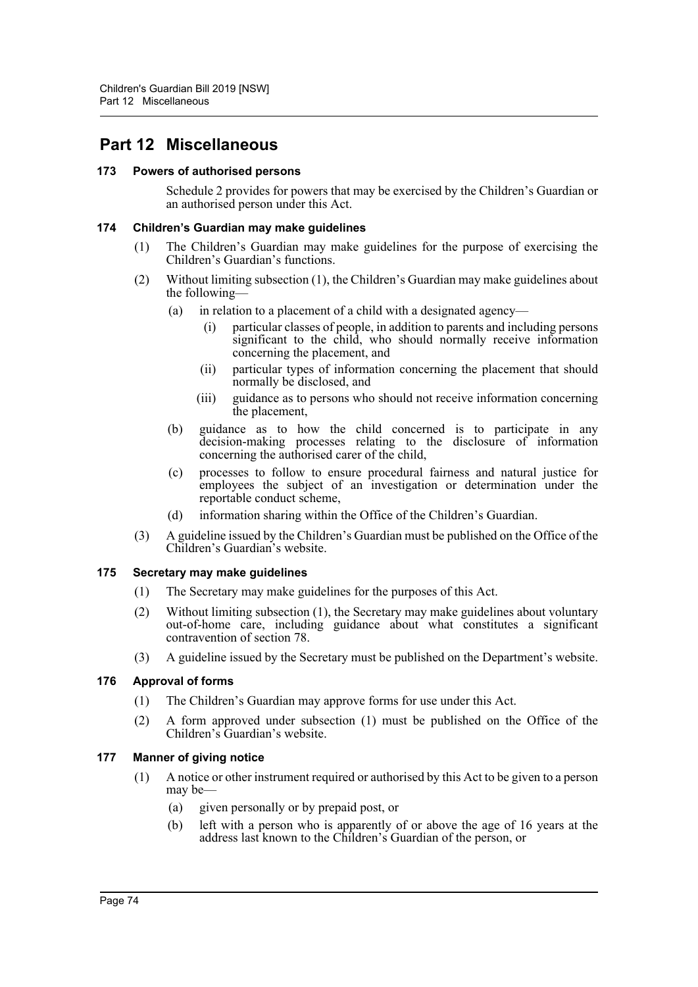# **Part 12 Miscellaneous**

#### **173 Powers of authorised persons**

Schedule 2 provides for powers that may be exercised by the Children's Guardian or an authorised person under this Act.

#### **174 Children's Guardian may make guidelines**

- (1) The Children's Guardian may make guidelines for the purpose of exercising the Children's Guardian's functions.
- (2) Without limiting subsection (1), the Children's Guardian may make guidelines about the following—
	- (a) in relation to a placement of a child with a designated agency—
		- (i) particular classes of people, in addition to parents and including persons significant to the child, who should normally receive information concerning the placement, and
		- (ii) particular types of information concerning the placement that should normally be disclosed, and
		- (iii) guidance as to persons who should not receive information concerning the placement,
	- (b) guidance as to how the child concerned is to participate in any decision-making processes relating to the disclosure of information concerning the authorised carer of the child,
	- (c) processes to follow to ensure procedural fairness and natural justice for employees the subject of an investigation or determination under the reportable conduct scheme,
	- (d) information sharing within the Office of the Children's Guardian.
- (3) A guideline issued by the Children's Guardian must be published on the Office of the Children's Guardian's website.

#### **175 Secretary may make guidelines**

- (1) The Secretary may make guidelines for the purposes of this Act.
- (2) Without limiting subsection (1), the Secretary may make guidelines about voluntary out-of-home care, including guidance about what constitutes a significant contravention of section 78.
- (3) A guideline issued by the Secretary must be published on the Department's website.

## **176 Approval of forms**

- (1) The Children's Guardian may approve forms for use under this Act.
- (2) A form approved under subsection (1) must be published on the Office of the Children's Guardian's website.

## **177 Manner of giving notice**

- (1) A notice or other instrument required or authorised by this Act to be given to a person may be—
	- (a) given personally or by prepaid post, or
	- (b) left with a person who is apparently of or above the age of 16 years at the address last known to the Children's Guardian of the person, or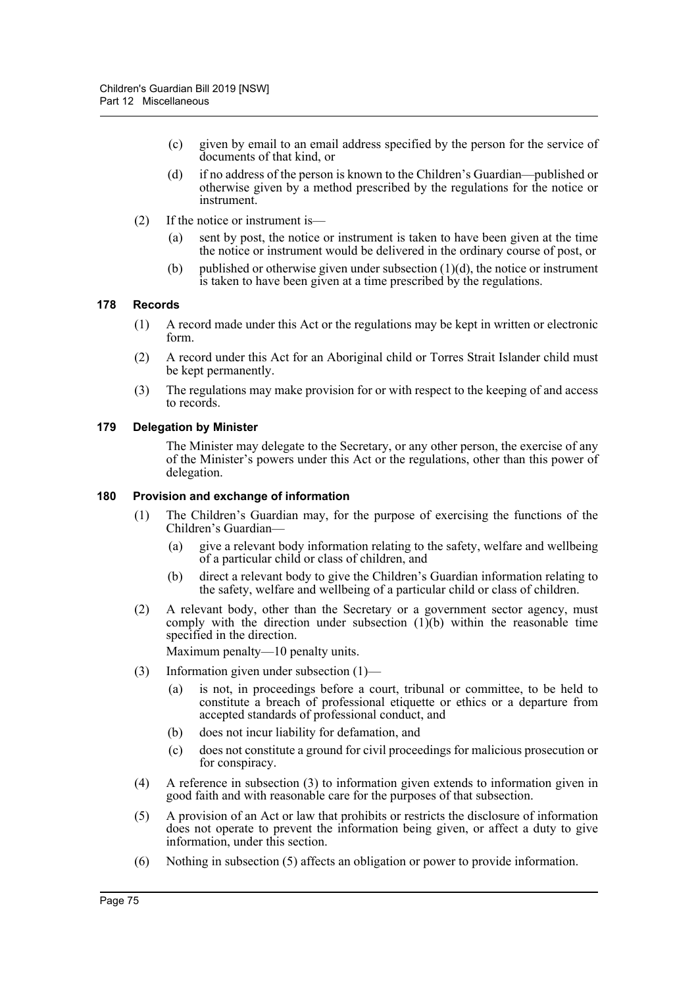- (c) given by email to an email address specified by the person for the service of documents of that kind, or
- (d) if no address of the person is known to the Children's Guardian—published or otherwise given by a method prescribed by the regulations for the notice or instrument.
- (2) If the notice or instrument is—
	- (a) sent by post, the notice or instrument is taken to have been given at the time the notice or instrument would be delivered in the ordinary course of post, or
	- (b) published or otherwise given under subsection  $(1)(d)$ , the notice or instrument is taken to have been given at a time prescribed by the regulations.

#### **178 Records**

- (1) A record made under this Act or the regulations may be kept in written or electronic form.
- (2) A record under this Act for an Aboriginal child or Torres Strait Islander child must be kept permanently.
- (3) The regulations may make provision for or with respect to the keeping of and access to records.

#### **179 Delegation by Minister**

The Minister may delegate to the Secretary, or any other person, the exercise of any of the Minister's powers under this Act or the regulations, other than this power of delegation.

#### **180 Provision and exchange of information**

- (1) The Children's Guardian may, for the purpose of exercising the functions of the Children's Guardian—
	- (a) give a relevant body information relating to the safety, welfare and wellbeing of a particular child or class of children, and
	- (b) direct a relevant body to give the Children's Guardian information relating to the safety, welfare and wellbeing of a particular child or class of children.
- (2) A relevant body, other than the Secretary or a government sector agency, must comply with the direction under subsection  $(1)(b)$  within the reasonable time specified in the direction.

Maximum penalty—10 penalty units.

- (3) Information given under subsection (1)—
	- (a) is not, in proceedings before a court, tribunal or committee, to be held to constitute a breach of professional etiquette or ethics or a departure from accepted standards of professional conduct, and
	- (b) does not incur liability for defamation, and
	- (c) does not constitute a ground for civil proceedings for malicious prosecution or for conspiracy.
- (4) A reference in subsection (3) to information given extends to information given in good faith and with reasonable care for the purposes of that subsection.
- (5) A provision of an Act or law that prohibits or restricts the disclosure of information does not operate to prevent the information being given, or affect a duty to give information, under this section.
- (6) Nothing in subsection (5) affects an obligation or power to provide information.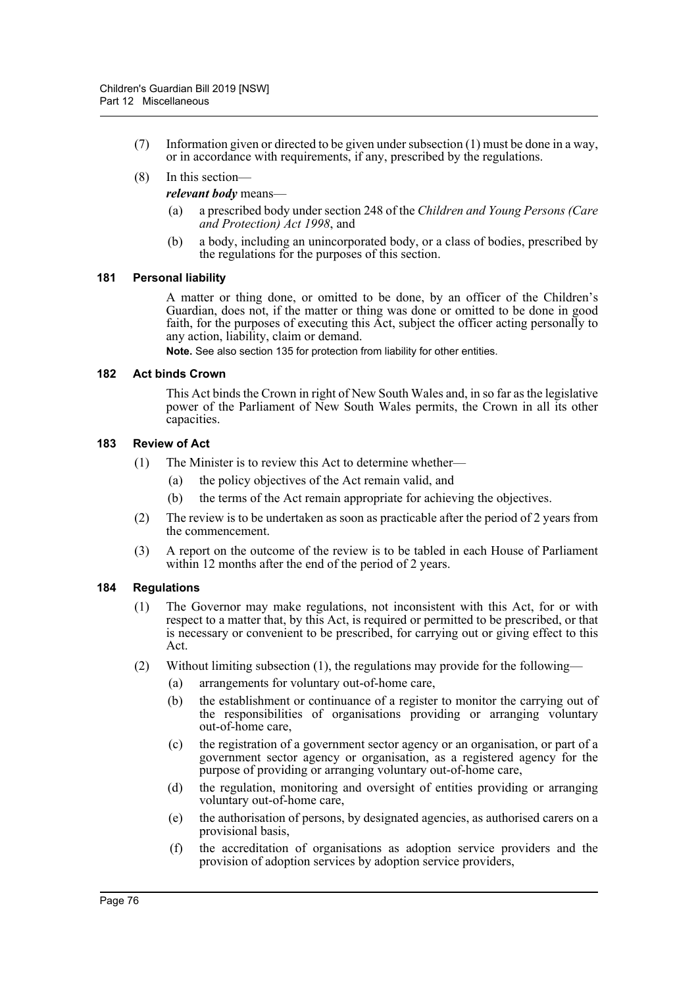- (7) Information given or directed to be given under subsection (1) must be done in a way, or in accordance with requirements, if any, prescribed by the regulations.
- (8) In this section—

#### *relevant body* means—

- (a) a prescribed body under section 248 of the *Children and Young Persons (Care and Protection) Act 1998*, and
- (b) a body, including an unincorporated body, or a class of bodies, prescribed by the regulations for the purposes of this section.

#### **181 Personal liability**

A matter or thing done, or omitted to be done, by an officer of the Children's Guardian, does not, if the matter or thing was done or omitted to be done in good faith, for the purposes of executing this Act, subject the officer acting personally to any action, liability, claim or demand.

**Note.** See also section 135 for protection from liability for other entities.

#### **182 Act binds Crown**

This Act binds the Crown in right of New South Wales and, in so far as the legislative power of the Parliament of New South Wales permits, the Crown in all its other capacities.

#### **183 Review of Act**

- (1) The Minister is to review this Act to determine whether—
	- (a) the policy objectives of the Act remain valid, and
	- (b) the terms of the Act remain appropriate for achieving the objectives.
- (2) The review is to be undertaken as soon as practicable after the period of 2 years from the commencement.
- (3) A report on the outcome of the review is to be tabled in each House of Parliament within 12 months after the end of the period of 2 years.

### **184 Regulations**

- (1) The Governor may make regulations, not inconsistent with this Act, for or with respect to a matter that, by this Act, is required or permitted to be prescribed, or that is necessary or convenient to be prescribed, for carrying out or giving effect to this Act.
- (2) Without limiting subsection (1), the regulations may provide for the following—
	- (a) arrangements for voluntary out-of-home care,
	- (b) the establishment or continuance of a register to monitor the carrying out of the responsibilities of organisations providing or arranging voluntary out-of-home care,
	- (c) the registration of a government sector agency or an organisation, or part of a government sector agency or organisation, as a registered agency for the purpose of providing or arranging voluntary out-of-home care,
	- (d) the regulation, monitoring and oversight of entities providing or arranging voluntary out-of-home care,
	- (e) the authorisation of persons, by designated agencies, as authorised carers on a provisional basis,
	- (f) the accreditation of organisations as adoption service providers and the provision of adoption services by adoption service providers,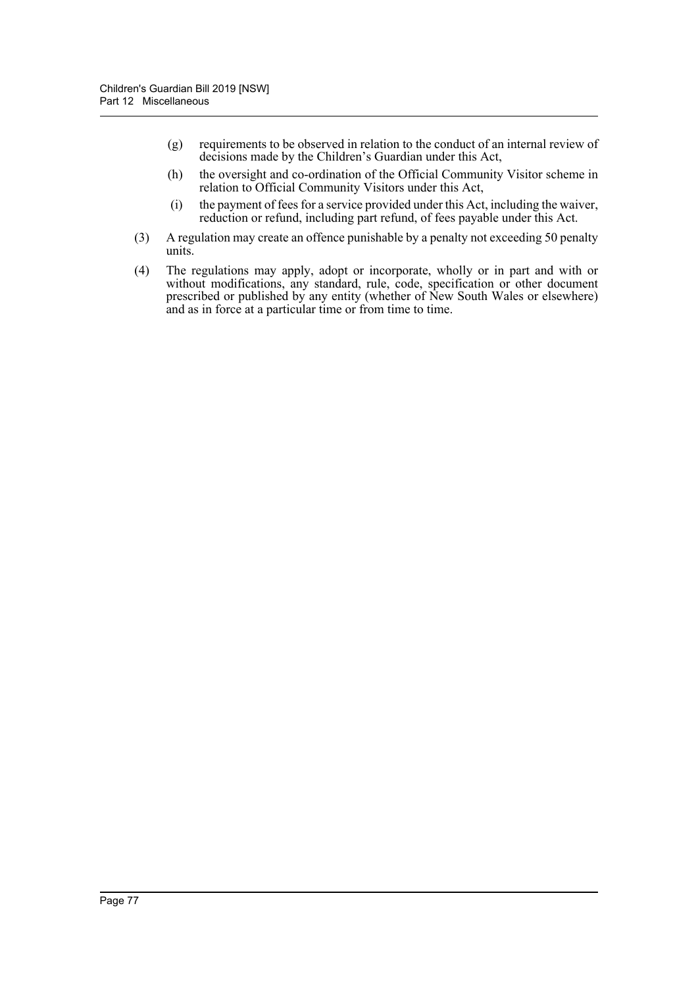- (g) requirements to be observed in relation to the conduct of an internal review of decisions made by the Children's Guardian under this Act,
- (h) the oversight and co-ordination of the Official Community Visitor scheme in relation to Official Community Visitors under this Act,
- (i) the payment of fees for a service provided under this Act, including the waiver, reduction or refund, including part refund, of fees payable under this Act.
- (3) A regulation may create an offence punishable by a penalty not exceeding 50 penalty units.
- (4) The regulations may apply, adopt or incorporate, wholly or in part and with or without modifications, any standard, rule, code, specification or other document prescribed or published by any entity (whether of New South Wales or elsewhere) and as in force at a particular time or from time to time.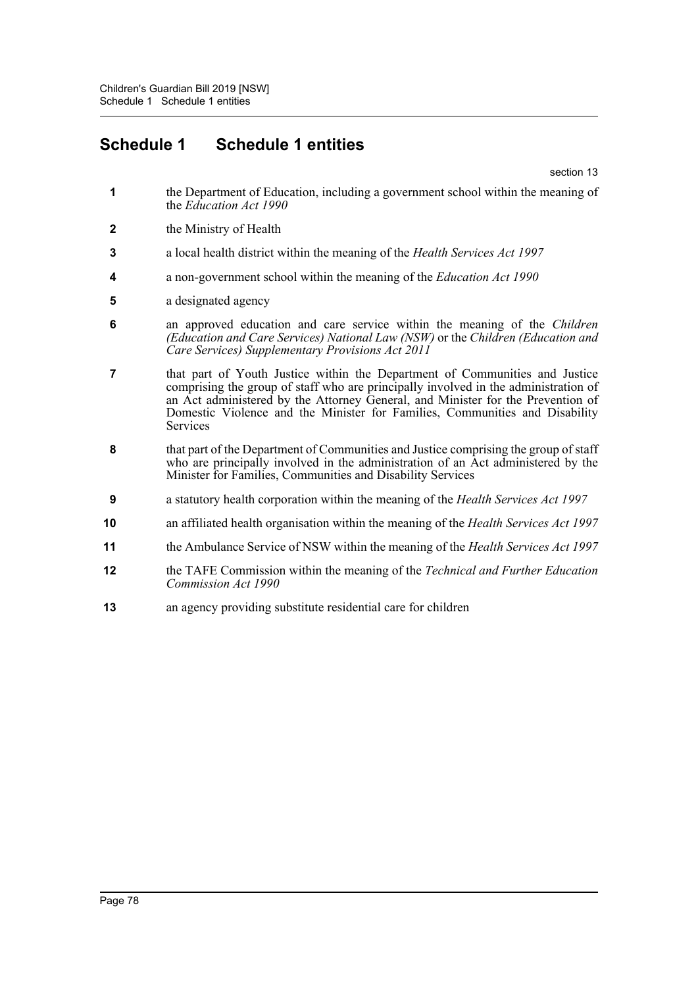# **Schedule 1 Schedule 1 entities**

section 13

- **1** the Department of Education, including a government school within the meaning of the *Education Act 1990*
- **2** the Ministry of Health
- **3** a local health district within the meaning of the *Health Services Act 1997*
- **4** a non-government school within the meaning of the *Education Act 1990*
- **5** a designated agency
- **6** an approved education and care service within the meaning of the *Children (Education and Care Services) National Law (NSW)* or the *Children (Education and Care Services) Supplementary Provisions Act 2011*
- **7** that part of Youth Justice within the Department of Communities and Justice comprising the group of staff who are principally involved in the administration of an Act administered by the Attorney General, and Minister for the Prevention of Domestic Violence and the Minister for Families, Communities and Disability Services
- **8** that part of the Department of Communities and Justice comprising the group of staff who are principally involved in the administration of an Act administered by the Minister for Families, Communities and Disability Services
- **9** a statutory health corporation within the meaning of the *Health Services Act 1997*
- **10** an affiliated health organisation within the meaning of the *Health Services Act 1997*
- **11** the Ambulance Service of NSW within the meaning of the *Health Services Act 1997*
- **12** the TAFE Commission within the meaning of the *Technical and Further Education Commission Act 1990*
- **13** an agency providing substitute residential care for children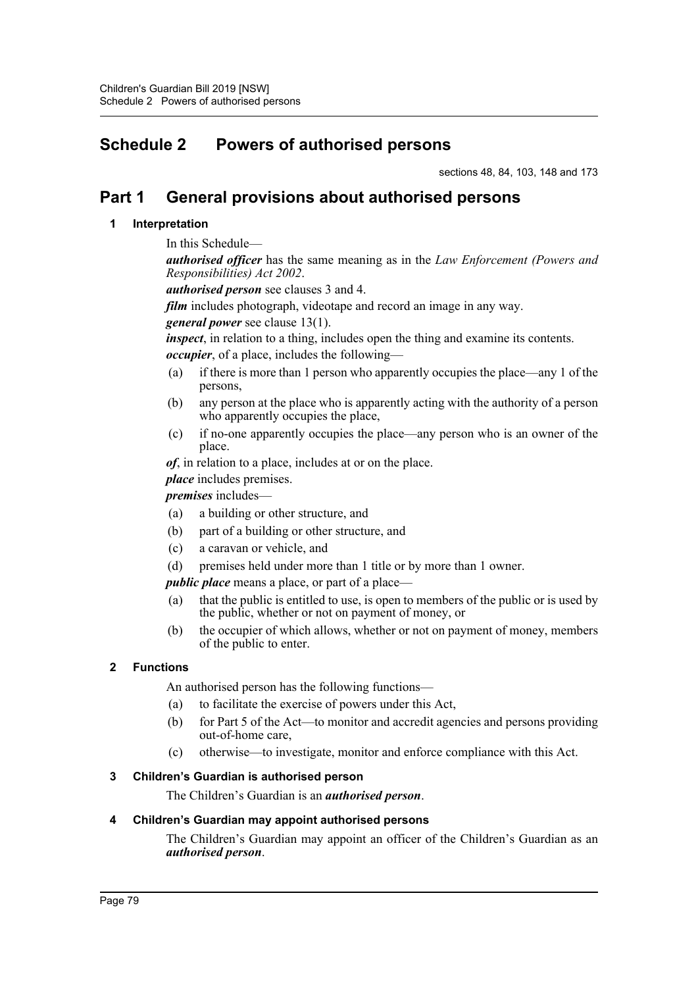# **Schedule 2 Powers of authorised persons**

sections 48, 84, 103, 148 and 173

# **Part 1 General provisions about authorised persons**

## **1 Interpretation**

## In this Schedule—

*authorised officer* has the same meaning as in the *Law Enforcement (Powers and Responsibilities) Act 2002*.

*authorised person* see clauses 3 and 4.

*film* includes photograph, videotape and record an image in any way.

*general power* see clause 13(1).

*inspect*, in relation to a thing, includes open the thing and examine its contents.

*occupier*, of a place, includes the following—

- (a) if there is more than 1 person who apparently occupies the place—any 1 of the persons,
- (b) any person at the place who is apparently acting with the authority of a person who apparently occupies the place,
- (c) if no-one apparently occupies the place—any person who is an owner of the place.

*of*, in relation to a place, includes at or on the place.

*place* includes premises.

*premises* includes—

- (a) a building or other structure, and
- (b) part of a building or other structure, and
- (c) a caravan or vehicle, and
- (d) premises held under more than 1 title or by more than 1 owner.

*public place* means a place, or part of a place—

- (a) that the public is entitled to use, is open to members of the public or is used by the public, whether or not on payment of money, or
- (b) the occupier of which allows, whether or not on payment of money, members of the public to enter.

## **2 Functions**

An authorised person has the following functions—

- (a) to facilitate the exercise of powers under this Act,
- (b) for Part 5 of the Act—to monitor and accredit agencies and persons providing out-of-home care,
- (c) otherwise—to investigate, monitor and enforce compliance with this Act.

## **3 Children's Guardian is authorised person**

The Children's Guardian is an *authorised person*.

## **4 Children's Guardian may appoint authorised persons**

The Children's Guardian may appoint an officer of the Children's Guardian as an *authorised person*.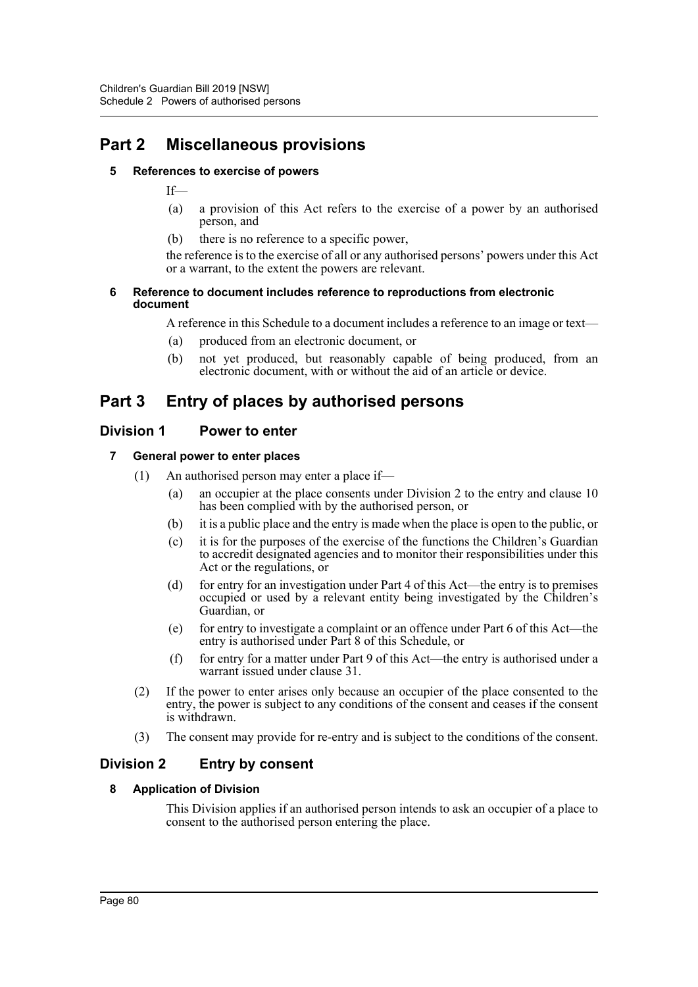# **Part 2 Miscellaneous provisions**

## **5 References to exercise of powers**

If—

- (a) a provision of this Act refers to the exercise of a power by an authorised person, and
- (b) there is no reference to a specific power,

the reference is to the exercise of all or any authorised persons' powers under this Act or a warrant, to the extent the powers are relevant.

#### **6 Reference to document includes reference to reproductions from electronic document**

A reference in this Schedule to a document includes a reference to an image or text—

- (a) produced from an electronic document, or
- (b) not yet produced, but reasonably capable of being produced, from an electronic document, with or without the aid of an article or device.

# **Part 3 Entry of places by authorised persons**

## **Division 1 Power to enter**

## **7 General power to enter places**

- (1) An authorised person may enter a place if—
	- (a) an occupier at the place consents under Division 2 to the entry and clause 10 has been complied with by the authorised person, or
	- (b) it is a public place and the entry is made when the place is open to the public, or
	- (c) it is for the purposes of the exercise of the functions the Children's Guardian to accredit designated agencies and to monitor their responsibilities under this Act or the regulations, or
	- (d) for entry for an investigation under Part 4 of this Act—the entry is to premises occupied or used by a relevant entity being investigated by the Children's Guardian, or
	- (e) for entry to investigate a complaint or an offence under Part 6 of this Act—the entry is authorised under Part 8 of this Schedule, or
	- (f) for entry for a matter under Part 9 of this Act—the entry is authorised under a warrant issued under clause 31.
- (2) If the power to enter arises only because an occupier of the place consented to the entry, the power is subject to any conditions of the consent and ceases if the consent is withdrawn.
- (3) The consent may provide for re-entry and is subject to the conditions of the consent.

## **Division 2 Entry by consent**

## **8 Application of Division**

This Division applies if an authorised person intends to ask an occupier of a place to consent to the authorised person entering the place.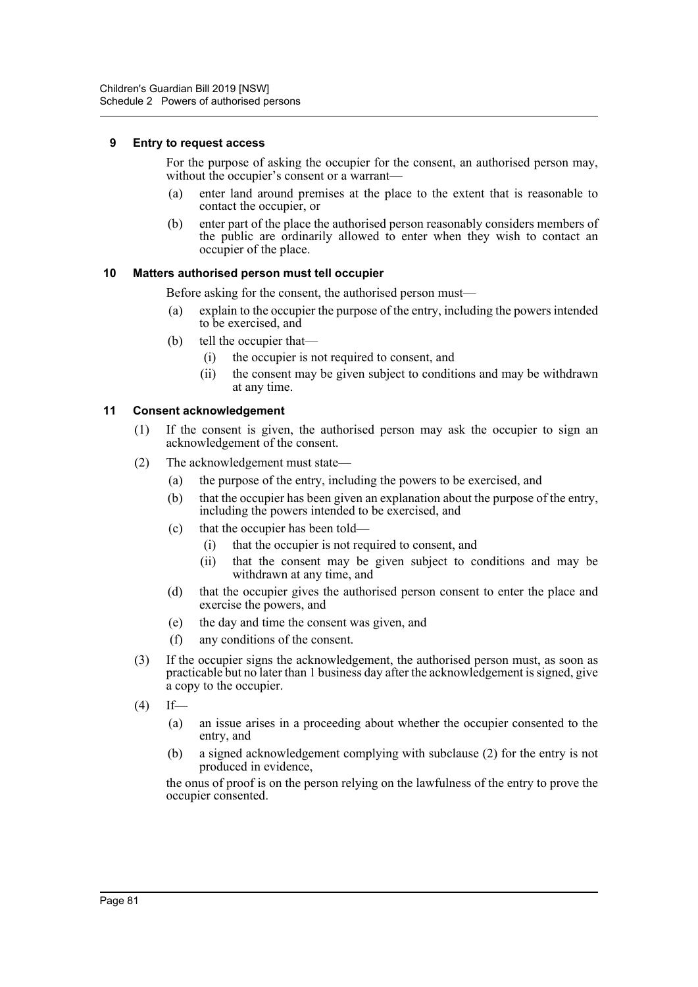#### **9 Entry to request access**

For the purpose of asking the occupier for the consent, an authorised person may, without the occupier's consent or a warrant—

- (a) enter land around premises at the place to the extent that is reasonable to contact the occupier, or
- (b) enter part of the place the authorised person reasonably considers members of the public are ordinarily allowed to enter when they wish to contact an occupier of the place.

#### **10 Matters authorised person must tell occupier**

Before asking for the consent, the authorised person must—

- (a) explain to the occupier the purpose of the entry, including the powers intended to be exercised, and
- (b) tell the occupier that—
	- (i) the occupier is not required to consent, and
	- (ii) the consent may be given subject to conditions and may be withdrawn at any time.

#### **11 Consent acknowledgement**

- (1) If the consent is given, the authorised person may ask the occupier to sign an acknowledgement of the consent.
- (2) The acknowledgement must state—
	- (a) the purpose of the entry, including the powers to be exercised, and
	- (b) that the occupier has been given an explanation about the purpose of the entry, including the powers intended to be exercised, and
	- (c) that the occupier has been told—
		- (i) that the occupier is not required to consent, and
		- (ii) that the consent may be given subject to conditions and may be withdrawn at any time, and
	- (d) that the occupier gives the authorised person consent to enter the place and exercise the powers, and
	- (e) the day and time the consent was given, and
	- (f) any conditions of the consent.
- (3) If the occupier signs the acknowledgement, the authorised person must, as soon as practicable but no later than 1 business day after the acknowledgement is signed, give a copy to the occupier.
- $(4)$  If—
	- (a) an issue arises in a proceeding about whether the occupier consented to the entry, and
	- (b) a signed acknowledgement complying with subclause (2) for the entry is not produced in evidence,

the onus of proof is on the person relying on the lawfulness of the entry to prove the occupier consented.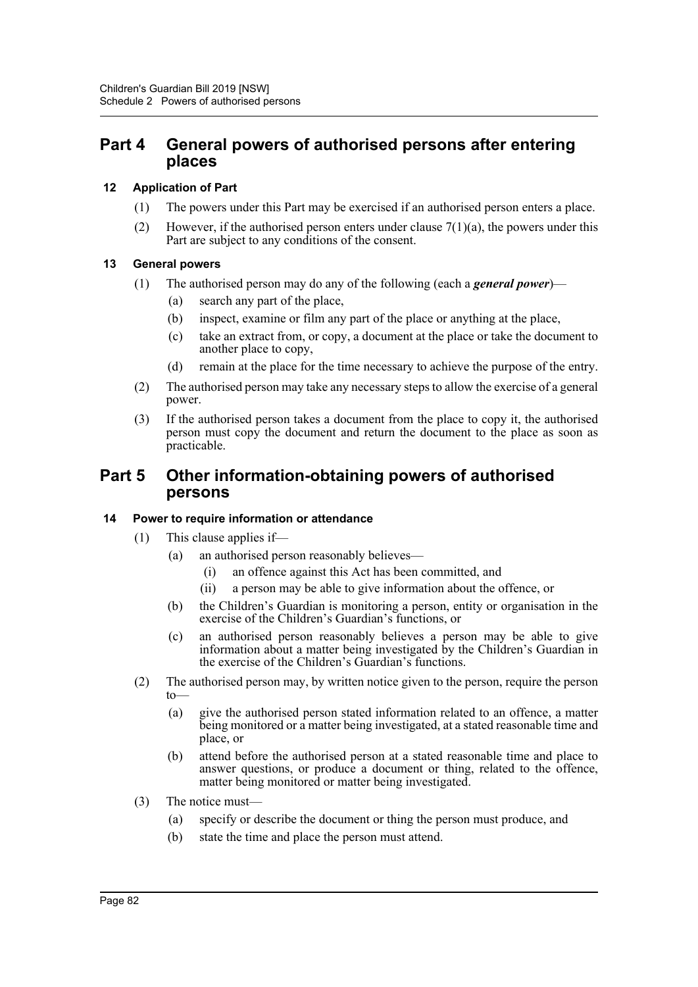## **Part 4 General powers of authorised persons after entering places**

### **12 Application of Part**

- (1) The powers under this Part may be exercised if an authorised person enters a place.
- (2) However, if the authorised person enters under clause  $7(1)(a)$ , the powers under this Part are subject to any conditions of the consent.

## **13 General powers**

- (1) The authorised person may do any of the following (each a *general power*)—
	- (a) search any part of the place,
	- (b) inspect, examine or film any part of the place or anything at the place,
	- (c) take an extract from, or copy, a document at the place or take the document to another place to copy,
	- (d) remain at the place for the time necessary to achieve the purpose of the entry.
- (2) The authorised person may take any necessary steps to allow the exercise of a general power.
- (3) If the authorised person takes a document from the place to copy it, the authorised person must copy the document and return the document to the place as soon as practicable.

## **Part 5 Other information-obtaining powers of authorised persons**

#### **14 Power to require information or attendance**

- (1) This clause applies if—
	- (a) an authorised person reasonably believes—
		- (i) an offence against this Act has been committed, and
		- (ii) a person may be able to give information about the offence, or
	- (b) the Children's Guardian is monitoring a person, entity or organisation in the exercise of the Children's Guardian's functions, or
	- (c) an authorised person reasonably believes a person may be able to give information about a matter being investigated by the Children's Guardian in the exercise of the Children's Guardian's functions.
- (2) The authorised person may, by written notice given to the person, require the person to—
	- (a) give the authorised person stated information related to an offence, a matter being monitored or a matter being investigated, at a stated reasonable time and place, or
	- (b) attend before the authorised person at a stated reasonable time and place to answer questions, or produce a document or thing, related to the offence, matter being monitored or matter being investigated.
- (3) The notice must—
	- (a) specify or describe the document or thing the person must produce, and
	- (b) state the time and place the person must attend.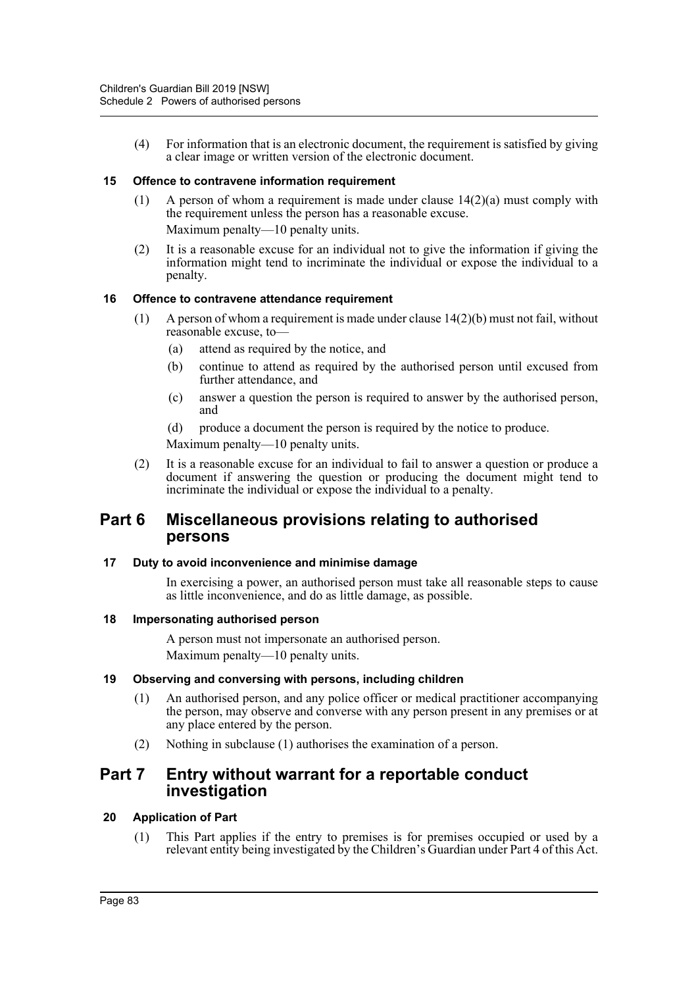(4) For information that is an electronic document, the requirement is satisfied by giving a clear image or written version of the electronic document.

#### **15 Offence to contravene information requirement**

- (1) A person of whom a requirement is made under clause  $14(2)(a)$  must comply with the requirement unless the person has a reasonable excuse. Maximum penalty—10 penalty units.
- (2) It is a reasonable excuse for an individual not to give the information if giving the information might tend to incriminate the individual or expose the individual to a penalty.

#### **16 Offence to contravene attendance requirement**

- (1) A person of whom a requirement is made under clause 14(2)(b) must not fail, without reasonable excuse, to—
	- (a) attend as required by the notice, and
	- (b) continue to attend as required by the authorised person until excused from further attendance, and
	- (c) answer a question the person is required to answer by the authorised person, and
	- (d) produce a document the person is required by the notice to produce.

Maximum penalty—10 penalty units.

(2) It is a reasonable excuse for an individual to fail to answer a question or produce a document if answering the question or producing the document might tend to incriminate the individual or expose the individual to a penalty.

## **Part 6 Miscellaneous provisions relating to authorised persons**

#### **17 Duty to avoid inconvenience and minimise damage**

In exercising a power, an authorised person must take all reasonable steps to cause as little inconvenience, and do as little damage, as possible.

#### **18 Impersonating authorised person**

A person must not impersonate an authorised person. Maximum penalty—10 penalty units.

#### **19 Observing and conversing with persons, including children**

- (1) An authorised person, and any police officer or medical practitioner accompanying the person, may observe and converse with any person present in any premises or at any place entered by the person.
- (2) Nothing in subclause (1) authorises the examination of a person.

## **Part 7 Entry without warrant for a reportable conduct investigation**

## **20 Application of Part**

(1) This Part applies if the entry to premises is for premises occupied or used by a relevant entity being investigated by the Children's Guardian under Part 4 of this Act.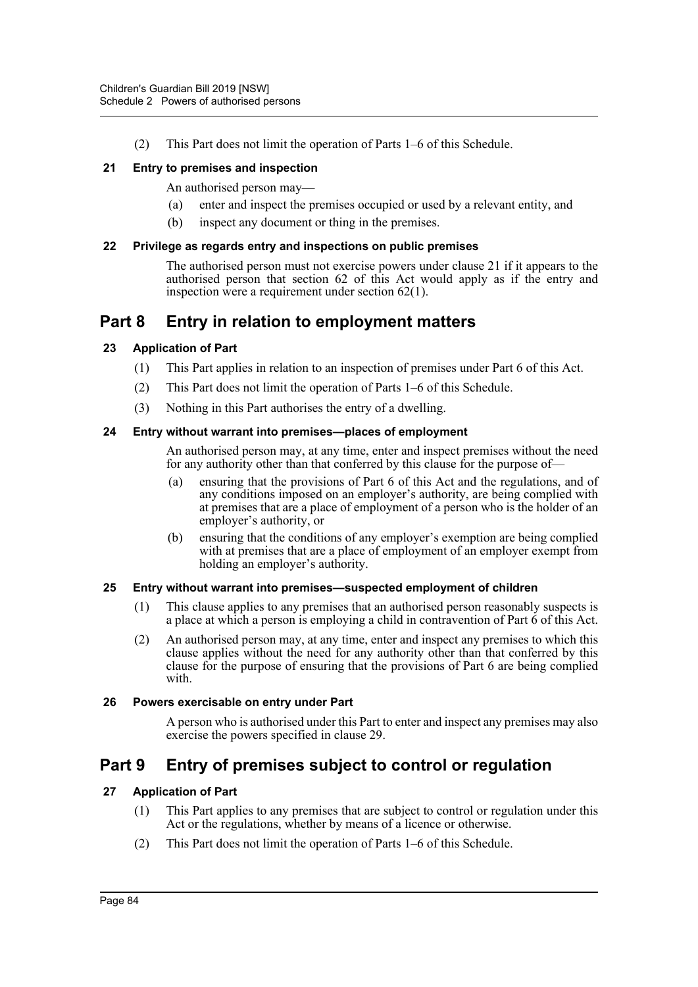(2) This Part does not limit the operation of Parts 1–6 of this Schedule.

### **21 Entry to premises and inspection**

An authorised person may—

- (a) enter and inspect the premises occupied or used by a relevant entity, and
- (b) inspect any document or thing in the premises.

#### **22 Privilege as regards entry and inspections on public premises**

The authorised person must not exercise powers under clause 21 if it appears to the authorised person that section 62 of this Act would apply as if the entry and inspection were a requirement under section 62(1).

# **Part 8 Entry in relation to employment matters**

#### **23 Application of Part**

- (1) This Part applies in relation to an inspection of premises under Part 6 of this Act.
- (2) This Part does not limit the operation of Parts 1–6 of this Schedule.
- (3) Nothing in this Part authorises the entry of a dwelling.

#### **24 Entry without warrant into premises—places of employment**

An authorised person may, at any time, enter and inspect premises without the need for any authority other than that conferred by this clause for the purpose of—

- (a) ensuring that the provisions of Part 6 of this Act and the regulations, and of any conditions imposed on an employer's authority, are being complied with at premises that are a place of employment of a person who is the holder of an employer's authority, or
- (b) ensuring that the conditions of any employer's exemption are being complied with at premises that are a place of employment of an employer exempt from holding an employer's authority.

#### **25 Entry without warrant into premises—suspected employment of children**

- (1) This clause applies to any premises that an authorised person reasonably suspects is a place at which a person is employing a child in contravention of Part 6 of this Act.
- (2) An authorised person may, at any time, enter and inspect any premises to which this clause applies without the need for any authority other than that conferred by this clause for the purpose of ensuring that the provisions of Part 6 are being complied with.

#### **26 Powers exercisable on entry under Part**

A person who is authorised under this Part to enter and inspect any premises may also exercise the powers specified in clause 29.

# **Part 9 Entry of premises subject to control or regulation**

## **27 Application of Part**

- (1) This Part applies to any premises that are subject to control or regulation under this Act or the regulations, whether by means of a licence or otherwise.
- (2) This Part does not limit the operation of Parts 1–6 of this Schedule.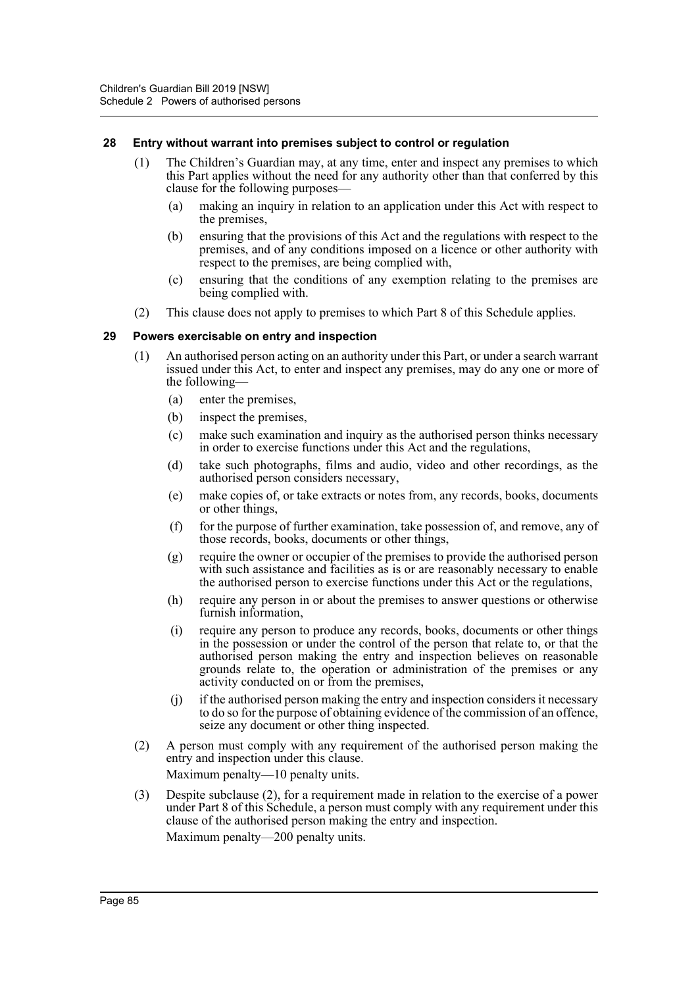#### **28 Entry without warrant into premises subject to control or regulation**

- (1) The Children's Guardian may, at any time, enter and inspect any premises to which this Part applies without the need for any authority other than that conferred by this clause for the following purposes—
	- (a) making an inquiry in relation to an application under this Act with respect to the premises,
	- (b) ensuring that the provisions of this Act and the regulations with respect to the premises, and of any conditions imposed on a licence or other authority with respect to the premises, are being complied with,
	- (c) ensuring that the conditions of any exemption relating to the premises are being complied with.
- (2) This clause does not apply to premises to which Part 8 of this Schedule applies.

#### **29 Powers exercisable on entry and inspection**

- (1) An authorised person acting on an authority under this Part, or under a search warrant issued under this Act, to enter and inspect any premises, may do any one or more of the following—
	- (a) enter the premises,
	- (b) inspect the premises,
	- (c) make such examination and inquiry as the authorised person thinks necessary in order to exercise functions under this Act and the regulations,
	- (d) take such photographs, films and audio, video and other recordings, as the authorised person considers necessary,
	- (e) make copies of, or take extracts or notes from, any records, books, documents or other things,
	- (f) for the purpose of further examination, take possession of, and remove, any of those records, books, documents or other things,
	- (g) require the owner or occupier of the premises to provide the authorised person with such assistance and facilities as is or are reasonably necessary to enable the authorised person to exercise functions under this Act or the regulations,
	- (h) require any person in or about the premises to answer questions or otherwise furnish information,
	- (i) require any person to produce any records, books, documents or other things in the possession or under the control of the person that relate to, or that the authorised person making the entry and inspection believes on reasonable grounds relate to, the operation or administration of the premises or any activity conducted on or from the premises,
	- (j) if the authorised person making the entry and inspection considers it necessary to do so for the purpose of obtaining evidence of the commission of an offence, seize any document or other thing inspected.
- (2) A person must comply with any requirement of the authorised person making the entry and inspection under this clause. Maximum penalty—10 penalty units.
- (3) Despite subclause (2), for a requirement made in relation to the exercise of a power under Part 8 of this Schedule, a person must comply with any requirement under this clause of the authorised person making the entry and inspection. Maximum penalty—200 penalty units.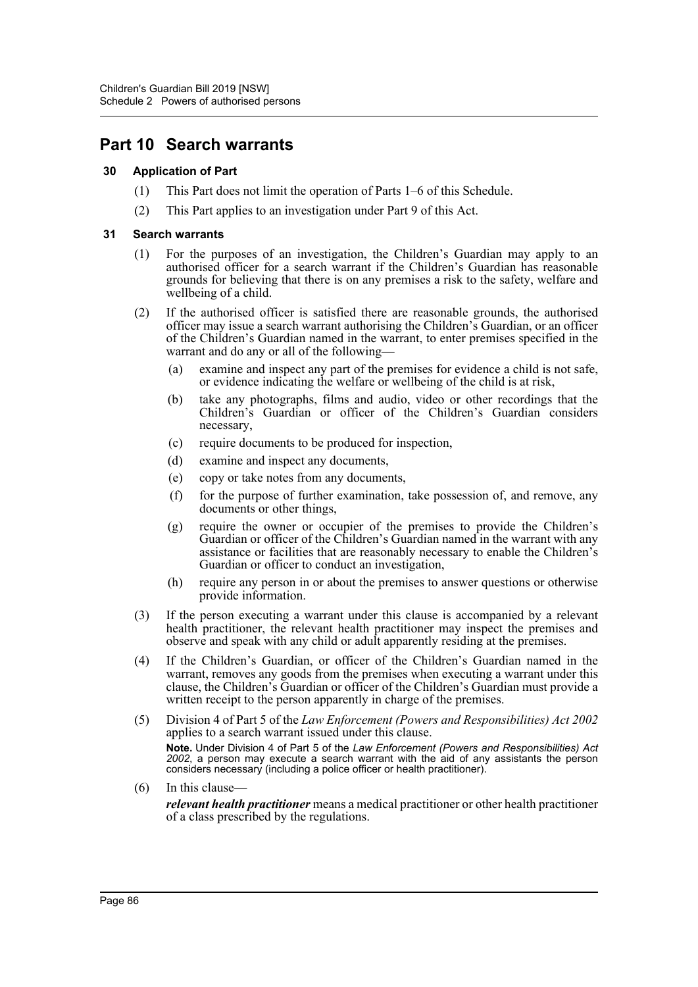## **Part 10 Search warrants**

#### **30 Application of Part**

- (1) This Part does not limit the operation of Parts 1–6 of this Schedule.
- (2) This Part applies to an investigation under Part 9 of this Act.

#### **31 Search warrants**

- (1) For the purposes of an investigation, the Children's Guardian may apply to an authorised officer for a search warrant if the Children's Guardian has reasonable grounds for believing that there is on any premises a risk to the safety, welfare and wellbeing of a child.
- (2) If the authorised officer is satisfied there are reasonable grounds, the authorised officer may issue a search warrant authorising the Children's Guardian, or an officer of the Children's Guardian named in the warrant, to enter premises specified in the warrant and do any or all of the following—
	- (a) examine and inspect any part of the premises for evidence a child is not safe, or evidence indicating the welfare or wellbeing of the child is at risk,
	- (b) take any photographs, films and audio, video or other recordings that the Children's Guardian or officer of the Children's Guardian considers necessary,
	- (c) require documents to be produced for inspection,
	- (d) examine and inspect any documents,
	- (e) copy or take notes from any documents,
	- (f) for the purpose of further examination, take possession of, and remove, any documents or other things,
	- (g) require the owner or occupier of the premises to provide the Children's Guardian or officer of the Children's Guardian named in the warrant with any assistance or facilities that are reasonably necessary to enable the Children's Guardian or officer to conduct an investigation,
	- (h) require any person in or about the premises to answer questions or otherwise provide information.
- (3) If the person executing a warrant under this clause is accompanied by a relevant health practitioner, the relevant health practitioner may inspect the premises and observe and speak with any child or adult apparently residing at the premises.
- (4) If the Children's Guardian, or officer of the Children's Guardian named in the warrant, removes any goods from the premises when executing a warrant under this clause, the Children's Guardian or officer of the Children's Guardian must provide a written receipt to the person apparently in charge of the premises.
- (5) Division 4 of Part 5 of the *Law Enforcement (Powers and Responsibilities) Act 2002* applies to a search warrant issued under this clause. **Note.** Under Division 4 of Part 5 of the *Law Enforcement (Powers and Responsibilities) Act 2002*, a person may execute a search warrant with the aid of any assistants the person considers necessary (including a police officer or health practitioner).
- (6) In this clause—

*relevant health practitioner* means a medical practitioner or other health practitioner of a class prescribed by the regulations.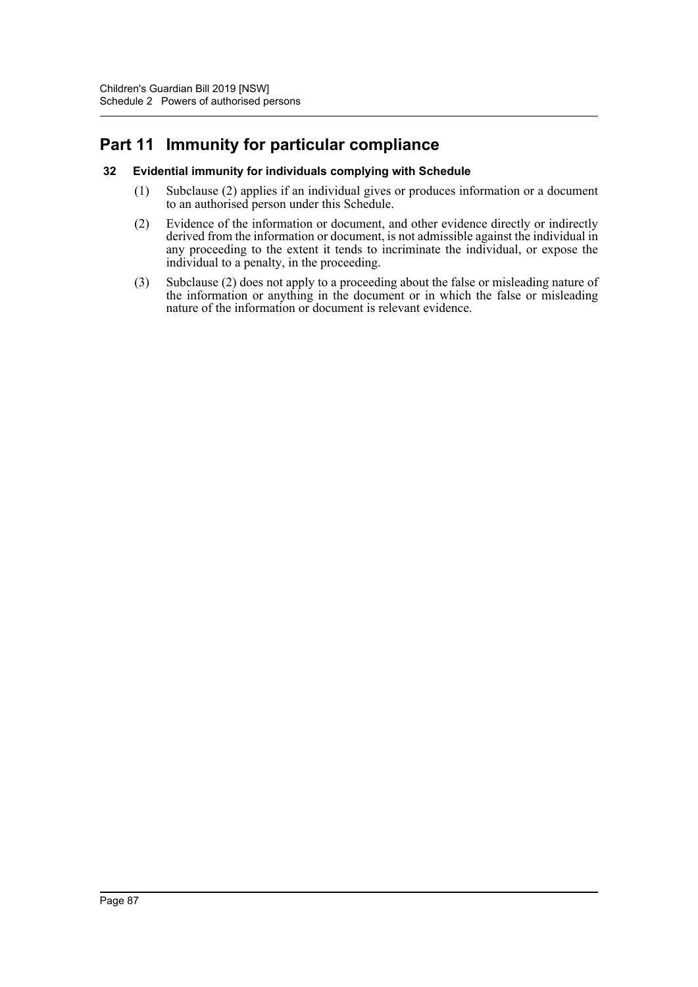# **Part 11 Immunity for particular compliance**

#### **32 Evidential immunity for individuals complying with Schedule**

- (1) Subclause (2) applies if an individual gives or produces information or a document to an authorised person under this Schedule.
- (2) Evidence of the information or document, and other evidence directly or indirectly derived from the information or document, is not admissible against the individual in any proceeding to the extent it tends to incriminate the individual, or expose the individual to a penalty, in the proceeding.
- (3) Subclause (2) does not apply to a proceeding about the false or misleading nature of the information or anything in the document or in which the false or misleading nature of the information or document is relevant evidence.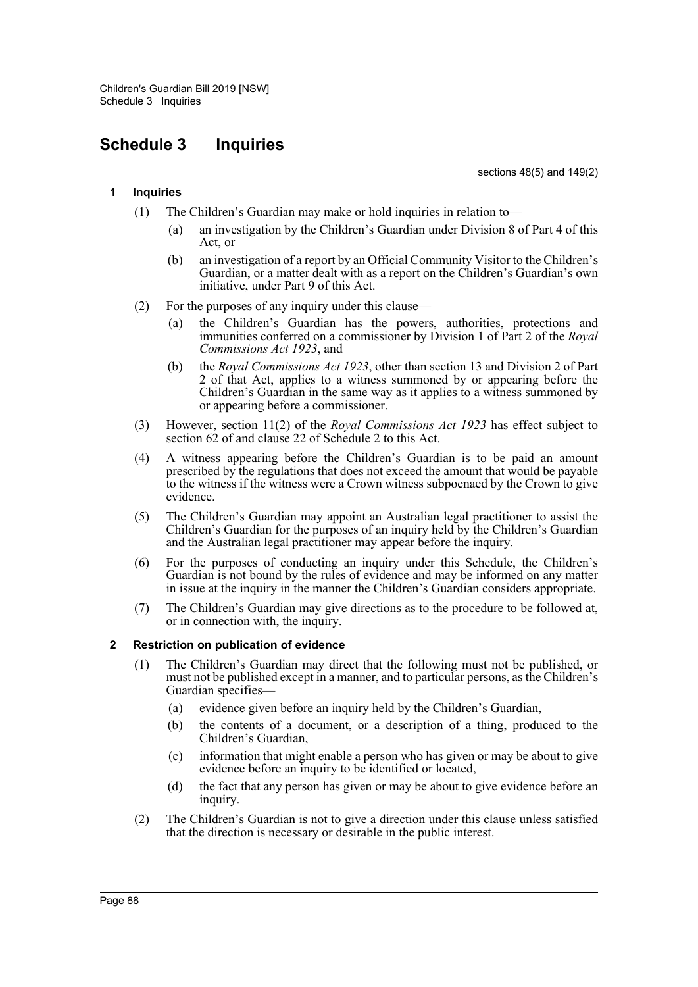# **Schedule 3 Inquiries**

sections 48(5) and 149(2)

### **1 Inquiries**

- (1) The Children's Guardian may make or hold inquiries in relation to—
	- (a) an investigation by the Children's Guardian under Division 8 of Part 4 of this Act, or
	- (b) an investigation of a report by an Official Community Visitor to the Children's Guardian, or a matter dealt with as a report on the Children's Guardian's own initiative, under Part 9 of this Act.
- (2) For the purposes of any inquiry under this clause—
	- (a) the Children's Guardian has the powers, authorities, protections and immunities conferred on a commissioner by Division 1 of Part 2 of the *Royal Commissions Act 1923*, and
	- (b) the *Royal Commissions Act 1923*, other than section 13 and Division 2 of Part 2 of that Act, applies to a witness summoned by or appearing before the Children's Guardian in the same way as it applies to a witness summoned by or appearing before a commissioner.
- (3) However, section 11(2) of the *Royal Commissions Act 1923* has effect subject to section 62 of and clause 22 of Schedule 2 to this Act.
- (4) A witness appearing before the Children's Guardian is to be paid an amount prescribed by the regulations that does not exceed the amount that would be payable to the witness if the witness were a Crown witness subpoenaed by the Crown to give evidence.
- (5) The Children's Guardian may appoint an Australian legal practitioner to assist the Children's Guardian for the purposes of an inquiry held by the Children's Guardian and the Australian legal practitioner may appear before the inquiry.
- (6) For the purposes of conducting an inquiry under this Schedule, the Children's Guardian is not bound by the rules of evidence and may be informed on any matter in issue at the inquiry in the manner the Children's Guardian considers appropriate.
- (7) The Children's Guardian may give directions as to the procedure to be followed at, or in connection with, the inquiry.

## **2 Restriction on publication of evidence**

- (1) The Children's Guardian may direct that the following must not be published, or must not be published except in a manner, and to particular persons, as the Children's Guardian specifies—
	- (a) evidence given before an inquiry held by the Children's Guardian,
	- (b) the contents of a document, or a description of a thing, produced to the Children's Guardian,
	- (c) information that might enable a person who has given or may be about to give evidence before an inquiry to be identified or located,
	- (d) the fact that any person has given or may be about to give evidence before an inquiry.
- (2) The Children's Guardian is not to give a direction under this clause unless satisfied that the direction is necessary or desirable in the public interest.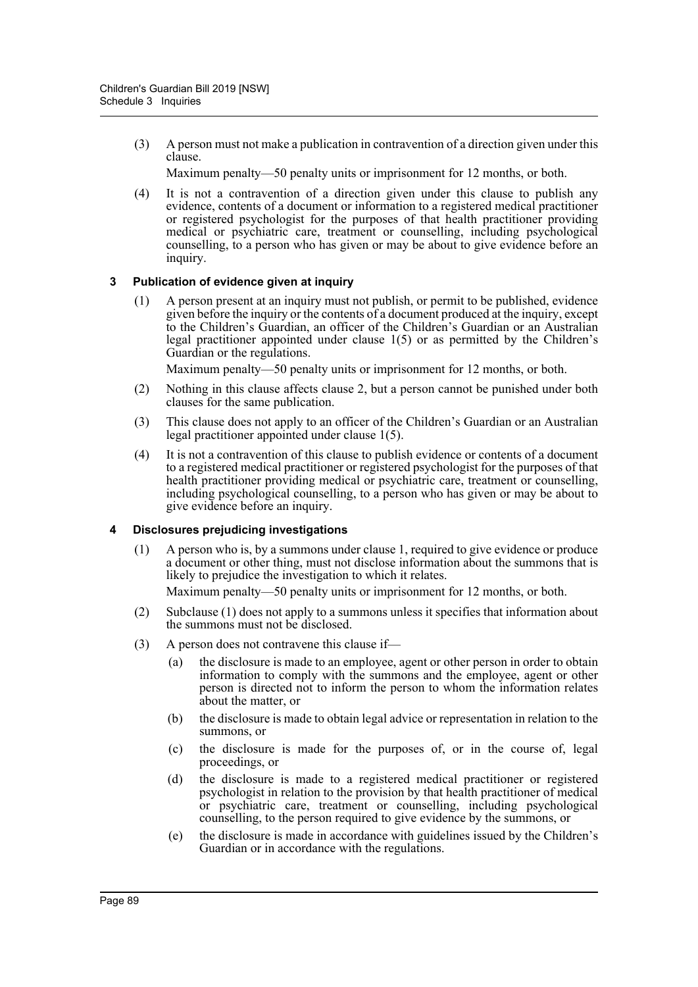(3) A person must not make a publication in contravention of a direction given under this clause.

Maximum penalty—50 penalty units or imprisonment for 12 months, or both.

(4) It is not a contravention of a direction given under this clause to publish any evidence, contents of a document or information to a registered medical practitioner or registered psychologist for the purposes of that health practitioner providing medical or psychiatric care, treatment or counselling, including psychological counselling, to a person who has given or may be about to give evidence before an inquiry.

## **3 Publication of evidence given at inquiry**

(1) A person present at an inquiry must not publish, or permit to be published, evidence given before the inquiry or the contents of a document produced at the inquiry, except to the Children's Guardian, an officer of the Children's Guardian or an Australian legal practitioner appointed under clause 1(5) or as permitted by the Children's Guardian or the regulations.

Maximum penalty—50 penalty units or imprisonment for 12 months, or both.

- (2) Nothing in this clause affects clause 2, but a person cannot be punished under both clauses for the same publication.
- (3) This clause does not apply to an officer of the Children's Guardian or an Australian legal practitioner appointed under clause 1(5).
- (4) It is not a contravention of this clause to publish evidence or contents of a document to a registered medical practitioner or registered psychologist for the purposes of that health practitioner providing medical or psychiatric care, treatment or counselling, including psychological counselling, to a person who has given or may be about to give evidence before an inquiry.

## **4 Disclosures prejudicing investigations**

(1) A person who is, by a summons under clause 1, required to give evidence or produce a document or other thing, must not disclose information about the summons that is likely to prejudice the investigation to which it relates.

Maximum penalty—50 penalty units or imprisonment for 12 months, or both.

- (2) Subclause (1) does not apply to a summons unless it specifies that information about the summons must not be disclosed.
- (3) A person does not contravene this clause if—
	- (a) the disclosure is made to an employee, agent or other person in order to obtain information to comply with the summons and the employee, agent or other person is directed not to inform the person to whom the information relates about the matter, or
	- (b) the disclosure is made to obtain legal advice or representation in relation to the summons, or
	- (c) the disclosure is made for the purposes of, or in the course of, legal proceedings, or
	- (d) the disclosure is made to a registered medical practitioner or registered psychologist in relation to the provision by that health practitioner of medical or psychiatric care, treatment or counselling, including psychological counselling, to the person required to give evidence by the summons, or
	- (e) the disclosure is made in accordance with guidelines issued by the Children's Guardian or in accordance with the regulations.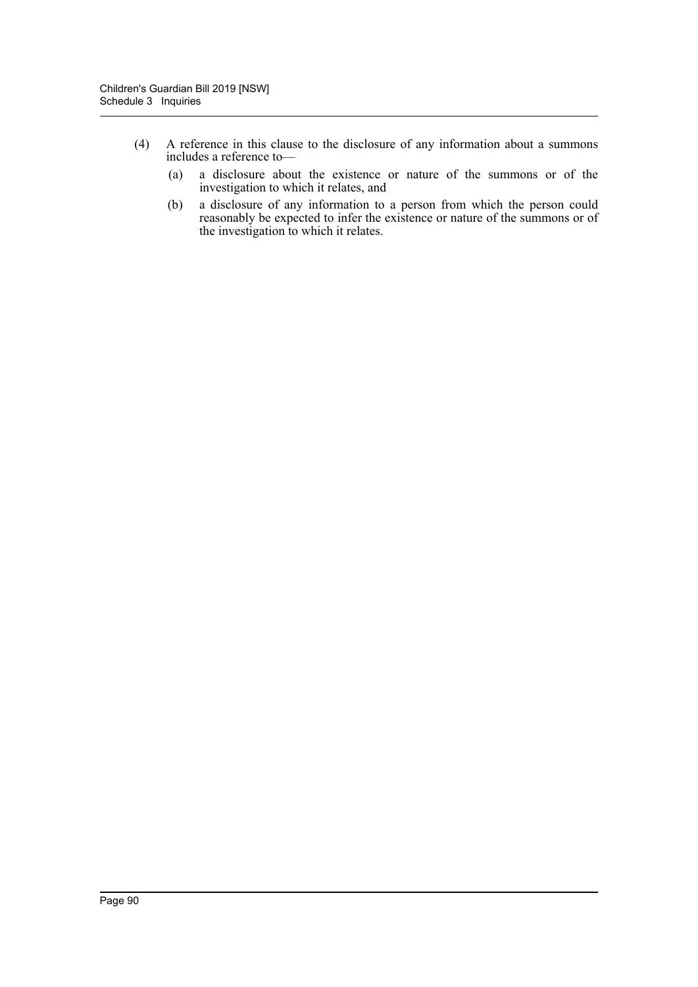- (4) A reference in this clause to the disclosure of any information about a summons includes a reference to—
	- (a) a disclosure about the existence or nature of the summons or of the investigation to which it relates, and
	- (b) a disclosure of any information to a person from which the person could reasonably be expected to infer the existence or nature of the summons or of the investigation to which it relates.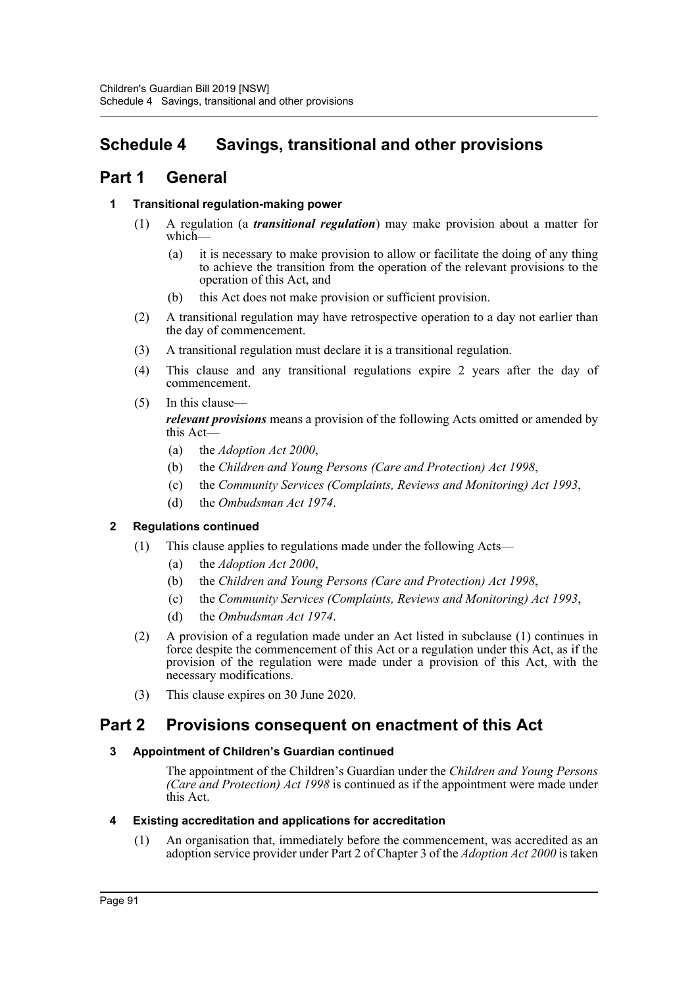# **Schedule 4 Savings, transitional and other provisions**

## **Part 1 General**

## **1 Transitional regulation-making power**

- (1) A regulation (a *transitional regulation*) may make provision about a matter for which—
	- (a) it is necessary to make provision to allow or facilitate the doing of any thing to achieve the transition from the operation of the relevant provisions to the operation of this Act, and
	- (b) this Act does not make provision or sufficient provision.
- (2) A transitional regulation may have retrospective operation to a day not earlier than the day of commencement.
- (3) A transitional regulation must declare it is a transitional regulation.
- (4) This clause and any transitional regulations expire 2 years after the day of commencement.
- (5) In this clause—

*relevant provisions* means a provision of the following Acts omitted or amended by this Act-

- (a) the *Adoption Act 2000*,
- (b) the *Children and Young Persons (Care and Protection) Act 1998*,
- (c) the *Community Services (Complaints, Reviews and Monitoring) Act 1993*,
- (d) the *Ombudsman Act 1974*.

## **2 Regulations continued**

- (1) This clause applies to regulations made under the following Acts—
	- (a) the *Adoption Act 2000*,
	- (b) the *Children and Young Persons (Care and Protection) Act 1998*,
	- (c) the *Community Services (Complaints, Reviews and Monitoring) Act 1993*,
	- (d) the *Ombudsman Act 1974*.
- (2) A provision of a regulation made under an Act listed in subclause (1) continues in force despite the commencement of this Act or a regulation under this Act, as if the provision of the regulation were made under a provision of this Act, with the necessary modifications.
- (3) This clause expires on 30 June 2020.

## **Part 2 Provisions consequent on enactment of this Act**

## **3 Appointment of Children's Guardian continued**

The appointment of the Children's Guardian under the *Children and Young Persons (Care and Protection) Act 1998* is continued as if the appointment were made under this Act.

#### **4 Existing accreditation and applications for accreditation**

(1) An organisation that, immediately before the commencement, was accredited as an adoption service provider under Part 2 of Chapter 3 of the *Adoption Act 2000* is taken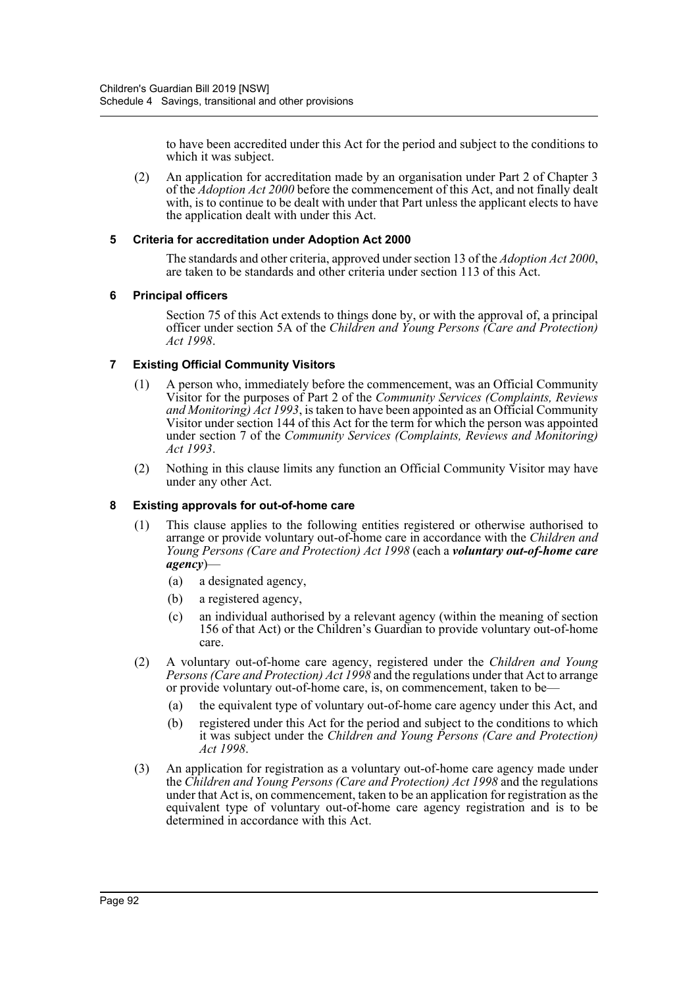to have been accredited under this Act for the period and subject to the conditions to which it was subject.

(2) An application for accreditation made by an organisation under Part 2 of Chapter 3 of the *Adoption Act 2000* before the commencement of this Act, and not finally dealt with, is to continue to be dealt with under that Part unless the applicant elects to have the application dealt with under this Act.

#### **5 Criteria for accreditation under Adoption Act 2000**

The standards and other criteria, approved under section 13 of the *Adoption Act 2000*, are taken to be standards and other criteria under section 113 of this Act.

#### **6 Principal officers**

Section 75 of this Act extends to things done by, or with the approval of, a principal officer under section 5A of the *Children and Young Persons (Care and Protection) Act 1998*.

#### **7 Existing Official Community Visitors**

- (1) A person who, immediately before the commencement, was an Official Community Visitor for the purposes of Part 2 of the *Community Services (Complaints, Reviews and Monitoring) Act 1993*, is taken to have been appointed as an Official Community Visitor under section 144 of this Act for the term for which the person was appointed under section 7 of the *Community Services (Complaints, Reviews and Monitoring) Act 1993*.
- (2) Nothing in this clause limits any function an Official Community Visitor may have under any other Act.

#### **8 Existing approvals for out-of-home care**

- (1) This clause applies to the following entities registered or otherwise authorised to arrange or provide voluntary out-of-home care in accordance with the *Children and Young Persons (Care and Protection) Act 1998* (each a *voluntary out-of-home care agency*)—
	- (a) a designated agency,
	- (b) a registered agency,
	- (c) an individual authorised by a relevant agency (within the meaning of section 156 of that Act) or the Children's Guardian to provide voluntary out-of-home care.
- (2) A voluntary out-of-home care agency, registered under the *Children and Young Persons (Care and Protection) Act 1998* and the regulations under that Act to arrange or provide voluntary out-of-home care, is, on commencement, taken to be—
	- (a) the equivalent type of voluntary out-of-home care agency under this Act, and
	- (b) registered under this Act for the period and subject to the conditions to which it was subject under the *Children and Young Persons (Care and Protection) Act 1998*.
- (3) An application for registration as a voluntary out-of-home care agency made under the *Children and Young Persons (Care and Protection) Act 1998* and the regulations under that Act is, on commencement, taken to be an application for registration as the equivalent type of voluntary out-of-home care agency registration and is to be determined in accordance with this Act.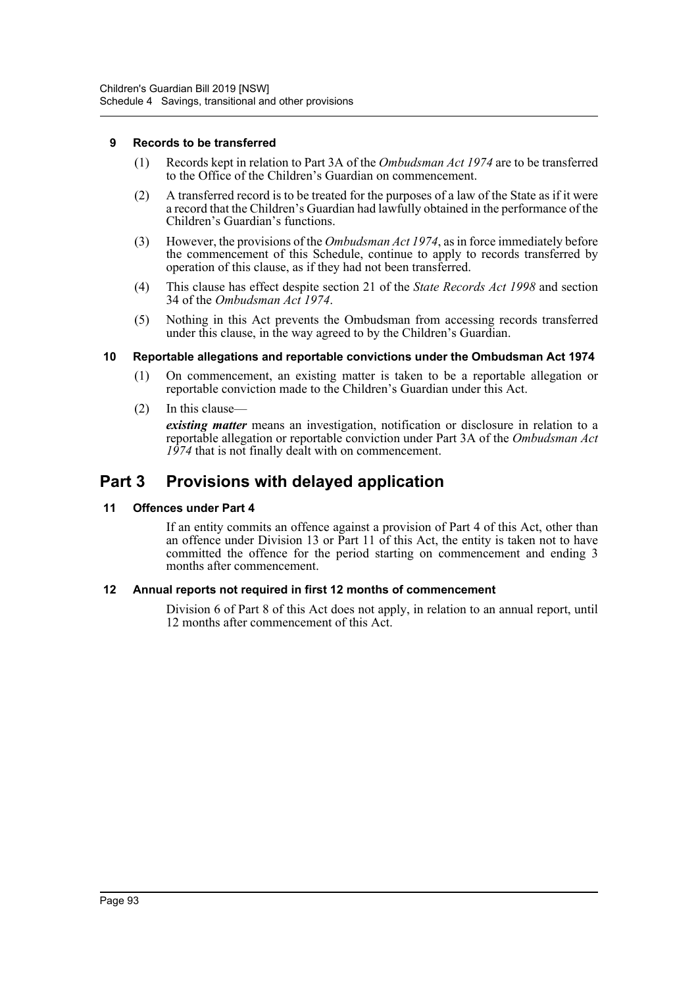#### **9 Records to be transferred**

- (1) Records kept in relation to Part 3A of the *Ombudsman Act 1974* are to be transferred to the Office of the Children's Guardian on commencement.
- (2) A transferred record is to be treated for the purposes of a law of the State as if it were a record that the Children's Guardian had lawfully obtained in the performance of the Children's Guardian's functions.
- (3) However, the provisions of the *Ombudsman Act 1974*, as in force immediately before the commencement of this Schedule, continue to apply to records transferred by operation of this clause, as if they had not been transferred.
- (4) This clause has effect despite section 21 of the *State Records Act 1998* and section 34 of the *Ombudsman Act 1974*.
- (5) Nothing in this Act prevents the Ombudsman from accessing records transferred under this clause, in the way agreed to by the Children's Guardian.

#### **10 Reportable allegations and reportable convictions under the Ombudsman Act 1974**

- (1) On commencement, an existing matter is taken to be a reportable allegation or reportable conviction made to the Children's Guardian under this Act.
- (2) In this clause—

*existing matter* means an investigation, notification or disclosure in relation to a reportable allegation or reportable conviction under Part 3A of the *Ombudsman Act 1974* that is not finally dealt with on commencement.

## **Part 3 Provisions with delayed application**

#### **11 Offences under Part 4**

If an entity commits an offence against a provision of Part 4 of this Act, other than an offence under Division 13 or Part 11 of this Act, the entity is taken not to have committed the offence for the period starting on commencement and ending 3 months after commencement.

#### **12 Annual reports not required in first 12 months of commencement**

Division 6 of Part 8 of this Act does not apply, in relation to an annual report, until 12 months after commencement of this Act.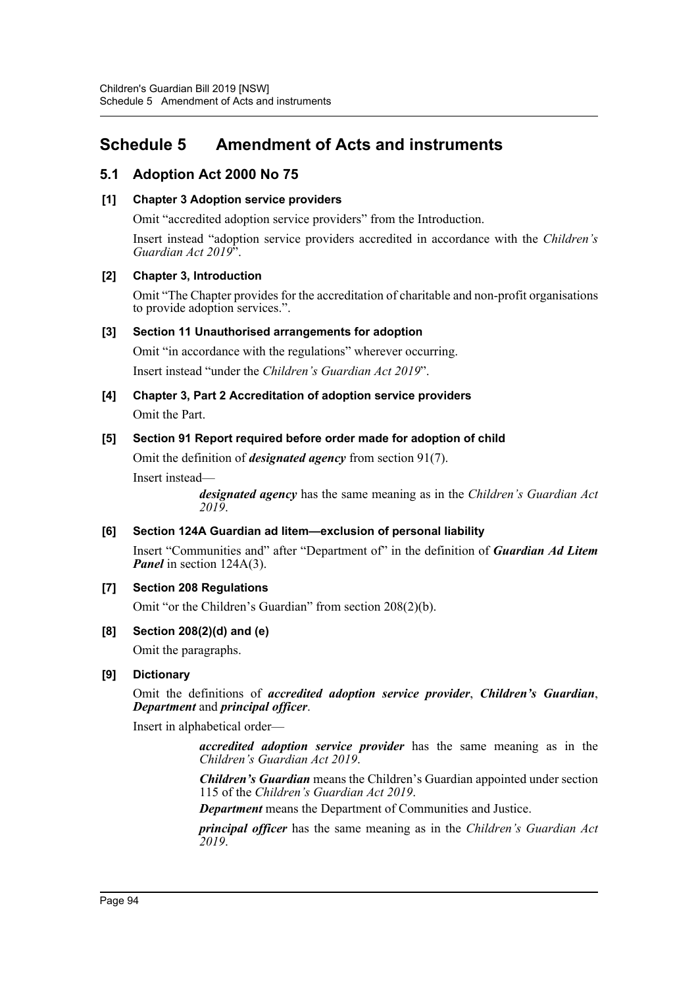# **Schedule 5 Amendment of Acts and instruments**

## **5.1 Adoption Act 2000 No 75**

### **[1] Chapter 3 Adoption service providers**

Omit "accredited adoption service providers" from the Introduction.

Insert instead "adoption service providers accredited in accordance with the *Children's Guardian Act 2019*".

#### **[2] Chapter 3, Introduction**

Omit "The Chapter provides for the accreditation of charitable and non-profit organisations to provide adoption services.".

#### **[3] Section 11 Unauthorised arrangements for adoption**

Omit "in accordance with the regulations" wherever occurring. Insert instead "under the *Children's Guardian Act 2019*".

# **[4] Chapter 3, Part 2 Accreditation of adoption service providers**

Omit the Part.

## **[5] Section 91 Report required before order made for adoption of child**

Omit the definition of *designated agency* from section 91(7).

Insert instead—

*designated agency* has the same meaning as in the *Children's Guardian Act 2019*.

## **[6] Section 124A Guardian ad litem—exclusion of personal liability**

Insert "Communities and" after "Department of" in the definition of *Guardian Ad Litem Panel* in section 124A(3).

## **[7] Section 208 Regulations**

Omit "or the Children's Guardian" from section 208(2)(b).

#### **[8] Section 208(2)(d) and (e)**

Omit the paragraphs.

## **[9] Dictionary**

Omit the definitions of *accredited adoption service provider*, *Children's Guardian*, *Department* and *principal officer*.

Insert in alphabetical order—

*accredited adoption service provider* has the same meaning as in the *Children's Guardian Act 2019*.

*Children's Guardian* means the Children's Guardian appointed under section 115 of the *Children's Guardian Act 2019*.

*Department* means the Department of Communities and Justice.

*principal officer* has the same meaning as in the *Children's Guardian Act 2019*.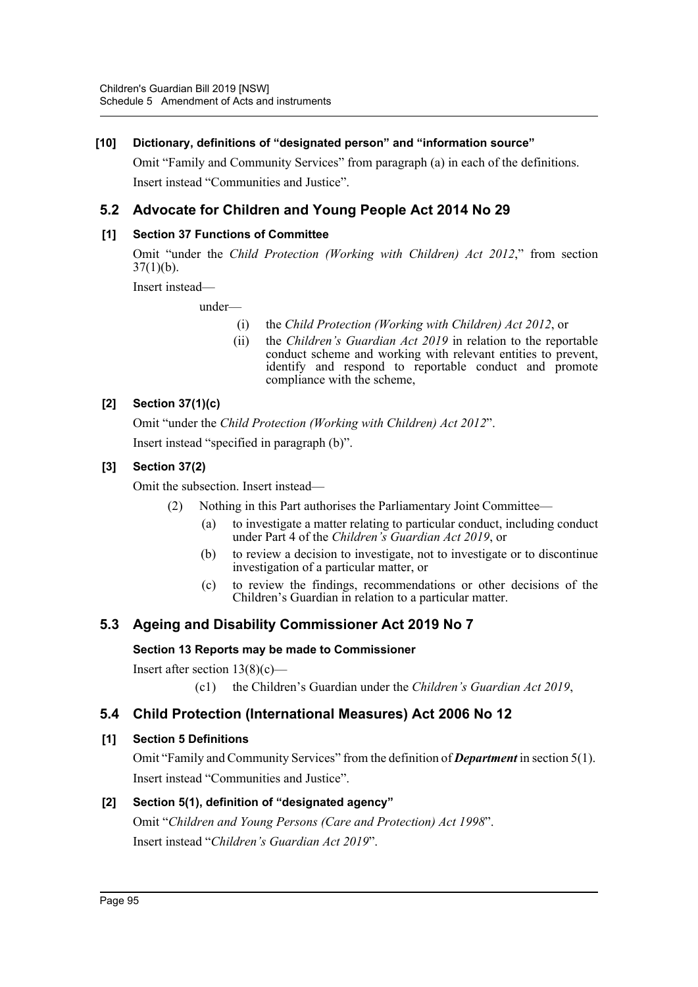## **[10] Dictionary, definitions of "designated person" and "information source"**

Omit "Family and Community Services" from paragraph (a) in each of the definitions. Insert instead "Communities and Justice".

## **5.2 Advocate for Children and Young People Act 2014 No 29**

## **[1] Section 37 Functions of Committee**

Omit "under the *Child Protection (Working with Children) Act 2012*," from section  $37(1)(b)$ .

Insert instead—

under—

- (i) the *Child Protection (Working with Children) Act 2012*, or
- (ii) the *Children's Guardian Act 2019* in relation to the reportable conduct scheme and working with relevant entities to prevent, identify and respond to reportable conduct and promote compliance with the scheme,

## **[2] Section 37(1)(c)**

Omit "under the *Child Protection (Working with Children) Act 2012*".

Insert instead "specified in paragraph (b)".

## **[3] Section 37(2)**

Omit the subsection. Insert instead—

- (2) Nothing in this Part authorises the Parliamentary Joint Committee—
	- (a) to investigate a matter relating to particular conduct, including conduct under Part 4 of the *Children's Guardian Act 2019*, or
	- (b) to review a decision to investigate, not to investigate or to discontinue investigation of a particular matter, or
	- (c) to review the findings, recommendations or other decisions of the Children's Guardian in relation to a particular matter.

## **5.3 Ageing and Disability Commissioner Act 2019 No 7**

## **Section 13 Reports may be made to Commissioner**

Insert after section  $13(8)(c)$ —

(c1) the Children's Guardian under the *Children's Guardian Act 2019*,

## **5.4 Child Protection (International Measures) Act 2006 No 12**

## **[1] Section 5 Definitions**

Omit "Family and Community Services" from the definition of *Department* in section 5(1). Insert instead "Communities and Justice".

## **[2] Section 5(1), definition of "designated agency"**

Omit "*Children and Young Persons (Care and Protection) Act 1998*". Insert instead "*Children's Guardian Act 2019*".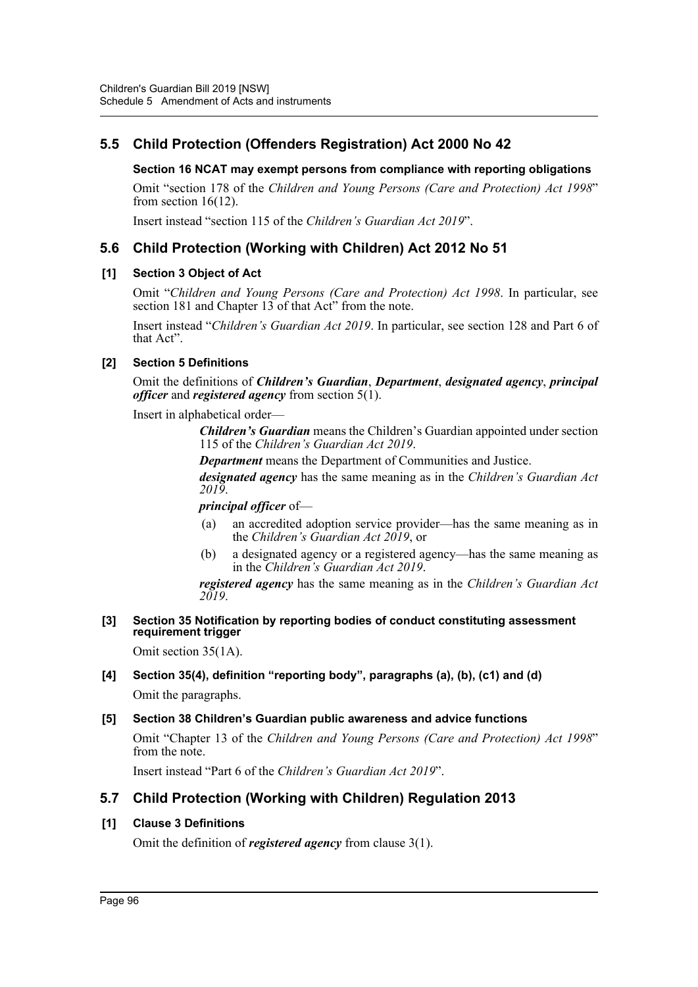## **5.5 Child Protection (Offenders Registration) Act 2000 No 42**

### **Section 16 NCAT may exempt persons from compliance with reporting obligations**

Omit "section 178 of the *Children and Young Persons (Care and Protection) Act 1998*" from section 16(12).

Insert instead "section 115 of the *Children's Guardian Act 2019*".

## **5.6 Child Protection (Working with Children) Act 2012 No 51**

#### **[1] Section 3 Object of Act**

Omit "*Children and Young Persons (Care and Protection) Act 1998*. In particular, see section 181 and Chapter  $13$  of that Act" from the note.

Insert instead "*Children's Guardian Act 2019*. In particular, see section 128 and Part 6 of that Act".

#### **[2] Section 5 Definitions**

Omit the definitions of *Children's Guardian*, *Department*, *designated agency*, *principal officer* and *registered agency* from section 5(1).

Insert in alphabetical order—

*Children's Guardian* means the Children's Guardian appointed under section 115 of the *Children's Guardian Act 2019*.

*Department* means the Department of Communities and Justice.

*designated agency* has the same meaning as in the *Children's Guardian Act 2019*.

*principal officer* of—

- (a) an accredited adoption service provider—has the same meaning as in the *Children's Guardian Act 2019*, or
- (b) a designated agency or a registered agency—has the same meaning as in the *Children's Guardian Act 2019*.

*registered agency* has the same meaning as in the *Children's Guardian Act 2019*.

#### **[3] Section 35 Notification by reporting bodies of conduct constituting assessment requirement trigger**

Omit section 35(1A).

## **[4] Section 35(4), definition "reporting body", paragraphs (a), (b), (c1) and (d)**

Omit the paragraphs.

#### **[5] Section 38 Children's Guardian public awareness and advice functions**

Omit "Chapter 13 of the *Children and Young Persons (Care and Protection) Act 1998*" from the note.

Insert instead "Part 6 of the *Children's Guardian Act 2019*".

## **5.7 Child Protection (Working with Children) Regulation 2013**

#### **[1] Clause 3 Definitions**

Omit the definition of *registered agency* from clause 3(1).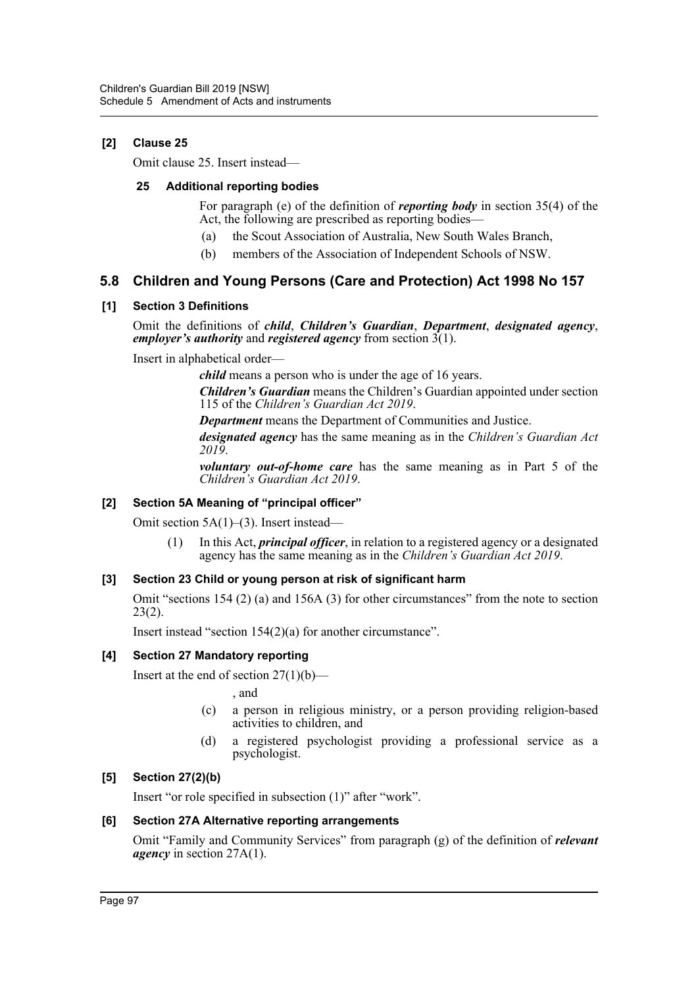## **[2] Clause 25**

Omit clause 25. Insert instead—

#### **25 Additional reporting bodies**

For paragraph (e) of the definition of *reporting body* in section 35(4) of the Act, the following are prescribed as reporting bodies—

- (a) the Scout Association of Australia, New South Wales Branch,
- (b) members of the Association of Independent Schools of NSW.

## **5.8 Children and Young Persons (Care and Protection) Act 1998 No 157**

#### **[1] Section 3 Definitions**

Omit the definitions of *child*, *Children's Guardian*, *Department*, *designated agency*, *employer's authority* and *registered agency* from section 3(1).

Insert in alphabetical order—

*child* means a person who is under the age of 16 years.

*Children's Guardian* means the Children's Guardian appointed under section 115 of the *Children's Guardian Act 2019*.

*Department* means the Department of Communities and Justice.

*designated agency* has the same meaning as in the *Children's Guardian Act 2019*.

*voluntary out-of-home care* has the same meaning as in Part 5 of the *Children's Guardian Act 2019*.

## **[2] Section 5A Meaning of "principal officer"**

Omit section 5A(1)–(3). Insert instead—

(1) In this Act, *principal officer*, in relation to a registered agency or a designated agency has the same meaning as in the *Children's Guardian Act 2019*.

## **[3] Section 23 Child or young person at risk of significant harm**

Omit "sections 154 (2) (a) and 156A (3) for other circumstances" from the note to section  $23(2)$ .

Insert instead "section 154(2)(a) for another circumstance".

#### **[4] Section 27 Mandatory reporting**

Insert at the end of section  $27(1)(b)$ —

, and

- (c) a person in religious ministry, or a person providing religion-based activities to children, and
- (d) a registered psychologist providing a professional service as a psychologist.

## **[5] Section 27(2)(b)**

Insert "or role specified in subsection (1)" after "work".

## **[6] Section 27A Alternative reporting arrangements**

Omit "Family and Community Services" from paragraph (g) of the definition of *relevant agency* in section 27A(1).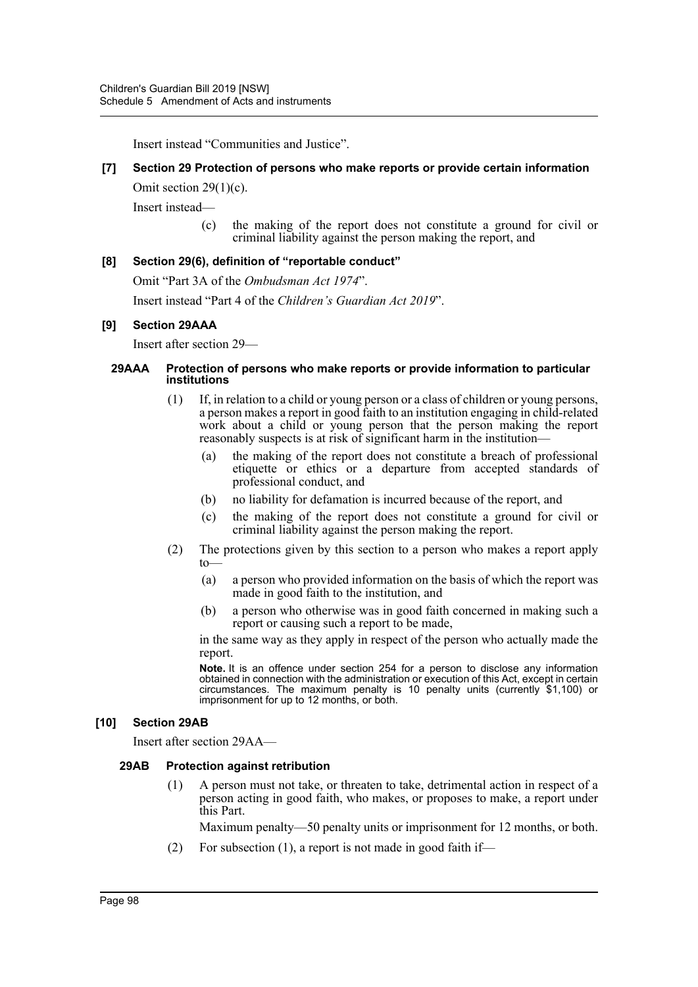Insert instead "Communities and Justice".

#### **[7] Section 29 Protection of persons who make reports or provide certain information**

Omit section 29(1)(c).

Insert instead—

(c) the making of the report does not constitute a ground for civil or criminal liability against the person making the report, and

#### **[8] Section 29(6), definition of "reportable conduct"**

Omit "Part 3A of the *Ombudsman Act 1974*". Insert instead "Part 4 of the *Children's Guardian Act 2019*".

#### **[9] Section 29AAA**

Insert after section 29—

#### **29AAA Protection of persons who make reports or provide information to particular institutions**

- (1) If, in relation to a child or young person or a class of children or young persons, a person makes a report in good faith to an institution engaging in child-related work about a child or young person that the person making the report reasonably suspects is at risk of significant harm in the institution—
	- (a) the making of the report does not constitute a breach of professional etiquette or ethics or a departure from accepted standards of professional conduct, and
	- (b) no liability for defamation is incurred because of the report, and
	- (c) the making of the report does not constitute a ground for civil or criminal liability against the person making the report.
- (2) The protections given by this section to a person who makes a report apply  $t_0$ 
	- (a) a person who provided information on the basis of which the report was made in good faith to the institution, and
	- (b) a person who otherwise was in good faith concerned in making such a report or causing such a report to be made,

in the same way as they apply in respect of the person who actually made the report.

**Note.** It is an offence under section 254 for a person to disclose any information obtained in connection with the administration or execution of this Act, except in certain circumstances. The maximum penalty is 10 penalty units (currently \$1,100) or imprisonment for up to 12 months, or both.

#### **[10] Section 29AB**

Insert after section 29AA—

#### **29AB Protection against retribution**

(1) A person must not take, or threaten to take, detrimental action in respect of a person acting in good faith, who makes, or proposes to make, a report under this Part.

Maximum penalty—50 penalty units or imprisonment for 12 months, or both.

(2) For subsection (1), a report is not made in good faith if—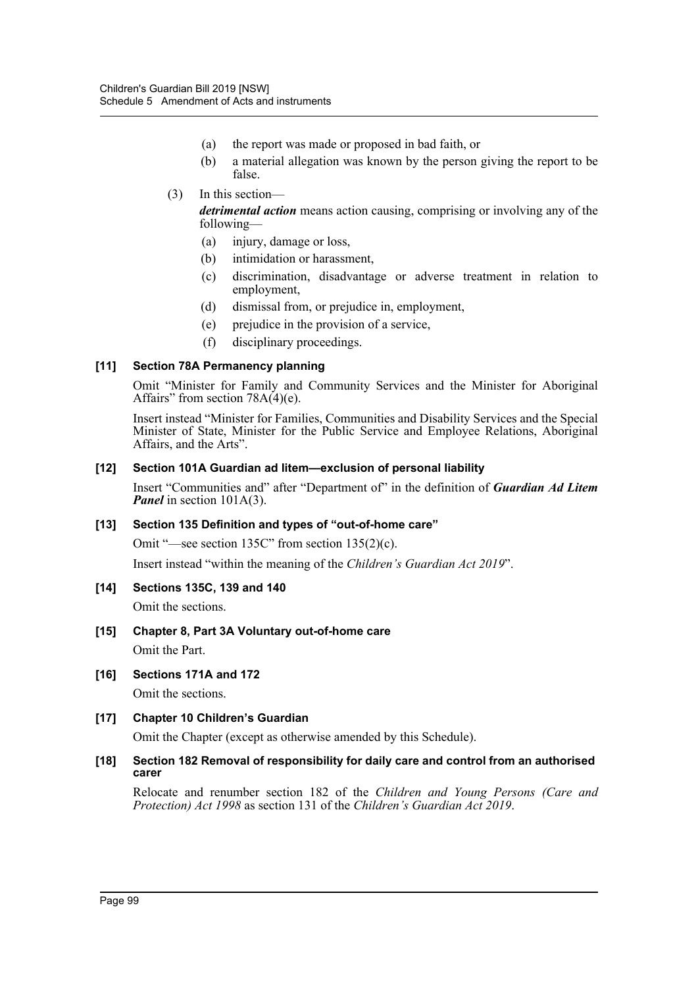- (a) the report was made or proposed in bad faith, or
- (b) a material allegation was known by the person giving the report to be false.
- (3) In this section—

*detrimental action* means action causing, comprising or involving any of the following—

- (a) injury, damage or loss,
- (b) intimidation or harassment,
- (c) discrimination, disadvantage or adverse treatment in relation to employment,
- (d) dismissal from, or prejudice in, employment,
- (e) prejudice in the provision of a service,
- (f) disciplinary proceedings.

#### **[11] Section 78A Permanency planning**

Omit "Minister for Family and Community Services and the Minister for Aboriginal Affairs" from section  $78A(4)(e)$ .

Insert instead "Minister for Families, Communities and Disability Services and the Special Minister of State, Minister for the Public Service and Employee Relations, Aboriginal Affairs, and the Arts".

#### **[12] Section 101A Guardian ad litem—exclusion of personal liability**

Insert "Communities and" after "Department of" in the definition of *Guardian Ad Litem Panel* in section 101A(3).

#### **[13] Section 135 Definition and types of "out-of-home care"**

Omit "—see section 135C" from section 135(2)(c).

Insert instead "within the meaning of the *Children's Guardian Act 2019*".

**[14] Sections 135C, 139 and 140**

Omit the sections.

- **[15] Chapter 8, Part 3A Voluntary out-of-home care** Omit the Part.
- **[16] Sections 171A and 172**

Omit the sections.

#### **[17] Chapter 10 Children's Guardian**

Omit the Chapter (except as otherwise amended by this Schedule).

#### **[18] Section 182 Removal of responsibility for daily care and control from an authorised carer**

Relocate and renumber section 182 of the *Children and Young Persons (Care and Protection) Act 1998* as section 131 of the *Children's Guardian Act 2019*.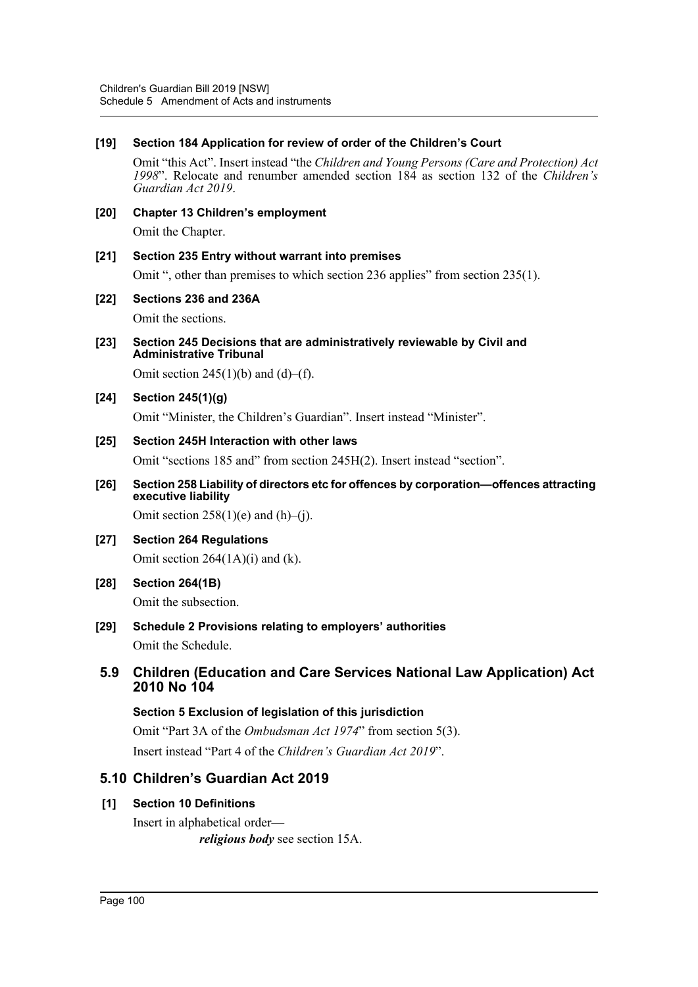## **[19] Section 184 Application for review of order of the Children's Court**

Omit "this Act". Insert instead "the *Children and Young Persons (Care and Protection) Act 1998*". Relocate and renumber amended section 184 as section 132 of the *Children's Guardian Act 2019*.

**[20] Chapter 13 Children's employment**

Omit the Chapter.

## **[21] Section 235 Entry without warrant into premises**

Omit ", other than premises to which section 236 applies" from section 235(1).

#### **[22] Sections 236 and 236A**

Omit the sections.

**[23] Section 245 Decisions that are administratively reviewable by Civil and Administrative Tribunal**

Omit section  $245(1)(b)$  and  $(d)$ –(f).

## **[24] Section 245(1)(g)**

Omit "Minister, the Children's Guardian". Insert instead "Minister".

#### **[25] Section 245H Interaction with other laws**

Omit "sections 185 and" from section 245H(2). Insert instead "section".

**[26] Section 258 Liability of directors etc for offences by corporation—offences attracting executive liability**

Omit section  $258(1)(e)$  and  $(h)$ –(j).

- **[27] Section 264 Regulations** Omit section 264(1A)(i) and (k).
- **[28] Section 264(1B)** Omit the subsection.
- **[29] Schedule 2 Provisions relating to employers' authorities** Omit the Schedule.

## **5.9 Children (Education and Care Services National Law Application) Act 2010 No 104**

## **Section 5 Exclusion of legislation of this jurisdiction**

Omit "Part 3A of the *Ombudsman Act 1974*" from section 5(3). Insert instead "Part 4 of the *Children's Guardian Act 2019*".

## **5.10 Children's Guardian Act 2019**

## **[1] Section 10 Definitions**

Insert in alphabetical order *religious body* see section 15A.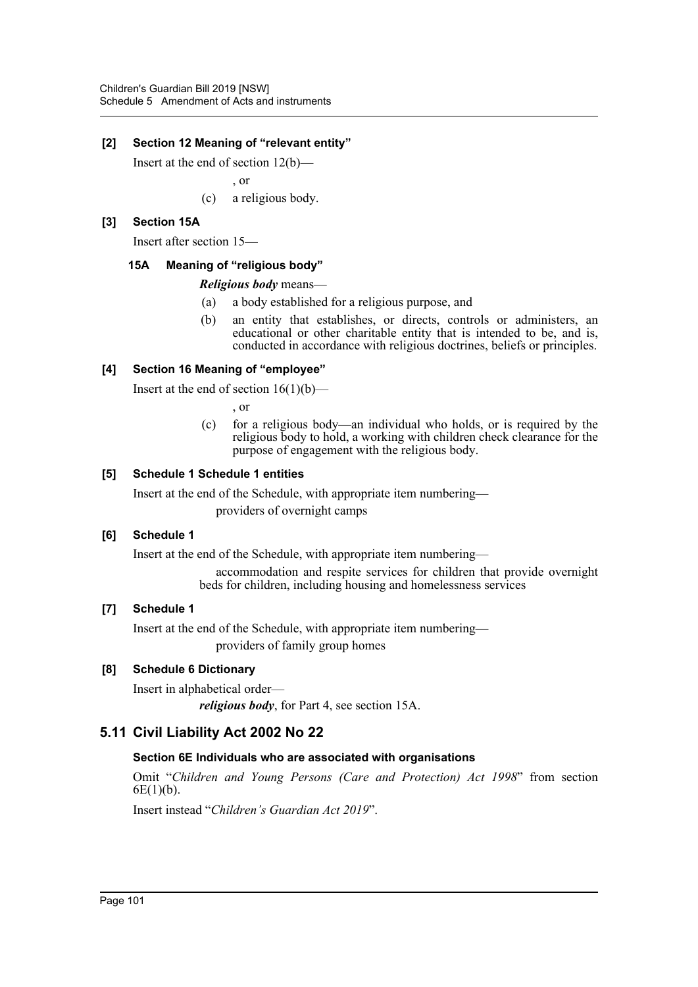## **[2] Section 12 Meaning of "relevant entity"**

Insert at the end of section 12(b)—

, or

(c) a religious body.

#### **[3] Section 15A**

Insert after section 15—

#### **15A Meaning of "religious body"**

#### *Religious body* means—

- (a) a body established for a religious purpose, and
- (b) an entity that establishes, or directs, controls or administers, an educational or other charitable entity that is intended to be, and is, conducted in accordance with religious doctrines, beliefs or principles.

#### **[4] Section 16 Meaning of "employee"**

Insert at the end of section  $16(1)(b)$ —

, or

(c) for a religious body—an individual who holds, or is required by the religious body to hold, a working with children check clearance for the purpose of engagement with the religious body.

#### **[5] Schedule 1 Schedule 1 entities**

Insert at the end of the Schedule, with appropriate item numbering—

providers of overnight camps

#### **[6] Schedule 1**

Insert at the end of the Schedule, with appropriate item numbering—

accommodation and respite services for children that provide overnight beds for children, including housing and homelessness services

#### **[7] Schedule 1**

Insert at the end of the Schedule, with appropriate item numbering—

providers of family group homes

## **[8] Schedule 6 Dictionary**

Insert in alphabetical order—

*religious body*, for Part 4, see section 15A.

## **5.11 Civil Liability Act 2002 No 22**

#### **Section 6E Individuals who are associated with organisations**

Omit "*Children and Young Persons (Care and Protection) Act 1998*" from section  $6E(1)(b)$ .

Insert instead "*Children's Guardian Act 2019*".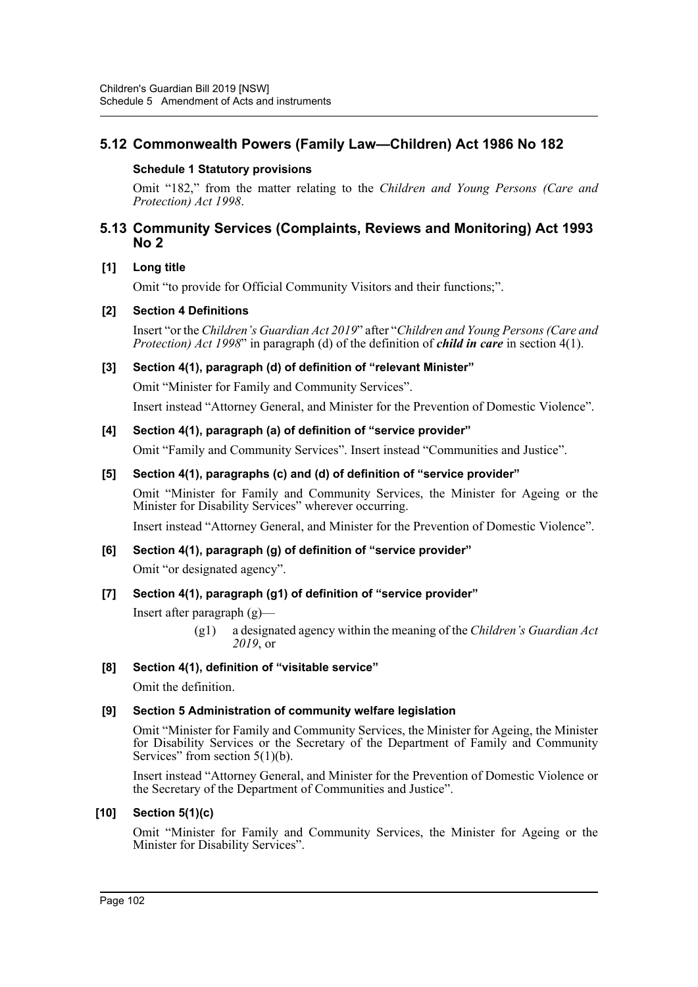## **5.12 Commonwealth Powers (Family Law—Children) Act 1986 No 182**

### **Schedule 1 Statutory provisions**

Omit "182," from the matter relating to the *Children and Young Persons (Care and Protection) Act 1998*.

## **5.13 Community Services (Complaints, Reviews and Monitoring) Act 1993 No 2**

#### **[1] Long title**

Omit "to provide for Official Community Visitors and their functions;".

#### **[2] Section 4 Definitions**

Insert "or the *Children's Guardian Act 2019*" after "*Children and Young Persons (Care and Protection) Act 1998*" in paragraph (d) of the definition of *child in care* in section 4(1).

#### **[3] Section 4(1), paragraph (d) of definition of "relevant Minister"**

Omit "Minister for Family and Community Services".

Insert instead "Attorney General, and Minister for the Prevention of Domestic Violence".

#### **[4] Section 4(1), paragraph (a) of definition of "service provider"**

Omit "Family and Community Services". Insert instead "Communities and Justice".

#### **[5] Section 4(1), paragraphs (c) and (d) of definition of "service provider"**

Omit "Minister for Family and Community Services, the Minister for Ageing or the Minister for Disability Services" wherever occurring.

Insert instead "Attorney General, and Minister for the Prevention of Domestic Violence".

## **[6] Section 4(1), paragraph (g) of definition of "service provider"**

Omit "or designated agency".

## **[7] Section 4(1), paragraph (g1) of definition of "service provider"**

Insert after paragraph (g)—

(g1) a designated agency within the meaning of the *Children's Guardian Act 2019*, or

#### **[8] Section 4(1), definition of "visitable service"**

Omit the definition.

## **[9] Section 5 Administration of community welfare legislation**

Omit "Minister for Family and Community Services, the Minister for Ageing, the Minister for Disability Services or the Secretary of the Department of Family and Community Services" from section  $5(1)(b)$ .

Insert instead "Attorney General, and Minister for the Prevention of Domestic Violence or the Secretary of the Department of Communities and Justice".

#### **[10] Section 5(1)(c)**

Omit "Minister for Family and Community Services, the Minister for Ageing or the Minister for Disability Services".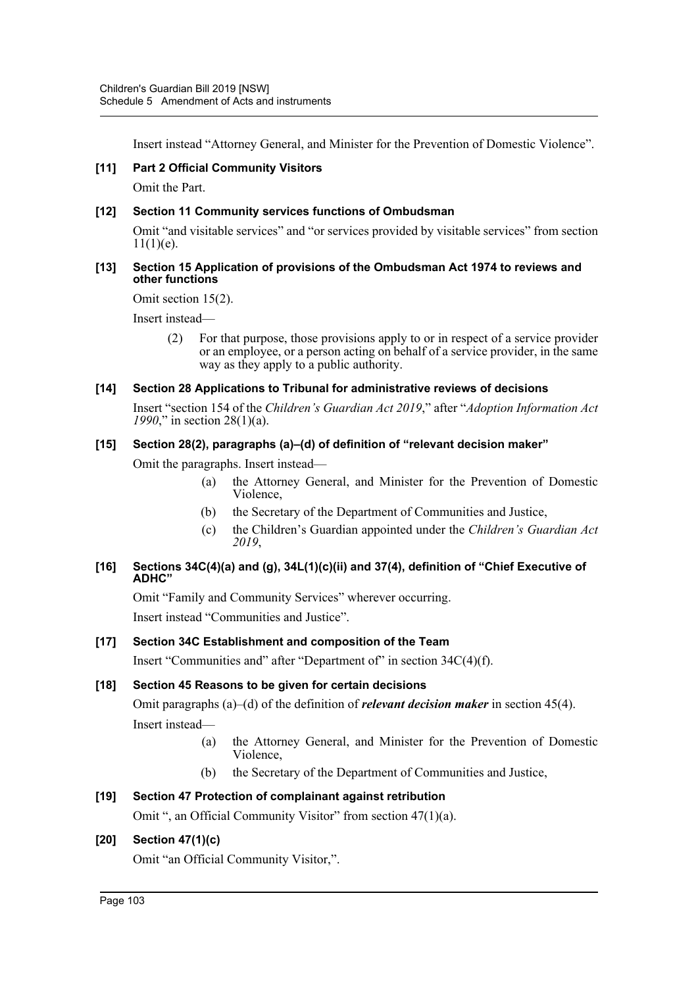Insert instead "Attorney General, and Minister for the Prevention of Domestic Violence".

### **[11] Part 2 Official Community Visitors**

Omit the Part.

#### **[12] Section 11 Community services functions of Ombudsman**

Omit "and visitable services" and "or services provided by visitable services" from section  $11(1)(e)$ .

#### **[13] Section 15 Application of provisions of the Ombudsman Act 1974 to reviews and other functions**

Omit section 15(2).

Insert instead—

(2) For that purpose, those provisions apply to or in respect of a service provider or an employee, or a person acting on behalf of a service provider, in the same way as they apply to a public authority.

#### **[14] Section 28 Applications to Tribunal for administrative reviews of decisions**

Insert "section 154 of the *Children's Guardian Act 2019*," after "*Adoption Information Act 1990*," in section 28(1)(a).

#### **[15] Section 28(2), paragraphs (a)–(d) of definition of "relevant decision maker"**

Omit the paragraphs. Insert instead—

- (a) the Attorney General, and Minister for the Prevention of Domestic Violence,
- (b) the Secretary of the Department of Communities and Justice,
- (c) the Children's Guardian appointed under the *Children's Guardian Act 2019*,

#### **[16] Sections 34C(4)(a) and (g), 34L(1)(c)(ii) and 37(4), definition of "Chief Executive of ADHC"**

Omit "Family and Community Services" wherever occurring. Insert instead "Communities and Justice".

## **[17] Section 34C Establishment and composition of the Team**

Insert "Communities and" after "Department of" in section 34C(4)(f).

## **[18] Section 45 Reasons to be given for certain decisions**

Omit paragraphs (a)–(d) of the definition of *relevant decision maker* in section 45(4). Insert instead—

- (a) the Attorney General, and Minister for the Prevention of Domestic Violence,
- (b) the Secretary of the Department of Communities and Justice,

## **[19] Section 47 Protection of complainant against retribution**

Omit ", an Official Community Visitor" from section 47(1)(a).

## **[20] Section 47(1)(c)**

Omit "an Official Community Visitor,".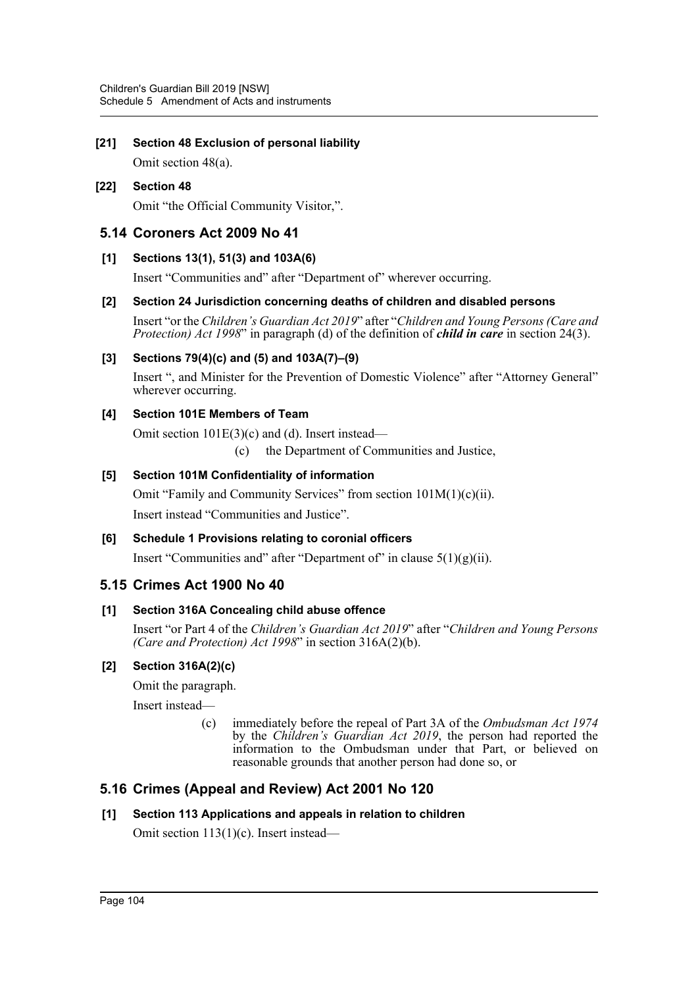## **[21] Section 48 Exclusion of personal liability**

Omit section 48(a).

## **[22] Section 48** Omit "the Official Community Visitor,".

## **5.14 Coroners Act 2009 No 41**

## **[1] Sections 13(1), 51(3) and 103A(6)**

Insert "Communities and" after "Department of" wherever occurring.

## **[2] Section 24 Jurisdiction concerning deaths of children and disabled persons**

Insert "or the *Children's Guardian Act 2019*" after "*Children and Young Persons (Care and Protection) Act 1998*" in paragraph (d) of the definition of *child in care* in section 24(3).

## **[3] Sections 79(4)(c) and (5) and 103A(7)–(9)**

Insert ", and Minister for the Prevention of Domestic Violence" after "Attorney General" wherever occurring.

## **[4] Section 101E Members of Team**

Omit section 101E(3)(c) and (d). Insert instead—

(c) the Department of Communities and Justice,

## **[5] Section 101M Confidentiality of information**

Omit "Family and Community Services" from section 101M(1)(c)(ii). Insert instead "Communities and Justice".

## **[6] Schedule 1 Provisions relating to coronial officers** Insert "Communities and" after "Department of" in clause  $5(1)(g)(ii)$ .

## **5.15 Crimes Act 1900 No 40**

## **[1] Section 316A Concealing child abuse offence**

Insert "or Part 4 of the *Children's Guardian Act 2019*" after "*Children and Young Persons (Care and Protection) Act 1998*" in section 316A(2)(b).

## **[2] Section 316A(2)(c)**

Omit the paragraph.

Insert instead—

(c) immediately before the repeal of Part 3A of the *Ombudsman Act 1974* by the *Children's Guardian Act 2019*, the person had reported the information to the Ombudsman under that Part, or believed on reasonable grounds that another person had done so, or

## **5.16 Crimes (Appeal and Review) Act 2001 No 120**

## **[1] Section 113 Applications and appeals in relation to children**

Omit section 113(1)(c). Insert instead—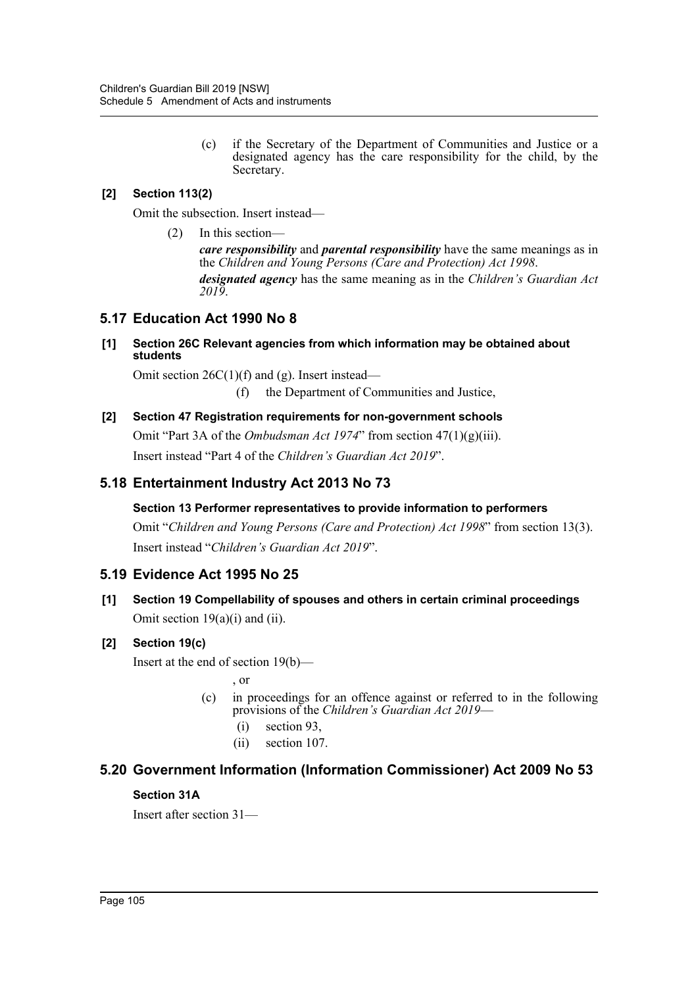(c) if the Secretary of the Department of Communities and Justice or a designated agency has the care responsibility for the child, by the Secretary.

## **[2] Section 113(2)**

Omit the subsection. Insert instead—

(2) In this section—

*care responsibility* and *parental responsibility* have the same meanings as in the *Children and Young Persons (Care and Protection) Act 1998*.

*designated agency* has the same meaning as in the *Children's Guardian Act 2019*.

## **5.17 Education Act 1990 No 8**

#### **[1] Section 26C Relevant agencies from which information may be obtained about students**

Omit section  $26C(1)(f)$  and (g). Insert instead—

(f) the Department of Communities and Justice,

#### **[2] Section 47 Registration requirements for non-government schools**

Omit "Part 3A of the *Ombudsman Act 1974*" from section 47(1)(g)(iii). Insert instead "Part 4 of the *Children's Guardian Act 2019*".

## **5.18 Entertainment Industry Act 2013 No 73**

## **Section 13 Performer representatives to provide information to performers**

Omit "*Children and Young Persons (Care and Protection) Act 1998*" from section 13(3). Insert instead "*Children's Guardian Act 2019*".

## **5.19 Evidence Act 1995 No 25**

**[1] Section 19 Compellability of spouses and others in certain criminal proceedings** Omit section 19(a)(i) and (ii).

## **[2] Section 19(c)**

Insert at the end of section 19(b)—

, or

- (c) in proceedings for an offence against or referred to in the following provisions of the *Children's Guardian Act 2019*—
	- (i) section 93,
	- (ii) section 107.

## **5.20 Government Information (Information Commissioner) Act 2009 No 53**

#### **Section 31A**

Insert after section 31—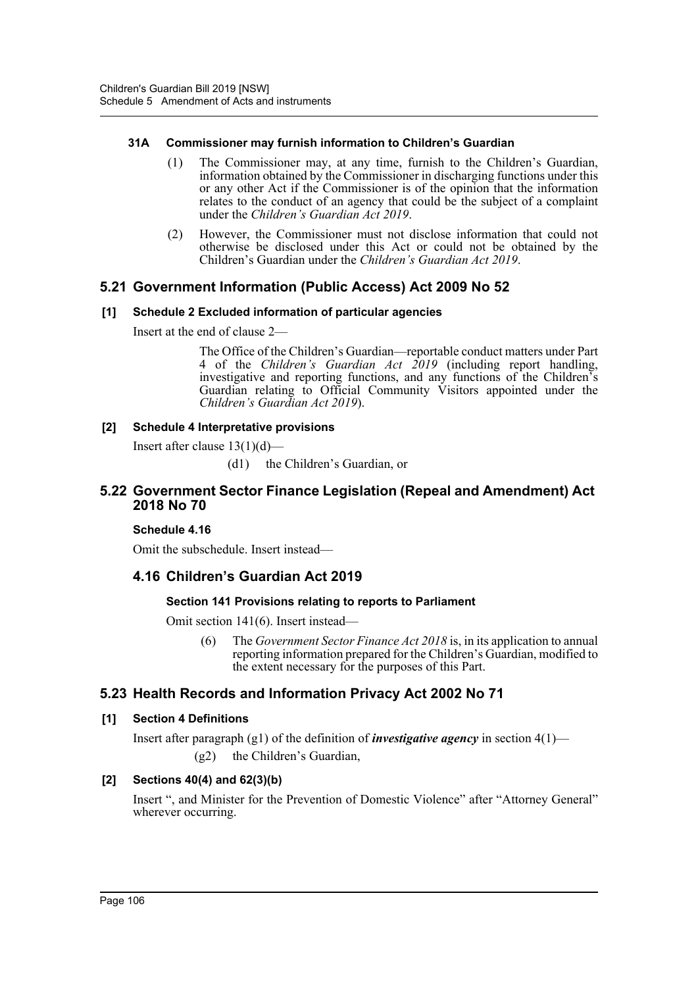### **31A Commissioner may furnish information to Children's Guardian**

- (1) The Commissioner may, at any time, furnish to the Children's Guardian, information obtained by the Commissioner in discharging functions under this or any other Act if the Commissioner is of the opinion that the information relates to the conduct of an agency that could be the subject of a complaint under the *Children's Guardian Act 2019*.
- (2) However, the Commissioner must not disclose information that could not otherwise be disclosed under this Act or could not be obtained by the Children's Guardian under the *Children's Guardian Act 2019*.

## **5.21 Government Information (Public Access) Act 2009 No 52**

## **[1] Schedule 2 Excluded information of particular agencies**

Insert at the end of clause 2—

The Office of the Children's Guardian—reportable conduct matters under Part 4 of the *Children's Guardian Act 2019* (including report handling, investigative and reporting functions, and any functions of the Children's Guardian relating to Official Community Visitors appointed under the *Children's Guardian Act 2019*).

#### **[2] Schedule 4 Interpretative provisions**

Insert after clause  $13(1)(d)$ —

(d1) the Children's Guardian, or

## **5.22 Government Sector Finance Legislation (Repeal and Amendment) Act 2018 No 70**

## **Schedule 4.16**

Omit the subschedule. Insert instead—

## **4.16 Children's Guardian Act 2019**

#### **Section 141 Provisions relating to reports to Parliament**

Omit section 141(6). Insert instead—

(6) The *Government Sector Finance Act 2018* is, in its application to annual reporting information prepared for the Children's Guardian, modified to the extent necessary for the purposes of this Part.

## **5.23 Health Records and Information Privacy Act 2002 No 71**

## **[1] Section 4 Definitions**

Insert after paragraph (g1) of the definition of *investigative agency* in section 4(1)— (g2) the Children's Guardian,

## **[2] Sections 40(4) and 62(3)(b)**

Insert ", and Minister for the Prevention of Domestic Violence" after "Attorney General" wherever occurring.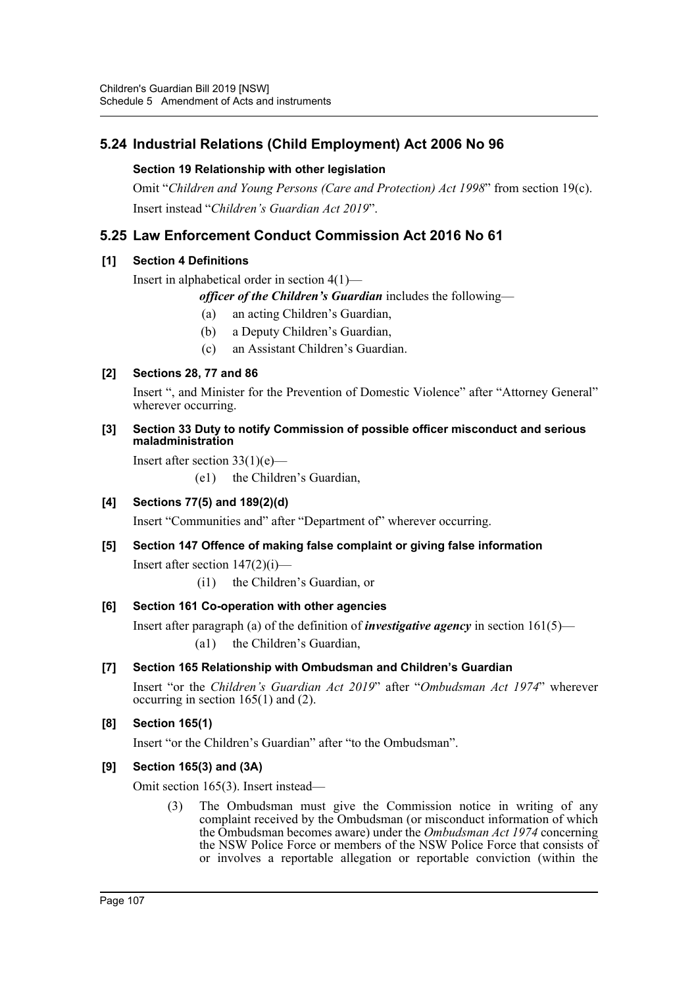## **5.24 Industrial Relations (Child Employment) Act 2006 No 96**

## **Section 19 Relationship with other legislation**

Omit "*Children and Young Persons (Care and Protection) Act 1998*" from section 19(c). Insert instead "*Children's Guardian Act 2019*".

## **5.25 Law Enforcement Conduct Commission Act 2016 No 61**

## **[1] Section 4 Definitions**

Insert in alphabetical order in section 4(1)—

*officer of the Children's Guardian* includes the following—

- (a) an acting Children's Guardian,
- (b) a Deputy Children's Guardian,
- (c) an Assistant Children's Guardian.

## **[2] Sections 28, 77 and 86**

Insert ", and Minister for the Prevention of Domestic Violence" after "Attorney General" wherever occurring.

#### **[3] Section 33 Duty to notify Commission of possible officer misconduct and serious maladministration**

Insert after section  $33(1)(e)$ —

(e1) the Children's Guardian,

## **[4] Sections 77(5) and 189(2)(d)**

Insert "Communities and" after "Department of" wherever occurring.

## **[5] Section 147 Offence of making false complaint or giving false information**

Insert after section 147(2)(i)—

(i1) the Children's Guardian, or

## **[6] Section 161 Co-operation with other agencies**

Insert after paragraph (a) of the definition of *investigative agency* in section 161(5)— (a1) the Children's Guardian,

## **[7] Section 165 Relationship with Ombudsman and Children's Guardian**

Insert "or the *Children's Guardian Act 2019*" after "*Ombudsman Act 1974*" wherever occurring in section  $165(1)$  and  $(2)$ .

## **[8] Section 165(1)**

Insert "or the Children's Guardian" after "to the Ombudsman".

## **[9] Section 165(3) and (3A)**

Omit section 165(3). Insert instead—

(3) The Ombudsman must give the Commission notice in writing of any complaint received by the Ombudsman (or misconduct information of which the Ombudsman becomes aware) under the *Ombudsman Act 1974* concerning the NSW Police Force or members of the NSW Police Force that consists of or involves a reportable allegation or reportable conviction (within the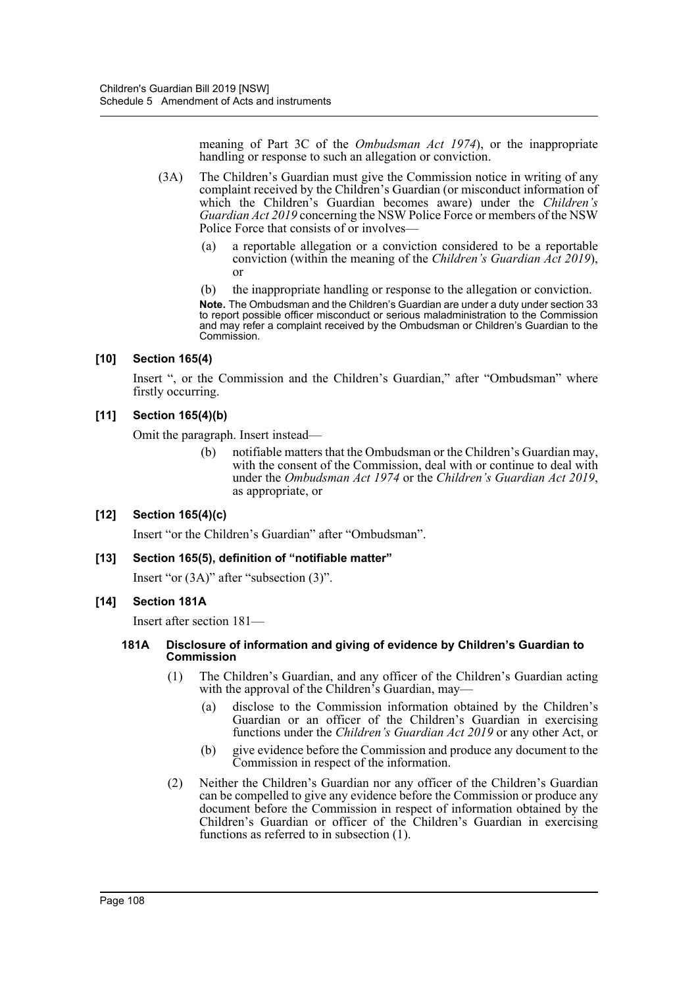meaning of Part 3C of the *Ombudsman Act 1974*), or the inappropriate handling or response to such an allegation or conviction.

- (3A) The Children's Guardian must give the Commission notice in writing of any complaint received by the Children's Guardian (or misconduct information of which the Children's Guardian becomes aware) under the *Children's Guardian Act 2019* concerning the NSW Police Force or members of the NSW Police Force that consists of or involves
	- a reportable allegation or a conviction considered to be a reportable conviction (within the meaning of the *Children's Guardian Act 2019*), or
	- (b) the inappropriate handling or response to the allegation or conviction.

**Note.** The Ombudsman and the Children's Guardian are under a duty under section 33 to report possible officer misconduct or serious maladministration to the Commission and may refer a complaint received by the Ombudsman or Children's Guardian to the Commission.

#### **[10] Section 165(4)**

Insert ", or the Commission and the Children's Guardian," after "Ombudsman" where firstly occurring.

#### **[11] Section 165(4)(b)**

Omit the paragraph. Insert instead—

(b) notifiable matters that the Ombudsman or the Children's Guardian may, with the consent of the Commission, deal with or continue to deal with under the *Ombudsman Act 1974* or the *Children's Guardian Act 2019*, as appropriate, or

#### **[12] Section 165(4)(c)**

Insert "or the Children's Guardian" after "Ombudsman".

#### **[13] Section 165(5), definition of "notifiable matter"**

Insert "or (3A)" after "subsection (3)".

#### **[14] Section 181A**

Insert after section 181—

#### **181A Disclosure of information and giving of evidence by Children's Guardian to Commission**

- (1) The Children's Guardian, and any officer of the Children's Guardian acting with the approval of the Children's Guardian, may—
	- (a) disclose to the Commission information obtained by the Children's Guardian or an officer of the Children's Guardian in exercising functions under the *Children's Guardian Act 2019* or any other Act, or
	- (b) give evidence before the Commission and produce any document to the Commission in respect of the information.
- (2) Neither the Children's Guardian nor any officer of the Children's Guardian can be compelled to give any evidence before the Commission or produce any document before the Commission in respect of information obtained by the Children's Guardian or officer of the Children's Guardian in exercising functions as referred to in subsection (1).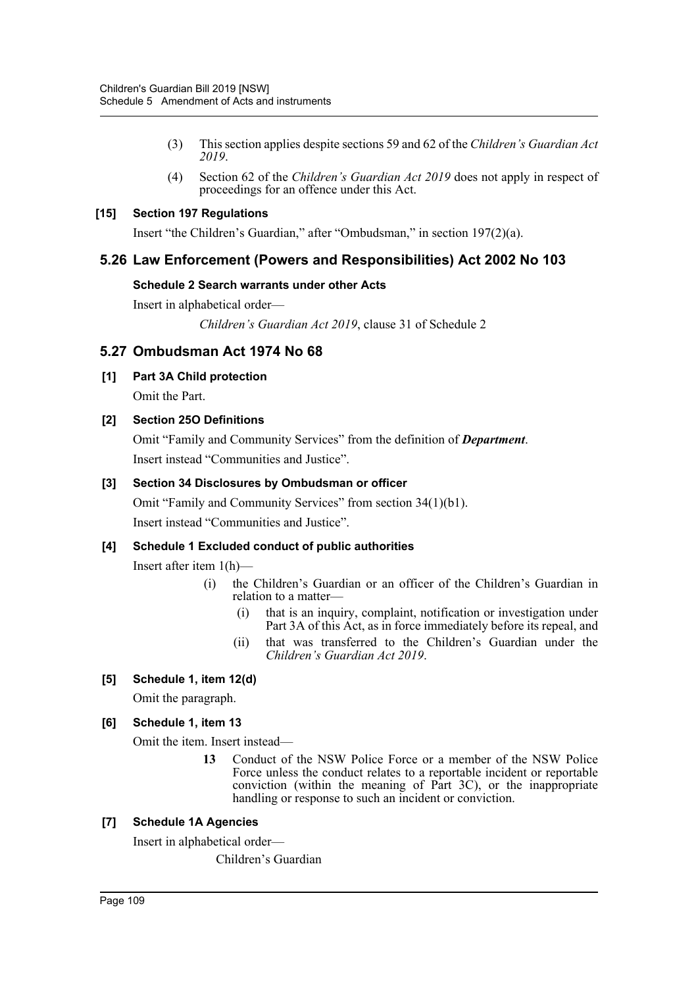- (3) This section applies despite sections 59 and 62 of the *Children's Guardian Act 2019*.
- (4) Section 62 of the *Children's Guardian Act 2019* does not apply in respect of proceedings for an offence under this Act.

### **[15] Section 197 Regulations**

Insert "the Children's Guardian," after "Ombudsman," in section 197(2)(a).

# **5.26 Law Enforcement (Powers and Responsibilities) Act 2002 No 103**

### **Schedule 2 Search warrants under other Acts**

Insert in alphabetical order—

*Children's Guardian Act 2019*, clause 31 of Schedule 2

# **5.27 Ombudsman Act 1974 No 68**

### **[1] Part 3A Child protection**

Omit the Part.

### **[2] Section 25O Definitions**

Omit "Family and Community Services" from the definition of *Department*. Insert instead "Communities and Justice".

### **[3] Section 34 Disclosures by Ombudsman or officer**

Omit "Family and Community Services" from section 34(1)(b1). Insert instead "Communities and Justice".

### **[4] Schedule 1 Excluded conduct of public authorities**

Insert after item 1(h)—

- (i) the Children's Guardian or an officer of the Children's Guardian in relation to a matter—
	- (i) that is an inquiry, complaint, notification or investigation under Part 3A of this Act, as in force immediately before its repeal, and
	- (ii) that was transferred to the Children's Guardian under the *Children's Guardian Act 2019*.

### **[5] Schedule 1, item 12(d)**

Omit the paragraph.

### **[6] Schedule 1, item 13**

Omit the item. Insert instead—

**13** Conduct of the NSW Police Force or a member of the NSW Police Force unless the conduct relates to a reportable incident or reportable conviction (within the meaning of Part 3C), or the inappropriate handling or response to such an incident or conviction.

### **[7] Schedule 1A Agencies**

Insert in alphabetical order—

Children's Guardian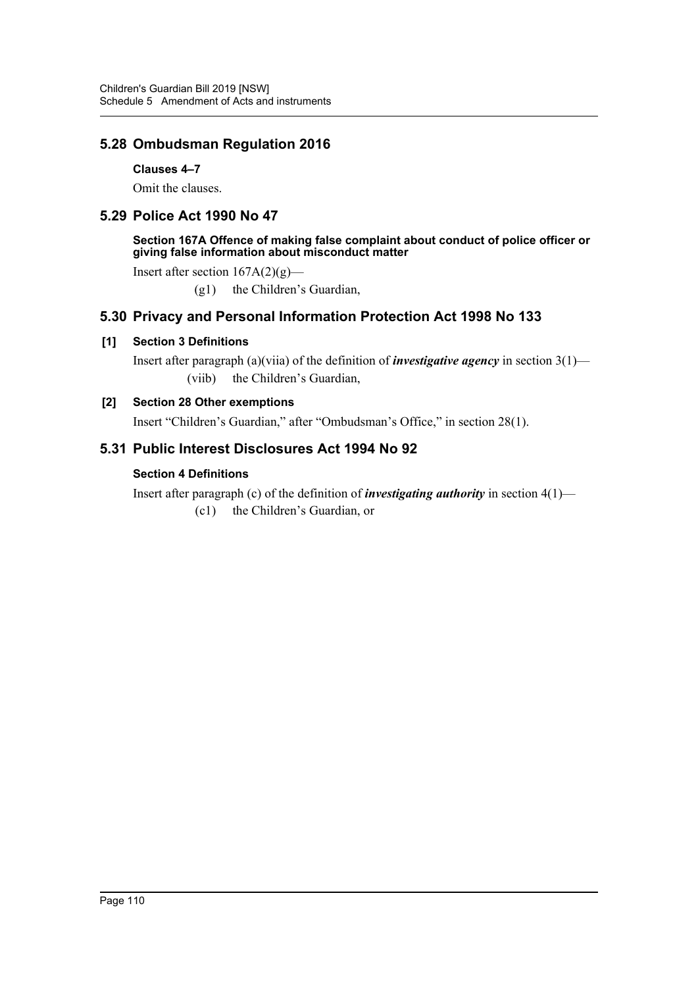# **5.28 Ombudsman Regulation 2016**

**Clauses 4–7**

Omit the clauses.

# **5.29 Police Act 1990 No 47**

**Section 167A Offence of making false complaint about conduct of police officer or giving false information about misconduct matter**

Insert after section  $167A(2)(g)$ —

(g1) the Children's Guardian,

# **5.30 Privacy and Personal Information Protection Act 1998 No 133**

### **[1] Section 3 Definitions**

Insert after paragraph (a)(viia) of the definition of *investigative agency* in section 3(1)— (viib) the Children's Guardian,

### **[2] Section 28 Other exemptions**

Insert "Children's Guardian," after "Ombudsman's Office," in section 28(1).

# **5.31 Public Interest Disclosures Act 1994 No 92**

### **Section 4 Definitions**

Insert after paragraph (c) of the definition of *investigating authority* in section 4(1)— (c1) the Children's Guardian, or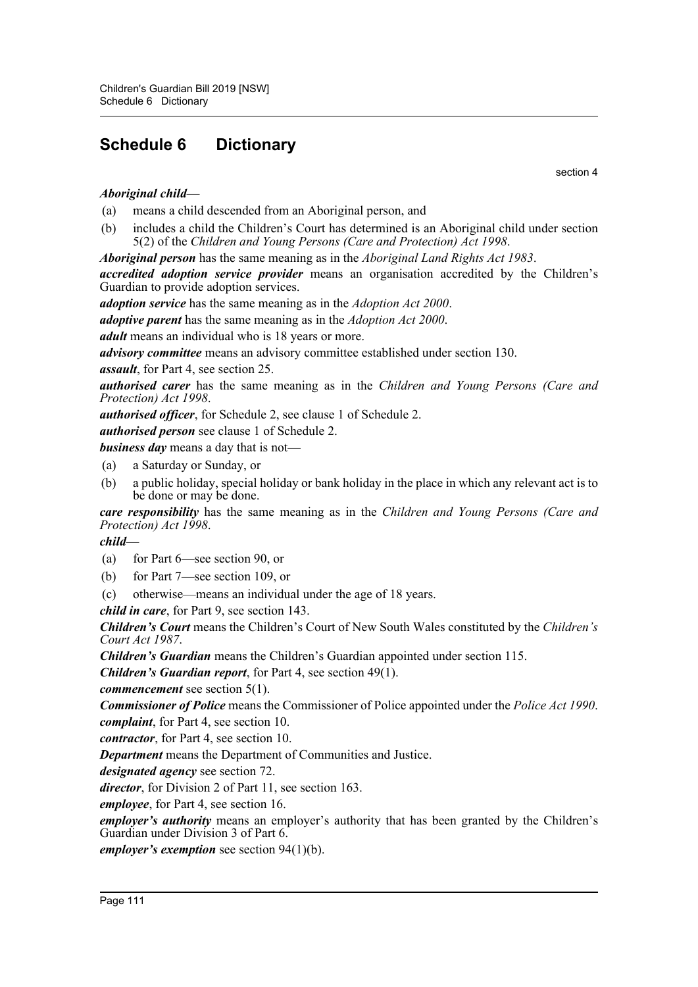# **Schedule 6 Dictionary**

section 4

# *Aboriginal child*—

(a) means a child descended from an Aboriginal person, and

(b) includes a child the Children's Court has determined is an Aboriginal child under section 5(2) of the *Children and Young Persons (Care and Protection) Act 1998*.

*Aboriginal person* has the same meaning as in the *Aboriginal Land Rights Act 1983*.

*accredited adoption service provider* means an organisation accredited by the Children's Guardian to provide adoption services.

*adoption service* has the same meaning as in the *Adoption Act 2000*.

*adoptive parent* has the same meaning as in the *Adoption Act 2000*.

*adult* means an individual who is 18 years or more.

*advisory committee* means an advisory committee established under section 130.

*assault*, for Part 4, see section 25.

*authorised carer* has the same meaning as in the *Children and Young Persons (Care and Protection) Act 1998*.

*authorised officer*, for Schedule 2, see clause 1 of Schedule 2.

*authorised person* see clause 1 of Schedule 2.

*business day* means a day that is not—

- (a) a Saturday or Sunday, or
- (b) a public holiday, special holiday or bank holiday in the place in which any relevant act is to be done or may be done.

*care responsibility* has the same meaning as in the *Children and Young Persons (Care and Protection) Act 1998*.

*child*—

- (a) for Part 6—see section 90, or
- (b) for Part 7—see section 109, or
- (c) otherwise—means an individual under the age of 18 years.

*child in care*, for Part 9, see section 143.

*Children's Court* means the Children's Court of New South Wales constituted by the *Children's Court Act 1987*.

*Children's Guardian* means the Children's Guardian appointed under section 115.

*Children's Guardian report*, for Part 4, see section 49(1).

*commencement* see section 5(1).

*Commissioner of Police* means the Commissioner of Police appointed under the *Police Act 1990*. *complaint*, for Part 4, see section 10.

*contractor*, for Part 4, see section 10.

*Department* means the Department of Communities and Justice.

*designated agency* see section 72.

*director*, for Division 2 of Part 11, see section 163.

*employee*, for Part 4, see section 16.

*employer's authority* means an employer's authority that has been granted by the Children's Guardian under Division 3 of Part 6.

*employer's exemption* see section 94(1)(b).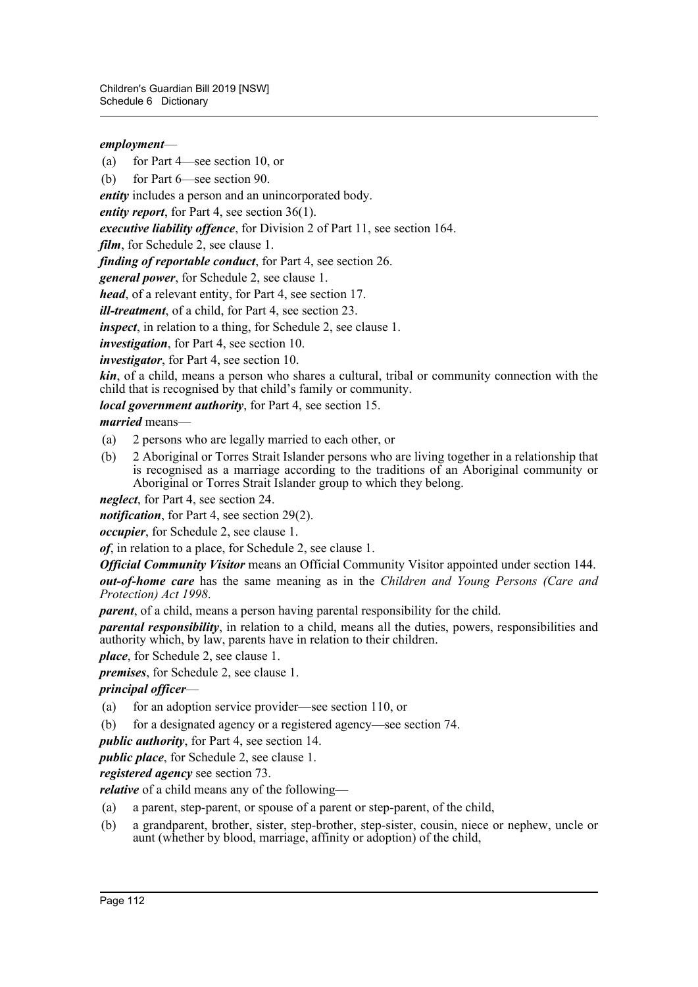### *employment*—

(a) for Part 4—see section 10, or

(b) for Part 6—see section 90.

*entity* includes a person and an unincorporated body.

*entity report*, for Part 4, see section 36(1).

*executive liability offence*, for Division 2 of Part 11, see section 164.

*film*, for Schedule 2, see clause 1.

*finding of reportable conduct*, for Part 4, see section 26.

*general power*, for Schedule 2, see clause 1.

*head*, of a relevant entity, for Part 4, see section 17.

*ill-treatment*, of a child, for Part 4, see section 23.

*inspect*, in relation to a thing, for Schedule 2, see clause 1.

*investigation*, for Part 4, see section 10.

*investigator*, for Part 4, see section 10.

*kin*, of a child, means a person who shares a cultural, tribal or community connection with the child that is recognised by that child's family or community.

*local government authority*, for Part 4, see section 15.

*married* means—

- (a) 2 persons who are legally married to each other, or
- (b) 2 Aboriginal or Torres Strait Islander persons who are living together in a relationship that is recognised as a marriage according to the traditions of an Aboriginal community or Aboriginal or Torres Strait Islander group to which they belong.

*neglect*, for Part 4, see section 24.

*notification*, for Part 4, see section 29(2).

*occupier*, for Schedule 2, see clause 1.

*of*, in relation to a place, for Schedule 2, see clause 1.

*Official Community Visitor* means an Official Community Visitor appointed under section 144. *out-of-home care* has the same meaning as in the *Children and Young Persons (Care and Protection) Act 1998*.

*parent*, of a child, means a person having parental responsibility for the child.

*parental responsibility*, in relation to a child, means all the duties, powers, responsibilities and authority which, by law, parents have in relation to their children.

*place*, for Schedule 2, see clause 1.

*premises*, for Schedule 2, see clause 1.

### *principal officer*—

- (a) for an adoption service provider—see section 110, or
- (b) for a designated agency or a registered agency—see section 74.

*public authority*, for Part 4, see section 14.

*public place*, for Schedule 2, see clause 1.

*registered agency* see section 73.

*relative* of a child means any of the following—

- (a) a parent, step-parent, or spouse of a parent or step-parent, of the child,
- (b) a grandparent, brother, sister, step-brother, step-sister, cousin, niece or nephew, uncle or aunt (whether by blood, marriage, affinity or adoption) of the child,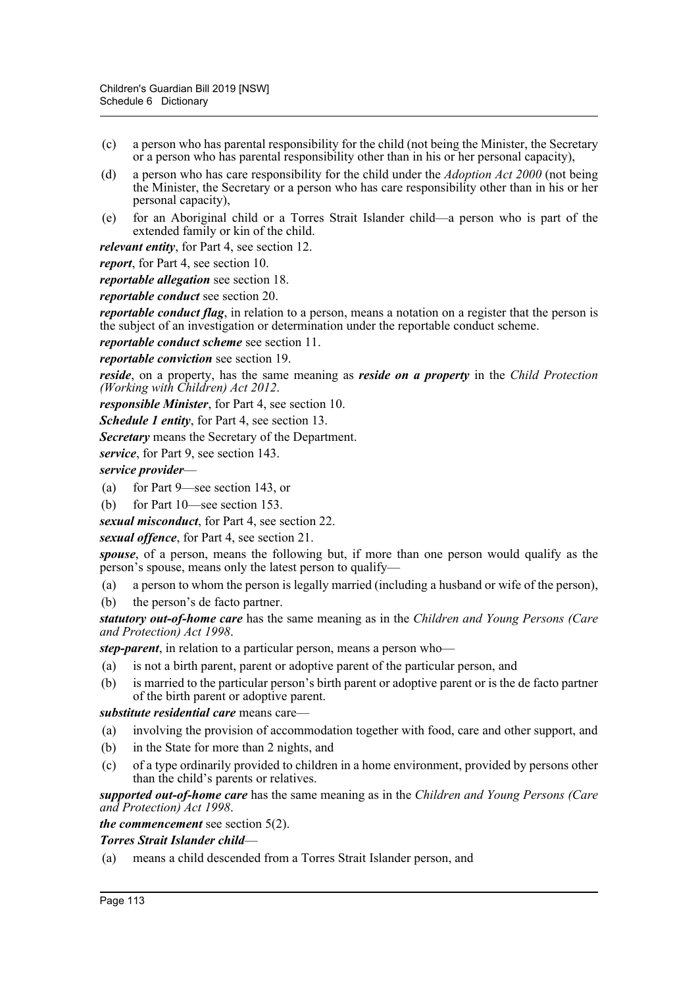- (c) a person who has parental responsibility for the child (not being the Minister, the Secretary or a person who has parental responsibility other than in his or her personal capacity),
- (d) a person who has care responsibility for the child under the *Adoption Act 2000* (not being the Minister, the Secretary or a person who has care responsibility other than in his or her personal capacity),
- (e) for an Aboriginal child or a Torres Strait Islander child—a person who is part of the extended family or kin of the child.

*relevant entity*, for Part 4, see section 12.

*report*, for Part 4, see section 10.

*reportable allegation* see section 18.

*reportable conduct* see section 20.

*reportable conduct flag*, in relation to a person, means a notation on a register that the person is the subject of an investigation or determination under the reportable conduct scheme.

*reportable conduct scheme* see section 11.

*reportable conviction* see section 19.

*reside*, on a property, has the same meaning as *reside on a property* in the *Child Protection (Working with Children) Act 2012*.

*responsible Minister*, for Part 4, see section 10.

*Schedule 1 entity*, for Part 4, see section 13.

*Secretary* means the Secretary of the Department.

*service*, for Part 9, see section 143.

*service provider*—

- (a) for Part 9—see section 143, or
- (b) for Part 10—see section 153.

*sexual misconduct*, for Part 4, see section 22.

*sexual offence*, for Part 4, see section 21.

*spouse*, of a person, means the following but, if more than one person would qualify as the person's spouse, means only the latest person to qualify—

(a) a person to whom the person is legally married (including a husband or wife of the person),

(b) the person's de facto partner.

*statutory out-of-home care* has the same meaning as in the *Children and Young Persons (Care and Protection) Act 1998*.

*step-parent*, in relation to a particular person, means a person who—

- (a) is not a birth parent, parent or adoptive parent of the particular person, and
- (b) is married to the particular person's birth parent or adoptive parent or is the de facto partner of the birth parent or adoptive parent.

*substitute residential care* means care—

- (a) involving the provision of accommodation together with food, care and other support, and
- (b) in the State for more than 2 nights, and
- (c) of a type ordinarily provided to children in a home environment, provided by persons other than the child's parents or relatives.

*supported out-of-home care* has the same meaning as in the *Children and Young Persons (Care and Protection) Act 1998*.

*the commencement* see section 5(2).

### *Torres Strait Islander child*—

(a) means a child descended from a Torres Strait Islander person, and